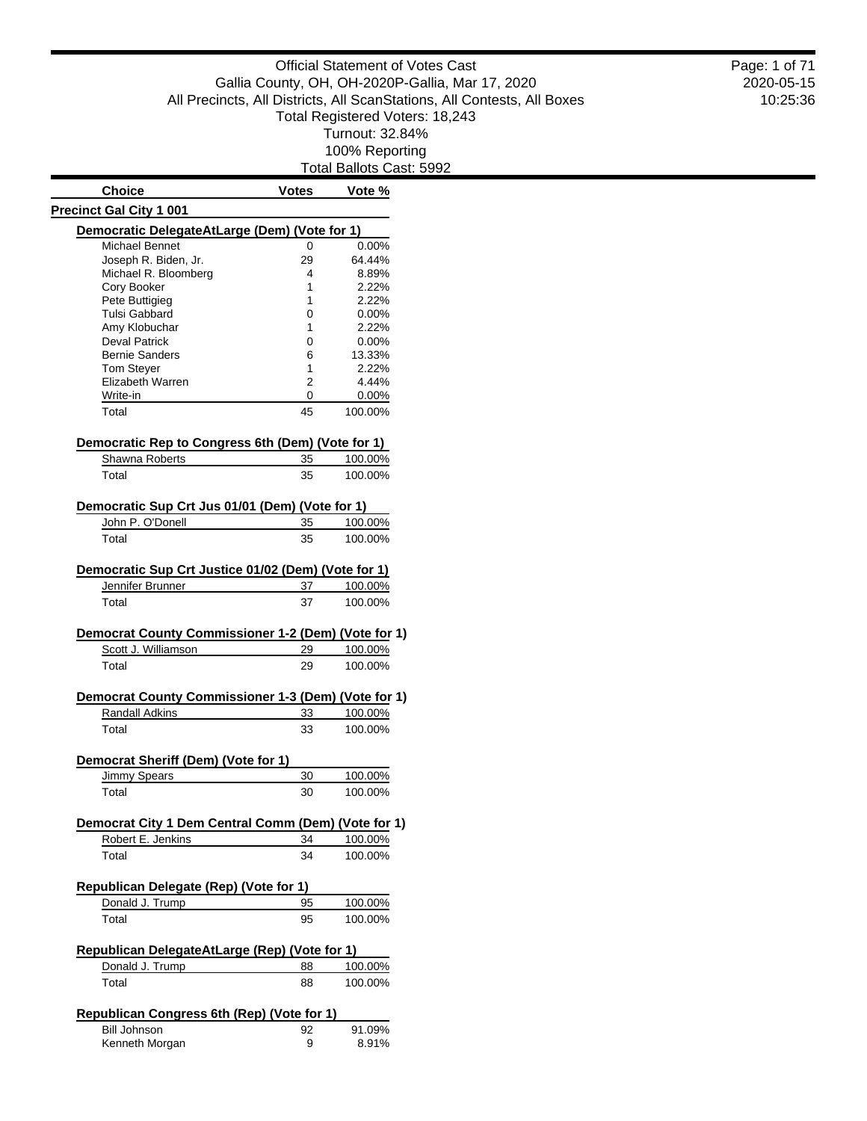Total Ballots Cast: 5992

| <b>Choice</b>                                                       | <b>Votes</b> | Vote %   |
|---------------------------------------------------------------------|--------------|----------|
| <b>Precinct Gal City 1 001</b>                                      |              |          |
| Democratic DelegateAtLarge (Dem) (Vote for 1)                       |              |          |
| Michael Bennet                                                      | 0            | $0.00\%$ |
| Joseph R. Biden, Jr.                                                | 29           | 64.44%   |
| Michael R. Bloomberg                                                | 4            | 8.89%    |
| Cory Booker                                                         | 1            | 2.22%    |
| Pete Buttigieg                                                      | 1            | 2.22%    |
| Tulsi Gabbard                                                       | 0            | $0.00\%$ |
| Amy Klobuchar                                                       | 1            | 2.22%    |
| <b>Deval Patrick</b>                                                | 0            | $0.00\%$ |
| <b>Bernie Sanders</b>                                               | 6            | 13.33%   |
| <b>Tom Steyer</b>                                                   | 1            | 2.22%    |
| Elizabeth Warren                                                    | 2            | 4.44%    |
| Write-in                                                            | 0            | $0.00\%$ |
| Total                                                               | 45           | 100.00%  |
| Democratic Rep to Congress 6th (Dem) (Vote for 1)                   |              |          |
| Shawna Roberts                                                      | 35           | 100.00%  |
| Total                                                               | 35           | 100.00%  |
|                                                                     |              |          |
| Democratic Sup Crt Jus 01/01 (Dem) (Vote for 1)<br>John P. O'Donell | 35           | 100.00%  |
|                                                                     |              |          |
| Total                                                               | 35           | 100.00%  |
| Democratic Sup Crt Justice 01/02 (Dem) (Vote for 1)                 |              |          |
| Jennifer Brunner                                                    | 37           | 100.00%  |
| Total                                                               | 37           | 100.00%  |
| Democrat County Commissioner 1-2 (Dem) (Vote for 1)                 |              |          |
| Scott J. Williamson                                                 | <u>29</u>    | 100.00%  |
| Total                                                               | 29           | 100.00%  |
| Democrat County Commissioner 1-3 (Dem) (Vote for 1)                 |              |          |
| Randall Adkins                                                      | 33           | 100.00%  |
|                                                                     |              |          |
| Total                                                               | 33           | 100.00%  |
| Democrat Sheriff (Dem) (Vote for 1)                                 |              |          |
| Jimmy Spears                                                        | 30           | 100.00%  |
| Total                                                               | 30           | 100.00%  |
| Democrat City 1 Dem Central Comm (Dem) (Vote for 1)                 |              |          |
| Robert E. Jenkins                                                   | 34           | 100.00%  |
| Total                                                               | 34           | 100.00%  |
| Republican Delegate (Rep) (Vote for 1)                              |              |          |
| Donald J. Trump                                                     | 95           | 100.00%  |
|                                                                     |              |          |
| Total                                                               | 95           | 100.00%  |
| Republican DelegateAtLarge (Rep) (Vote for 1)                       |              |          |
| Donald J. Trump                                                     | 88           | 100.00%  |
| Total                                                               | 88           | 100.00%  |
| Republican Congress 6th (Rep) (Vote for 1)                          |              |          |
| <b>Bill Johnson</b>                                                 | 92           | 91.09%   |
| Kenneth Morgan                                                      | 9            | 8.91%    |

#### 2020-05-15 10:25:36 Page: 1 of 71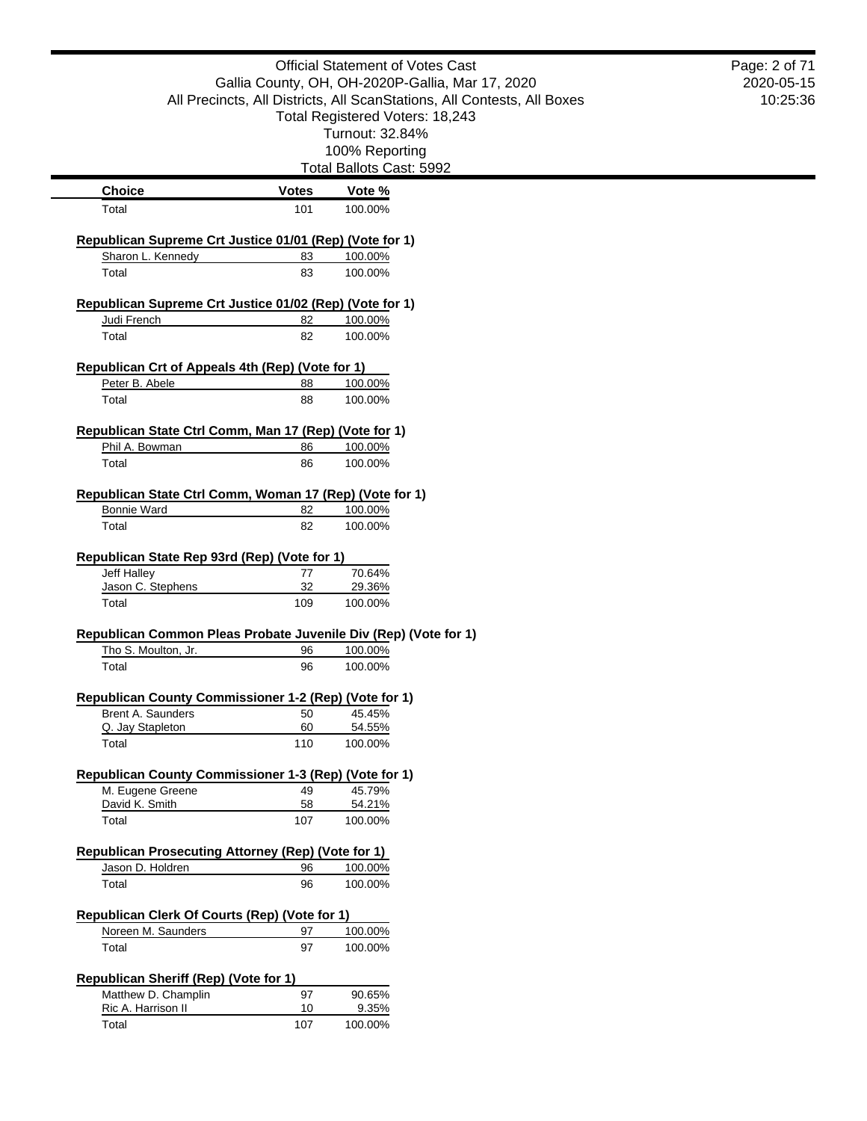|                                                                 |              | <b>Official Statement of Votes Cast</b>                                 | Page: 2 of 71 |
|-----------------------------------------------------------------|--------------|-------------------------------------------------------------------------|---------------|
|                                                                 |              | Gallia County, OH, OH-2020P-Gallia, Mar 17, 2020                        | 2020-05-15    |
|                                                                 |              | All Precincts, All Districts, All ScanStations, All Contests, All Boxes | 10:25:36      |
|                                                                 |              | Total Registered Voters: 18,243                                         |               |
|                                                                 |              | Turnout: 32.84%                                                         |               |
|                                                                 |              | 100% Reporting                                                          |               |
|                                                                 |              | Total Ballots Cast: 5992                                                |               |
| <b>Choice</b>                                                   | <b>Votes</b> | Vote %                                                                  |               |
| Total                                                           | 101          | 100.00%                                                                 |               |
| Republican Supreme Crt Justice 01/01 (Rep) (Vote for 1)         |              |                                                                         |               |
| Sharon L. Kennedy                                               | 83           | 100.00%                                                                 |               |
| Total                                                           | 83           | 100.00%                                                                 |               |
| Republican Supreme Crt Justice 01/02 (Rep) (Vote for 1)         |              |                                                                         |               |
| Judi French                                                     | 82           | 100.00%                                                                 |               |
| Total                                                           | 82           | 100.00%                                                                 |               |
| Republican Crt of Appeals 4th (Rep) (Vote for 1)                |              |                                                                         |               |
| Peter B. Abele                                                  | 88           | 100.00%                                                                 |               |
| Total                                                           | 88           | 100.00%                                                                 |               |
| Republican State Ctrl Comm, Man 17 (Rep) (Vote for 1)           |              |                                                                         |               |
| Phil A. Bowman                                                  | 86           | 100.00%                                                                 |               |
| Total                                                           | 86           | 100.00%                                                                 |               |
|                                                                 |              |                                                                         |               |
| Republican State Ctrl Comm, Woman 17 (Rep) (Vote for 1)         |              |                                                                         |               |
| <b>Bonnie Ward</b>                                              | 82           | 100.00%                                                                 |               |
| Total                                                           | 82           | 100.00%                                                                 |               |
| Republican State Rep 93rd (Rep) (Vote for 1)                    |              |                                                                         |               |
| Jeff Halley                                                     | 77           | 70.64%                                                                  |               |
| Jason C. Stephens                                               | 32           | 29.36%                                                                  |               |
| Total                                                           | 109          | 100.00%                                                                 |               |
| Republican Common Pleas Probate Juvenile Div (Rep) (Vote for 1) |              |                                                                         |               |
| Tho S. Moulton, Jr.                                             | 96           | 100.00%                                                                 |               |
| Total                                                           | 96           | 100.00%                                                                 |               |
| Republican County Commissioner 1-2 (Rep) (Vote for 1)           |              |                                                                         |               |
| Brent A. Saunders                                               | 50           | 45.45%                                                                  |               |
| Q. Jay Stapleton                                                | 60           | 54.55%                                                                  |               |
| Total                                                           | 110          | 100.00%                                                                 |               |
| Republican County Commissioner 1-3 (Rep) (Vote for 1)           |              |                                                                         |               |
| M. Eugene Greene                                                | 49           | 45.79%                                                                  |               |
| David K. Smith                                                  | 58           | 54.21%                                                                  |               |
| Total                                                           | 107          | 100.00%                                                                 |               |
| <b>Republican Prosecuting Attorney (Rep) (Vote for 1)</b>       |              |                                                                         |               |
| Jason D. Holdren                                                | 96           | 100.00%                                                                 |               |
| Total                                                           | 96           | 100.00%                                                                 |               |
| Republican Clerk Of Courts (Rep) (Vote for 1)                   |              |                                                                         |               |
| Noreen M. Saunders                                              | 97           | 100.00%                                                                 |               |
| Total                                                           | 97           | 100.00%                                                                 |               |
|                                                                 |              |                                                                         |               |
|                                                                 |              |                                                                         |               |
| <b>Republican Sheriff (Rep) (Vote for 1)</b>                    | 97           | 90.65%                                                                  |               |
| Matthew D. Champlin<br>Ric A. Harrison II                       | 10           | 9.35%                                                                   |               |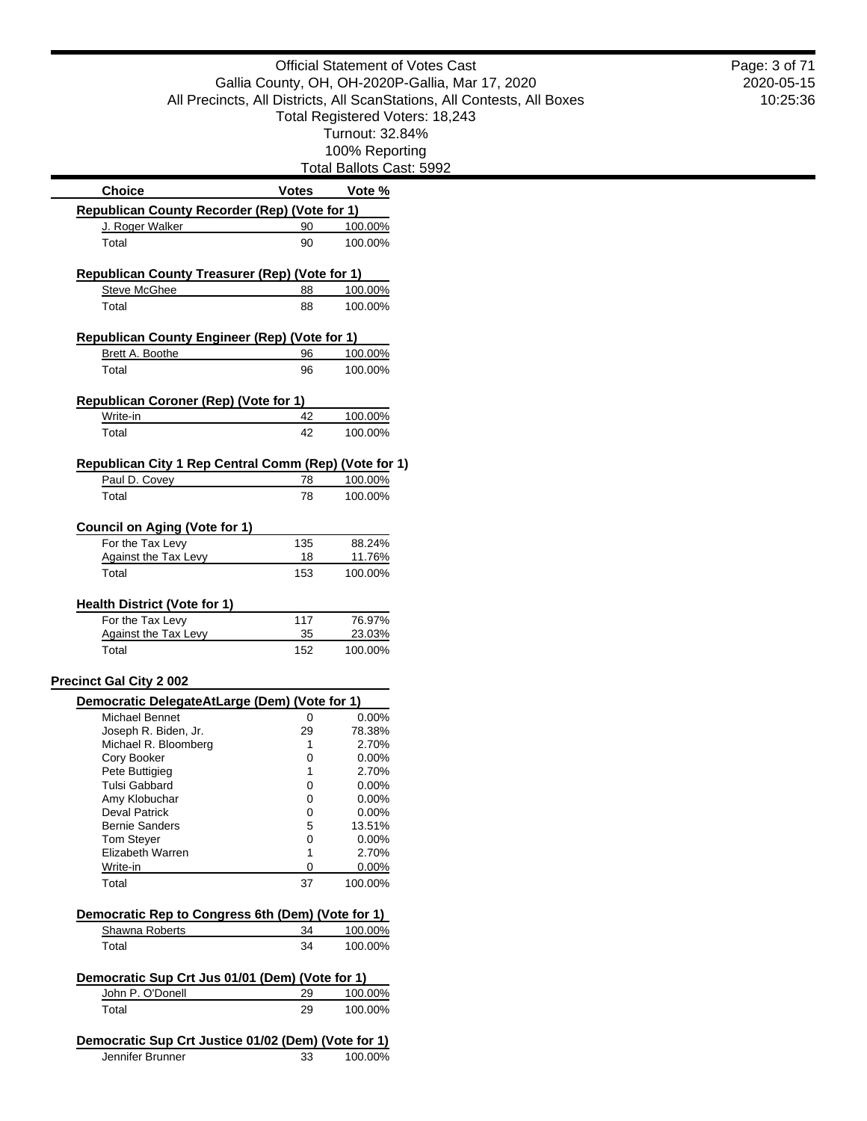|                                                                         |              |                          | <b>Official Statement of Votes Cast</b>                                 |
|-------------------------------------------------------------------------|--------------|--------------------------|-------------------------------------------------------------------------|
|                                                                         |              |                          | Gallia County, OH, OH-2020P-Gallia, Mar 17, 2020                        |
|                                                                         |              |                          | All Precincts, All Districts, All ScanStations, All Contests, All Boxes |
|                                                                         |              |                          | Total Registered Voters: 18,243                                         |
|                                                                         |              | Turnout: 32.84%          |                                                                         |
|                                                                         |              | 100% Reporting           |                                                                         |
|                                                                         |              | Total Ballots Cast: 5992 |                                                                         |
| <b>Choice</b>                                                           | <b>Votes</b> | Vote %                   |                                                                         |
|                                                                         |              |                          |                                                                         |
| Republican County Recorder (Rep) (Vote for 1)                           | 90           | 100.00%                  |                                                                         |
| J. Roger Walker<br>Total                                                | 90           | 100.00%                  |                                                                         |
|                                                                         |              |                          |                                                                         |
| Republican County Treasurer (Rep) (Vote for 1)                          |              |                          |                                                                         |
| Steve McGhee                                                            | 88           | 100.00%                  |                                                                         |
| Total                                                                   | 88           | 100.00%                  |                                                                         |
|                                                                         |              |                          |                                                                         |
| Republican County Engineer (Rep) (Vote for 1)                           |              |                          |                                                                         |
| Brett A. Boothe                                                         | 96           | 100.00%                  |                                                                         |
| Total                                                                   | 96           | 100.00%                  |                                                                         |
|                                                                         |              |                          |                                                                         |
| <b>Republican Coroner (Rep) (Vote for 1)</b>                            |              |                          |                                                                         |
| Write-in                                                                | 42           | 100.00%                  |                                                                         |
| Total                                                                   | 42           | 100.00%                  |                                                                         |
|                                                                         |              |                          |                                                                         |
| Republican City 1 Rep Central Comm (Rep) (Vote for 1)                   |              |                          |                                                                         |
| Paul D. Covey                                                           | 78           | 100.00%                  |                                                                         |
| Total                                                                   | 78           | 100.00%                  |                                                                         |
| <b>Council on Aging (Vote for 1)</b>                                    |              |                          |                                                                         |
| For the Tax Levy                                                        | 135          | 88.24%                   |                                                                         |
| <b>Against the Tax Levy</b>                                             | 18           | 11.76%                   |                                                                         |
| Total                                                                   | 153          | 100.00%                  |                                                                         |
|                                                                         |              |                          |                                                                         |
| <b>Health District (Vote for 1)</b>                                     |              |                          |                                                                         |
| For the Tax Levy                                                        | 117          | 76.97%                   |                                                                         |
| Against the Tax Levy                                                    | 35           | 23.03%                   |                                                                         |
| Total                                                                   | 152          | 100.00%                  |                                                                         |
|                                                                         |              |                          |                                                                         |
| <b>Precinct Gal City 2 002</b>                                          |              |                          |                                                                         |
| Democratic DelegateAtLarge (Dem) (Vote for 1)                           |              |                          |                                                                         |
| Michael Bennet                                                          | 0            | 0.00%                    |                                                                         |
| Joseph R. Biden, Jr.<br>Michael R. Bloomberg                            | 29<br>1      | 78.38%<br>2.70%          |                                                                         |
| Cory Booker                                                             | 0            | 0.00%                    |                                                                         |
| Pete Buttigieg                                                          | 1            | 2.70%                    |                                                                         |
| Tulsi Gabbard                                                           | 0            | 0.00%                    |                                                                         |
| Amy Klobuchar                                                           | 0            | 0.00%                    |                                                                         |
| <b>Deval Patrick</b><br><b>Bernie Sanders</b>                           | 0<br>5       | 0.00%<br>13.51%          |                                                                         |
| <b>Tom Steyer</b>                                                       | 0            | 0.00%                    |                                                                         |
| Elizabeth Warren                                                        | 1            | 2.70%                    |                                                                         |
| Write-in                                                                | 0            | 0.00%                    |                                                                         |
| Total                                                                   | 37           | 100.00%                  |                                                                         |
|                                                                         |              |                          |                                                                         |
| Democratic Rep to Congress 6th (Dem) (Vote for 1)                       |              |                          |                                                                         |
| Shawna Roberts                                                          | 34           | 100.00%                  |                                                                         |
| Total                                                                   | 34           | 100.00%                  |                                                                         |
|                                                                         |              |                          |                                                                         |
| Democratic Sup Crt Jus 01/01 (Dem) (Vote for 1)                         |              |                          |                                                                         |
| John P. O'Donell                                                        | 29           | 100.00%                  |                                                                         |
| Total                                                                   | 29           | 100.00%                  |                                                                         |
|                                                                         |              |                          |                                                                         |
| Democratic Sup Crt Justice 01/02 (Dem) (Vote for 1)<br>Jennifer Brunner | 33           | 100.00%                  |                                                                         |
|                                                                         |              |                          |                                                                         |

2020-05-15 10:25:36 Page: 3 of 71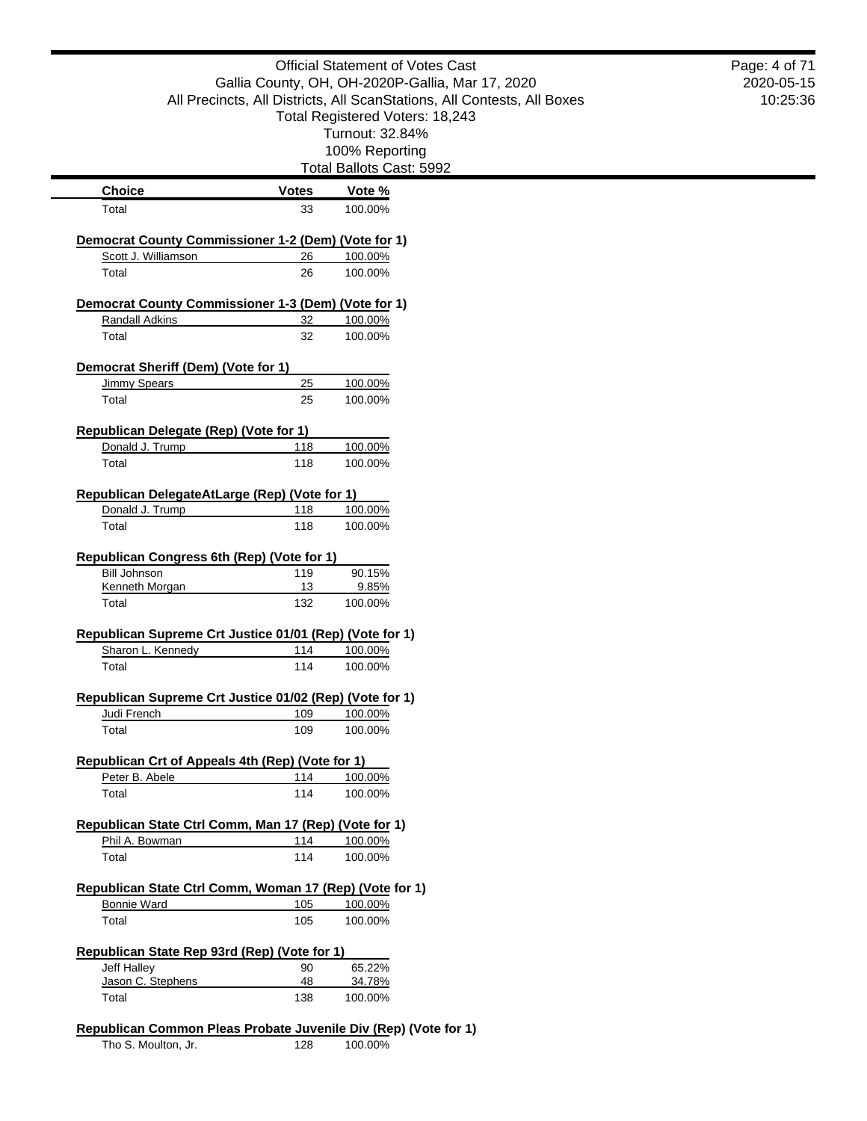|                                                                                        |              | <b>Official Statement of Votes Cast</b><br>Gallia County, OH, OH-2020P-Gallia, Mar 17, 2020<br>All Precincts, All Districts, All ScanStations, All Contests, All Boxes<br>Total Registered Voters: 18,243 | Page: 4 of 71<br>2020-05-15<br>10:25:36 |
|----------------------------------------------------------------------------------------|--------------|-----------------------------------------------------------------------------------------------------------------------------------------------------------------------------------------------------------|-----------------------------------------|
|                                                                                        |              | Turnout: 32.84%<br>100% Reporting                                                                                                                                                                         |                                         |
|                                                                                        |              | Total Ballots Cast: 5992                                                                                                                                                                                  |                                         |
| <b>Choice</b>                                                                          | <b>Votes</b> | Vote %                                                                                                                                                                                                    |                                         |
| Total                                                                                  | 33           | 100.00%                                                                                                                                                                                                   |                                         |
| <b>Democrat County Commissioner 1-2 (Dem) (Vote for 1)</b>                             |              |                                                                                                                                                                                                           |                                         |
| Scott J. Williamson                                                                    | 26           | 100.00%                                                                                                                                                                                                   |                                         |
| Total                                                                                  | 26           | 100.00%                                                                                                                                                                                                   |                                         |
| Democrat County Commissioner 1-3 (Dem) (Vote for 1)                                    |              |                                                                                                                                                                                                           |                                         |
| <b>Randall Adkins</b>                                                                  | 32           | 100.00%                                                                                                                                                                                                   |                                         |
| Total                                                                                  | 32           | 100.00%                                                                                                                                                                                                   |                                         |
| Democrat Sheriff (Dem) (Vote for 1)                                                    |              |                                                                                                                                                                                                           |                                         |
| <b>Jimmy Spears</b>                                                                    | 25           | 100.00%                                                                                                                                                                                                   |                                         |
| Total                                                                                  | 25           | 100.00%                                                                                                                                                                                                   |                                         |
| <b>Republican Delegate (Rep) (Vote for 1)</b>                                          |              |                                                                                                                                                                                                           |                                         |
| Donald J. Trump                                                                        | 118          | 100.00%                                                                                                                                                                                                   |                                         |
| Total                                                                                  | 118          | 100.00%                                                                                                                                                                                                   |                                         |
| Republican DelegateAtLarge (Rep) (Vote for 1)                                          |              |                                                                                                                                                                                                           |                                         |
| Donald J. Trump                                                                        | 118          | 100.00%                                                                                                                                                                                                   |                                         |
| Total                                                                                  | 118          | 100.00%                                                                                                                                                                                                   |                                         |
| Republican Congress 6th (Rep) (Vote for 1)<br><b>Bill Johnson</b>                      | 119          | 90.15%                                                                                                                                                                                                    |                                         |
| Kenneth Morgan                                                                         | 13           | 9.85%                                                                                                                                                                                                     |                                         |
| Total                                                                                  | 132          | 100.00%                                                                                                                                                                                                   |                                         |
| Republican Supreme Crt Justice 01/01 (Rep) (Vote for 1)                                |              |                                                                                                                                                                                                           |                                         |
| Sharon L. Kennedy                                                                      | 114          | 100.00%                                                                                                                                                                                                   |                                         |
| Total                                                                                  | 114          | 100.00%                                                                                                                                                                                                   |                                         |
|                                                                                        |              |                                                                                                                                                                                                           |                                         |
| Republican Supreme Crt Justice 01/02 (Rep) (Vote for 1)<br>Judi French                 | 109          | 100.00%                                                                                                                                                                                                   |                                         |
| Total                                                                                  | 109          | 100.00%                                                                                                                                                                                                   |                                         |
|                                                                                        |              |                                                                                                                                                                                                           |                                         |
| Republican Crt of Appeals 4th (Rep) (Vote for 1)                                       |              |                                                                                                                                                                                                           |                                         |
| Peter B. Abele                                                                         | 114          | 100.00%                                                                                                                                                                                                   |                                         |
| Total                                                                                  | 114          | 100.00%                                                                                                                                                                                                   |                                         |
| Republican State Ctrl Comm, Man 17 (Rep) (Vote for 1)                                  |              |                                                                                                                                                                                                           |                                         |
| Phil A. Bowman                                                                         | 114          | 100.00%                                                                                                                                                                                                   |                                         |
| Total                                                                                  | 114          | 100.00%                                                                                                                                                                                                   |                                         |
|                                                                                        |              |                                                                                                                                                                                                           |                                         |
| Republican State Ctrl Comm, Woman 17 (Rep) (Vote for 1)<br><b>Bonnie Ward</b>          | 105          | 100.00%                                                                                                                                                                                                   |                                         |
| Total                                                                                  | 105          | 100.00%                                                                                                                                                                                                   |                                         |
| Republican State Rep 93rd (Rep) (Vote for 1)                                           |              |                                                                                                                                                                                                           |                                         |
| Jeff Halley                                                                            | 90           | 65.22%                                                                                                                                                                                                    |                                         |
| Jason C. Stephens                                                                      | 48           | 34.78%                                                                                                                                                                                                    |                                         |
| Total                                                                                  | 138          | 100.00%                                                                                                                                                                                                   |                                         |
|                                                                                        |              |                                                                                                                                                                                                           |                                         |
| Republican Common Pleas Probate Juvenile Div (Rep) (Vote for 1)<br>Tho S. Moulton, Jr. | 128          | 100.00%                                                                                                                                                                                                   |                                         |
|                                                                                        |              |                                                                                                                                                                                                           |                                         |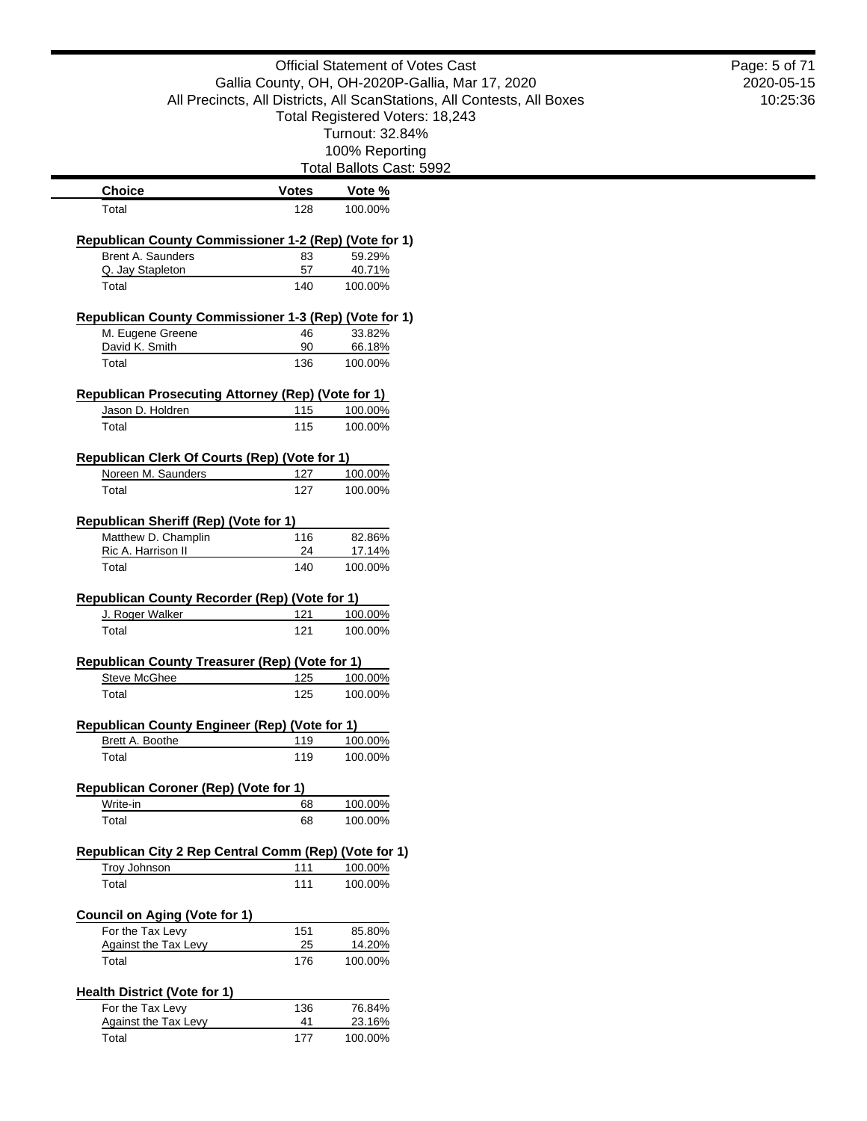|                                                                         |              | <b>Official Statement of Votes Cast</b>                                 | Page: 5 of 71 |
|-------------------------------------------------------------------------|--------------|-------------------------------------------------------------------------|---------------|
|                                                                         |              | Gallia County, OH, OH-2020P-Gallia, Mar 17, 2020                        | 2020-05-15    |
|                                                                         |              | All Precincts, All Districts, All ScanStations, All Contests, All Boxes | 10:25:36      |
|                                                                         |              | Total Registered Voters: 18,243                                         |               |
|                                                                         |              | Turnout: 32.84%                                                         |               |
|                                                                         |              | 100% Reporting                                                          |               |
|                                                                         |              | Total Ballots Cast: 5992                                                |               |
| <b>Choice</b>                                                           | <b>Votes</b> | Vote %                                                                  |               |
| Total                                                                   | 128          | 100.00%                                                                 |               |
| Republican County Commissioner 1-2 (Rep) (Vote for 1)                   |              |                                                                         |               |
| Brent A. Saunders                                                       | 83           | 59.29%                                                                  |               |
| Q. Jay Stapleton                                                        | 57           | 40.71%                                                                  |               |
| Total                                                                   | 140          | 100.00%                                                                 |               |
| Republican County Commissioner 1-3 (Rep) (Vote for 1)                   |              |                                                                         |               |
| M. Eugene Greene                                                        | 46           | 33.82%                                                                  |               |
| David K. Smith                                                          | 90           | 66.18%                                                                  |               |
| Total                                                                   | 136          | 100.00%                                                                 |               |
| <b>Republican Prosecuting Attorney (Rep) (Vote for 1)</b>               |              |                                                                         |               |
| Jason D. Holdren                                                        | 115          | 100.00%                                                                 |               |
| Total                                                                   | 115          | 100.00%                                                                 |               |
|                                                                         |              |                                                                         |               |
| Republican Clerk Of Courts (Rep) (Vote for 1)<br>Noreen M. Saunders     | 127          | 100.00%                                                                 |               |
| Total                                                                   | 127          | 100.00%                                                                 |               |
|                                                                         |              |                                                                         |               |
| Republican Sheriff (Rep) (Vote for 1)                                   |              |                                                                         |               |
| Matthew D. Champlin                                                     | 116          | 82.86%                                                                  |               |
| Ric A. Harrison II<br>Total                                             | 24<br>140    | 17.14%<br>100.00%                                                       |               |
|                                                                         |              |                                                                         |               |
| Republican County Recorder (Rep) (Vote for 1)                           |              |                                                                         |               |
| J. Roger Walker                                                         | 121          | 100.00%                                                                 |               |
| Total                                                                   | 121          | 100.00%                                                                 |               |
| Republican County Treasurer (Rep) (Vote for 1)                          |              |                                                                         |               |
| Steve McGhee                                                            | 125          | 100.00%                                                                 |               |
| Total                                                                   | 125          | 100.00%                                                                 |               |
|                                                                         |              |                                                                         |               |
| <b>Republican County Engineer (Rep) (Vote for 1)</b><br>Brett A. Boothe | 119          | 100.00%                                                                 |               |
| Total                                                                   | 119          | 100.00%                                                                 |               |
|                                                                         |              |                                                                         |               |
| Republican Coroner (Rep) (Vote for 1)                                   | 68           |                                                                         |               |
| Write-in<br>Total                                                       | 68           | 100.00%<br>100.00%                                                      |               |
|                                                                         |              |                                                                         |               |
| Republican City 2 Rep Central Comm (Rep) (Vote for 1)                   |              |                                                                         |               |
| <b>Troy Johnson</b>                                                     | 111          | 100.00%                                                                 |               |
| Total                                                                   | 111          | 100.00%                                                                 |               |
| <b>Council on Aging (Vote for 1)</b>                                    |              |                                                                         |               |
| For the Tax Levy                                                        | 151          | 85.80%                                                                  |               |
| <b>Against the Tax Levy</b>                                             | 25           | 14.20%                                                                  |               |
| Total                                                                   | 176          | 100.00%                                                                 |               |
| <b>Health District (Vote for 1)</b>                                     |              |                                                                         |               |
| For the Tax Levy                                                        | 136          | 76.84%                                                                  |               |
| <b>Against the Tax Levy</b>                                             | 41           | 23.16%                                                                  |               |
| Total                                                                   | 177          | 100.00%                                                                 |               |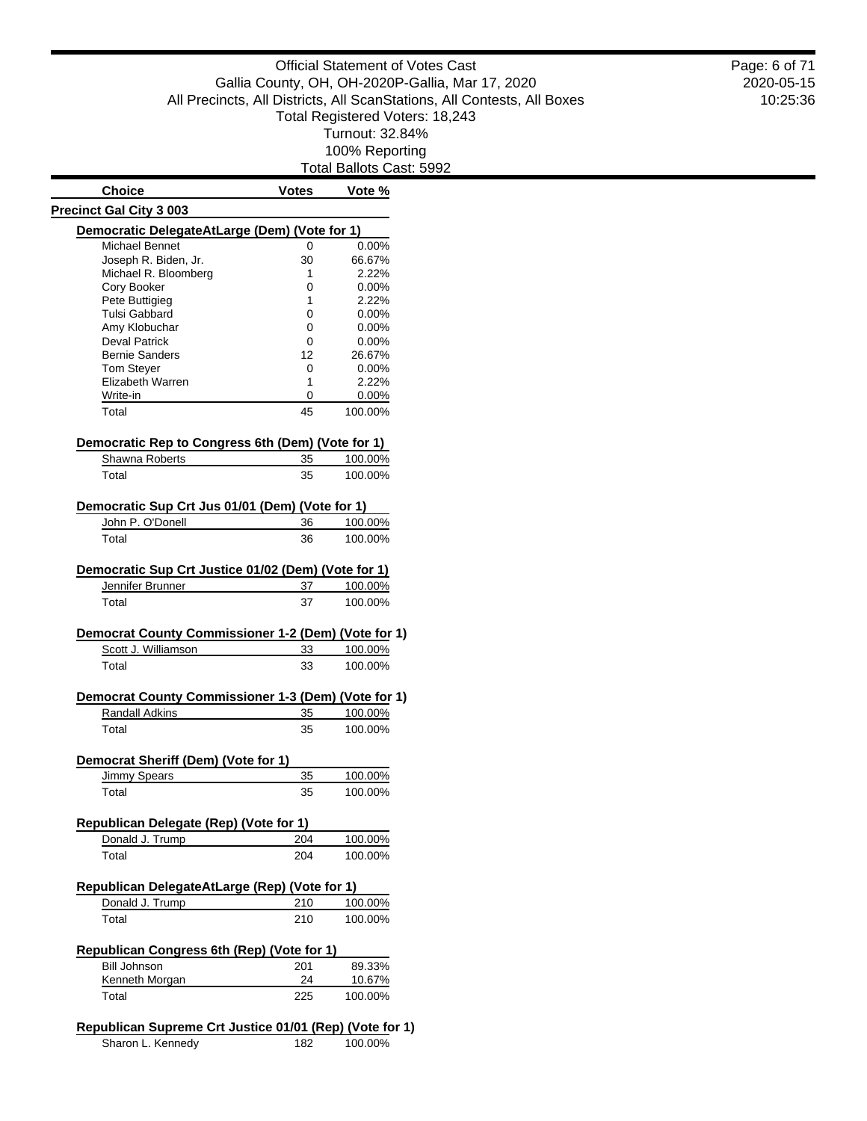Total Ballots Cast: 5992

| <b>Choice</b>                                                                                                                                                                                                                                                                                                | <b>Votes</b> | Vote %                                   |
|--------------------------------------------------------------------------------------------------------------------------------------------------------------------------------------------------------------------------------------------------------------------------------------------------------------|--------------|------------------------------------------|
| <b>Precinct Gal City 3 003</b>                                                                                                                                                                                                                                                                               |              |                                          |
| Democratic DelegateAtLarge (Dem) (Vote for 1)                                                                                                                                                                                                                                                                |              |                                          |
| Michael Bennet                                                                                                                                                                                                                                                                                               | 0            | 0.00%                                    |
| Joseph R. Biden, Jr.                                                                                                                                                                                                                                                                                         | 30           | 66.67%                                   |
| Michael R. Bloomberg                                                                                                                                                                                                                                                                                         | 1            | 2.22%                                    |
| Cory Booker                                                                                                                                                                                                                                                                                                  | 0            | 0.00%                                    |
| Pete Buttigieg                                                                                                                                                                                                                                                                                               | 1            | 2.22%                                    |
| <b>Tulsi Gabbard</b>                                                                                                                                                                                                                                                                                         | 0            | $0.00\%$                                 |
| Amy Klobuchar                                                                                                                                                                                                                                                                                                | 0            | $0.00\%$                                 |
| <b>Deval Patrick</b>                                                                                                                                                                                                                                                                                         | 0            | 0.00%                                    |
| <b>Bernie Sanders</b>                                                                                                                                                                                                                                                                                        | 12           | 26.67%                                   |
| Tom Steyer                                                                                                                                                                                                                                                                                                   | 0            | $0.00\%$                                 |
| Elizabeth Warren                                                                                                                                                                                                                                                                                             | 1            | 2.22%                                    |
| Write-in                                                                                                                                                                                                                                                                                                     | 0            | $0.00\%$                                 |
| Total                                                                                                                                                                                                                                                                                                        | 45           | 100.00%                                  |
| Democratic Rep to Congress 6th (Dem) (Vote for 1)                                                                                                                                                                                                                                                            |              |                                          |
| Shawna Roberts                                                                                                                                                                                                                                                                                               | 35           | 100.00%                                  |
| Total                                                                                                                                                                                                                                                                                                        | 35           | 100.00%                                  |
|                                                                                                                                                                                                                                                                                                              |              |                                          |
| Democratic Sup Crt Jus 01/01 (Dem) (Vote for 1)                                                                                                                                                                                                                                                              |              |                                          |
| John P. O'Donell                                                                                                                                                                                                                                                                                             | 36           | 100.00%                                  |
| Total                                                                                                                                                                                                                                                                                                        | 36           | 100.00%                                  |
| Democratic Sup Crt Justice 01/02 (Dem) (Vote for 1)                                                                                                                                                                                                                                                          |              |                                          |
| Jennifer Brunner                                                                                                                                                                                                                                                                                             | 37           | 100.00%                                  |
|                                                                                                                                                                                                                                                                                                              |              |                                          |
| Total                                                                                                                                                                                                                                                                                                        | 37           | 100.00%                                  |
|                                                                                                                                                                                                                                                                                                              |              |                                          |
| Scott J. Williamson                                                                                                                                                                                                                                                                                          | 33           |                                          |
| Total                                                                                                                                                                                                                                                                                                        | 33           | 100.00%<br>100.00%                       |
|                                                                                                                                                                                                                                                                                                              |              |                                          |
| <b>Randall Adkins</b>                                                                                                                                                                                                                                                                                        | 35           |                                          |
| Total                                                                                                                                                                                                                                                                                                        | 35           |                                          |
|                                                                                                                                                                                                                                                                                                              |              |                                          |
| <b>Jimmy Spears</b>                                                                                                                                                                                                                                                                                          | 35           |                                          |
| Total                                                                                                                                                                                                                                                                                                        | 35           | 100.00%<br>100.00%<br>100.00%<br>100.00% |
|                                                                                                                                                                                                                                                                                                              |              |                                          |
|                                                                                                                                                                                                                                                                                                              |              |                                          |
| Donald J. Trump                                                                                                                                                                                                                                                                                              | 204          |                                          |
| Total                                                                                                                                                                                                                                                                                                        | 204          |                                          |
|                                                                                                                                                                                                                                                                                                              |              |                                          |
| Donald J. Trump                                                                                                                                                                                                                                                                                              | <u>210</u>   |                                          |
| Total                                                                                                                                                                                                                                                                                                        | 210          | 100.00%<br>100.00%<br>100.00%<br>100.00% |
|                                                                                                                                                                                                                                                                                                              |              |                                          |
| <b>Bill Johnson</b>                                                                                                                                                                                                                                                                                          | 201          |                                          |
| Democrat County Commissioner 1-2 (Dem) (Vote for 1)<br>Democrat County Commissioner 1-3 (Dem) (Vote for 1)<br>Democrat Sheriff (Dem) (Vote for 1)<br>Republican Delegate (Rep) (Vote for 1)<br>Republican DelegateAtLarge (Rep) (Vote for 1)<br>Republican Congress 6th (Rep) (Vote for 1)<br>Kenneth Morgan | 24           | 89.33%<br>10.67%                         |

| 100.00% |
|---------|
|         |

2020-05-15 10:25:36 Page: 6 of 71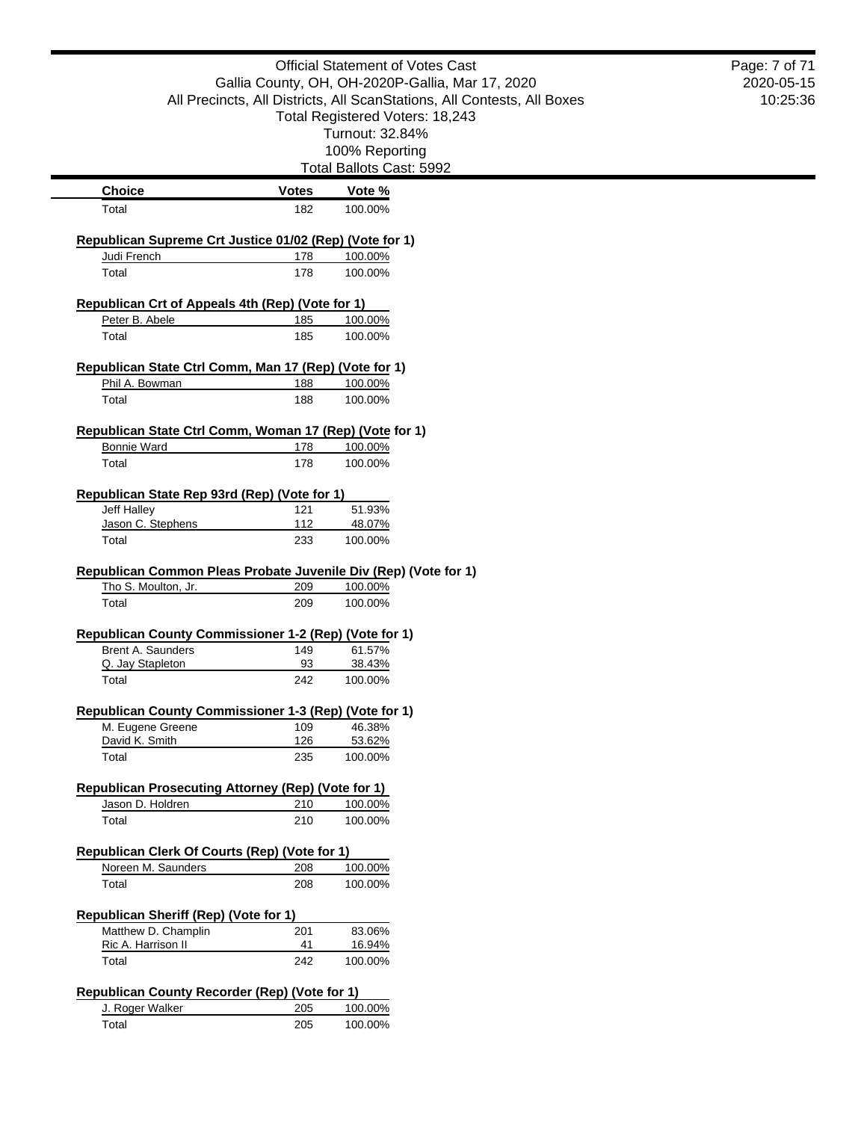|                                                                  |              | <b>Official Statement of Votes Cast</b>                                 | Page: 7 of 71 |
|------------------------------------------------------------------|--------------|-------------------------------------------------------------------------|---------------|
|                                                                  |              | Gallia County, OH, OH-2020P-Gallia, Mar 17, 2020                        | 2020-05-15    |
|                                                                  |              | All Precincts, All Districts, All ScanStations, All Contests, All Boxes | 10:25:36      |
|                                                                  |              | Total Registered Voters: 18,243                                         |               |
|                                                                  |              | Turnout: 32.84%                                                         |               |
|                                                                  |              | 100% Reporting                                                          |               |
|                                                                  |              | Total Ballots Cast: 5992                                                |               |
| <b>Choice</b>                                                    | <b>Votes</b> | Vote %                                                                  |               |
| Total                                                            | 182          | 100.00%                                                                 |               |
|                                                                  |              |                                                                         |               |
| Republican Supreme Crt Justice 01/02 (Rep) (Vote for 1)          |              |                                                                         |               |
| Judi French<br>Total                                             | 178<br>178   | 100.00%<br>100.00%                                                      |               |
|                                                                  |              |                                                                         |               |
| Republican Crt of Appeals 4th (Rep) (Vote for 1)                 |              |                                                                         |               |
| Peter B. Abele                                                   | 185          | 100.00%                                                                 |               |
| Total                                                            | 185          | 100.00%                                                                 |               |
|                                                                  |              |                                                                         |               |
| Republican State Ctrl Comm, Man 17 (Rep) (Vote for 1)            |              |                                                                         |               |
| Phil A. Bowman<br>Total                                          | 188<br>188   | 100.00%<br>100.00%                                                      |               |
|                                                                  |              |                                                                         |               |
| Republican State Ctrl Comm, Woman 17 (Rep) (Vote for 1)          |              |                                                                         |               |
| <b>Bonnie Ward</b>                                               | 178          | 100.00%                                                                 |               |
| Total                                                            | 178          | 100.00%                                                                 |               |
|                                                                  |              |                                                                         |               |
| Republican State Rep 93rd (Rep) (Vote for 1)<br>Jeff Halley      | 121          | 51.93%                                                                  |               |
| Jason C. Stephens                                                | 112          | 48.07%                                                                  |               |
| Total                                                            | 233          | 100.00%                                                                 |               |
|                                                                  |              |                                                                         |               |
| Republican Common Pleas Probate Juvenile Div (Rep) (Vote for 1)  |              |                                                                         |               |
| Tho S. Moulton, Jr.                                              | 209          | 100.00%                                                                 |               |
| Total                                                            | 209          | 100.00%                                                                 |               |
| Republican County Commissioner 1-2 (Rep) (Vote for 1)            |              |                                                                         |               |
| Brent A. Saunders                                                | 149          | 61.57%                                                                  |               |
| Q. Jay Stapleton                                                 | 93           | 38.43%                                                                  |               |
| Total                                                            | 242          | 100.00%                                                                 |               |
|                                                                  |              |                                                                         |               |
| Republican County Commissioner 1-3 (Rep) (Vote for 1)            |              |                                                                         |               |
| M. Eugene Greene<br>David K. Smith                               | 109<br>126   | 46.38%<br>53.62%                                                        |               |
| Total                                                            | 235          | 100.00%                                                                 |               |
|                                                                  |              |                                                                         |               |
| <b>Republican Prosecuting Attorney (Rep) (Vote for 1)</b>        |              |                                                                         |               |
| Jason D. Holdren                                                 | 210          | 100.00%                                                                 |               |
| Total                                                            | 210          | 100.00%                                                                 |               |
|                                                                  |              |                                                                         |               |
| Republican Clerk Of Courts (Rep) (Vote for 1)                    |              |                                                                         |               |
| Noreen M. Saunders                                               | 208          | 100.00%                                                                 |               |
| Total                                                            | 208          | 100.00%                                                                 |               |
| <b>Republican Sheriff (Rep) (Vote for 1)</b>                     |              |                                                                         |               |
| Matthew D. Champlin                                              | 201          | 83.06%                                                                  |               |
| Ric A. Harrison II                                               | 41           | 16.94%                                                                  |               |
| Total                                                            | 242          | 100.00%                                                                 |               |
|                                                                  |              |                                                                         |               |
| Republican County Recorder (Rep) (Vote for 1)<br>J. Roger Walker | 205          | 100.00%                                                                 |               |
| Total                                                            | 205          | 100.00%                                                                 |               |
|                                                                  |              |                                                                         |               |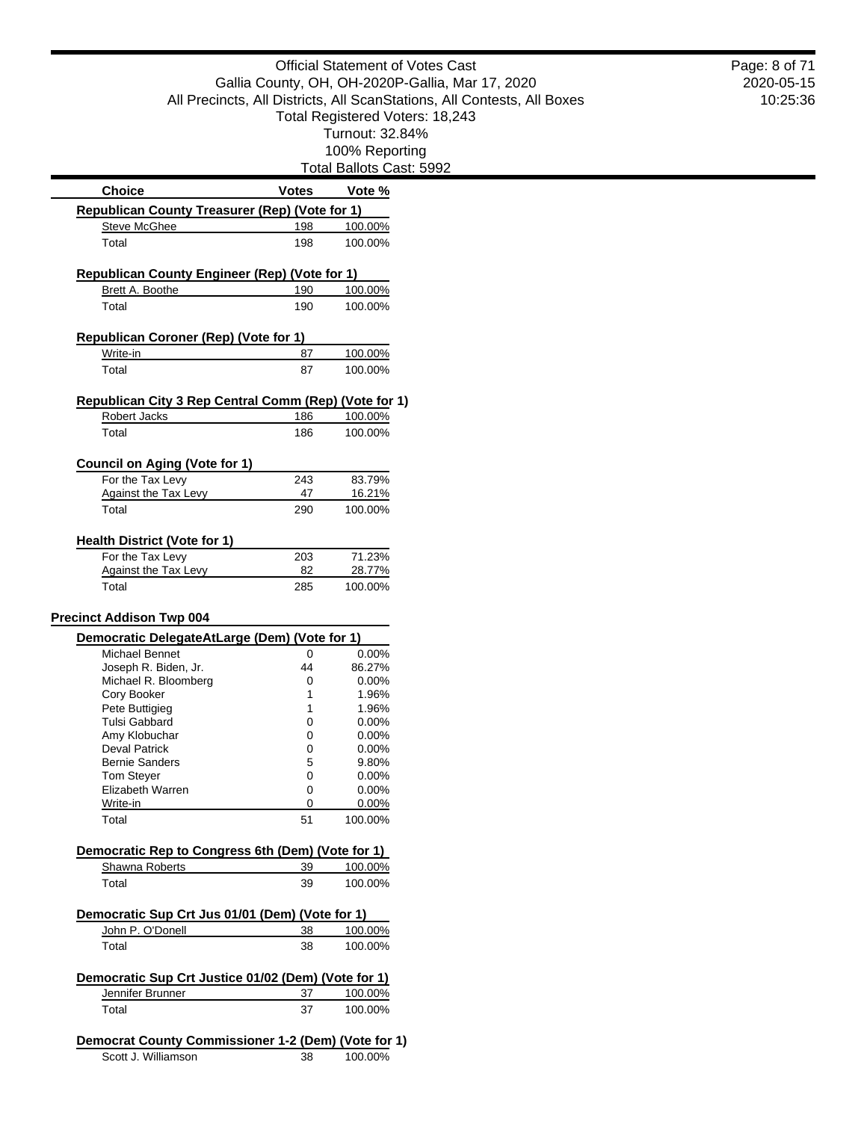|                                                       |              | <b>Official Statement of Votes Cast</b>                                 |  |
|-------------------------------------------------------|--------------|-------------------------------------------------------------------------|--|
|                                                       |              | Gallia County, OH, OH-2020P-Gallia, Mar 17, 2020                        |  |
|                                                       |              | All Precincts, All Districts, All ScanStations, All Contests, All Boxes |  |
|                                                       |              | Total Registered Voters: 18,243                                         |  |
|                                                       |              | Turnout: 32.84%                                                         |  |
|                                                       |              | 100% Reporting                                                          |  |
|                                                       |              | Total Ballots Cast: 5992                                                |  |
| <b>Choice</b>                                         | <b>Votes</b> | Vote %                                                                  |  |
| Republican County Treasurer (Rep) (Vote for 1)        |              |                                                                         |  |
| <b>Steve McGhee</b>                                   | 198          | 100.00%                                                                 |  |
| Total                                                 | 198          | 100.00%                                                                 |  |
| <b>Republican County Engineer (Rep) (Vote for 1)</b>  |              |                                                                         |  |
| Brett A. Boothe                                       | 190          | 100.00%                                                                 |  |
| Total                                                 | 190          | 100.00%                                                                 |  |
| Republican Coroner (Rep) (Vote for 1)                 |              |                                                                         |  |
| Write-in                                              | 87           | 100.00%                                                                 |  |
| Total                                                 | 87           | 100.00%                                                                 |  |
|                                                       |              |                                                                         |  |
| Republican City 3 Rep Central Comm (Rep) (Vote for 1) |              |                                                                         |  |
| Robert Jacks                                          | 186          | 100.00%                                                                 |  |
| Total                                                 | 186          | 100.00%                                                                 |  |
| <b>Council on Aging (Vote for 1)</b>                  |              |                                                                         |  |
| For the Tax Levy                                      | 243          | 83.79%                                                                  |  |
| <b>Against the Tax Levy</b>                           | 47           | 16.21%                                                                  |  |
| Total                                                 | 290          | 100.00%                                                                 |  |
|                                                       |              |                                                                         |  |
| <b>Health District (Vote for 1)</b>                   |              |                                                                         |  |
| For the Tax Levy                                      | 203          | 71.23%                                                                  |  |
| <b>Against the Tax Levy</b>                           | 82           | 28.77%                                                                  |  |
| Total                                                 | 285          | 100.00%                                                                 |  |
| <b>Precinct Addison Twp 004</b>                       |              |                                                                         |  |
| Democratic DelegateAtLarge (Dem) (Vote for 1)         |              |                                                                         |  |
| Michael Bennet                                        | 0            | 0.00%                                                                   |  |
| Joseph R. Biden, Jr.                                  | 44           | 86.27%                                                                  |  |
| Michael R. Bloomberg                                  | 0            | $0.00\%$                                                                |  |
| Cory Booker                                           | 1            | 1.96%                                                                   |  |
| Pete Buttigieg                                        | 1            | 1.96%                                                                   |  |
| <b>Tulsi Gabbard</b>                                  | 0            | 0.00%                                                                   |  |
| Amy Klobuchar                                         | 0            | 0.00%                                                                   |  |
| <b>Deval Patrick</b>                                  | 0            | 0.00%                                                                   |  |
| <b>Bernie Sanders</b>                                 | 5            | 9.80%                                                                   |  |
| <b>Tom Steyer</b>                                     | 0            | 0.00%                                                                   |  |
| Elizabeth Warren                                      | 0            | 0.00%                                                                   |  |
| Write-in<br>Total                                     | 0            | 0.00%                                                                   |  |
|                                                       | 51           | 100.00%                                                                 |  |
| Democratic Rep to Congress 6th (Dem) (Vote for 1)     |              |                                                                         |  |
| Shawna Roberts                                        | 39           | 100.00%                                                                 |  |
| Total                                                 | 39           | 100.00%                                                                 |  |
| Democratic Sup Crt Jus 01/01 (Dem) (Vote for 1)       |              |                                                                         |  |
| John P. O'Donell                                      | 38           | 100.00%                                                                 |  |
| Total                                                 | 38           | 100.00%                                                                 |  |
| Democratic Sup Crt Justice 01/02 (Dem) (Vote for 1)   |              |                                                                         |  |
| Jennifer Brunner                                      | 37           | 100.00%                                                                 |  |
| Total                                                 | 37           | 100.00%                                                                 |  |
|                                                       |              |                                                                         |  |
| Democrat County Commissioner 1-2 (Dem) (Vote for 1)   |              |                                                                         |  |
| Scott J. Williamson                                   | 38           | 100.00%                                                                 |  |
|                                                       |              |                                                                         |  |

2020-05-15 10:25:36 Page: 8 of 71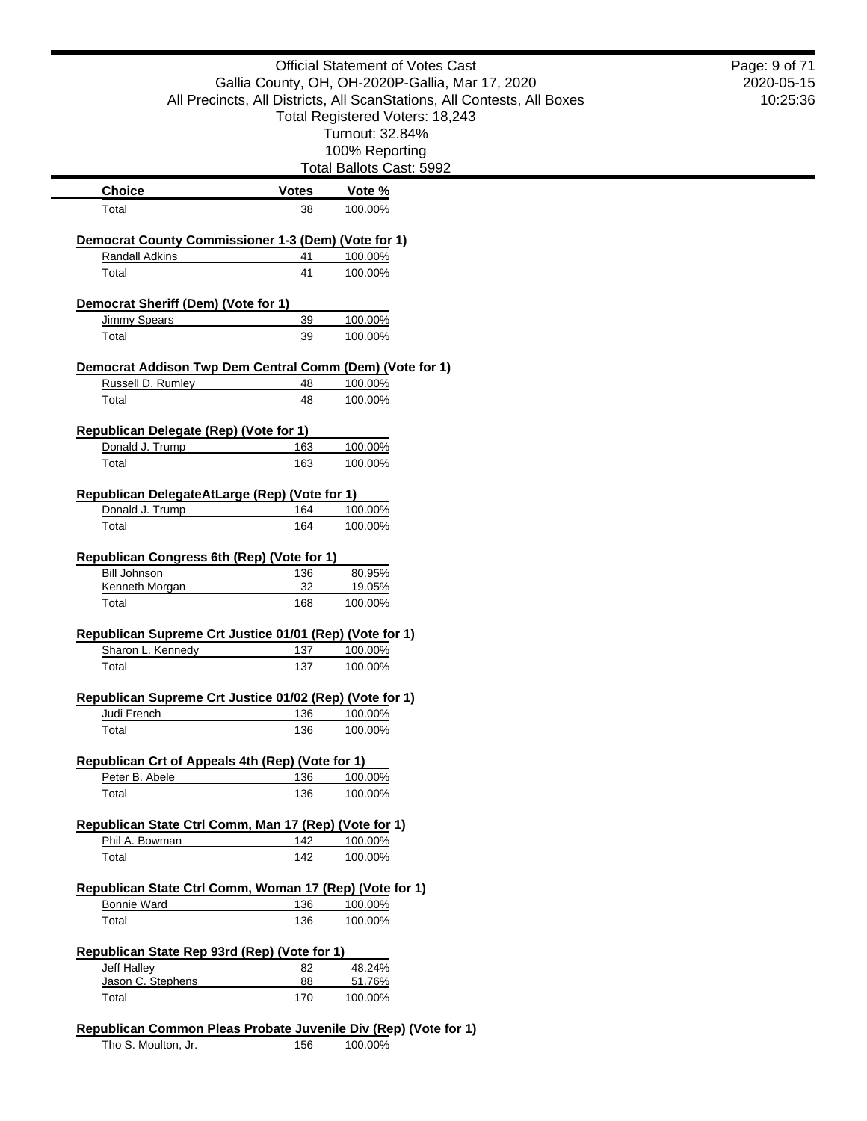|                                                            |              | <b>Official Statement of Votes Cast</b>                                 | Page: 9 of 71 |
|------------------------------------------------------------|--------------|-------------------------------------------------------------------------|---------------|
|                                                            |              | Gallia County, OH, OH-2020P-Gallia, Mar 17, 2020                        | 2020-05-15    |
|                                                            |              | All Precincts, All Districts, All ScanStations, All Contests, All Boxes | 10:25:36      |
|                                                            |              | Total Registered Voters: 18,243                                         |               |
|                                                            |              | Turnout: 32.84%                                                         |               |
|                                                            |              | 100% Reporting                                                          |               |
|                                                            |              | Total Ballots Cast: 5992                                                |               |
| <b>Choice</b>                                              | <b>Votes</b> | Vote %                                                                  |               |
| Total                                                      | 38           | 100.00%                                                                 |               |
| Democrat County Commissioner 1-3 (Dem) (Vote for 1)        |              |                                                                         |               |
| Randall Adkins                                             | 41           | 100.00%                                                                 |               |
| Total                                                      | 41           | 100.00%                                                                 |               |
|                                                            |              |                                                                         |               |
| Democrat Sheriff (Dem) (Vote for 1)<br><b>Jimmy Spears</b> |              |                                                                         |               |
| Total                                                      | 39<br>39     | 100.00%<br>100.00%                                                      |               |
|                                                            |              |                                                                         |               |
| Democrat Addison Twp Dem Central Comm (Dem) (Vote for 1)   |              |                                                                         |               |
| Russell D. Rumley                                          | 48           | 100.00%                                                                 |               |
| Total                                                      | 48           | 100.00%                                                                 |               |
| <b>Republican Delegate (Rep) (Vote for 1)</b>              |              |                                                                         |               |
| Donald J. Trump                                            | 163          | 100.00%                                                                 |               |
| Total                                                      | 163          | 100.00%                                                                 |               |
|                                                            |              |                                                                         |               |
| Republican DelegateAtLarge (Rep) (Vote for 1)              |              |                                                                         |               |
| Donald J. Trump                                            | 164          | 100.00%                                                                 |               |
| Total                                                      | 164          | 100.00%                                                                 |               |
|                                                            |              |                                                                         |               |
| Republican Congress 6th (Rep) (Vote for 1)                 |              |                                                                         |               |
| <b>Bill Johnson</b>                                        | 136          | 80.95%                                                                  |               |
| Kenneth Morgan                                             | 32           | 19.05%                                                                  |               |
| Total                                                      | 168          | 100.00%                                                                 |               |
| Republican Supreme Crt Justice 01/01 (Rep) (Vote for 1)    |              |                                                                         |               |
| Sharon L. Kennedy                                          | 137          | 100.00%                                                                 |               |
| Total                                                      | 137          | 100.00%                                                                 |               |
|                                                            |              |                                                                         |               |
| Republican Supreme Crt Justice 01/02 (Rep) (Vote for 1)    |              |                                                                         |               |
| Judi French                                                | 136          | 100.00%                                                                 |               |
| Total                                                      | 136          | 100.00%                                                                 |               |
| Republican Crt of Appeals 4th (Rep) (Vote for 1)           |              |                                                                         |               |
| Peter B. Abele                                             | 136          | 100.00%                                                                 |               |
| Total                                                      | 136          | 100.00%                                                                 |               |
|                                                            |              |                                                                         |               |
| Republican State Ctrl Comm, Man 17 (Rep) (Vote for 1)      |              |                                                                         |               |
| Phil A. Bowman                                             | 142<br>142   | 100.00%                                                                 |               |
| Total                                                      |              | 100.00%                                                                 |               |
| Republican State Ctrl Comm, Woman 17 (Rep) (Vote for 1)    |              |                                                                         |               |
| <b>Bonnie Ward</b>                                         | 136          | 100.00%                                                                 |               |
| Total                                                      | 136          | 100.00%                                                                 |               |
|                                                            |              |                                                                         |               |
| Republican State Rep 93rd (Rep) (Vote for 1)               |              |                                                                         |               |
| Jeff Halley<br>Jason C. Stephens                           | 82<br>88     | 48.24%<br>51.76%                                                        |               |
| Total                                                      | 170          | 100.00%                                                                 |               |
|                                                            |              |                                                                         |               |
|                                                            |              | Republican Common Pleas Probate Juvenile Div (Rep) (Vote for 1)         |               |
| Tho S. Moulton, Jr.                                        | 156          | 100.00%                                                                 |               |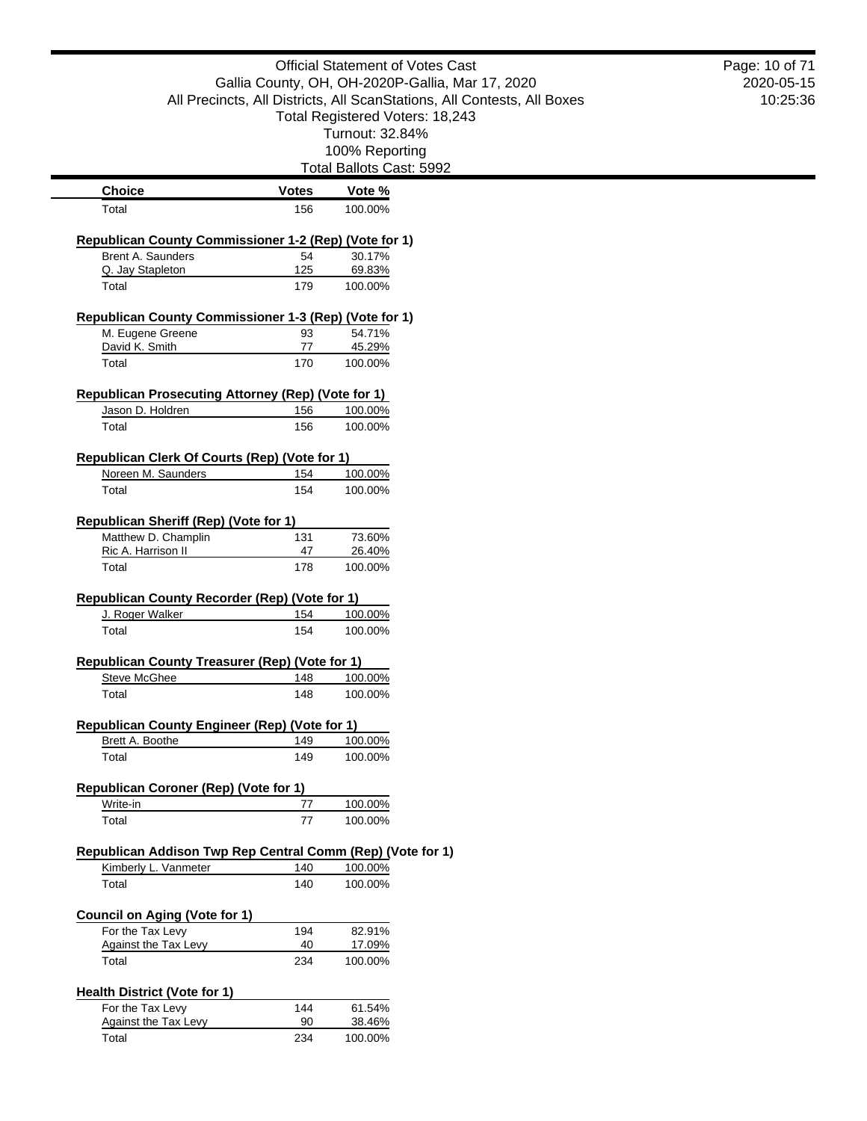|                                                            |              | <b>Official Statement of Votes Cast</b>                                 | Page: 10 of 71 |
|------------------------------------------------------------|--------------|-------------------------------------------------------------------------|----------------|
|                                                            |              | Gallia County, OH, OH-2020P-Gallia, Mar 17, 2020                        | 2020-05-15     |
|                                                            |              | All Precincts, All Districts, All ScanStations, All Contests, All Boxes | 10:25:36       |
|                                                            |              | Total Registered Voters: 18,243                                         |                |
|                                                            |              | Turnout: 32.84%                                                         |                |
|                                                            |              | 100% Reporting                                                          |                |
|                                                            |              | Total Ballots Cast: 5992                                                |                |
| <b>Choice</b>                                              | <b>Votes</b> | Vote %                                                                  |                |
| Total                                                      | 156          | 100.00%                                                                 |                |
| Republican County Commissioner 1-2 (Rep) (Vote for 1)      |              |                                                                         |                |
| Brent A. Saunders                                          | 54           | 30.17%                                                                  |                |
| Q. Jay Stapleton                                           | $125$        | 69.83%                                                                  |                |
| Total                                                      | 179          | 100.00%                                                                 |                |
| Republican County Commissioner 1-3 (Rep) (Vote for 1)      |              |                                                                         |                |
| M. Eugene Greene                                           | 93           | 54.71%                                                                  |                |
| David K. Smith                                             | 77           | 45.29%                                                                  |                |
| Total                                                      | 170          | 100.00%                                                                 |                |
| <b>Republican Prosecuting Attorney (Rep) (Vote for 1)</b>  |              |                                                                         |                |
| Jason D. Holdren                                           | 156          | 100.00%                                                                 |                |
| Total                                                      | 156          | 100.00%                                                                 |                |
|                                                            |              |                                                                         |                |
| Republican Clerk Of Courts (Rep) (Vote for 1)              |              |                                                                         |                |
| Noreen M. Saunders                                         | 154          | 100.00%                                                                 |                |
| Total                                                      | 154          | 100.00%                                                                 |                |
| <b>Republican Sheriff (Rep) (Vote for 1)</b>               |              |                                                                         |                |
| Matthew D. Champlin                                        | 131          | 73.60%                                                                  |                |
| Ric A. Harrison II                                         | 47           | 26.40%                                                                  |                |
| Total                                                      | 178          | 100.00%                                                                 |                |
| <b>Republican County Recorder (Rep) (Vote for 1)</b>       |              |                                                                         |                |
| J. Roger Walker                                            | 154          | 100.00%                                                                 |                |
| Total                                                      | 154          | 100.00%                                                                 |                |
|                                                            |              |                                                                         |                |
| Republican County Treasurer (Rep) (Vote for 1)             |              |                                                                         |                |
| Steve McGhee                                               | 148          | 100.00%                                                                 |                |
| Total                                                      | 148          | 100.00%                                                                 |                |
| <b>Republican County Engineer (Rep) (Vote for 1)</b>       |              |                                                                         |                |
| Brett A. Boothe                                            | 149          | 100.00%                                                                 |                |
| Total                                                      | 149          | 100.00%                                                                 |                |
| <b>Republican Coroner (Rep) (Vote for 1)</b>               |              |                                                                         |                |
| Write-in                                                   | 77           | 100.00%                                                                 |                |
| Total                                                      | 77           | 100.00%                                                                 |                |
| Republican Addison Twp Rep Central Comm (Rep) (Vote for 1) |              |                                                                         |                |
| Kimberly L. Vanmeter                                       | 140          | 100.00%                                                                 |                |
| Total                                                      | 140          | 100.00%                                                                 |                |
|                                                            |              |                                                                         |                |
| <b>Council on Aging (Vote for 1)</b>                       |              |                                                                         |                |
| For the Tax Levy                                           | 194          | 82.91%                                                                  |                |
| <b>Against the Tax Levy</b><br>Total                       | 40<br>234    | 17.09%<br>100.00%                                                       |                |
|                                                            |              |                                                                         |                |
| <b>Health District (Vote for 1)</b>                        |              |                                                                         |                |
| For the Tax Levy<br><b>Against the Tax Levy</b>            | 144<br>90    | 61.54%<br>38.46%                                                        |                |
| Total                                                      | 234          | 100.00%                                                                 |                |
|                                                            |              |                                                                         |                |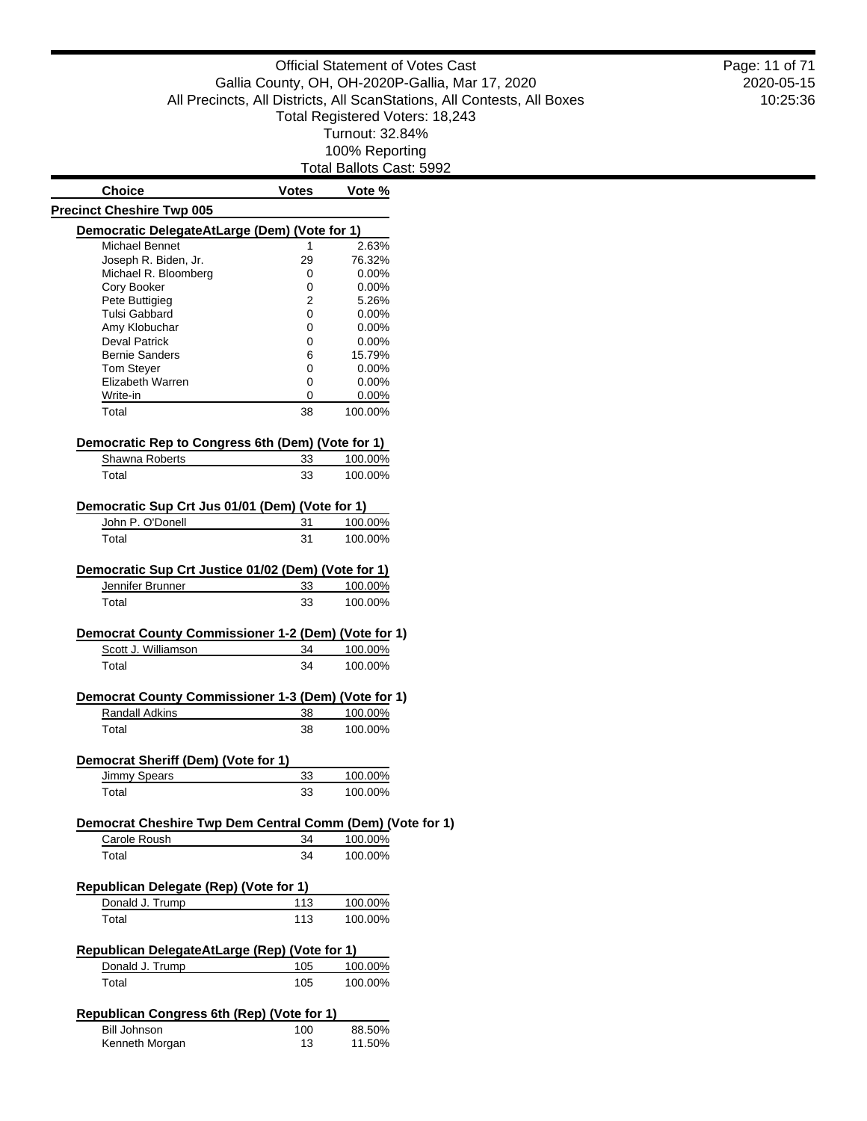Total Ballots Cast: 5992

| <b>Choice</b>                                                     | <b>Votes</b> | Vote %               |
|-------------------------------------------------------------------|--------------|----------------------|
| <b>Precinct Cheshire Twp 005</b>                                  |              |                      |
| Democratic DelegateAtLarge (Dem) (Vote for 1)                     |              |                      |
| Michael Bennet                                                    | 1            | 2.63%                |
| Joseph R. Biden, Jr.                                              | 29           | 76.32%               |
| Michael R. Bloomberg                                              | 0            | $0.00\%$             |
| Cory Booker                                                       | 0            | $0.00\%$             |
| Pete Buttigieg                                                    | 2            | 5.26%                |
| Tulsi Gabbard                                                     | 0            | $0.00\%$             |
| Amy Klobuchar                                                     | 0            | $0.00\%$             |
| <b>Deval Patrick</b>                                              | 0            | $0.00\%$             |
| <b>Bernie Sanders</b>                                             | 6            | 15.79%               |
| <b>Tom Stever</b><br>Elizabeth Warren                             | 0            | $0.00\%$<br>$0.00\%$ |
| Write-in                                                          | 0<br>0       |                      |
| Total                                                             | 38           | $0.00\%$<br>100.00%  |
| Democratic Rep to Congress 6th (Dem) (Vote for 1)                 |              |                      |
| Shawna Roberts                                                    | 33           | 100.00%              |
| Total                                                             | 33           | 100.00%              |
|                                                                   |              |                      |
| Democratic Sup Crt Jus 01/01 (Dem) (Vote for 1)                   |              |                      |
| John P. O'Donell                                                  | 31           | 100.00%              |
| Total                                                             | 31           | 100.00%              |
| Democratic Sup Crt Justice 01/02 (Dem) (Vote for 1)               |              |                      |
| Jennifer Brunner                                                  | 33           | 100.00%              |
| Total                                                             | 33           | 100.00%              |
| Democrat County Commissioner 1-2 (Dem) (Vote for 1)               |              |                      |
| Scott J. Williamson                                               | 34           | 100.00%              |
| Total                                                             | 34           | 100.00%              |
| Democrat County Commissioner 1-3 (Dem) (Vote for 1)               |              |                      |
| Randall Adkins                                                    | 38           | 100.00%              |
| Total                                                             | 38           | 100.00%              |
|                                                                   |              |                      |
| Democrat Sheriff (Dem) (Vote for 1)<br><b>Jimmy Spears</b>        | <u>33</u>    | 100.00%              |
| Total                                                             | 33           | 100.00%              |
|                                                                   |              |                      |
| Democrat Cheshire Twp Dem Central Comm (Dem) (Vote for 1)         |              |                      |
| Carole Roush                                                      | 34           | 100.00%              |
| Total                                                             | 34           | 100.00%              |
| Republican Delegate (Rep) (Vote for 1)                            |              |                      |
| Donald J. Trump                                                   | <u> 113</u>  | 100.00%              |
| Total                                                             | 113          | 100.00%              |
| Republican DelegateAtLarge (Rep) (Vote for 1)                     |              |                      |
| Donald J. Trump                                                   | 105          | 100.00%              |
| Total                                                             | 105          | 100.00%              |
|                                                                   |              |                      |
| Republican Congress 6th (Rep) (Vote for 1)<br><b>Bill Johnson</b> | 100          | 88.50%               |
| Kenneth Morgan                                                    | 13           | 11.50%               |
|                                                                   |              |                      |

2020-05-15 10:25:36 Page: 11 of 71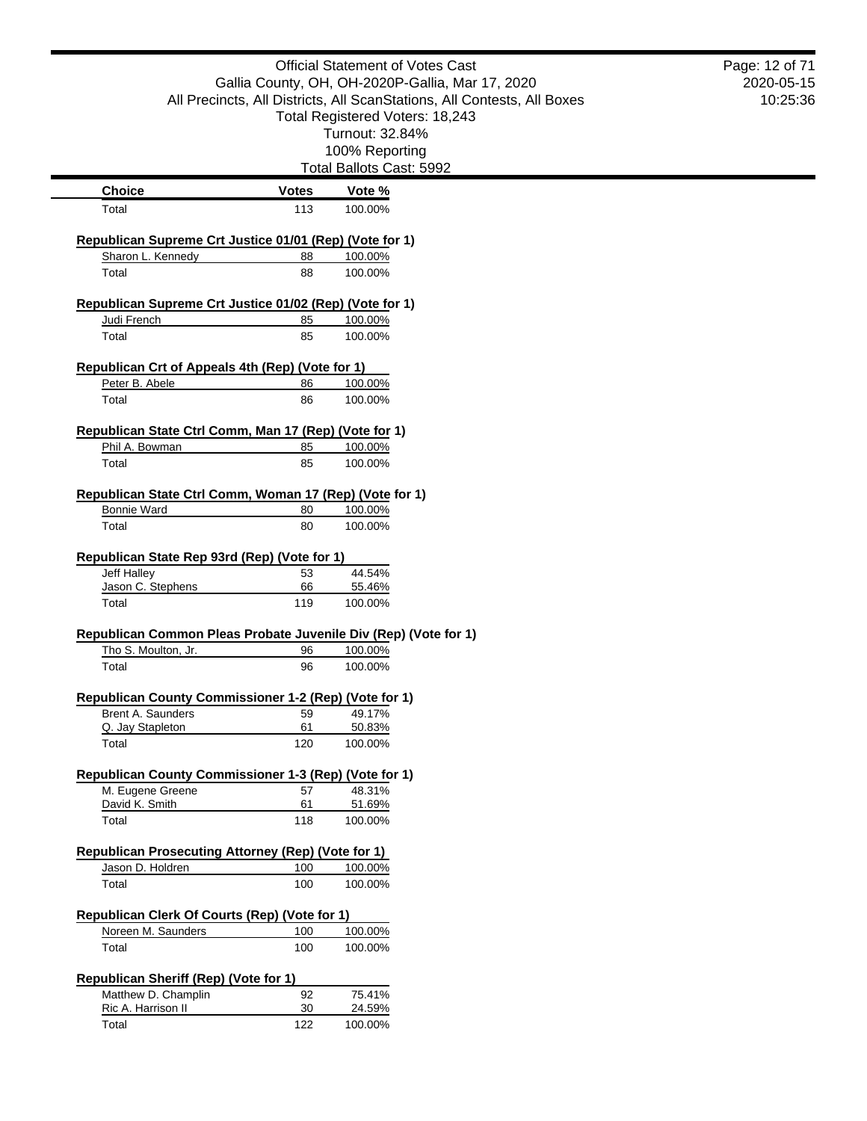|                                                                 |              | <b>Official Statement of Votes Cast</b>                                 | Page: 12 of 71 |
|-----------------------------------------------------------------|--------------|-------------------------------------------------------------------------|----------------|
|                                                                 |              | Gallia County, OH, OH-2020P-Gallia, Mar 17, 2020                        | 2020-05-15     |
|                                                                 |              | All Precincts, All Districts, All ScanStations, All Contests, All Boxes | 10:25:36       |
|                                                                 |              | Total Registered Voters: 18,243                                         |                |
|                                                                 |              | Turnout: 32.84%                                                         |                |
|                                                                 |              | 100% Reporting                                                          |                |
|                                                                 |              | Total Ballots Cast: 5992                                                |                |
| <b>Choice</b>                                                   | <b>Votes</b> | Vote %                                                                  |                |
| Total                                                           | 113          | 100.00%                                                                 |                |
| Republican Supreme Crt Justice 01/01 (Rep) (Vote for 1)         |              |                                                                         |                |
| Sharon L. Kennedy                                               | 88           | 100.00%                                                                 |                |
| Total                                                           | 88           | 100.00%                                                                 |                |
| Republican Supreme Crt Justice 01/02 (Rep) (Vote for 1)         |              |                                                                         |                |
| Judi French                                                     | 85           | 100.00%                                                                 |                |
| Total                                                           | 85           | 100.00%                                                                 |                |
| Republican Crt of Appeals 4th (Rep) (Vote for 1)                |              |                                                                         |                |
| Peter B. Abele                                                  | 86           | 100.00%                                                                 |                |
| Total                                                           | 86           | 100.00%                                                                 |                |
| Republican State Ctrl Comm, Man 17 (Rep) (Vote for 1)           |              |                                                                         |                |
| Phil A. Bowman                                                  | 85           | 100.00%                                                                 |                |
| Total                                                           | 85           | 100.00%                                                                 |                |
| Republican State Ctrl Comm, Woman 17 (Rep) (Vote for 1)         |              |                                                                         |                |
| <b>Bonnie Ward</b>                                              | 80           | 100.00%                                                                 |                |
| Total                                                           | 80           | 100.00%                                                                 |                |
| Republican State Rep 93rd (Rep) (Vote for 1)                    |              |                                                                         |                |
| Jeff Halley                                                     | 53           | 44.54%                                                                  |                |
| Jason C. Stephens                                               | 66           | 55.46%                                                                  |                |
| Total                                                           | 119          | 100.00%                                                                 |                |
| Republican Common Pleas Probate Juvenile Div (Rep) (Vote for 1) |              |                                                                         |                |
| Tho S. Moulton, Jr.                                             | 96           | 100.00%                                                                 |                |
| Total                                                           | 96           | 100.00%                                                                 |                |
| Republican County Commissioner 1-2 (Rep) (Vote for 1)           |              |                                                                         |                |
| Brent A. Saunders                                               | 59           | 49.17%                                                                  |                |
| Q. Jay Stapleton                                                | 61           | 50.83%                                                                  |                |
| Total                                                           | 120          | 100.00%                                                                 |                |
| Republican County Commissioner 1-3 (Rep) (Vote for 1)           |              |                                                                         |                |
| M. Eugene Greene                                                | 57           | 48.31%                                                                  |                |
| David K. Smith                                                  | 61           | 51.69%                                                                  |                |
| Total                                                           | 118          | 100.00%                                                                 |                |
| <b>Republican Prosecuting Attorney (Rep) (Vote for 1)</b>       |              |                                                                         |                |
| Jason D. Holdren                                                | 100          | 100.00%                                                                 |                |
| Total                                                           | 100          | 100.00%                                                                 |                |
| Republican Clerk Of Courts (Rep) (Vote for 1)                   |              |                                                                         |                |
| Noreen M. Saunders                                              | 100          | 100.00%                                                                 |                |
| Total                                                           | 100          | 100.00%                                                                 |                |
| Republican Sheriff (Rep) (Vote for 1)                           |              |                                                                         |                |
| Matthew D. Champlin                                             | 92           | 75.41%                                                                  |                |
| Ric A. Harrison II                                              | 30           | 24.59%                                                                  |                |
| Total                                                           | 122          | 100.00%                                                                 |                |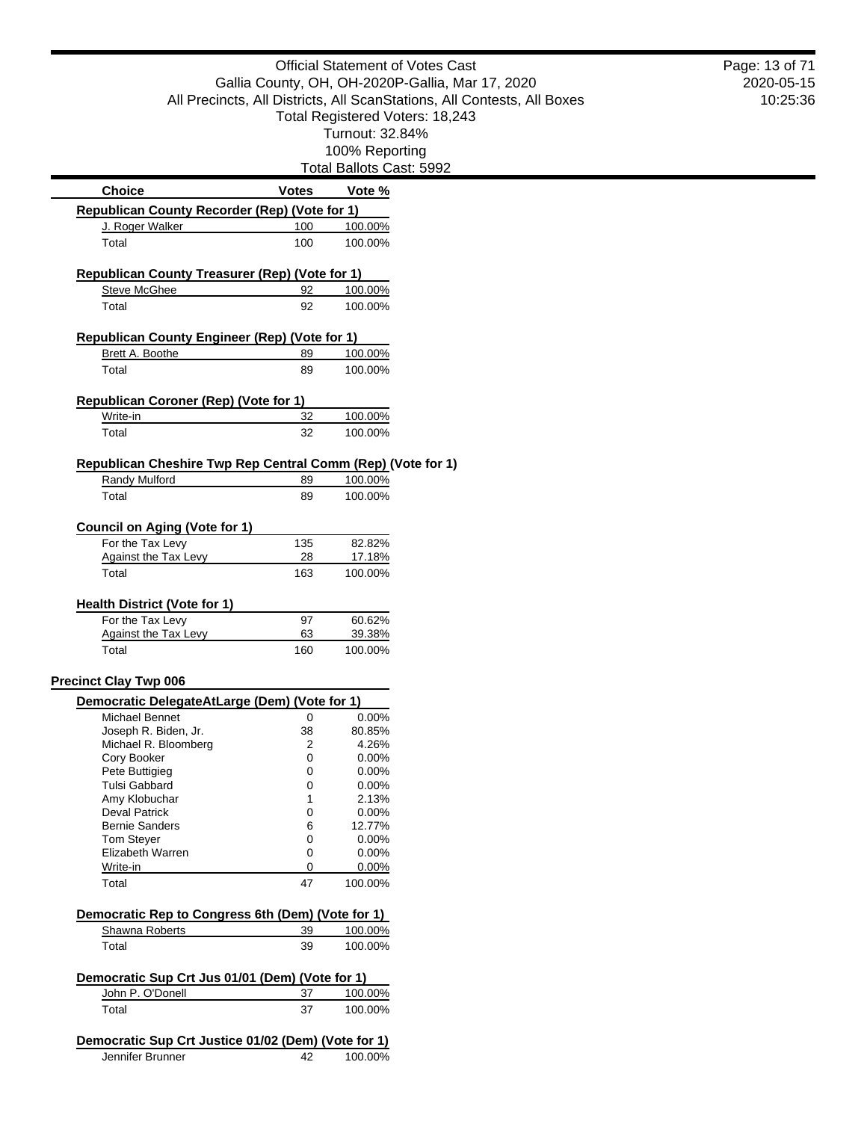|                                                             |              |                          | <b>Official Statement of Votes Cast</b>                                 | Pa |
|-------------------------------------------------------------|--------------|--------------------------|-------------------------------------------------------------------------|----|
|                                                             |              |                          | Gallia County, OH, OH-2020P-Gallia, Mar 17, 2020                        |    |
|                                                             |              |                          | All Precincts, All Districts, All ScanStations, All Contests, All Boxes |    |
|                                                             |              |                          | Total Registered Voters: 18,243                                         |    |
|                                                             |              | Turnout: 32.84%          |                                                                         |    |
|                                                             |              | 100% Reporting           |                                                                         |    |
|                                                             |              | Total Ballots Cast: 5992 |                                                                         |    |
| <b>Choice</b>                                               | <b>Votes</b> | Vote %                   |                                                                         |    |
| Republican County Recorder (Rep) (Vote for 1)               |              |                          |                                                                         |    |
| J. Roger Walker                                             | 100          | 100.00%                  |                                                                         |    |
| Total                                                       | 100          | 100.00%                  |                                                                         |    |
| Republican County Treasurer (Rep) (Vote for 1)              |              |                          |                                                                         |    |
| <b>Steve McGhee</b>                                         | 92           | 100.00%                  |                                                                         |    |
| Total                                                       | 92           | 100.00%                  |                                                                         |    |
|                                                             |              |                          |                                                                         |    |
| <b>Republican County Engineer (Rep) (Vote for 1)</b>        |              |                          |                                                                         |    |
| Brett A. Boothe                                             | 89           | 100.00%                  |                                                                         |    |
| Total                                                       | 89           | 100.00%                  |                                                                         |    |
| Republican Coroner (Rep) (Vote for 1)                       |              |                          |                                                                         |    |
| Write-in                                                    | 32           | 100.00%                  |                                                                         |    |
| Total                                                       | 32           | 100.00%                  |                                                                         |    |
|                                                             |              |                          |                                                                         |    |
| Republican Cheshire Twp Rep Central Comm (Rep) (Vote for 1) |              |                          |                                                                         |    |
| Randy Mulford                                               | 89           | 100.00%                  |                                                                         |    |
| Total                                                       | 89           | 100.00%                  |                                                                         |    |
| <b>Council on Aging (Vote for 1)</b>                        |              |                          |                                                                         |    |
| For the Tax Levy                                            | 135          | 82.82%                   |                                                                         |    |
| <b>Against the Tax Levy</b>                                 | 28           | 17.18%                   |                                                                         |    |
| Total                                                       | 163          | 100.00%                  |                                                                         |    |
|                                                             |              |                          |                                                                         |    |
| <b>Health District (Vote for 1)</b><br>For the Tax Levy     | 97           | 60.62%                   |                                                                         |    |
| <b>Against the Tax Levy</b>                                 | 63           | 39.38%                   |                                                                         |    |
| Total                                                       | 160          | 100.00%                  |                                                                         |    |
|                                                             |              |                          |                                                                         |    |
| <b>Precinct Clay Twp 006</b>                                |              |                          |                                                                         |    |
| Democratic DelegateAtLarge (Dem) (Vote for 1)               |              |                          |                                                                         |    |
| <b>Michael Bennet</b>                                       | 0            | 0.00%                    |                                                                         |    |
| Joseph R. Biden, Jr.<br>Michael R. Bloomberg                | 38<br>2      | 80.85%<br>4.26%          |                                                                         |    |
| Cory Booker                                                 | 0            | 0.00%                    |                                                                         |    |
| Pete Buttigieg                                              | 0            | 0.00%                    |                                                                         |    |
| Tulsi Gabbard                                               | 0            | 0.00%                    |                                                                         |    |
| Amy Klobuchar                                               | 1            | 2.13%                    |                                                                         |    |
| <b>Deval Patrick</b>                                        | 0            | 0.00%                    |                                                                         |    |
| <b>Bernie Sanders</b>                                       | 6            | 12.77%                   |                                                                         |    |
| <b>Tom Steyer</b>                                           | 0            | 0.00%                    |                                                                         |    |
| Elizabeth Warren                                            | 0            | 0.00%                    |                                                                         |    |
| Write-in<br>Total                                           | 0<br>47      | 0.00%<br>100.00%         |                                                                         |    |
|                                                             |              |                          |                                                                         |    |
| Democratic Rep to Congress 6th (Dem) (Vote for 1)           |              |                          |                                                                         |    |
| Shawna Roberts                                              | 39           | 100.00%                  |                                                                         |    |
| Total                                                       | 39           | 100.00%                  |                                                                         |    |
| Democratic Sup Crt Jus 01/01 (Dem) (Vote for 1)             |              |                          |                                                                         |    |
| John P. O'Donell                                            | 37           | 100.00%                  |                                                                         |    |
| Total                                                       | 37           | 100.00%                  |                                                                         |    |
|                                                             |              |                          |                                                                         |    |
| Democratic Sup Crt Justice 01/02 (Dem) (Vote for 1)         |              |                          |                                                                         |    |
| Jennifer Brunner                                            | 42           | 100.00%                  |                                                                         |    |

2020-05-15 10:25:36 Page: 13 of 71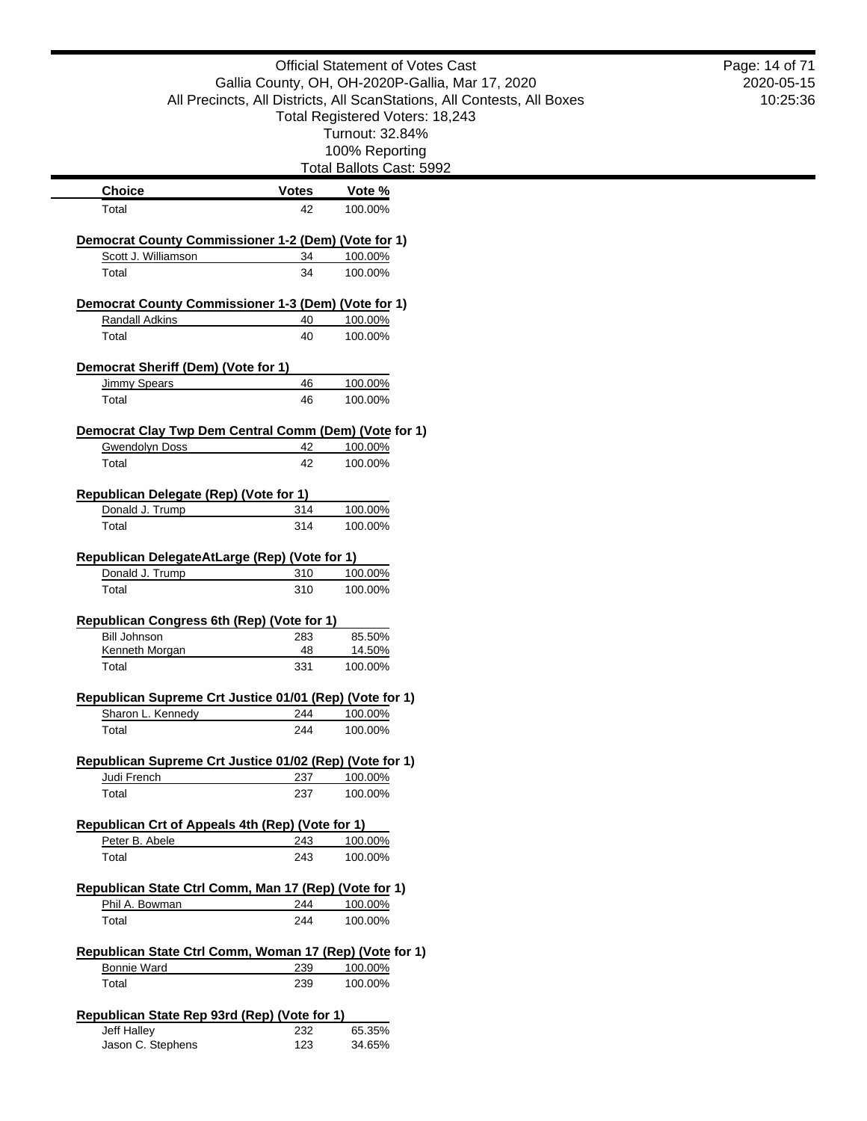|                                                                                   |              | <b>Official Statement of Votes Cast</b><br>Gallia County, OH, OH-2020P-Gallia, Mar 17, 2020<br>All Precincts, All Districts, All ScanStations, All Contests, All Boxes<br>Total Registered Voters: 18,243<br>Turnout: 32.84% | Page: 14 of 71<br>2020-05-15<br>10:25:36 |
|-----------------------------------------------------------------------------------|--------------|------------------------------------------------------------------------------------------------------------------------------------------------------------------------------------------------------------------------------|------------------------------------------|
|                                                                                   |              | 100% Reporting                                                                                                                                                                                                               |                                          |
|                                                                                   |              | Total Ballots Cast: 5992                                                                                                                                                                                                     |                                          |
| <b>Choice</b>                                                                     | <b>Votes</b> | Vote %                                                                                                                                                                                                                       |                                          |
| Total                                                                             | 42           | 100.00%                                                                                                                                                                                                                      |                                          |
|                                                                                   |              |                                                                                                                                                                                                                              |                                          |
| <b>Democrat County Commissioner 1-2 (Dem) (Vote for 1)</b><br>Scott J. Williamson | 34           | 100.00%                                                                                                                                                                                                                      |                                          |
| Total                                                                             | 34           | 100.00%                                                                                                                                                                                                                      |                                          |
|                                                                                   |              |                                                                                                                                                                                                                              |                                          |
| Democrat County Commissioner 1-3 (Dem) (Vote for 1)                               |              |                                                                                                                                                                                                                              |                                          |
| <b>Randall Adkins</b>                                                             | 40           | 100.00%                                                                                                                                                                                                                      |                                          |
| Total                                                                             | 40           | 100.00%                                                                                                                                                                                                                      |                                          |
| Democrat Sheriff (Dem) (Vote for 1)                                               |              |                                                                                                                                                                                                                              |                                          |
| <b>Jimmy Spears</b>                                                               | 46           | 100.00%                                                                                                                                                                                                                      |                                          |
| Total                                                                             | 46           | 100.00%                                                                                                                                                                                                                      |                                          |
|                                                                                   |              |                                                                                                                                                                                                                              |                                          |
| Democrat Clay Twp Dem Central Comm (Dem) (Vote for 1)                             |              |                                                                                                                                                                                                                              |                                          |
| <b>Gwendolyn Doss</b><br>Total                                                    | 42<br>42     | 100.00%<br>100.00%                                                                                                                                                                                                           |                                          |
|                                                                                   |              |                                                                                                                                                                                                                              |                                          |
| Republican Delegate (Rep) (Vote for 1)                                            |              |                                                                                                                                                                                                                              |                                          |
| Donald J. Trump                                                                   | 314          | 100.00%                                                                                                                                                                                                                      |                                          |
| Total                                                                             | 314          | 100.00%                                                                                                                                                                                                                      |                                          |
|                                                                                   |              |                                                                                                                                                                                                                              |                                          |
| Republican DelegateAtLarge (Rep) (Vote for 1)<br>Donald J. Trump                  | 310          |                                                                                                                                                                                                                              |                                          |
| Total                                                                             | 310          | 100.00%<br>100.00%                                                                                                                                                                                                           |                                          |
|                                                                                   |              |                                                                                                                                                                                                                              |                                          |
| Republican Congress 6th (Rep) (Vote for 1)                                        |              |                                                                                                                                                                                                                              |                                          |
| <b>Bill Johnson</b>                                                               | 283          | 85.50%                                                                                                                                                                                                                       |                                          |
| Kenneth Morgan                                                                    | 48           | 14.50%                                                                                                                                                                                                                       |                                          |
| Total                                                                             | 331          | 100.00%                                                                                                                                                                                                                      |                                          |
| Republican Supreme Crt Justice 01/01 (Rep) (Vote for 1)                           |              |                                                                                                                                                                                                                              |                                          |
| Sharon L. Kennedy                                                                 | 244          | 100.00%                                                                                                                                                                                                                      |                                          |
| Total                                                                             | 244          | 100.00%                                                                                                                                                                                                                      |                                          |
|                                                                                   |              |                                                                                                                                                                                                                              |                                          |
| Republican Supreme Crt Justice 01/02 (Rep) (Vote for 1)                           |              |                                                                                                                                                                                                                              |                                          |
| Judi French                                                                       | 237          | 100.00%                                                                                                                                                                                                                      |                                          |
| Total                                                                             | 237          | 100.00%                                                                                                                                                                                                                      |                                          |
| Republican Crt of Appeals 4th (Rep) (Vote for 1)                                  |              |                                                                                                                                                                                                                              |                                          |
| Peter B. Abele                                                                    | 243          | 100.00%                                                                                                                                                                                                                      |                                          |
| Total                                                                             | 243          | 100.00%                                                                                                                                                                                                                      |                                          |
|                                                                                   |              |                                                                                                                                                                                                                              |                                          |
| Republican State Ctrl Comm, Man 17 (Rep) (Vote for 1)                             |              |                                                                                                                                                                                                                              |                                          |
| Phil A. Bowman                                                                    | 244          | 100.00%                                                                                                                                                                                                                      |                                          |
| Total                                                                             | 244          | 100.00%                                                                                                                                                                                                                      |                                          |
| Republican State Ctrl Comm, Woman 17 (Rep) (Vote for 1)                           |              |                                                                                                                                                                                                                              |                                          |
| <b>Bonnie Ward</b>                                                                | 239          | 100.00%                                                                                                                                                                                                                      |                                          |
| Total                                                                             | 239          | 100.00%                                                                                                                                                                                                                      |                                          |
|                                                                                   |              |                                                                                                                                                                                                                              |                                          |
| Republican State Rep 93rd (Rep) (Vote for 1)                                      |              |                                                                                                                                                                                                                              |                                          |
| Jeff Halley                                                                       | 232          | 65.35%                                                                                                                                                                                                                       |                                          |
| Jason C. Stephens                                                                 | 123          | 34.65%                                                                                                                                                                                                                       |                                          |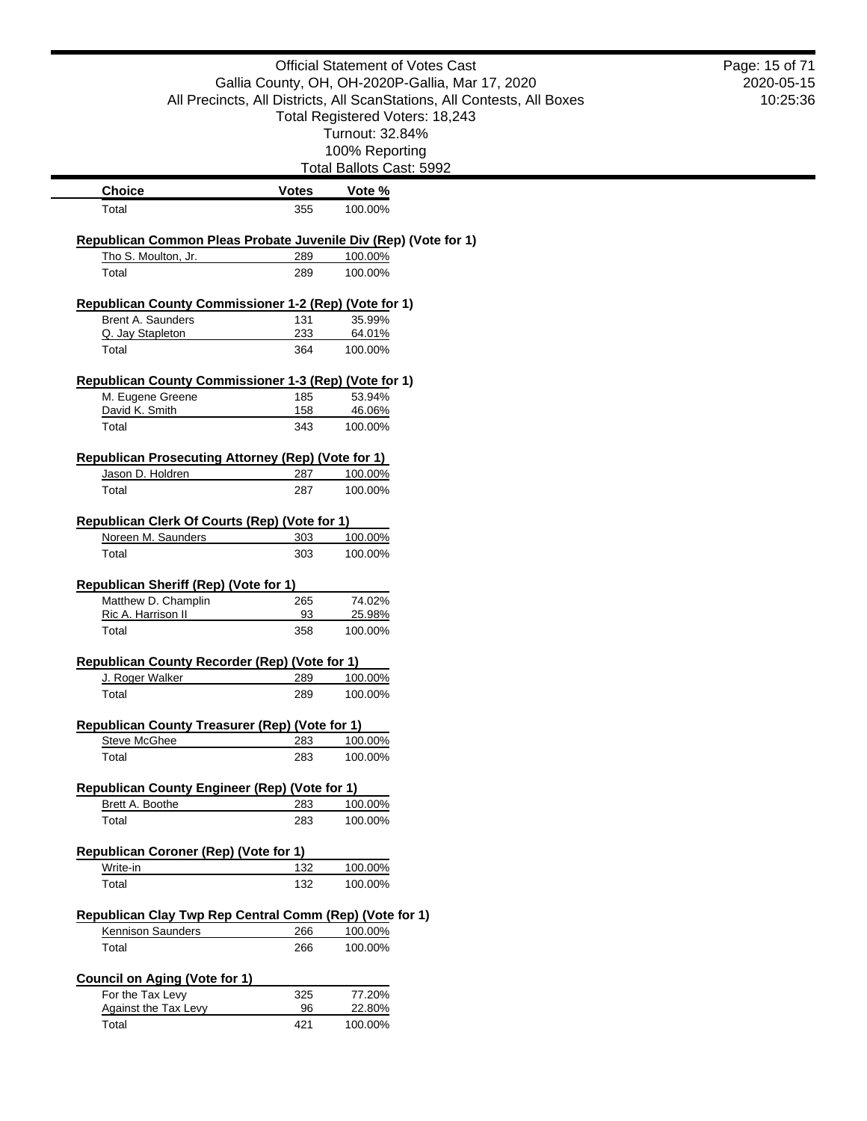|                                                                                        |              | <b>Official Statement of Votes Cast</b>                                 | Page: 15 of 71 |
|----------------------------------------------------------------------------------------|--------------|-------------------------------------------------------------------------|----------------|
|                                                                                        |              | Gallia County, OH, OH-2020P-Gallia, Mar 17, 2020                        | 2020-05-15     |
|                                                                                        |              | All Precincts, All Districts, All ScanStations, All Contests, All Boxes | 10:25:36       |
|                                                                                        |              | Total Registered Voters: 18,243                                         |                |
|                                                                                        |              | Turnout: 32.84%                                                         |                |
|                                                                                        |              | 100% Reporting<br>Total Ballots Cast: 5992                              |                |
| <b>Choice</b>                                                                          | <b>Votes</b> | Vote %                                                                  |                |
| Total                                                                                  | 355          | 100.00%                                                                 |                |
|                                                                                        |              |                                                                         |                |
| Republican Common Pleas Probate Juvenile Div (Rep) (Vote for 1)<br>Tho S. Moulton, Jr. |              |                                                                         |                |
| Total                                                                                  | 289<br>289   | 100.00%<br>100.00%                                                      |                |
|                                                                                        |              |                                                                         |                |
| Republican County Commissioner 1-2 (Rep) (Vote for 1)                                  |              |                                                                         |                |
| Brent A. Saunders<br>Q. Jay Stapleton                                                  | 131<br>233   | 35.99%<br>64.01%                                                        |                |
| Total                                                                                  | 364          | 100.00%                                                                 |                |
|                                                                                        |              |                                                                         |                |
| Republican County Commissioner 1-3 (Rep) (Vote for 1)                                  |              |                                                                         |                |
| M. Eugene Greene<br>David K. Smith                                                     | 185<br>158   | 53.94%<br>46.06%                                                        |                |
| Total                                                                                  | 343          | 100.00%                                                                 |                |
|                                                                                        |              |                                                                         |                |
| Republican Prosecuting Attorney (Rep) (Vote for 1)                                     |              |                                                                         |                |
| Jason D. Holdren                                                                       | 287          | 100.00%                                                                 |                |
| Total                                                                                  | 287          | 100.00%                                                                 |                |
| Republican Clerk Of Courts (Rep) (Vote for 1)                                          |              |                                                                         |                |
| Noreen M. Saunders                                                                     | 303          | 100.00%                                                                 |                |
| Total                                                                                  | 303          | 100.00%                                                                 |                |
|                                                                                        |              |                                                                         |                |
| <b>Republican Sheriff (Rep) (Vote for 1)</b><br>Matthew D. Champlin                    | 265          | 74.02%                                                                  |                |
| Ric A. Harrison II                                                                     | 93           | 25.98%                                                                  |                |
| Total                                                                                  | 358          | 100.00%                                                                 |                |
| Republican County Recorder (Rep) (Vote for 1)                                          |              |                                                                         |                |
| J. Roger Walker                                                                        | 289          | 100.00%                                                                 |                |
| Total                                                                                  | 289          | 100.00%                                                                 |                |
|                                                                                        |              |                                                                         |                |
| Republican County Treasurer (Rep) (Vote for 1)                                         |              |                                                                         |                |
| <b>Steve McGhee</b><br>Total                                                           | 283<br>283   | 100.00%<br>100.00%                                                      |                |
|                                                                                        |              |                                                                         |                |
| Republican County Engineer (Rep) (Vote for 1)                                          |              |                                                                         |                |
| Brett A. Boothe                                                                        | 283          | 100.00%                                                                 |                |
| Total                                                                                  | 283          | 100.00%                                                                 |                |
| <b>Republican Coroner (Rep) (Vote for 1)</b>                                           |              |                                                                         |                |
| Write-in                                                                               | 132          | 100.00%                                                                 |                |
| Total                                                                                  | 132          | 100.00%                                                                 |                |
|                                                                                        |              |                                                                         |                |
| Republican Clay Twp Rep Central Comm (Rep) (Vote for 1)                                |              |                                                                         |                |
| Kennison Saunders                                                                      | 266          | 100.00%                                                                 |                |
| Total                                                                                  | 266          | 100.00%                                                                 |                |
| <b>Council on Aging (Vote for 1)</b>                                                   |              |                                                                         |                |
| For the Tax Levy                                                                       | 325          | 77.20%                                                                  |                |
| <b>Against the Tax Levy</b>                                                            | 96           | 22.80%                                                                  |                |
| Total                                                                                  | 421          | 100.00%                                                                 |                |
|                                                                                        |              |                                                                         |                |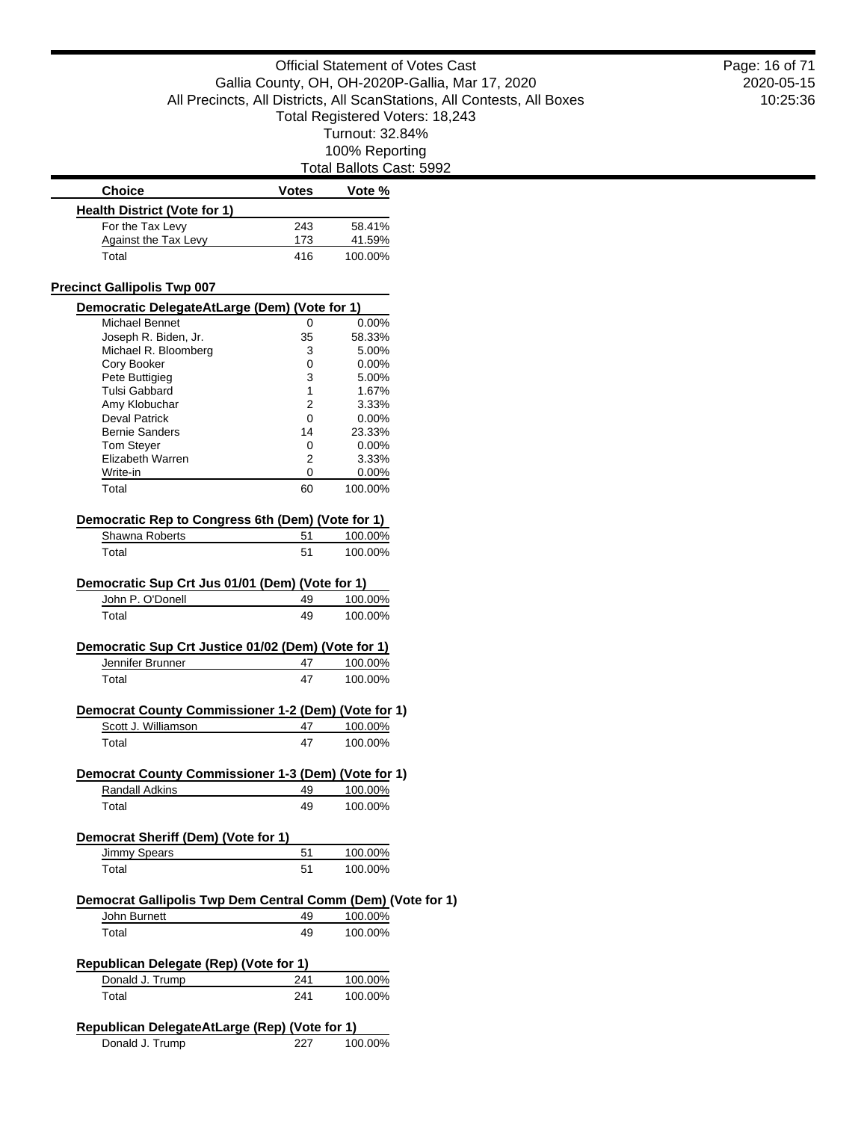Total Ballots Cast: 5992

| <b>Choice</b>                                               | <b>Votes</b> | Vote %             |  |
|-------------------------------------------------------------|--------------|--------------------|--|
| <b>Health District (Vote for 1)</b>                         |              |                    |  |
| For the Tax Levy                                            | 243          | 58.41%             |  |
| <b>Against the Tax Levy</b>                                 | 173          | 41.59%             |  |
| Total                                                       | 416          | 100.00%            |  |
|                                                             |              |                    |  |
| <b>Precinct Gallipolis Twp 007</b>                          |              |                    |  |
| Democratic DelegateAtLarge (Dem) (Vote for 1)               |              |                    |  |
| Michael Bennet                                              | 0            | 0.00%              |  |
| Joseph R. Biden, Jr.                                        | 35           | 58.33%             |  |
| Michael R. Bloomberg                                        | 3            | 5.00%              |  |
| Cory Booker                                                 | 0            | $0.00\%$           |  |
| Pete Buttigieg                                              | 3            | 5.00%              |  |
| Tulsi Gabbard                                               | 1            | 1.67%              |  |
| Amy Klobuchar<br><b>Deval Patrick</b>                       | 2            | 3.33%              |  |
| <b>Bernie Sanders</b>                                       | 0<br>14      | $0.00\%$           |  |
|                                                             |              | 23.33%<br>$0.00\%$ |  |
| Tom Steyer<br>Elizabeth Warren                              | 0<br>2       | 3.33%              |  |
| Write-in                                                    | 0            | 0.00%              |  |
| Total                                                       | 60           | 100.00%            |  |
|                                                             |              |                    |  |
| Democratic Rep to Congress 6th (Dem) (Vote for 1)           |              |                    |  |
| Shawna Roberts                                              | 51           | 100.00%            |  |
| Total                                                       | 51           | 100.00%            |  |
|                                                             |              |                    |  |
| Democratic Sup Crt Jus 01/01 (Dem) (Vote for 1)             |              |                    |  |
| John P. O'Donell                                            | 49           | 100.00%            |  |
| Total                                                       | 49           | 100.00%            |  |
|                                                             |              |                    |  |
| Democratic Sup Crt Justice 01/02 (Dem) (Vote for 1)         |              |                    |  |
| Jennifer Brunner                                            | 47           | 100.00%            |  |
| Total                                                       | 47           | 100.00%            |  |
| Democrat County Commissioner 1-2 (Dem) (Vote for 1)         |              |                    |  |
| Scott J. Williamson                                         | 47           | 100.00%            |  |
| Total                                                       | 47           | 100.00%            |  |
|                                                             |              |                    |  |
| Democrat County Commissioner 1-3 (Dem) (Vote for 1)         |              |                    |  |
| Randall Adkins                                              | 49           | 100.00%            |  |
| Total                                                       | 49           | 100.00%            |  |
|                                                             |              |                    |  |
| Democrat Sheriff (Dem) (Vote for 1)                         |              |                    |  |
| Jimmy Spears                                                | 51           | 100.00%            |  |
| Total                                                       | 51           | 100.00%            |  |
|                                                             |              |                    |  |
| Democrat Gallipolis Twp Dem Central Comm (Dem) (Vote for 1) |              |                    |  |
| John Burnett                                                | 49           | 100.00%            |  |
| Total                                                       | 49           | 100.00%            |  |
|                                                             |              |                    |  |
| <b>Republican Delegate (Rep) (Vote for 1)</b>               |              |                    |  |
| Donald J. Trump                                             | 241          | 100.00%            |  |
| Total                                                       | 241          | 100.00%            |  |
|                                                             |              |                    |  |
| Republican DelegateAtLarge (Rep) (Vote for 1)               |              |                    |  |
| Donald J. Trump                                             | 227          | 100.00%            |  |

### 2020-05-15 10:25:36 Page: 16 of 71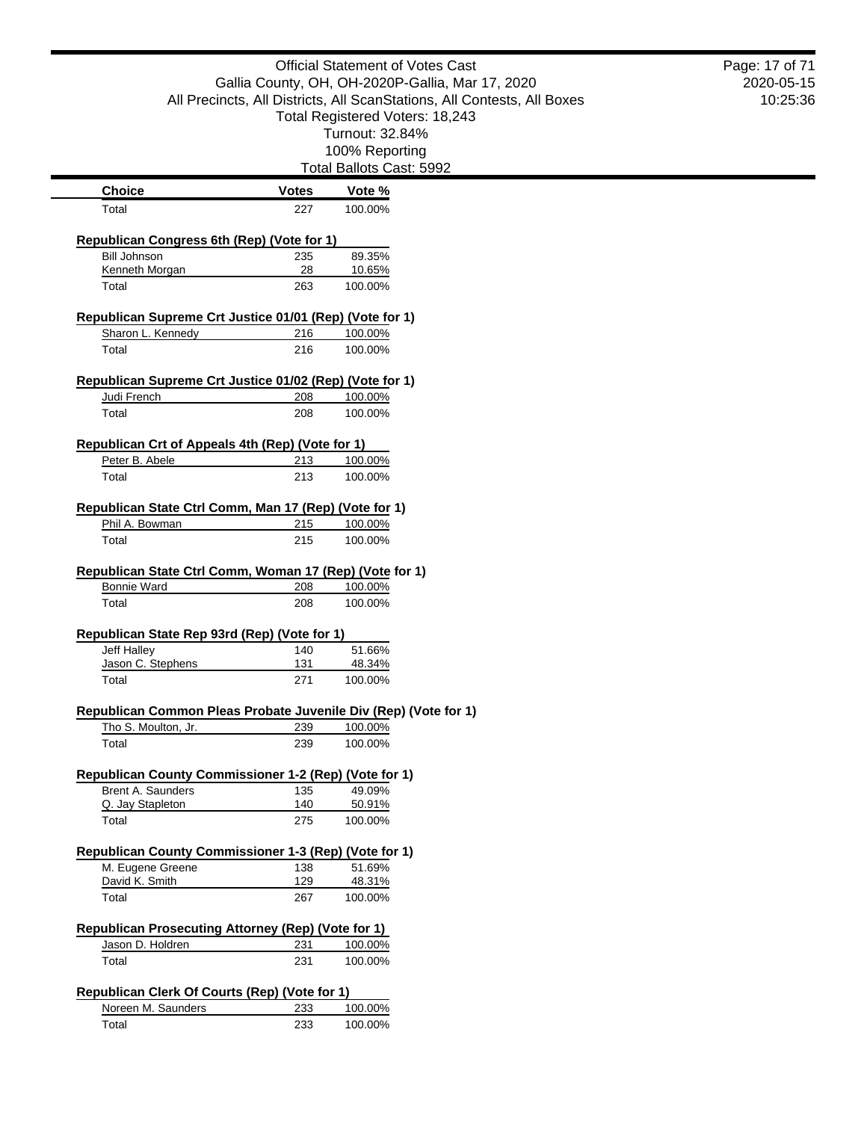|                                                                            |              | <b>Official Statement of Votes Cast</b>                                 | Page: 17 of 71 |
|----------------------------------------------------------------------------|--------------|-------------------------------------------------------------------------|----------------|
|                                                                            |              | Gallia County, OH, OH-2020P-Gallia, Mar 17, 2020                        | 2020-05-15     |
|                                                                            |              | All Precincts, All Districts, All ScanStations, All Contests, All Boxes | 10:25:36       |
|                                                                            |              | Total Registered Voters: 18,243<br>Turnout: 32.84%                      |                |
|                                                                            |              | 100% Reporting                                                          |                |
|                                                                            |              | Total Ballots Cast: 5992                                                |                |
|                                                                            |              |                                                                         |                |
| <b>Choice</b>                                                              | <b>Votes</b> | Vote %                                                                  |                |
| Total                                                                      | 227          | 100.00%                                                                 |                |
| Republican Congress 6th (Rep) (Vote for 1)                                 |              |                                                                         |                |
| <b>Bill Johnson</b>                                                        | 235          | 89.35%                                                                  |                |
| Kenneth Morgan                                                             | 28           | 10.65%                                                                  |                |
| Total                                                                      | 263          | 100.00%                                                                 |                |
| Republican Supreme Crt Justice 01/01 (Rep) (Vote for 1)                    |              |                                                                         |                |
| Sharon L. Kennedy                                                          | 216          | 100.00%                                                                 |                |
| Total                                                                      | 216          | 100.00%                                                                 |                |
|                                                                            |              |                                                                         |                |
| Republican Supreme Crt Justice 01/02 (Rep) (Vote for 1)                    |              |                                                                         |                |
| Judi French<br>Total                                                       | 208<br>208   | 100.00%<br>100.00%                                                      |                |
|                                                                            |              |                                                                         |                |
| Republican Crt of Appeals 4th (Rep) (Vote for 1)                           |              |                                                                         |                |
| Peter B. Abele                                                             | 213          | 100.00%                                                                 |                |
| Total                                                                      | 213          | 100.00%                                                                 |                |
|                                                                            |              |                                                                         |                |
| Republican State Ctrl Comm, Man 17 (Rep) (Vote for 1)                      |              |                                                                         |                |
| Phil A. Bowman<br>Total                                                    | 215<br>215   | 100.00%<br>100.00%                                                      |                |
| <b>Bonnie Ward</b><br>Total                                                | 208<br>208   | 100.00%<br>100.00%                                                      |                |
|                                                                            |              |                                                                         |                |
| Republican State Rep 93rd (Rep) (Vote for 1)                               |              |                                                                         |                |
| Jeff Halley                                                                | 140          | 51.66%                                                                  |                |
| Jason C. Stephens                                                          | 131          | 48.34%                                                                  |                |
| Total                                                                      | 271          | 100.00%                                                                 |                |
| Republican Common Pleas Probate Juvenile Div (Rep) (Vote for 1)            |              |                                                                         |                |
| Tho S. Moulton, Jr.                                                        | 239          | 100.00%                                                                 |                |
| Total                                                                      | 239          | 100.00%                                                                 |                |
|                                                                            |              |                                                                         |                |
| Republican County Commissioner 1-2 (Rep) (Vote for 1)<br>Brent A. Saunders | 135          | 49.09%                                                                  |                |
| Q. Jay Stapleton                                                           | 140          | 50.91%                                                                  |                |
| Total                                                                      | 275          | 100.00%                                                                 |                |
|                                                                            |              |                                                                         |                |
| Republican County Commissioner 1-3 (Rep) (Vote for 1)                      |              |                                                                         |                |
| M. Eugene Greene                                                           | 138          | 51.69%                                                                  |                |
| David K. Smith<br>Total                                                    | 129<br>267   | 48.31%<br>100.00%                                                       |                |
|                                                                            |              |                                                                         |                |
| Republican Prosecuting Attorney (Rep) (Vote for 1)                         |              |                                                                         |                |
| Jason D. Holdren                                                           |              |                                                                         |                |
| Total                                                                      | 231          | 100.00%                                                                 |                |
|                                                                            | 231          | 100.00%                                                                 |                |
|                                                                            |              |                                                                         |                |
| Republican Clerk Of Courts (Rep) (Vote for 1)                              |              |                                                                         |                |
| Noreen M. Saunders<br>Total                                                | 233<br>233   | 100.00%<br>100.00%                                                      |                |

 $\blacksquare$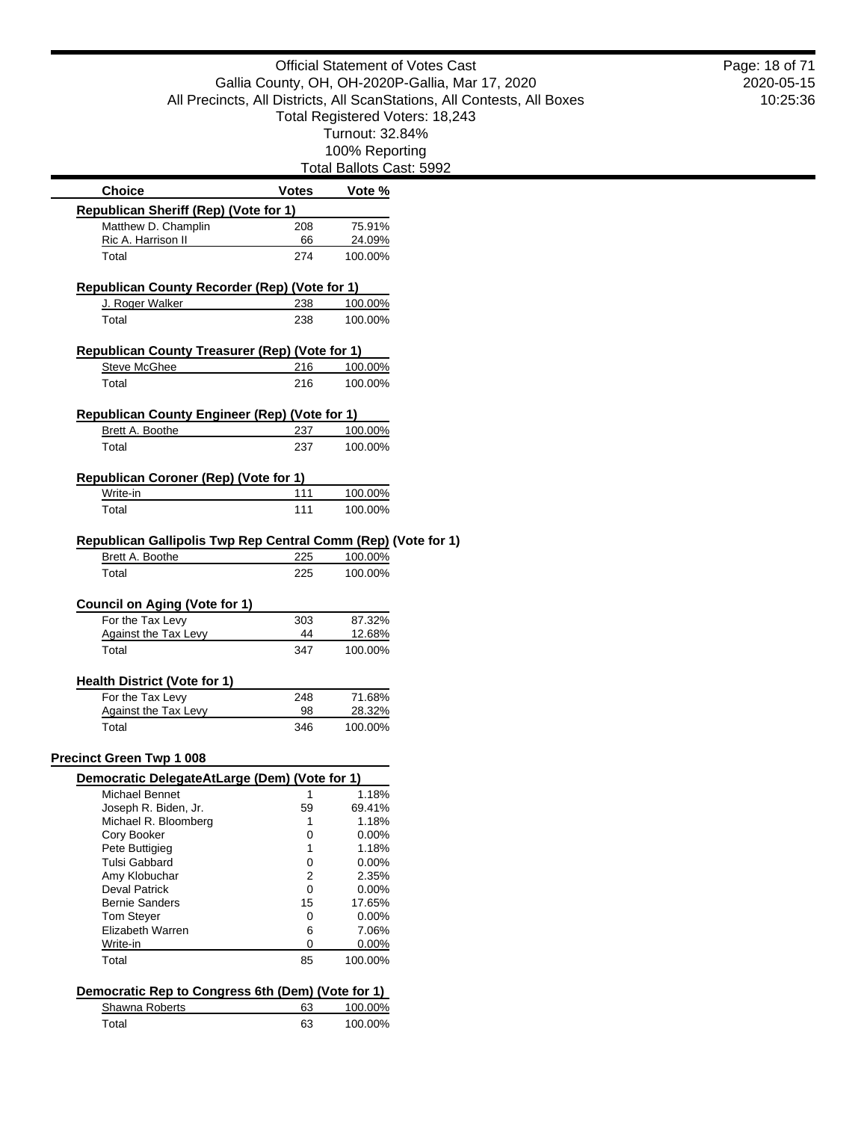Total Ballots Cast: 5992

| <b>Choice</b>                                                 | Votes          | Vote %   |
|---------------------------------------------------------------|----------------|----------|
| <b>Republican Sheriff (Rep) (Vote for 1)</b>                  |                |          |
| Matthew D. Champlin                                           | 208            | 75.91%   |
| Ric A. Harrison II                                            | 66             | 24.09%   |
| Total                                                         | 274            | 100.00%  |
| Republican County Recorder (Rep) (Vote for 1)                 |                |          |
| J. Roger Walker                                               | 238            | 100.00%  |
| Total                                                         | 238            | 100.00%  |
| <b>Republican County Treasurer (Rep) (Vote for 1)</b>         |                |          |
| <b>Steve McGhee</b>                                           | 216            | 100.00%  |
| Total                                                         | 216            | 100.00%  |
| <b>Republican County Engineer (Rep) (Vote for 1)</b>          |                |          |
| Brett A. Boothe                                               | 237            | 100.00%  |
| Total                                                         | 237            | 100.00%  |
| Republican Coroner (Rep) (Vote for 1)                         |                |          |
| Write-in                                                      | 111            | 100.00%  |
| Total                                                         | 111            | 100.00%  |
| Republican Gallipolis Twp Rep Central Comm (Rep) (Vote for 1) |                |          |
| Brett A. Boothe                                               | 225            | 100.00%  |
| Total                                                         | 225            | 100.00%  |
| Council on Aging (Vote for 1)                                 |                |          |
| For the Tax Levy                                              | 303            | 87.32%   |
| Against the Tax Levy                                          | 44             | 12.68%   |
| Total                                                         | 347            | 100.00%  |
| <b>Health District (Vote for 1)</b>                           |                |          |
| For the Tax Levy                                              | 248            | 71.68%   |
| Against the Tax Levy                                          | 98             | 28.32%   |
| Total                                                         | 346            | 100.00%  |
| <b>Precinct Green Twp 1 008</b>                               |                |          |
| Democratic DelegateAtLarge (Dem) (Vote for 1)                 |                |          |
| Michael Bennet                                                | 1              | 1.18%    |
| Joseph R. Biden, Jr.                                          | 59             | 69.41%   |
| Michael R. Bloomberg                                          | 1              | 1.18%    |
| Cory Booker                                                   | 0              | $0.00\%$ |
| Pete Buttigieg                                                | 1              | 1.18%    |
| Tulsi Gabbard                                                 | 0              | $0.00\%$ |
| Amy Klobuchar                                                 | $\overline{2}$ | 2.35%    |
| <b>Deval Patrick</b>                                          | 0              | $0.00\%$ |
| <b>Bernie Sanders</b>                                         | 15             | 17.65%   |
| <b>Tom Stever</b>                                             | 0              | $0.00\%$ |
| Elizabeth Warren                                              | 6              | 7.06%    |
| Write-in                                                      | 0              | 0.00%    |
| Total                                                         | 85             | 100.00%  |
| Democratic Rep to Congress 6th (Dem) (Vote for 1)             |                |          |
| Shawna Roberts                                                | 63             | 100.00%  |
| Total                                                         | 63             | 100.00%  |
|                                                               |                |          |

2020-05-15 10:25:36 Page: 18 of 71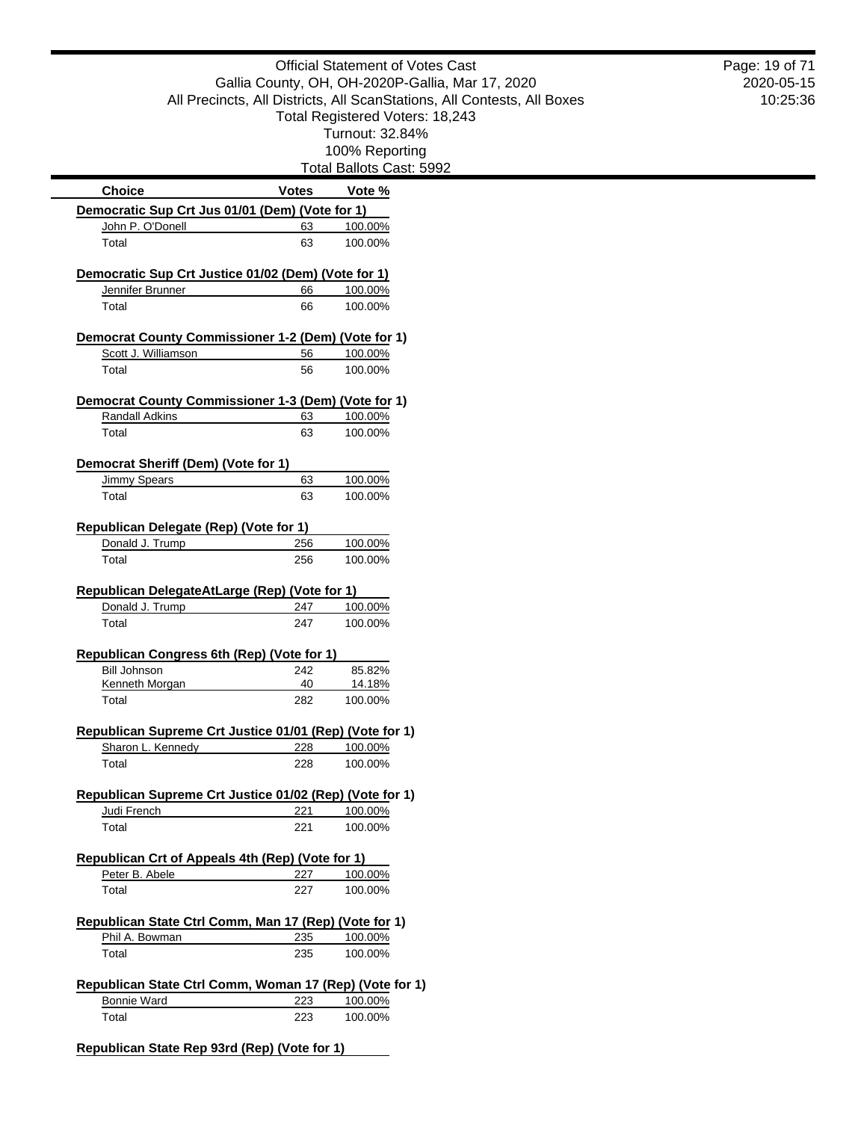|                                                                                                                                                        |              | <b>Official Statement of Votes Cast</b>                                 | Page: 19 of 71 |
|--------------------------------------------------------------------------------------------------------------------------------------------------------|--------------|-------------------------------------------------------------------------|----------------|
|                                                                                                                                                        |              | Gallia County, OH, OH-2020P-Gallia, Mar 17, 2020                        | 2020-05-15     |
|                                                                                                                                                        |              | All Precincts, All Districts, All ScanStations, All Contests, All Boxes | 10:25:36       |
|                                                                                                                                                        |              | Total Registered Voters: 18,243<br>Turnout: 32.84%                      |                |
|                                                                                                                                                        |              | 100% Reporting                                                          |                |
|                                                                                                                                                        |              | Total Ballots Cast: 5992                                                |                |
| <b>Choice</b>                                                                                                                                          | <b>Votes</b> | Vote %                                                                  |                |
| Democratic Sup Crt Jus 01/01 (Dem) (Vote for 1)                                                                                                        |              |                                                                         |                |
| John P. O'Donell                                                                                                                                       | 63           | 100.00%                                                                 |                |
| Total                                                                                                                                                  | 63           | 100.00%                                                                 |                |
| Democratic Sup Crt Justice 01/02 (Dem) (Vote for 1)                                                                                                    |              |                                                                         |                |
| Jennifer Brunner                                                                                                                                       | 66           | 100.00%                                                                 |                |
| Total                                                                                                                                                  | 66           | 100.00%                                                                 |                |
| Democrat County Commissioner 1-2 (Dem) (Vote for 1)                                                                                                    |              |                                                                         |                |
| Scott J. Williamson                                                                                                                                    | 56           | 100.00%                                                                 |                |
| Total                                                                                                                                                  | 56           | 100.00%                                                                 |                |
| Democrat County Commissioner 1-3 (Dem) (Vote for 1)                                                                                                    |              |                                                                         |                |
| <b>Randall Adkins</b>                                                                                                                                  | 63           | 100.00%                                                                 |                |
| Total                                                                                                                                                  | 63           | 100.00%                                                                 |                |
| Democrat Sheriff (Dem) (Vote for 1)                                                                                                                    |              |                                                                         |                |
| <b>Jimmy Spears</b>                                                                                                                                    | 63           | 100.00%                                                                 |                |
| Total                                                                                                                                                  | 63           | 100.00%                                                                 |                |
| Republican Delegate (Rep) (Vote for 1)                                                                                                                 |              |                                                                         |                |
| Donald J. Trump                                                                                                                                        | 256          | 100.00%                                                                 |                |
| Total                                                                                                                                                  | 256          | 100.00%                                                                 |                |
|                                                                                                                                                        |              |                                                                         |                |
|                                                                                                                                                        |              |                                                                         |                |
|                                                                                                                                                        |              |                                                                         |                |
| Donald J. Trump<br>Total                                                                                                                               | 247<br>247   | 100.00%<br>100.00%                                                      |                |
|                                                                                                                                                        |              |                                                                         |                |
|                                                                                                                                                        |              |                                                                         |                |
| <b>Bill Johnson</b>                                                                                                                                    | 242          | 85.82%                                                                  |                |
| Kenneth Morgan<br>Total                                                                                                                                | 40<br>282    | 14.18%<br>100.00%                                                       |                |
|                                                                                                                                                        |              |                                                                         |                |
|                                                                                                                                                        |              |                                                                         |                |
| Sharon L. Kennedy<br>Total                                                                                                                             | 228<br>228   | 100.00%<br>100.00%                                                      |                |
| Republican DelegateAtLarge (Rep) (Vote for 1)<br>Republican Congress 6th (Rep) (Vote for 1)<br>Republican Supreme Crt Justice 01/01 (Rep) (Vote for 1) |              |                                                                         |                |
| Republican Supreme Crt Justice 01/02 (Rep) (Vote for 1)                                                                                                |              |                                                                         |                |
| Judi French<br>Total                                                                                                                                   | 221<br>221   | 100.00%<br>100.00%                                                      |                |
|                                                                                                                                                        |              |                                                                         |                |
| Republican Crt of Appeals 4th (Rep) (Vote for 1)                                                                                                       |              |                                                                         |                |
| Peter B. Abele<br>Total                                                                                                                                | 227<br>227   | 100.00%<br>100.00%                                                      |                |
|                                                                                                                                                        |              |                                                                         |                |
| Republican State Ctrl Comm, Man 17 (Rep) (Vote for 1)                                                                                                  |              |                                                                         |                |
| Phil A. Bowman<br>Total                                                                                                                                | 235<br>235   | 100.00%<br>100.00%                                                      |                |
|                                                                                                                                                        |              |                                                                         |                |
| Republican State Ctrl Comm, Woman 17 (Rep) (Vote for 1)<br><b>Bonnie Ward</b>                                                                          | 223          | 100.00%                                                                 |                |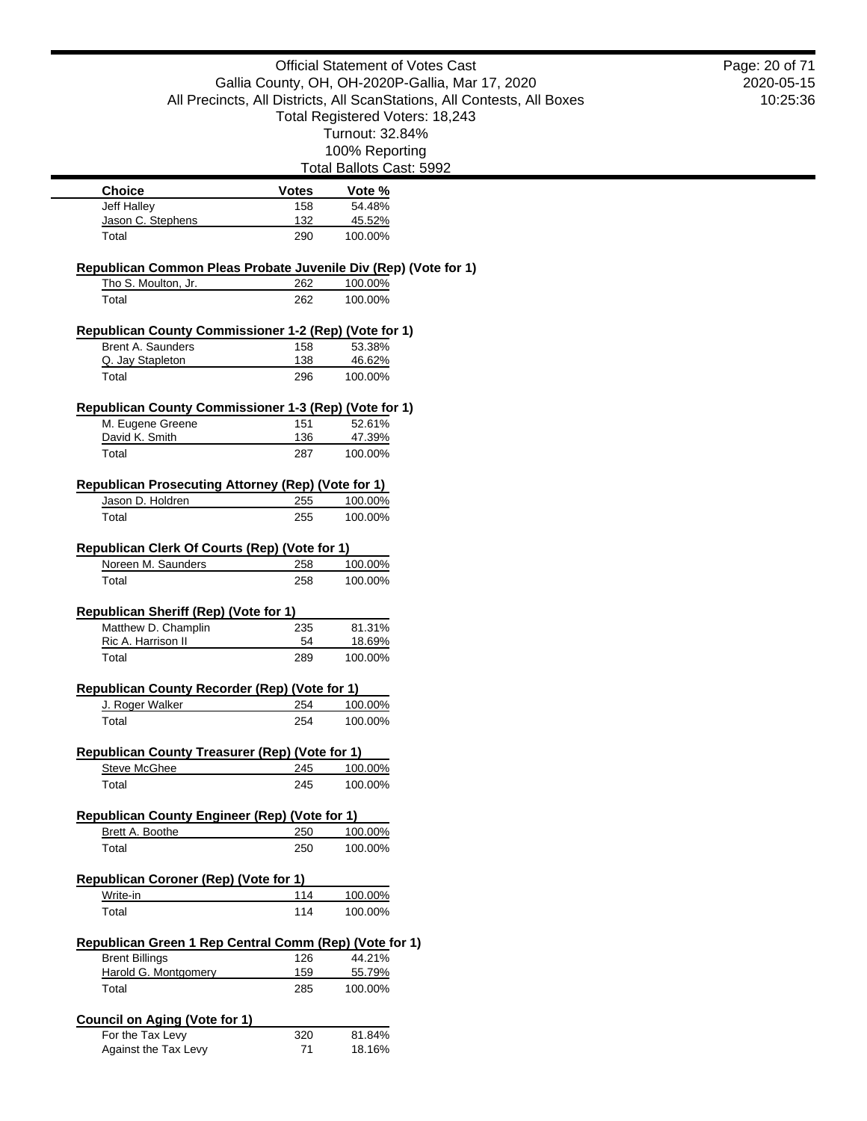Official Statement of Votes Cast Gallia County, OH, OH-2020P-Gallia, Mar 17, 2020 All Precincts, All Districts, All ScanStations, All Contests, All Boxes Total Registered Voters: 18,243 Turnout: 32.84% 100% Reporting Total Ballots Cast: 5992 2020-05-15 **Choice Votes Votes Vote** % Jeff Halley 158 54.48% Jason C. Stephens 132 45.52% Total 290 100.00% **Republican Common Pleas Probate Juvenile Div (Rep) (Vote for 1)** Tho S. Moulton, Jr. 262 100.00% Total 262 100.00% **Republican County Commissioner 1-2 (Rep) (Vote for 1)** Brent A. Saunders 158 53.38% Q. Jay Stapleton 138 46.62% Total 296 100.00% **Republican County Commissioner 1-3 (Rep) (Vote for 1)** M. Eugene Greene 151 52.61% David K. Smith 136 47.39% Total 287 100.00% **Republican Prosecuting Attorney (Rep) (Vote for 1)** Jason D. Holdren 255 100.00% Total 255 100.00% **Republican Clerk Of Courts (Rep) (Vote for 1)** Noreen M. Saunders 258 100.00% Total 258 100.00% **Republican Sheriff (Rep) (Vote for 1)** Matthew D. Champlin 235 81.31% Ric A. Harrison II 64 18.69% Total 289 100.00% **Republican County Recorder (Rep) (Vote for 1)** J. Roger Walker 254 100.00% Total 254 100.00% **Republican County Treasurer (Rep) (Vote for 1)**<br>Steve McGhee 245 100.00% Steve McGhee 245 Total 245 100.00% **Republican County Engineer (Rep) (Vote for 1)** Brett A. Boothe 250 100.00% Total 250 100.00% **Republican Coroner (Rep) (Vote for 1)** Write-in 114 100.00% Total 100.00% **Republican Green 1 Rep Central Comm (Rep) (Vote for 1)** Brent Billings 126 44.21%<br>
Harold G. Montgomery 159 55.79% Harold G. Montgomery 159 Total 285 100.00% **Council on Aging (Vote for 1)** For the Tax Levy 320 81.84% Against the Tax Levy 71 18.16% Page: 20 of 71

10:25:36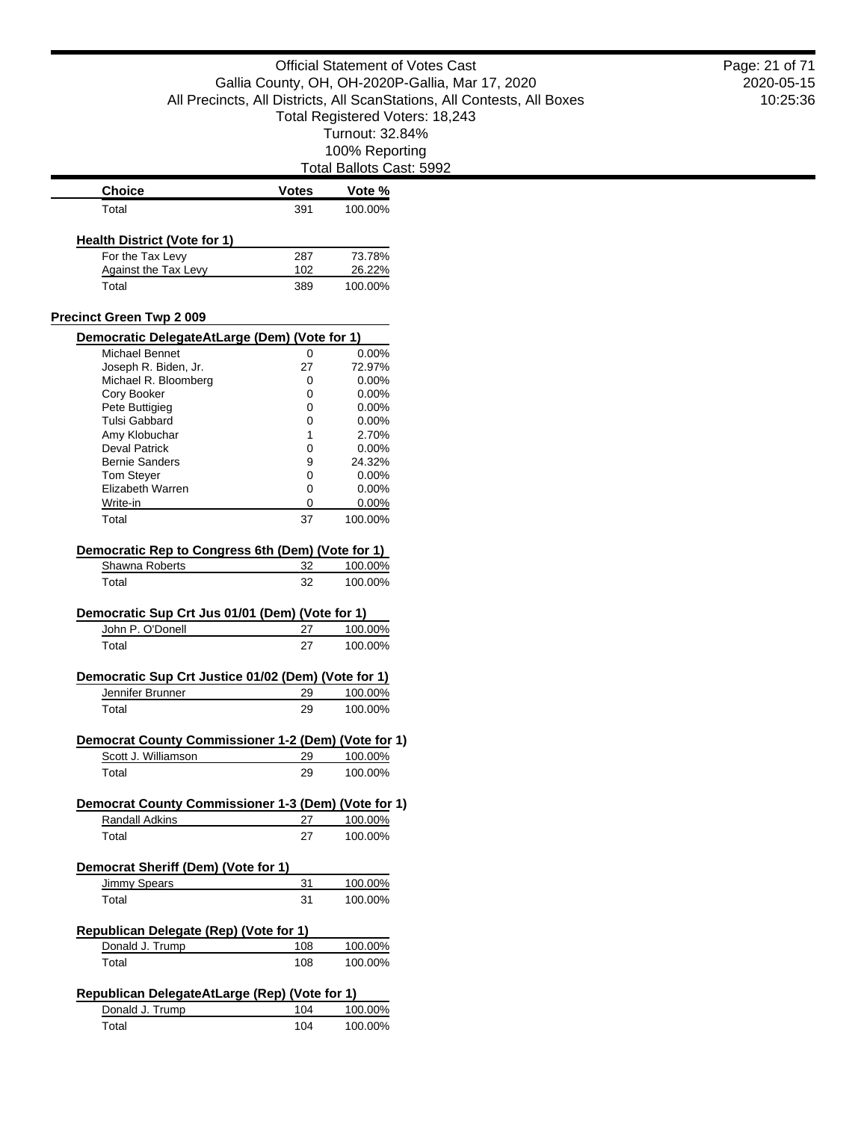| <b>Choice</b>                                       | <b>Votes</b> | <u>Vote %</u>                                                                                                                    |
|-----------------------------------------------------|--------------|----------------------------------------------------------------------------------------------------------------------------------|
| Total                                               | 391          | 100.00%                                                                                                                          |
|                                                     |              |                                                                                                                                  |
| <b>Health District (Vote for 1)</b>                 |              |                                                                                                                                  |
| For the Tax Levy                                    | 287          | 73.78%                                                                                                                           |
| Against the Tax Levy                                | 102          | 26.22%                                                                                                                           |
| Total                                               | 389          | 100.00%                                                                                                                          |
| <b>Precinct Green Twp 2 009</b>                     |              |                                                                                                                                  |
| Democratic DelegateAtLarge (Dem) (Vote for 1)       |              |                                                                                                                                  |
| Michael Bennet                                      | 0            | 0.00%                                                                                                                            |
| Joseph R. Biden, Jr.                                | 27           | 72.97%                                                                                                                           |
| Michael R. Bloomberg                                | 0            | 0.00%                                                                                                                            |
|                                                     |              |                                                                                                                                  |
| Cory Booker                                         | 0            | $0.00\%$                                                                                                                         |
| Pete Buttigieg                                      | 0            | $0.00\%$                                                                                                                         |
| <b>Tulsi Gabbard</b>                                | 0            | 0.00%                                                                                                                            |
| Amy Klobuchar                                       | 1            | 2.70%                                                                                                                            |
| <b>Deval Patrick</b>                                | 0            | 0.00%                                                                                                                            |
| <b>Bernie Sanders</b>                               | 9            | 24.32%                                                                                                                           |
| <b>Tom Steyer</b>                                   | 0            | $0.00\%$                                                                                                                         |
| Elizabeth Warren                                    | 0            | $0.00\%$                                                                                                                         |
| Write-in                                            | 0            | 0.00%                                                                                                                            |
| Total                                               | 37           | 100.00%                                                                                                                          |
|                                                     |              |                                                                                                                                  |
| Democratic Rep to Congress 6th (Dem) (Vote for 1)   |              |                                                                                                                                  |
| Shawna Roberts                                      | 32           | 100.00%                                                                                                                          |
|                                                     |              |                                                                                                                                  |
| Democratic Sup Crt Jus 01/01 (Dem) (Vote for 1)     |              |                                                                                                                                  |
| John P. O'Donell                                    | 27           |                                                                                                                                  |
| Total                                               | 27           |                                                                                                                                  |
| Democratic Sup Crt Justice 01/02 (Dem) (Vote for 1) |              |                                                                                                                                  |
| Jennifer Brunner                                    | 29           |                                                                                                                                  |
| Total                                               | 29           |                                                                                                                                  |
|                                                     |              |                                                                                                                                  |
| Democrat County Commissioner 1-2 (Dem) (Vote for 1) |              |                                                                                                                                  |
| Scott J. Williamson                                 | 29           |                                                                                                                                  |
| Total                                               | 29           |                                                                                                                                  |
| Democrat County Commissioner 1-3 (Dem) (Vote for 1) |              |                                                                                                                                  |
|                                                     |              |                                                                                                                                  |
| Randall Adkins<br>Total                             | 27<br>27     |                                                                                                                                  |
|                                                     |              |                                                                                                                                  |
| Democrat Sheriff (Dem) (Vote for 1)                 |              |                                                                                                                                  |
| Jimmy Spears                                        | 31           |                                                                                                                                  |
| Total                                               | 31           |                                                                                                                                  |
|                                                     |              |                                                                                                                                  |
| Republican Delegate (Rep) (Vote for 1)              |              |                                                                                                                                  |
| Donald J. Trump                                     | 108          |                                                                                                                                  |
| Total                                               | 108          |                                                                                                                                  |
| Republican DelegateAtLarge (Rep) (Vote for 1)       |              | 100.00%<br>100.00%<br>100.00%<br>100.00%<br>100.00%<br>100.00%<br>100.00%<br>100.00%<br>100.00%<br>100.00%<br>100.00%<br>100.00% |
| Donald J. Trump                                     | 104          | 100.00%                                                                                                                          |

2020-05-15 10:25:36 Page: 21 of 71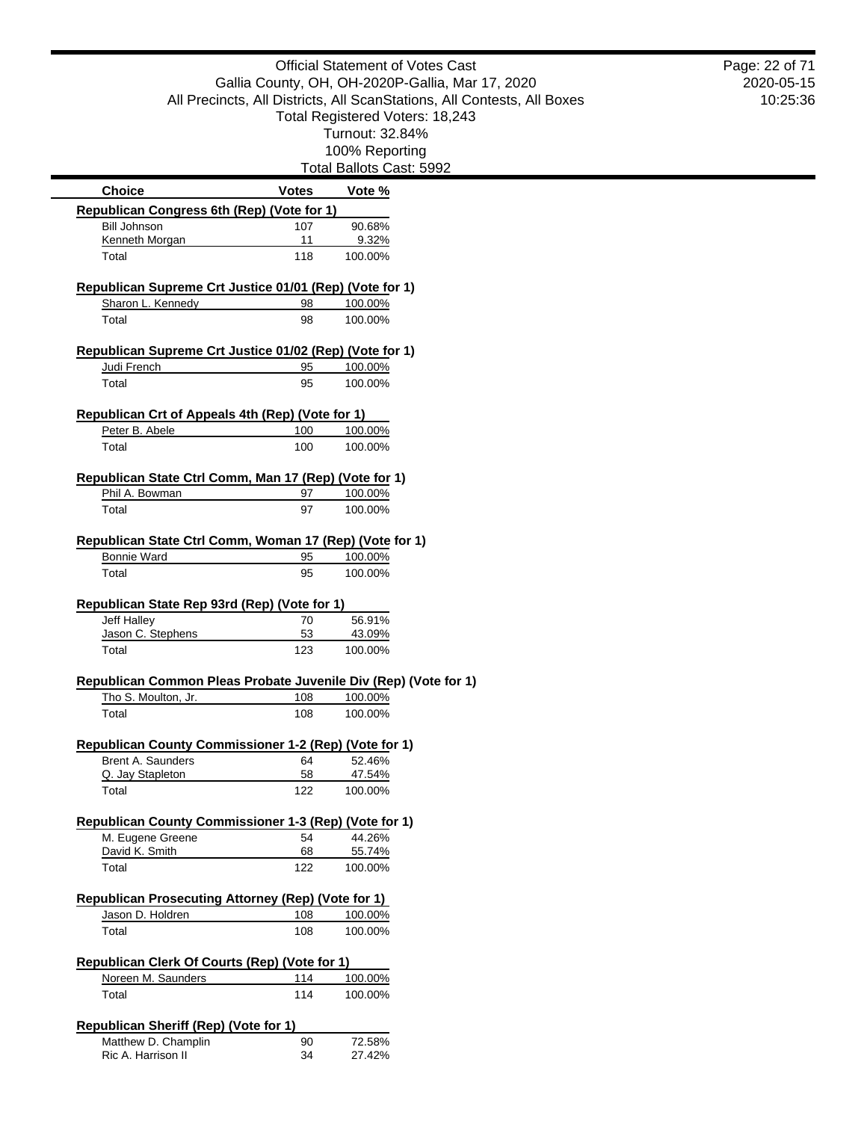**(Vote for 1)** 

Total Ballots Cast: 5992

|                                                                               |              | i viai Dalluto Udot. |
|-------------------------------------------------------------------------------|--------------|----------------------|
| <b>Choice</b>                                                                 | <b>Votes</b> | Vote %               |
| <b>Republican Congress 6th (Rep) (Vote for 1)</b>                             |              |                      |
| <b>Bill Johnson</b>                                                           | 107          | 90.68%               |
| Kenneth Morgan                                                                | 11           | 9.32%                |
| Total                                                                         | 118          | 100.00%              |
| Republican Supreme Crt Justice 01/01 (Rep) (Vote for 1)                       |              |                      |
| Sharon L. Kennedy                                                             | 98           | 100.00%              |
| Total                                                                         | 98           | 100.00%              |
| Republican Supreme Crt Justice 01/02 (Rep) (Vote for 1)                       |              |                      |
| Judi French                                                                   | 95           | 100.00%              |
| Total                                                                         | 95           | 100.00%              |
| Republican Crt of Appeals 4th (Rep) (Vote for 1)                              |              |                      |
| Peter B. Abele                                                                | 100          | 100.00%              |
| Total                                                                         | 100          | 100.00%              |
| Republican State Ctrl Comm, Man 17 (Rep) (Vote for 1)                         |              |                      |
| Phil A. Bowman                                                                | 97           | 100.00%              |
| Total                                                                         | 97           | 100.00%              |
| Republican State Ctrl Comm, Woman 17 (Rep) (Vote for 1)                       |              |                      |
| <b>Bonnie Ward</b>                                                            | 95           | 100.00%              |
| Total                                                                         | 95           | 100.00%              |
|                                                                               |              |                      |
| Republican State Rep 93rd (Rep) (Vote for 1)<br><b>Jeff Halley</b>            |              | 56.91%               |
| Jason C. Stephens                                                             | 70<br>53     | 43.09%               |
| Total                                                                         | 123          | 100.00%              |
| Republican Common Pleas Probate Juvenile Div (Rep) (Vo                        |              |                      |
| Tho S. Moulton, Jr.                                                           | 108          | 100.00%              |
| Total                                                                         | 108          | 100.00%              |
|                                                                               |              |                      |
| Republican County Commissioner 1-2 (Rep) (Vote for 1)                         |              |                      |
| <b>Brent A. Saunders</b><br>Q. Jay Stapleton                                  | 64<br>58     | 52.46%<br>47.54%     |
| Total                                                                         | 122          | 100.00%              |
|                                                                               |              |                      |
| Republican County Commissioner 1-3 (Rep) (Vote for 1)<br>M. Eugene Greene     | 54           | 44.26%               |
| David K. Smith                                                                | 68           | 55.74%               |
| Total                                                                         | 122          | 100.00%              |
|                                                                               |              |                      |
| <b>Republican Prosecuting Attorney (Rep) (Vote for 1)</b><br>Jason D. Holdren | 108          | 100.00%              |
| Total                                                                         | 108          | 100.00%              |
|                                                                               |              |                      |
| <b>Republican Clerk Of Courts (Rep) (Vote for 1)</b>                          |              |                      |
| Noreen M. Saunders                                                            | 114          | 100.00%              |
| Total                                                                         | 114          | 100.00%              |
| <b>Republican Sheriff (Rep) (Vote for 1)</b>                                  |              |                      |
| Matthew D. Champlin                                                           | 90           | 72.58%               |
| Ric A. Harrison II                                                            | 34           | 27.42%               |

2020-05-15 10:25:36 Page: 22 of 71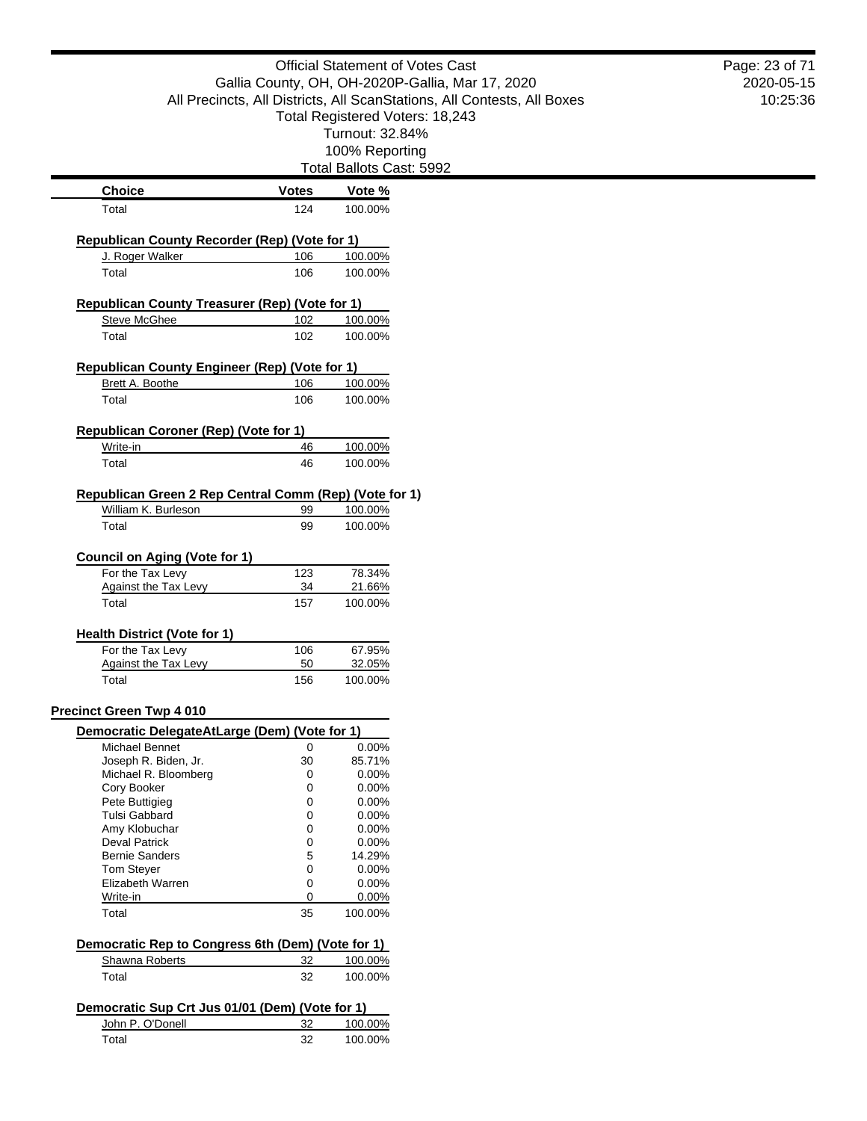|                                                                     |              | <b>Official Statement of Votes Cast</b>                                 | Page: 23 of 71 |
|---------------------------------------------------------------------|--------------|-------------------------------------------------------------------------|----------------|
|                                                                     |              | Gallia County, OH, OH-2020P-Gallia, Mar 17, 2020                        | 2020-05-15     |
|                                                                     |              | All Precincts, All Districts, All ScanStations, All Contests, All Boxes | 10:25:36       |
|                                                                     |              | Total Registered Voters: 18,243                                         |                |
|                                                                     |              | Turnout: 32.84%                                                         |                |
|                                                                     |              | 100% Reporting                                                          |                |
|                                                                     |              | Total Ballots Cast: 5992                                                |                |
| <b>Choice</b>                                                       | <b>Votes</b> | Vote %                                                                  |                |
| Total                                                               | 124          | 100.00%                                                                 |                |
| <b>Republican County Recorder (Rep) (Vote for 1)</b>                |              |                                                                         |                |
| J. Roger Walker                                                     | 106          | 100.00%                                                                 |                |
| Total                                                               | 106          | 100.00%                                                                 |                |
|                                                                     |              |                                                                         |                |
| Republican County Treasurer (Rep) (Vote for 1)                      | 102          |                                                                         |                |
| <b>Steve McGhee</b>                                                 |              | 100.00%                                                                 |                |
| Total                                                               | 102          | 100.00%                                                                 |                |
| Republican County Engineer (Rep) (Vote for 1)                       |              |                                                                         |                |
| Brett A. Boothe                                                     | 106          | 100.00%                                                                 |                |
| Total                                                               | 106          | 100.00%                                                                 |                |
|                                                                     |              |                                                                         |                |
| <b>Republican Coroner (Rep) (Vote for 1)</b><br>Write-in            | 46           | 100.00%                                                                 |                |
| Total                                                               | 46           | 100.00%                                                                 |                |
|                                                                     |              |                                                                         |                |
| Republican Green 2 Rep Central Comm (Rep) (Vote for 1)              |              |                                                                         |                |
| William K. Burleson                                                 | 99           | 100.00%                                                                 |                |
| Total                                                               | 99           | 100.00%                                                                 |                |
|                                                                     |              |                                                                         |                |
| <b>Council on Aging (Vote for 1)</b><br>For the Tax Levy            | 123          | 78.34%                                                                  |                |
| <b>Against the Tax Levy</b>                                         | 34           | 21.66%                                                                  |                |
| Total                                                               | 157          | 100.00%                                                                 |                |
| <b>Health District (Vote for 1)</b>                                 |              |                                                                         |                |
| For the Tax Levy                                                    | 106          | 67.95%                                                                  |                |
| <b>Against the Tax Levy</b>                                         | 50           | 32.05%                                                                  |                |
| Total                                                               | 156          | 100.00%                                                                 |                |
|                                                                     |              |                                                                         |                |
| <b>Precinct Green Twp 4 010</b>                                     |              |                                                                         |                |
| Democratic DelegateAtLarge (Dem) (Vote for 1)                       |              |                                                                         |                |
| Michael Bennet<br>Joseph R. Biden, Jr.                              | 0<br>30      | 0.00%<br>85.71%                                                         |                |
| Michael R. Bloomberg                                                | 0            | 0.00%                                                                   |                |
| Cory Booker                                                         | 0            | 0.00%                                                                   |                |
| Pete Buttigieg                                                      | 0            | 0.00%                                                                   |                |
| <b>Tulsi Gabbard</b>                                                | 0            | 0.00%                                                                   |                |
| Amy Klobuchar                                                       | 0            | 0.00%                                                                   |                |
| <b>Deval Patrick</b>                                                | 0            | 0.00%                                                                   |                |
| <b>Bernie Sanders</b>                                               | 5            | 14.29%                                                                  |                |
| Tom Steyer                                                          | 0            | 0.00%                                                                   |                |
| Elizabeth Warren                                                    | 0            | 0.00%                                                                   |                |
| Write-in                                                            | 0            | 0.00%                                                                   |                |
| Total                                                               | 35           | 100.00%                                                                 |                |
| Democratic Rep to Congress 6th (Dem) (Vote for 1)                   |              |                                                                         |                |
| Shawna Roberts                                                      | 32           | 100.00%                                                                 |                |
| Total                                                               | 32           | 100.00%                                                                 |                |
|                                                                     |              |                                                                         |                |
| Democratic Sup Crt Jus 01/01 (Dem) (Vote for 1)<br>John P. O'Donell |              |                                                                         |                |
|                                                                     | 32           | 100.00%                                                                 |                |
| Total                                                               | 32           | 100.00%                                                                 |                |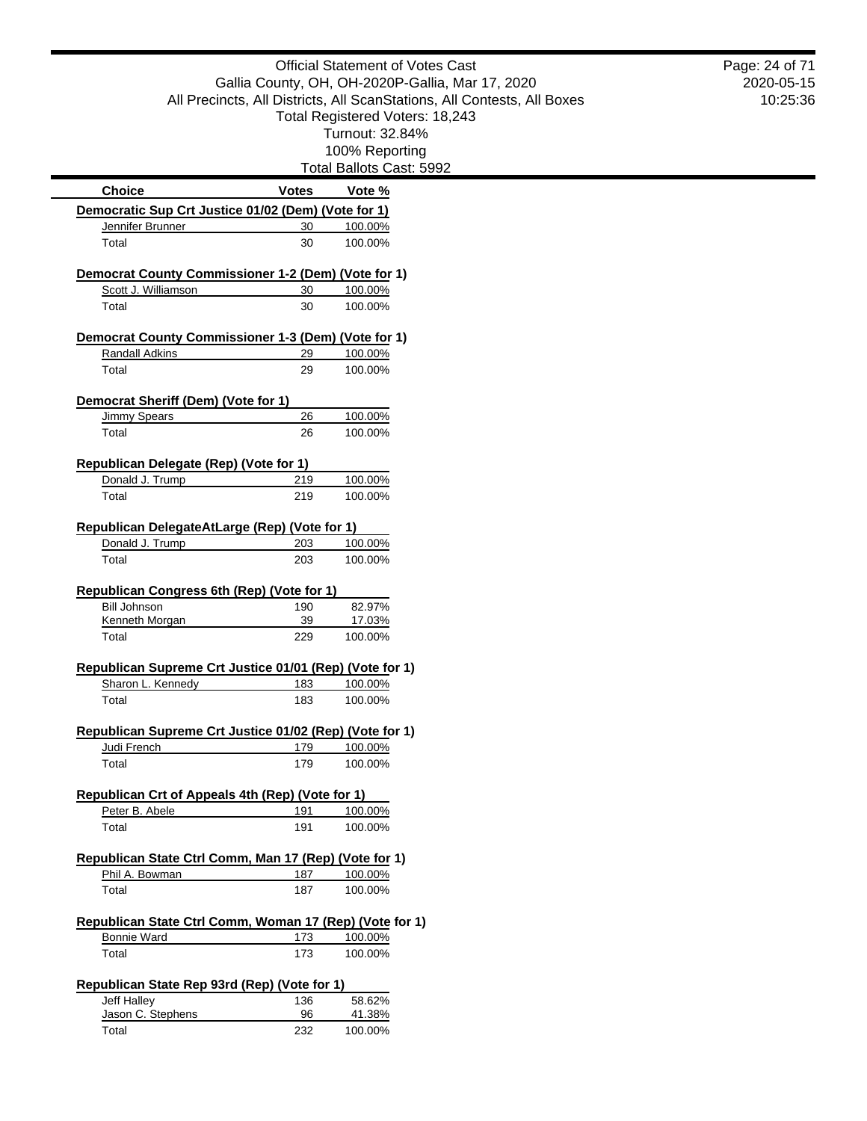|                                                                              |              | <b>Official Statement of Votes Cast</b>                                 |  |
|------------------------------------------------------------------------------|--------------|-------------------------------------------------------------------------|--|
|                                                                              |              | Gallia County, OH, OH-2020P-Gallia, Mar 17, 2020                        |  |
|                                                                              |              | All Precincts, All Districts, All ScanStations, All Contests, All Boxes |  |
|                                                                              |              | Total Registered Voters: 18,243                                         |  |
|                                                                              |              | Turnout: 32.84%                                                         |  |
|                                                                              |              | 100% Reporting                                                          |  |
|                                                                              |              | Total Ballots Cast: 5992                                                |  |
| <b>Choice</b>                                                                | <b>Votes</b> | Vote %                                                                  |  |
| Democratic Sup Crt Justice 01/02 (Dem) (Vote for 1)                          |              |                                                                         |  |
| Jennifer Brunner                                                             | 30           | 100.00%                                                                 |  |
| Total                                                                        | 30           | 100.00%                                                                 |  |
| Democrat County Commissioner 1-2 (Dem) (Vote for 1)                          |              |                                                                         |  |
| Scott J. Williamson                                                          | 30           | 100.00%                                                                 |  |
| Total                                                                        | 30           | 100.00%                                                                 |  |
| Democrat County Commissioner 1-3 (Dem) (Vote for 1)                          |              |                                                                         |  |
| Randall Adkins                                                               | 29           | 100.00%                                                                 |  |
| Total                                                                        | 29           | 100.00%                                                                 |  |
|                                                                              |              |                                                                         |  |
| Democrat Sheriff (Dem) (Vote for 1)                                          |              |                                                                         |  |
| <b>Jimmy Spears</b>                                                          | 26           | 100.00%                                                                 |  |
| Total                                                                        | 26           | 100.00%                                                                 |  |
| <b>Republican Delegate (Rep) (Vote for 1)</b>                                |              |                                                                         |  |
| Donald J. Trump                                                              | 219          | 100.00%                                                                 |  |
| Total                                                                        | 219          | 100.00%                                                                 |  |
|                                                                              |              |                                                                         |  |
| Republican DelegateAtLarge (Rep) (Vote for 1)                                |              |                                                                         |  |
| Donald J. Trump                                                              | 203          | 100.00%                                                                 |  |
| Total                                                                        | 203          | 100.00%                                                                 |  |
| Republican Congress 6th (Rep) (Vote for 1)                                   |              |                                                                         |  |
| <b>Bill Johnson</b>                                                          | 190          | 82.97%                                                                  |  |
| Kenneth Morgan                                                               | 39           | 17.03%                                                                  |  |
| Total                                                                        | 229          | 100.00%                                                                 |  |
|                                                                              |              |                                                                         |  |
| Republican Supreme Crt Justice 01/01 (Rep) (Vote for 1)<br>Sharon L. Kennedy | 183          | 100.00%                                                                 |  |
| Total                                                                        | 183          | 100.00%                                                                 |  |
|                                                                              |              |                                                                         |  |
| Republican Supreme Crt Justice 01/02 (Rep) (Vote for 1)                      |              |                                                                         |  |
| Judi French                                                                  | 179          | 100.00%                                                                 |  |
| Total                                                                        | 179          | 100.00%                                                                 |  |
|                                                                              |              |                                                                         |  |
| Republican Crt of Appeals 4th (Rep) (Vote for 1)                             | 191          |                                                                         |  |
| Peter B. Abele<br>Total                                                      | 191          | 100.00%<br>100.00%                                                      |  |
|                                                                              |              |                                                                         |  |
| Republican State Ctrl Comm, Man 17 (Rep) (Vote for 1)                        |              |                                                                         |  |
| Phil A. Bowman                                                               | 187          | 100.00%                                                                 |  |
| Total                                                                        | 187          | 100.00%                                                                 |  |
|                                                                              |              |                                                                         |  |
| Republican State Ctrl Comm, Woman 17 (Rep) (Vote for 1)                      |              |                                                                         |  |
| <b>Bonnie Ward</b>                                                           | 173          | 100.00%                                                                 |  |
| Total                                                                        | 173          | 100.00%                                                                 |  |
| Republican State Rep 93rd (Rep) (Vote for 1)                                 |              |                                                                         |  |
| Jeff Halley                                                                  | 136          | 58.62%                                                                  |  |
| Jason C. Stephens                                                            | 96           | 41.38%                                                                  |  |
| Total                                                                        | 232          | 100.00%                                                                 |  |
|                                                                              |              |                                                                         |  |

2020-05-15 10:25:36 Page: 24 of 71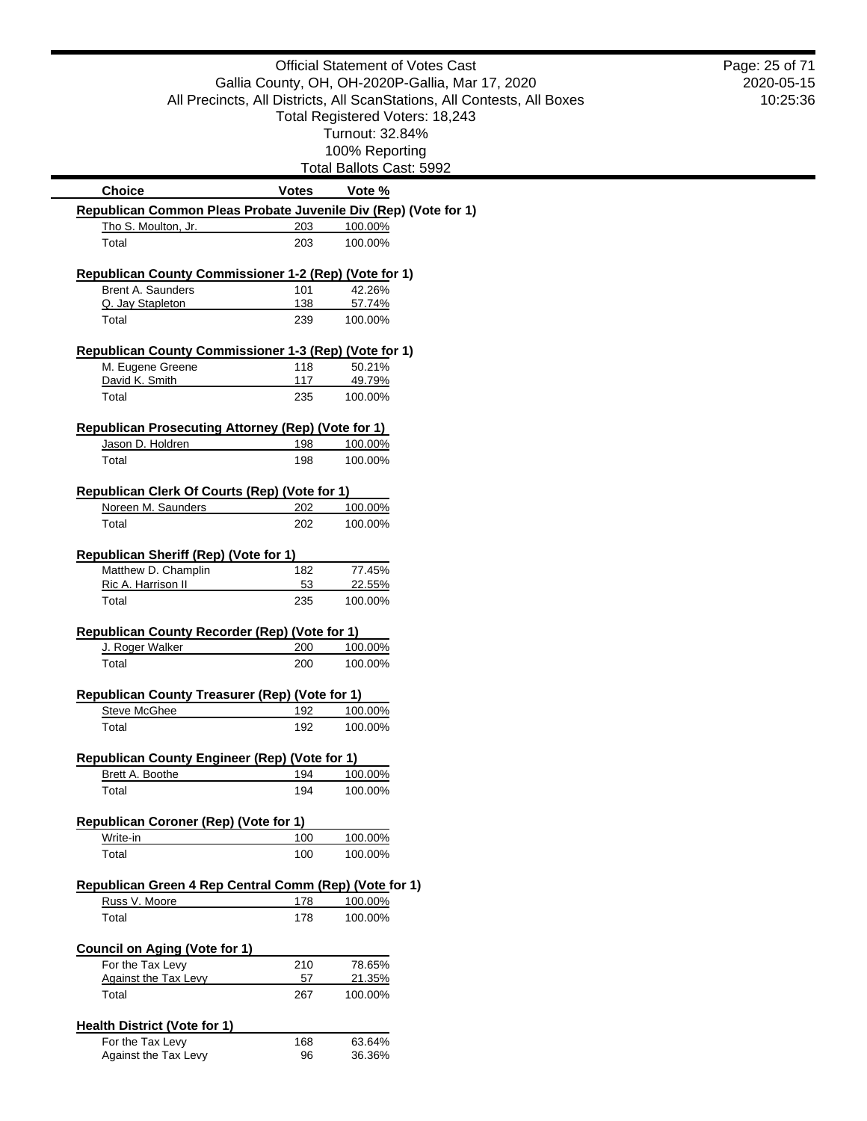| <b>Official Statement of Votes Cast</b>                                                |                                                  | Page: 25 of 71                                                          |            |
|----------------------------------------------------------------------------------------|--------------------------------------------------|-------------------------------------------------------------------------|------------|
|                                                                                        | Gallia County, OH, OH-2020P-Gallia, Mar 17, 2020 |                                                                         | 2020-05-15 |
|                                                                                        |                                                  | All Precincts, All Districts, All ScanStations, All Contests, All Boxes | 10:25:36   |
|                                                                                        |                                                  | Total Registered Voters: 18,243                                         |            |
|                                                                                        |                                                  | Turnout: 32.84%                                                         |            |
|                                                                                        |                                                  | 100% Reporting<br>Total Ballots Cast: 5992                              |            |
|                                                                                        |                                                  |                                                                         |            |
| <b>Choice</b>                                                                          | <b>Votes</b>                                     | Vote %                                                                  |            |
| Republican Common Pleas Probate Juvenile Div (Rep) (Vote for 1)<br>Tho S. Moulton, Jr. | 203                                              | 100.00%                                                                 |            |
| Total                                                                                  | 203                                              | 100.00%                                                                 |            |
| Republican County Commissioner 1-2 (Rep) (Vote for 1)                                  |                                                  |                                                                         |            |
| Brent A. Saunders                                                                      | 101                                              | 42.26%                                                                  |            |
| Q. Jay Stapleton                                                                       | 138                                              | 57.74%                                                                  |            |
| Total                                                                                  | 239                                              | 100.00%                                                                 |            |
| Republican County Commissioner 1-3 (Rep) (Vote for 1)                                  |                                                  |                                                                         |            |
| M. Eugene Greene<br>David K. Smith                                                     | 118<br>117                                       | 50.21%<br>49.79%                                                        |            |
| Total                                                                                  | 235                                              | 100.00%                                                                 |            |
| <b>Republican Prosecuting Attorney (Rep) (Vote for 1)</b>                              |                                                  |                                                                         |            |
| Jason D. Holdren                                                                       | 198                                              | 100.00%                                                                 |            |
| Total                                                                                  | 198                                              | 100.00%                                                                 |            |
| <b>Republican Clerk Of Courts (Rep) (Vote for 1)</b>                                   |                                                  |                                                                         |            |
| Noreen M. Saunders                                                                     | 202                                              | 100.00%                                                                 |            |
| Total                                                                                  | 202                                              | 100.00%                                                                 |            |
| <b>Republican Sheriff (Rep) (Vote for 1)</b>                                           |                                                  |                                                                         |            |
| Matthew D. Champlin                                                                    | 182                                              | 77.45%                                                                  |            |
| Ric A. Harrison II                                                                     | 53                                               | 22.55%                                                                  |            |
| Total                                                                                  | 235                                              | 100.00%                                                                 |            |
| Republican County Recorder (Rep) (Vote for 1)                                          |                                                  |                                                                         |            |
| J. Roger Walker                                                                        | 200                                              | 100.00%                                                                 |            |
| Total                                                                                  | 200                                              | 100.00%                                                                 |            |
| <b>Republican County Treasurer (Rep) (Vote for 1)</b>                                  |                                                  |                                                                         |            |
| <b>Steve McGhee</b>                                                                    | 192                                              | 100.00%                                                                 |            |
| Total                                                                                  | 192                                              | 100.00%                                                                 |            |
|                                                                                        |                                                  |                                                                         |            |
| Republican County Engineer (Rep) (Vote for 1)<br>Brett A. Boothe                       | 194                                              | 100.00%                                                                 |            |
| Total                                                                                  | 194                                              | 100.00%                                                                 |            |
| Republican Coroner (Rep) (Vote for 1)                                                  |                                                  |                                                                         |            |
| Write-in                                                                               | 100                                              | 100.00%                                                                 |            |
| Total                                                                                  | 100                                              | 100.00%                                                                 |            |
|                                                                                        |                                                  |                                                                         |            |
| Republican Green 4 Rep Central Comm (Rep) (Vote for 1)<br>Russ V. Moore                | 178                                              | 100.00%                                                                 |            |
| Total                                                                                  | 178                                              | 100.00%                                                                 |            |
| <b>Council on Aging (Vote for 1)</b>                                                   |                                                  |                                                                         |            |
| For the Tax Levy                                                                       | 210                                              | 78.65%                                                                  |            |
| <b>Against the Tax Levy</b>                                                            | 57                                               | 21.35%                                                                  |            |
| Total                                                                                  | 267                                              | 100.00%                                                                 |            |
| <b>Health District (Vote for 1)</b>                                                    |                                                  |                                                                         |            |
| For the Tax Levy                                                                       | 168                                              | 63.64%                                                                  |            |
| Against the Tax Levy                                                                   | 96                                               | 36.36%                                                                  |            |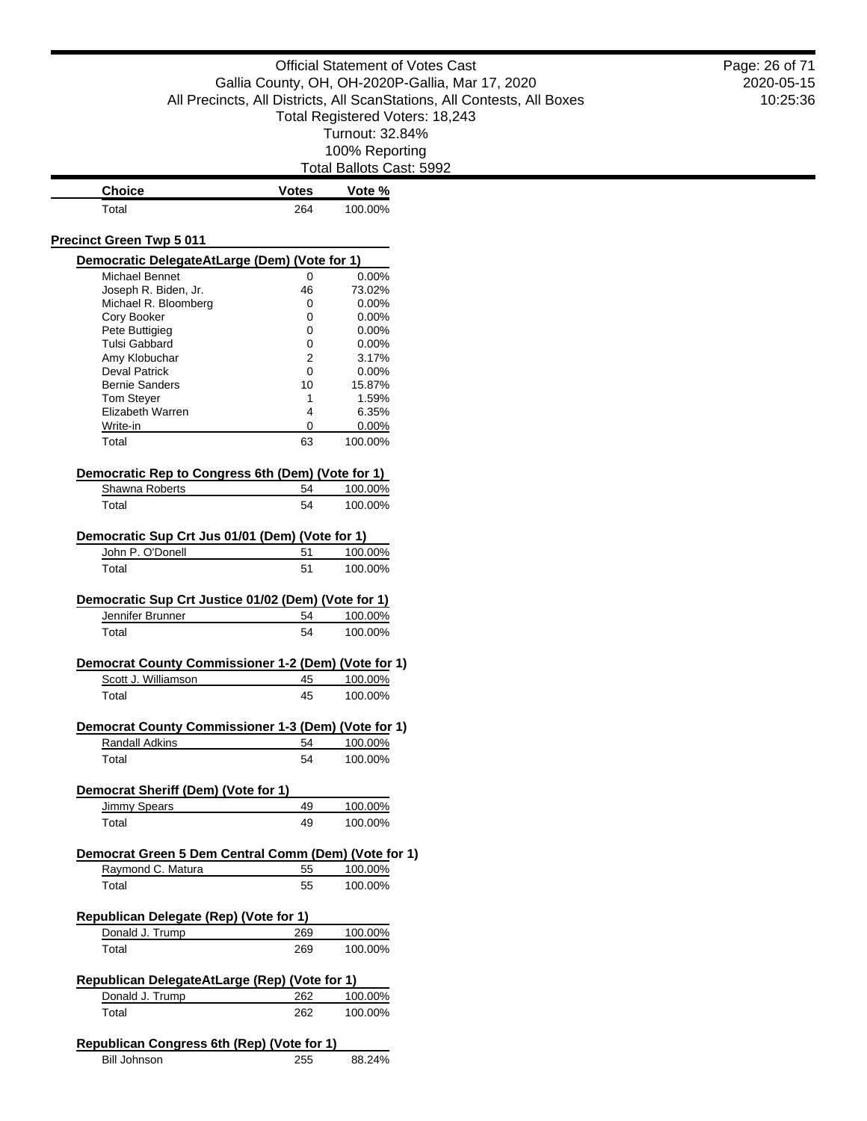| <b>Choice</b><br><b>Votes</b><br>Total<br>264<br><b>Precinct Green Twp 5 011</b><br>Democratic DelegateAtLarge (Dem) (Vote for 1)<br>Michael Bennet<br>0<br>Joseph R. Biden, Jr.<br>46<br>Michael R. Bloomberg<br>0<br>Cory Booker<br>0<br>Pete Buttigieg<br>0<br>Tulsi Gabbard<br>0<br>Amy Klobuchar<br>2<br><b>Deval Patrick</b><br>0<br><b>Bernie Sanders</b><br>10<br><b>Tom Steyer</b><br>1<br>Elizabeth Warren<br>4<br>Write-in<br>0<br>63<br>Total<br>Democratic Rep to Congress 6th (Dem) (Vote for 1)<br>Shawna Roberts<br>54<br>Total<br>54<br>Democratic Sup Crt Jus 01/01 (Dem) (Vote for 1)<br>John P. O'Donell<br>51<br>Total<br>51<br>Democratic Sup Crt Justice 01/02 (Dem) (Vote for 1)<br>Jennifer Brunner<br>54<br>54<br>Total<br>Democrat County Commissioner 1-2 (Dem) (Vote for 1)<br>Scott J. Williamson<br>45<br>Total<br>45<br>Democrat County Commissioner 1-3 (Dem) (Vote for 1)<br>Randall Adkins<br>54<br>54<br>Total<br>Democrat Sheriff (Dem) (Vote for 1)<br><b>Jimmy Spears</b><br>49<br>49<br>Total<br>Democrat Green 5 Dem Central Comm (Dem) (Vote for 1)<br>Raymond C. Matura<br>55<br>Total<br>55<br>Republican Delegate (Rep) (Vote for 1)<br>Donald J. Trump<br>269<br>Total<br>269<br>Republican DelegateAtLarge (Rep) (Vote for 1) | Gallia County, OH, OH-2020P-Gallia, Mar 17, 2020<br>All Precincts, All Districts, All ScanStations, All Contests, All Boxes<br>Total Registered Voters: 18,243<br>Turnout: 32.84%<br>100% Reporting |
|------------------------------------------------------------------------------------------------------------------------------------------------------------------------------------------------------------------------------------------------------------------------------------------------------------------------------------------------------------------------------------------------------------------------------------------------------------------------------------------------------------------------------------------------------------------------------------------------------------------------------------------------------------------------------------------------------------------------------------------------------------------------------------------------------------------------------------------------------------------------------------------------------------------------------------------------------------------------------------------------------------------------------------------------------------------------------------------------------------------------------------------------------------------------------------------------------------------------------------------------------------------------------|-----------------------------------------------------------------------------------------------------------------------------------------------------------------------------------------------------|
|                                                                                                                                                                                                                                                                                                                                                                                                                                                                                                                                                                                                                                                                                                                                                                                                                                                                                                                                                                                                                                                                                                                                                                                                                                                                              |                                                                                                                                                                                                     |
|                                                                                                                                                                                                                                                                                                                                                                                                                                                                                                                                                                                                                                                                                                                                                                                                                                                                                                                                                                                                                                                                                                                                                                                                                                                                              |                                                                                                                                                                                                     |
|                                                                                                                                                                                                                                                                                                                                                                                                                                                                                                                                                                                                                                                                                                                                                                                                                                                                                                                                                                                                                                                                                                                                                                                                                                                                              |                                                                                                                                                                                                     |
|                                                                                                                                                                                                                                                                                                                                                                                                                                                                                                                                                                                                                                                                                                                                                                                                                                                                                                                                                                                                                                                                                                                                                                                                                                                                              |                                                                                                                                                                                                     |
|                                                                                                                                                                                                                                                                                                                                                                                                                                                                                                                                                                                                                                                                                                                                                                                                                                                                                                                                                                                                                                                                                                                                                                                                                                                                              |                                                                                                                                                                                                     |
|                                                                                                                                                                                                                                                                                                                                                                                                                                                                                                                                                                                                                                                                                                                                                                                                                                                                                                                                                                                                                                                                                                                                                                                                                                                                              | Total Ballots Cast: 5992                                                                                                                                                                            |
|                                                                                                                                                                                                                                                                                                                                                                                                                                                                                                                                                                                                                                                                                                                                                                                                                                                                                                                                                                                                                                                                                                                                                                                                                                                                              | Vote %                                                                                                                                                                                              |
|                                                                                                                                                                                                                                                                                                                                                                                                                                                                                                                                                                                                                                                                                                                                                                                                                                                                                                                                                                                                                                                                                                                                                                                                                                                                              | 100.00%                                                                                                                                                                                             |
|                                                                                                                                                                                                                                                                                                                                                                                                                                                                                                                                                                                                                                                                                                                                                                                                                                                                                                                                                                                                                                                                                                                                                                                                                                                                              |                                                                                                                                                                                                     |
|                                                                                                                                                                                                                                                                                                                                                                                                                                                                                                                                                                                                                                                                                                                                                                                                                                                                                                                                                                                                                                                                                                                                                                                                                                                                              |                                                                                                                                                                                                     |
|                                                                                                                                                                                                                                                                                                                                                                                                                                                                                                                                                                                                                                                                                                                                                                                                                                                                                                                                                                                                                                                                                                                                                                                                                                                                              |                                                                                                                                                                                                     |
|                                                                                                                                                                                                                                                                                                                                                                                                                                                                                                                                                                                                                                                                                                                                                                                                                                                                                                                                                                                                                                                                                                                                                                                                                                                                              | 0.00%                                                                                                                                                                                               |
|                                                                                                                                                                                                                                                                                                                                                                                                                                                                                                                                                                                                                                                                                                                                                                                                                                                                                                                                                                                                                                                                                                                                                                                                                                                                              | 73.02%                                                                                                                                                                                              |
|                                                                                                                                                                                                                                                                                                                                                                                                                                                                                                                                                                                                                                                                                                                                                                                                                                                                                                                                                                                                                                                                                                                                                                                                                                                                              | 0.00%                                                                                                                                                                                               |
|                                                                                                                                                                                                                                                                                                                                                                                                                                                                                                                                                                                                                                                                                                                                                                                                                                                                                                                                                                                                                                                                                                                                                                                                                                                                              | 0.00%                                                                                                                                                                                               |
|                                                                                                                                                                                                                                                                                                                                                                                                                                                                                                                                                                                                                                                                                                                                                                                                                                                                                                                                                                                                                                                                                                                                                                                                                                                                              | 0.00%                                                                                                                                                                                               |
|                                                                                                                                                                                                                                                                                                                                                                                                                                                                                                                                                                                                                                                                                                                                                                                                                                                                                                                                                                                                                                                                                                                                                                                                                                                                              | 0.00%                                                                                                                                                                                               |
|                                                                                                                                                                                                                                                                                                                                                                                                                                                                                                                                                                                                                                                                                                                                                                                                                                                                                                                                                                                                                                                                                                                                                                                                                                                                              | 3.17%                                                                                                                                                                                               |
|                                                                                                                                                                                                                                                                                                                                                                                                                                                                                                                                                                                                                                                                                                                                                                                                                                                                                                                                                                                                                                                                                                                                                                                                                                                                              | 0.00%                                                                                                                                                                                               |
|                                                                                                                                                                                                                                                                                                                                                                                                                                                                                                                                                                                                                                                                                                                                                                                                                                                                                                                                                                                                                                                                                                                                                                                                                                                                              | 15.87%                                                                                                                                                                                              |
|                                                                                                                                                                                                                                                                                                                                                                                                                                                                                                                                                                                                                                                                                                                                                                                                                                                                                                                                                                                                                                                                                                                                                                                                                                                                              | 1.59%                                                                                                                                                                                               |
|                                                                                                                                                                                                                                                                                                                                                                                                                                                                                                                                                                                                                                                                                                                                                                                                                                                                                                                                                                                                                                                                                                                                                                                                                                                                              | 6.35%                                                                                                                                                                                               |
|                                                                                                                                                                                                                                                                                                                                                                                                                                                                                                                                                                                                                                                                                                                                                                                                                                                                                                                                                                                                                                                                                                                                                                                                                                                                              | 0.00%                                                                                                                                                                                               |
|                                                                                                                                                                                                                                                                                                                                                                                                                                                                                                                                                                                                                                                                                                                                                                                                                                                                                                                                                                                                                                                                                                                                                                                                                                                                              |                                                                                                                                                                                                     |
|                                                                                                                                                                                                                                                                                                                                                                                                                                                                                                                                                                                                                                                                                                                                                                                                                                                                                                                                                                                                                                                                                                                                                                                                                                                                              | 100.00%                                                                                                                                                                                             |
|                                                                                                                                                                                                                                                                                                                                                                                                                                                                                                                                                                                                                                                                                                                                                                                                                                                                                                                                                                                                                                                                                                                                                                                                                                                                              |                                                                                                                                                                                                     |
|                                                                                                                                                                                                                                                                                                                                                                                                                                                                                                                                                                                                                                                                                                                                                                                                                                                                                                                                                                                                                                                                                                                                                                                                                                                                              | 100.00%                                                                                                                                                                                             |
|                                                                                                                                                                                                                                                                                                                                                                                                                                                                                                                                                                                                                                                                                                                                                                                                                                                                                                                                                                                                                                                                                                                                                                                                                                                                              | 100.00%                                                                                                                                                                                             |
|                                                                                                                                                                                                                                                                                                                                                                                                                                                                                                                                                                                                                                                                                                                                                                                                                                                                                                                                                                                                                                                                                                                                                                                                                                                                              |                                                                                                                                                                                                     |
|                                                                                                                                                                                                                                                                                                                                                                                                                                                                                                                                                                                                                                                                                                                                                                                                                                                                                                                                                                                                                                                                                                                                                                                                                                                                              |                                                                                                                                                                                                     |
|                                                                                                                                                                                                                                                                                                                                                                                                                                                                                                                                                                                                                                                                                                                                                                                                                                                                                                                                                                                                                                                                                                                                                                                                                                                                              | 100.00%                                                                                                                                                                                             |
|                                                                                                                                                                                                                                                                                                                                                                                                                                                                                                                                                                                                                                                                                                                                                                                                                                                                                                                                                                                                                                                                                                                                                                                                                                                                              | 100.00%                                                                                                                                                                                             |
|                                                                                                                                                                                                                                                                                                                                                                                                                                                                                                                                                                                                                                                                                                                                                                                                                                                                                                                                                                                                                                                                                                                                                                                                                                                                              |                                                                                                                                                                                                     |
|                                                                                                                                                                                                                                                                                                                                                                                                                                                                                                                                                                                                                                                                                                                                                                                                                                                                                                                                                                                                                                                                                                                                                                                                                                                                              |                                                                                                                                                                                                     |
|                                                                                                                                                                                                                                                                                                                                                                                                                                                                                                                                                                                                                                                                                                                                                                                                                                                                                                                                                                                                                                                                                                                                                                                                                                                                              | 100.00%                                                                                                                                                                                             |
|                                                                                                                                                                                                                                                                                                                                                                                                                                                                                                                                                                                                                                                                                                                                                                                                                                                                                                                                                                                                                                                                                                                                                                                                                                                                              | 100.00%                                                                                                                                                                                             |
|                                                                                                                                                                                                                                                                                                                                                                                                                                                                                                                                                                                                                                                                                                                                                                                                                                                                                                                                                                                                                                                                                                                                                                                                                                                                              |                                                                                                                                                                                                     |
|                                                                                                                                                                                                                                                                                                                                                                                                                                                                                                                                                                                                                                                                                                                                                                                                                                                                                                                                                                                                                                                                                                                                                                                                                                                                              | 100.00%                                                                                                                                                                                             |
|                                                                                                                                                                                                                                                                                                                                                                                                                                                                                                                                                                                                                                                                                                                                                                                                                                                                                                                                                                                                                                                                                                                                                                                                                                                                              | 100.00%                                                                                                                                                                                             |
|                                                                                                                                                                                                                                                                                                                                                                                                                                                                                                                                                                                                                                                                                                                                                                                                                                                                                                                                                                                                                                                                                                                                                                                                                                                                              |                                                                                                                                                                                                     |
|                                                                                                                                                                                                                                                                                                                                                                                                                                                                                                                                                                                                                                                                                                                                                                                                                                                                                                                                                                                                                                                                                                                                                                                                                                                                              |                                                                                                                                                                                                     |
|                                                                                                                                                                                                                                                                                                                                                                                                                                                                                                                                                                                                                                                                                                                                                                                                                                                                                                                                                                                                                                                                                                                                                                                                                                                                              | 100.00%                                                                                                                                                                                             |
|                                                                                                                                                                                                                                                                                                                                                                                                                                                                                                                                                                                                                                                                                                                                                                                                                                                                                                                                                                                                                                                                                                                                                                                                                                                                              | 100.00%                                                                                                                                                                                             |
|                                                                                                                                                                                                                                                                                                                                                                                                                                                                                                                                                                                                                                                                                                                                                                                                                                                                                                                                                                                                                                                                                                                                                                                                                                                                              |                                                                                                                                                                                                     |
|                                                                                                                                                                                                                                                                                                                                                                                                                                                                                                                                                                                                                                                                                                                                                                                                                                                                                                                                                                                                                                                                                                                                                                                                                                                                              |                                                                                                                                                                                                     |
|                                                                                                                                                                                                                                                                                                                                                                                                                                                                                                                                                                                                                                                                                                                                                                                                                                                                                                                                                                                                                                                                                                                                                                                                                                                                              | 100.00%                                                                                                                                                                                             |
|                                                                                                                                                                                                                                                                                                                                                                                                                                                                                                                                                                                                                                                                                                                                                                                                                                                                                                                                                                                                                                                                                                                                                                                                                                                                              | 100.00%                                                                                                                                                                                             |
|                                                                                                                                                                                                                                                                                                                                                                                                                                                                                                                                                                                                                                                                                                                                                                                                                                                                                                                                                                                                                                                                                                                                                                                                                                                                              |                                                                                                                                                                                                     |
|                                                                                                                                                                                                                                                                                                                                                                                                                                                                                                                                                                                                                                                                                                                                                                                                                                                                                                                                                                                                                                                                                                                                                                                                                                                                              | 100.00%                                                                                                                                                                                             |
|                                                                                                                                                                                                                                                                                                                                                                                                                                                                                                                                                                                                                                                                                                                                                                                                                                                                                                                                                                                                                                                                                                                                                                                                                                                                              | 100.00%                                                                                                                                                                                             |
|                                                                                                                                                                                                                                                                                                                                                                                                                                                                                                                                                                                                                                                                                                                                                                                                                                                                                                                                                                                                                                                                                                                                                                                                                                                                              |                                                                                                                                                                                                     |
|                                                                                                                                                                                                                                                                                                                                                                                                                                                                                                                                                                                                                                                                                                                                                                                                                                                                                                                                                                                                                                                                                                                                                                                                                                                                              |                                                                                                                                                                                                     |
|                                                                                                                                                                                                                                                                                                                                                                                                                                                                                                                                                                                                                                                                                                                                                                                                                                                                                                                                                                                                                                                                                                                                                                                                                                                                              | 100.00%                                                                                                                                                                                             |
|                                                                                                                                                                                                                                                                                                                                                                                                                                                                                                                                                                                                                                                                                                                                                                                                                                                                                                                                                                                                                                                                                                                                                                                                                                                                              | 100.00%                                                                                                                                                                                             |
|                                                                                                                                                                                                                                                                                                                                                                                                                                                                                                                                                                                                                                                                                                                                                                                                                                                                                                                                                                                                                                                                                                                                                                                                                                                                              |                                                                                                                                                                                                     |
|                                                                                                                                                                                                                                                                                                                                                                                                                                                                                                                                                                                                                                                                                                                                                                                                                                                                                                                                                                                                                                                                                                                                                                                                                                                                              |                                                                                                                                                                                                     |
| Donald J. Trump<br>262                                                                                                                                                                                                                                                                                                                                                                                                                                                                                                                                                                                                                                                                                                                                                                                                                                                                                                                                                                                                                                                                                                                                                                                                                                                       |                                                                                                                                                                                                     |
| Total<br>262                                                                                                                                                                                                                                                                                                                                                                                                                                                                                                                                                                                                                                                                                                                                                                                                                                                                                                                                                                                                                                                                                                                                                                                                                                                                 | 100.00%                                                                                                                                                                                             |
|                                                                                                                                                                                                                                                                                                                                                                                                                                                                                                                                                                                                                                                                                                                                                                                                                                                                                                                                                                                                                                                                                                                                                                                                                                                                              | 100.00%                                                                                                                                                                                             |
| Republican Congress 6th (Rep) (Vote for 1)                                                                                                                                                                                                                                                                                                                                                                                                                                                                                                                                                                                                                                                                                                                                                                                                                                                                                                                                                                                                                                                                                                                                                                                                                                   |                                                                                                                                                                                                     |
| <b>Bill Johnson</b><br>255                                                                                                                                                                                                                                                                                                                                                                                                                                                                                                                                                                                                                                                                                                                                                                                                                                                                                                                                                                                                                                                                                                                                                                                                                                                   |                                                                                                                                                                                                     |
|                                                                                                                                                                                                                                                                                                                                                                                                                                                                                                                                                                                                                                                                                                                                                                                                                                                                                                                                                                                                                                                                                                                                                                                                                                                                              |                                                                                                                                                                                                     |

2020-05-15 10:25:36 Page: 26 of 71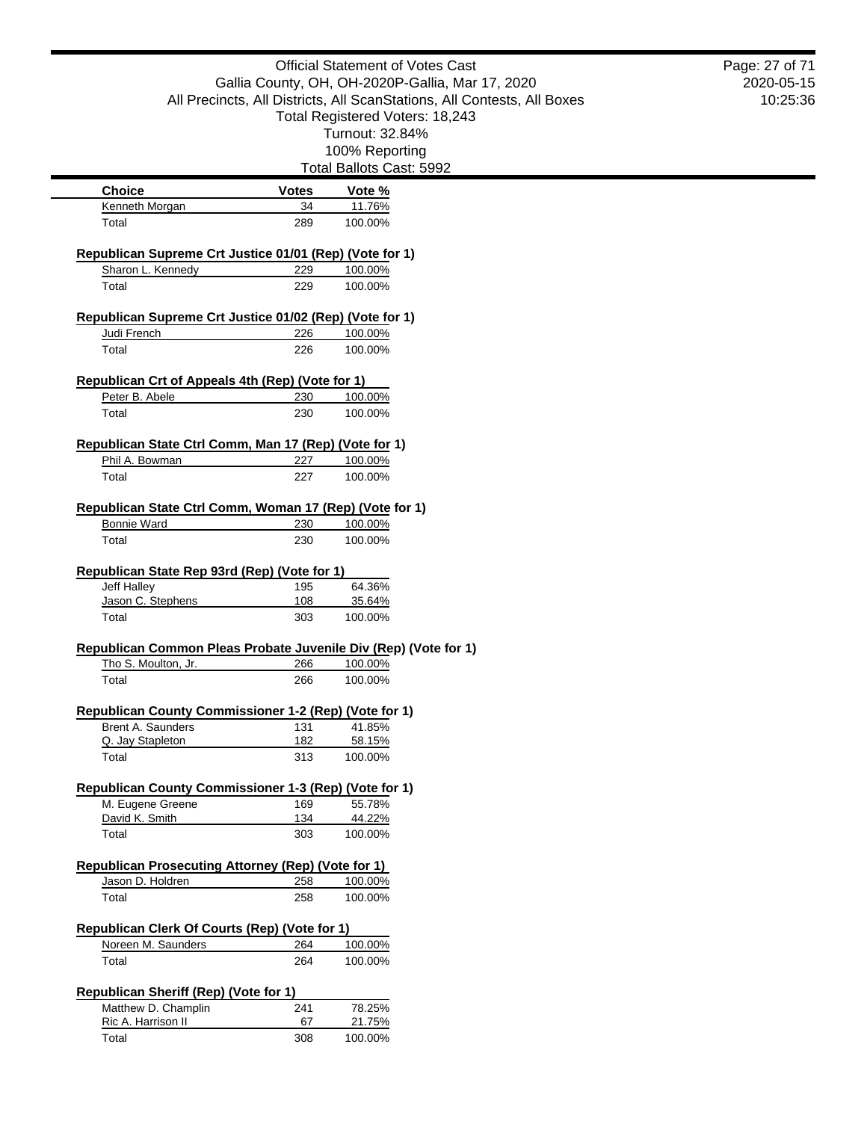|                                                                     |                                                  | <b>Official Statement of Votes Cast</b>                                 | Page: 27 of 71 |
|---------------------------------------------------------------------|--------------------------------------------------|-------------------------------------------------------------------------|----------------|
|                                                                     | Gallia County, OH, OH-2020P-Gallia, Mar 17, 2020 |                                                                         |                |
|                                                                     |                                                  | All Precincts, All Districts, All ScanStations, All Contests, All Boxes | 10:25:36       |
|                                                                     |                                                  | Total Registered Voters: 18,243                                         |                |
|                                                                     |                                                  | Turnout: 32.84%                                                         |                |
|                                                                     |                                                  | 100% Reporting                                                          |                |
|                                                                     |                                                  | Total Ballots Cast: 5992                                                |                |
| <b>Choice</b>                                                       | <b>Votes</b>                                     | Vote %                                                                  |                |
| Kenneth Morgan                                                      | 34                                               | 11.76%                                                                  |                |
| Total                                                               | 289                                              | 100.00%                                                                 |                |
| Republican Supreme Crt Justice 01/01 (Rep) (Vote for 1)             |                                                  |                                                                         |                |
| Sharon L. Kennedy                                                   | 229                                              | 100.00%                                                                 |                |
| Total                                                               | 229                                              | 100.00%                                                                 |                |
| Republican Supreme Crt Justice 01/02 (Rep) (Vote for 1)             |                                                  |                                                                         |                |
| Judi French                                                         | 226                                              | 100.00%                                                                 |                |
| Total                                                               | 226                                              | 100.00%                                                                 |                |
| Republican Crt of Appeals 4th (Rep) (Vote for 1)                    |                                                  |                                                                         |                |
| Peter B. Abele                                                      | 230                                              | 100.00%                                                                 |                |
| Total                                                               | 230                                              | 100.00%                                                                 |                |
|                                                                     |                                                  |                                                                         |                |
| Republican State Ctrl Comm, Man 17 (Rep) (Vote for 1)               |                                                  |                                                                         |                |
| Phil A. Bowman                                                      | 227                                              | 100.00%                                                                 |                |
| Total                                                               | 227                                              | 100.00%                                                                 |                |
| Republican State Ctrl Comm, Woman 17 (Rep) (Vote for 1)             |                                                  |                                                                         |                |
| Bonnie Ward                                                         | 230                                              | 100.00%                                                                 |                |
| Total                                                               | 230                                              | 100.00%                                                                 |                |
| Republican State Rep 93rd (Rep) (Vote for 1)                        |                                                  |                                                                         |                |
| Jeff Halley                                                         | 195                                              | 64.36%                                                                  |                |
| Jason C. Stephens                                                   | 108                                              | 35.64%                                                                  |                |
| Total                                                               | 303                                              | 100.00%                                                                 |                |
| Republican Common Pleas Probate Juvenile Div (Rep) (Vote for 1)     |                                                  |                                                                         |                |
| Tho S. Moulton, Jr.                                                 | 266                                              | 100.00%                                                                 |                |
| Total                                                               | 266                                              | 100.00%                                                                 |                |
| Republican County Commissioner 1-2 (Rep) (Vote for 1)               |                                                  |                                                                         |                |
| Brent A. Saunders                                                   | 131                                              | 41.85%                                                                  |                |
| Q. Jay Stapleton                                                    | 182                                              | 58.15%                                                                  |                |
| Total                                                               | 313                                              | 100.00%                                                                 |                |
| Republican County Commissioner 1-3 (Rep) (Vote for 1)               |                                                  |                                                                         |                |
| M. Eugene Greene                                                    | 169                                              | 55.78%                                                                  |                |
| David K. Smith                                                      | 134                                              | 44.22%                                                                  |                |
| Total                                                               | 303                                              | 100.00%                                                                 |                |
| <b>Republican Prosecuting Attorney (Rep) (Vote for 1)</b>           |                                                  |                                                                         |                |
| Jason D. Holdren                                                    | 258                                              | 100.00%                                                                 |                |
| Total                                                               | 258                                              | 100.00%                                                                 |                |
|                                                                     |                                                  |                                                                         |                |
| Republican Clerk Of Courts (Rep) (Vote for 1)<br>Noreen M. Saunders | 264                                              | 100.00%                                                                 |                |
| Total                                                               | 264                                              | 100.00%                                                                 |                |
|                                                                     |                                                  |                                                                         |                |
| <b>Republican Sheriff (Rep) (Vote for 1)</b><br>Matthew D. Champlin | 241                                              | 78.25%                                                                  |                |
| Ric A. Harrison II                                                  | 67                                               | 21.75%                                                                  |                |
| Total                                                               | 308                                              | 100.00%                                                                 |                |
|                                                                     |                                                  |                                                                         |                |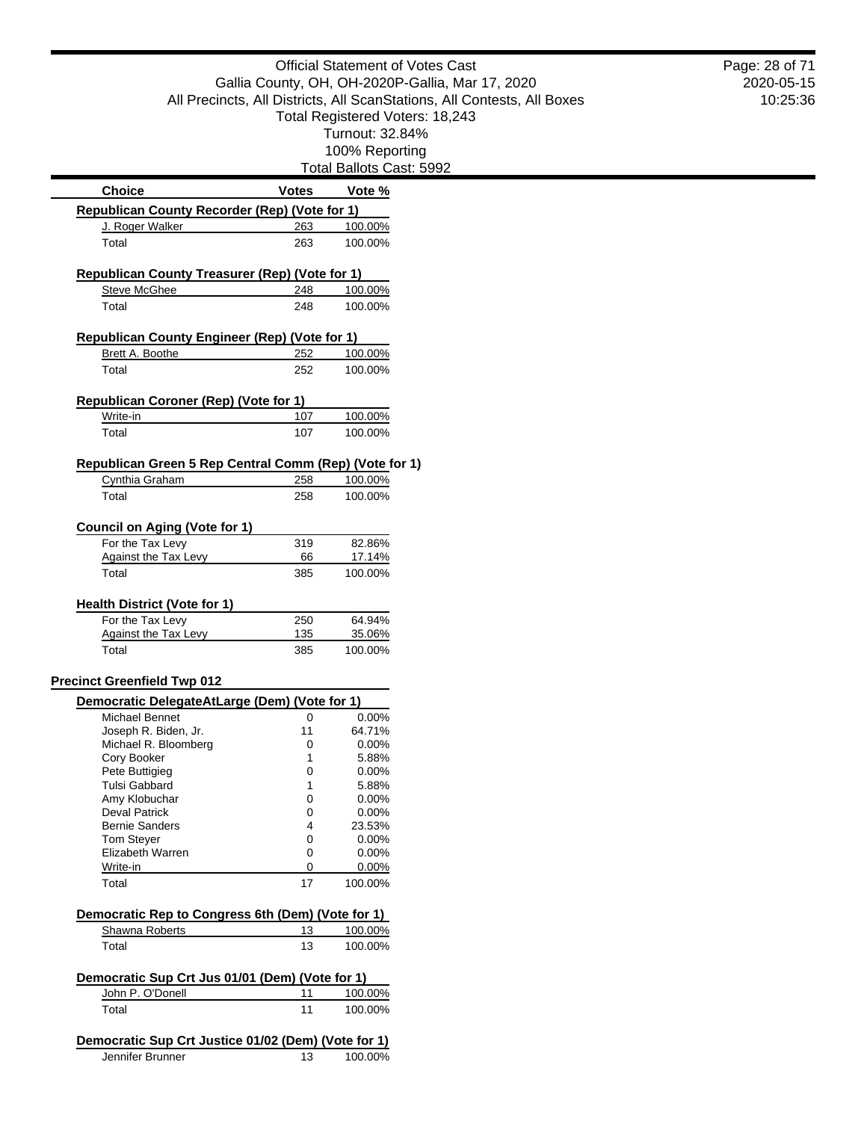|                                                                         |              |                          | <b>Official Statement of Votes Cast</b>                                 |
|-------------------------------------------------------------------------|--------------|--------------------------|-------------------------------------------------------------------------|
|                                                                         |              |                          | Gallia County, OH, OH-2020P-Gallia, Mar 17, 2020                        |
|                                                                         |              |                          | All Precincts, All Districts, All ScanStations, All Contests, All Boxes |
|                                                                         |              |                          | Total Registered Voters: 18,243                                         |
|                                                                         |              | Turnout: 32.84%          |                                                                         |
|                                                                         |              | 100% Reporting           |                                                                         |
|                                                                         |              | Total Ballots Cast: 5992 |                                                                         |
| <b>Choice</b>                                                           | <b>Votes</b> | Vote %                   |                                                                         |
| Republican County Recorder (Rep) (Vote for 1)                           |              |                          |                                                                         |
| J. Roger Walker                                                         | 263          | 100.00%                  |                                                                         |
| Total                                                                   | 263          | 100.00%                  |                                                                         |
|                                                                         |              |                          |                                                                         |
| Republican County Treasurer (Rep) (Vote for 1)                          |              |                          |                                                                         |
| Steve McGhee                                                            | 248          | 100.00%                  |                                                                         |
| Total                                                                   | 248          | 100.00%                  |                                                                         |
| Republican County Engineer (Rep) (Vote for 1)                           |              |                          |                                                                         |
| Brett A. Boothe                                                         | 252          | 100.00%                  |                                                                         |
| Total                                                                   | 252          | 100.00%                  |                                                                         |
|                                                                         |              |                          |                                                                         |
| Republican Coroner (Rep) (Vote for 1)                                   |              |                          |                                                                         |
| Write-in                                                                | 107          | 100.00%                  |                                                                         |
| Total                                                                   | 107          | 100.00%                  |                                                                         |
|                                                                         |              |                          |                                                                         |
| Republican Green 5 Rep Central Comm (Rep) (Vote for 1)                  |              |                          |                                                                         |
| Cynthia Graham                                                          | 258          | 100.00%                  |                                                                         |
| Total                                                                   | 258          | 100.00%                  |                                                                         |
| <b>Council on Aging (Vote for 1)</b>                                    |              |                          |                                                                         |
| For the Tax Levy                                                        | 319          | 82.86%                   |                                                                         |
| <b>Against the Tax Levy</b>                                             | 66           | 17.14%                   |                                                                         |
| Total                                                                   | 385          | 100.00%                  |                                                                         |
|                                                                         |              |                          |                                                                         |
| <b>Health District (Vote for 1)</b>                                     |              |                          |                                                                         |
| For the Tax Levy                                                        | 250<br>135   | 64.94%<br>35.06%         |                                                                         |
| <b>Against the Tax Levy</b><br>Total                                    | 385          | 100.00%                  |                                                                         |
|                                                                         |              |                          |                                                                         |
| <b>Precinct Greenfield Twp 012</b>                                      |              |                          |                                                                         |
| Democratic DelegateAtLarge (Dem) (Vote for 1)                           |              |                          |                                                                         |
| Michael Bennet                                                          | 0            | 0.00%                    |                                                                         |
| Joseph R. Biden, Jr.                                                    | 11           | 64.71%                   |                                                                         |
| Michael R. Bloomberg                                                    | 0            | $0.00\%$                 |                                                                         |
| Cory Booker                                                             | 1            | 5.88%                    |                                                                         |
| Pete Buttigieg                                                          | 0            | 0.00%                    |                                                                         |
| <b>Tulsi Gabbard</b>                                                    | 1            | 5.88%                    |                                                                         |
| Amy Klobuchar<br><b>Deval Patrick</b>                                   | 0<br>0       | 0.00%<br>0.00%           |                                                                         |
| <b>Bernie Sanders</b>                                                   | 4            | 23.53%                   |                                                                         |
| <b>Tom Stever</b>                                                       | 0            | 0.00%                    |                                                                         |
| Elizabeth Warren                                                        | 0            | 0.00%                    |                                                                         |
| Write-in                                                                | 0            | 0.00%                    |                                                                         |
| Total                                                                   | 17           | 100.00%                  |                                                                         |
|                                                                         |              |                          |                                                                         |
| Democratic Rep to Congress 6th (Dem) (Vote for 1)<br>Shawna Roberts     | 13           | 100.00%                  |                                                                         |
| Total                                                                   | 13           | 100.00%                  |                                                                         |
|                                                                         |              |                          |                                                                         |
| Democratic Sup Crt Jus 01/01 (Dem) (Vote for 1)                         |              |                          |                                                                         |
| John P. O'Donell                                                        | 11           | 100.00%                  |                                                                         |
| Total                                                                   | 11           | 100.00%                  |                                                                         |
|                                                                         |              |                          |                                                                         |
| Democratic Sup Crt Justice 01/02 (Dem) (Vote for 1)<br>Jennifer Brunner |              |                          |                                                                         |
|                                                                         | 13           | 100.00%                  |                                                                         |

2020-05-15 10:25:36 Page: 28 of 71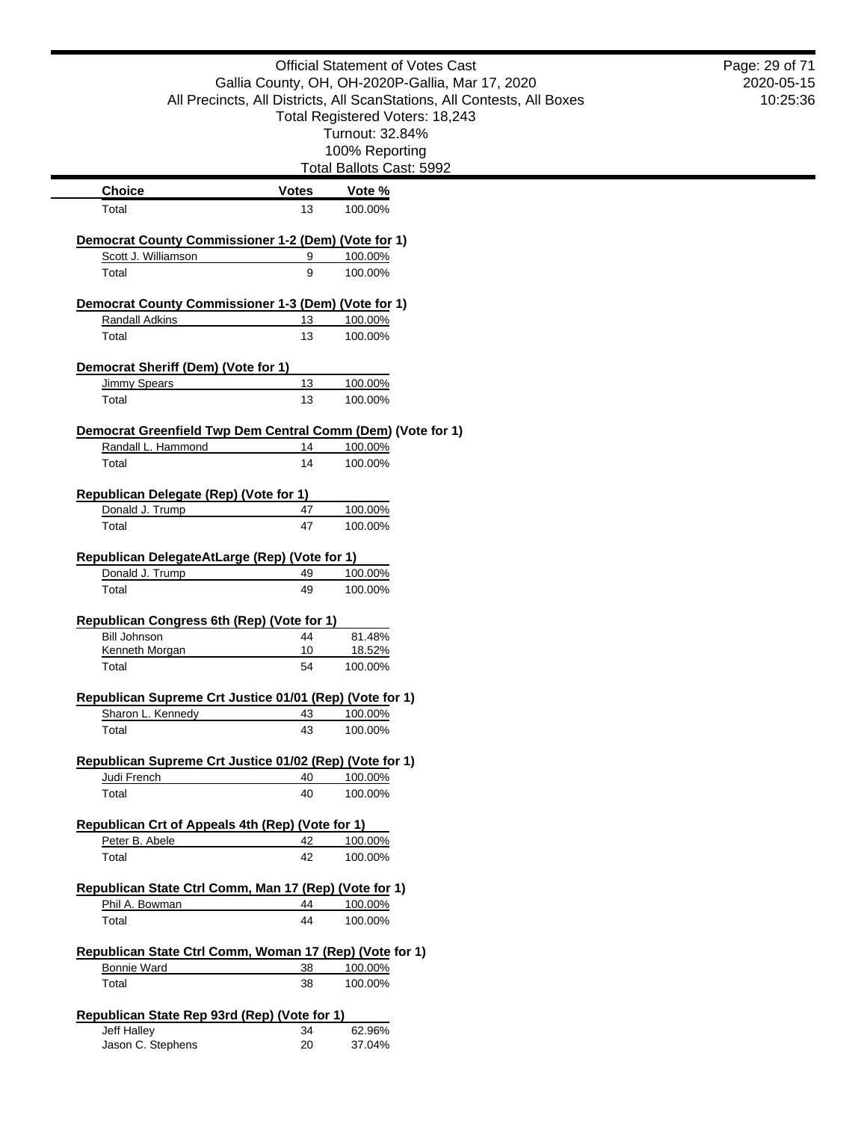|                                                                                   |              | <b>Official Statement of Votes Cast</b>                                 | Page: 29 of 71 |
|-----------------------------------------------------------------------------------|--------------|-------------------------------------------------------------------------|----------------|
|                                                                                   |              | Gallia County, OH, OH-2020P-Gallia, Mar 17, 2020                        | 2020-05-15     |
|                                                                                   |              | All Precincts, All Districts, All ScanStations, All Contests, All Boxes | 10:25:36       |
|                                                                                   |              | Total Registered Voters: 18,243                                         |                |
|                                                                                   |              | Turnout: 32.84%                                                         |                |
|                                                                                   |              | 100% Reporting<br>Total Ballots Cast: 5992                              |                |
| <b>Choice</b>                                                                     | <b>Votes</b> | Vote %                                                                  |                |
| Total                                                                             | 13           | 100.00%                                                                 |                |
|                                                                                   |              |                                                                         |                |
| Democrat County Commissioner 1-2 (Dem) (Vote for 1)<br>Scott J. Williamson        |              |                                                                         |                |
| Total                                                                             | 9<br>9       | 100.00%<br>100.00%                                                      |                |
|                                                                                   |              |                                                                         |                |
| Democrat County Commissioner 1-3 (Dem) (Vote for 1)                               |              |                                                                         |                |
| <b>Randall Adkins</b>                                                             | 13           | 100.00%                                                                 |                |
| Total                                                                             | 13           | 100.00%                                                                 |                |
| Democrat Sheriff (Dem) (Vote for 1)                                               |              |                                                                         |                |
| <b>Jimmy Spears</b>                                                               | 13           | 100.00%                                                                 |                |
| Total                                                                             | 13           | 100.00%                                                                 |                |
|                                                                                   |              |                                                                         |                |
| Democrat Greenfield Twp Dem Central Comm (Dem) (Vote for 1)<br>Randall L. Hammond | 14           | 100.00%                                                                 |                |
| Total                                                                             | 14           | 100.00%                                                                 |                |
|                                                                                   |              |                                                                         |                |
| Republican Delegate (Rep) (Vote for 1)                                            |              |                                                                         |                |
| Donald J. Trump                                                                   | 47           | 100.00%                                                                 |                |
| Total                                                                             | 47           | 100.00%                                                                 |                |
| Republican DelegateAtLarge (Rep) (Vote for 1)                                     |              |                                                                         |                |
| Donald J. Trump                                                                   | 49           | 100.00%                                                                 |                |
| Total                                                                             | 49           | 100.00%                                                                 |                |
|                                                                                   |              |                                                                         |                |
| Republican Congress 6th (Rep) (Vote for 1)<br><b>Bill Johnson</b>                 |              |                                                                         |                |
| Kenneth Morgan                                                                    | 44<br>10     | 81.48%<br>18.52%                                                        |                |
| Total                                                                             | 54           | 100.00%                                                                 |                |
|                                                                                   |              |                                                                         |                |
| Republican Supreme Crt Justice 01/01 (Rep) (Vote for 1)                           |              |                                                                         |                |
| Sharon L. Kennedy                                                                 | 43           | 100.00%                                                                 |                |
| Total                                                                             | 43           | 100.00%                                                                 |                |
| Republican Supreme Crt Justice 01/02 (Rep) (Vote for 1)                           |              |                                                                         |                |
| Judi French                                                                       | 40           | 100.00%                                                                 |                |
| Total                                                                             | 40           | 100.00%                                                                 |                |
|                                                                                   |              |                                                                         |                |
| Republican Crt of Appeals 4th (Rep) (Vote for 1)<br>Peter B. Abele                | 42           | 100.00%                                                                 |                |
| Total                                                                             | 42           | 100.00%                                                                 |                |
|                                                                                   |              |                                                                         |                |
| Republican State Ctrl Comm, Man 17 (Rep) (Vote for 1)                             |              |                                                                         |                |
| Phil A. Bowman                                                                    | 44           | 100.00%                                                                 |                |
| Total                                                                             | 44           | 100.00%                                                                 |                |
|                                                                                   |              |                                                                         |                |
| Republican State Ctrl Comm, Woman 17 (Rep) (Vote for 1)<br>Bonnie Ward            | 38           | 100.00%                                                                 |                |
| Total                                                                             | 38           | 100.00%                                                                 |                |
|                                                                                   |              |                                                                         |                |
| Republican State Rep 93rd (Rep) (Vote for 1)                                      |              |                                                                         |                |
| Jeff Halley                                                                       | 34           | 62.96%                                                                  |                |
| Jason C. Stephens                                                                 | 20           | 37.04%                                                                  |                |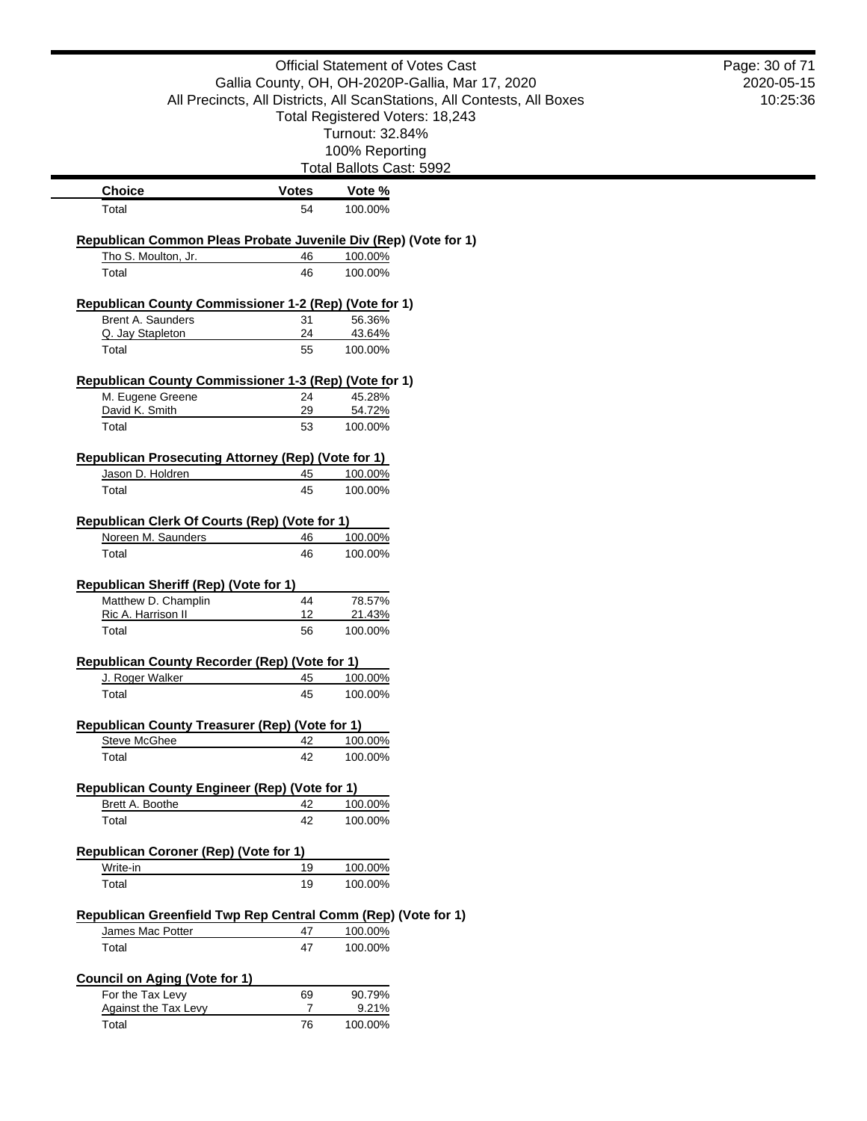|                                                                         |              | <b>Official Statement of Votes Cast</b>                                                                    | Page: 30 of 71         |
|-------------------------------------------------------------------------|--------------|------------------------------------------------------------------------------------------------------------|------------------------|
|                                                                         |              | Gallia County, OH, OH-2020P-Gallia, Mar 17, 2020                                                           | 2020-05-15<br>10:25:36 |
|                                                                         |              | All Precincts, All Districts, All ScanStations, All Contests, All Boxes<br>Total Registered Voters: 18,243 |                        |
|                                                                         |              | Turnout: 32.84%                                                                                            |                        |
|                                                                         |              | 100% Reporting                                                                                             |                        |
|                                                                         |              | Total Ballots Cast: 5992                                                                                   |                        |
| <b>Choice</b>                                                           | <b>Votes</b> | Vote %                                                                                                     |                        |
| Total                                                                   | 54           | 100.00%                                                                                                    |                        |
| Republican Common Pleas Probate Juvenile Div (Rep) (Vote for 1)         |              |                                                                                                            |                        |
| Tho S. Moulton, Jr.                                                     | 46           | 100.00%                                                                                                    |                        |
| Total                                                                   | 46           | 100.00%                                                                                                    |                        |
| Republican County Commissioner 1-2 (Rep) (Vote for 1)                   |              |                                                                                                            |                        |
| Brent A. Saunders                                                       | 31<br>24     | 56.36%                                                                                                     |                        |
| Q. Jay Stapleton<br>Total                                               | 55           | 43.64%<br>100.00%                                                                                          |                        |
|                                                                         |              |                                                                                                            |                        |
| Republican County Commissioner 1-3 (Rep) (Vote for 1)                   |              |                                                                                                            |                        |
| M. Eugene Greene<br>David K. Smith                                      | 24<br>29     | 45.28%<br>54.72%                                                                                           |                        |
| Total                                                                   | 53           | 100.00%                                                                                                    |                        |
| <b>Republican Prosecuting Attorney (Rep) (Vote for 1)</b>               |              |                                                                                                            |                        |
| Jason D. Holdren                                                        | 45           | 100.00%                                                                                                    |                        |
| Total                                                                   | 45           | 100.00%                                                                                                    |                        |
|                                                                         |              |                                                                                                            |                        |
| Republican Clerk Of Courts (Rep) (Vote for 1)<br>Noreen M. Saunders     | 46           | 100.00%                                                                                                    |                        |
| Total                                                                   | 46           | 100.00%                                                                                                    |                        |
|                                                                         |              |                                                                                                            |                        |
| Republican Sheriff (Rep) (Vote for 1)                                   |              |                                                                                                            |                        |
| Matthew D. Champlin<br>Ric A. Harrison II                               | 44<br>12     | 78.57%<br>21.43%                                                                                           |                        |
| Total                                                                   | 56           | 100.00%                                                                                                    |                        |
| Republican County Recorder (Rep) (Vote for 1)                           |              |                                                                                                            |                        |
| J. Roger Walker                                                         | 45           | 100.00%                                                                                                    |                        |
| Total                                                                   | 45           | 100.00%                                                                                                    |                        |
| Republican County Treasurer (Rep) (Vote for 1)                          |              |                                                                                                            |                        |
| <b>Steve McGhee</b>                                                     | 42           | 100.00%                                                                                                    |                        |
| Total                                                                   | 42           | 100.00%                                                                                                    |                        |
|                                                                         |              |                                                                                                            |                        |
| <b>Republican County Engineer (Rep) (Vote for 1)</b><br>Brett A. Boothe | 42           | 100.00%                                                                                                    |                        |
| Total                                                                   | 42           | 100.00%                                                                                                    |                        |
|                                                                         |              |                                                                                                            |                        |
| Republican Coroner (Rep) (Vote for 1)<br>Write-in                       | 19           | 100.00%                                                                                                    |                        |
| Total                                                                   | 19           | 100.00%                                                                                                    |                        |
|                                                                         |              |                                                                                                            |                        |
| Republican Greenfield Twp Rep Central Comm (Rep) (Vote for 1)           |              |                                                                                                            |                        |
| James Mac Potter                                                        | 47           | 100.00%                                                                                                    |                        |
| Total                                                                   | 47           | 100.00%                                                                                                    |                        |
| <b>Council on Aging (Vote for 1)</b>                                    |              |                                                                                                            |                        |
| For the Tax Levy                                                        | 69           | 90.79%                                                                                                     |                        |
| <b>Against the Tax Levy</b><br>Total                                    | 7<br>76      | 9.21%<br>100.00%                                                                                           |                        |
|                                                                         |              |                                                                                                            |                        |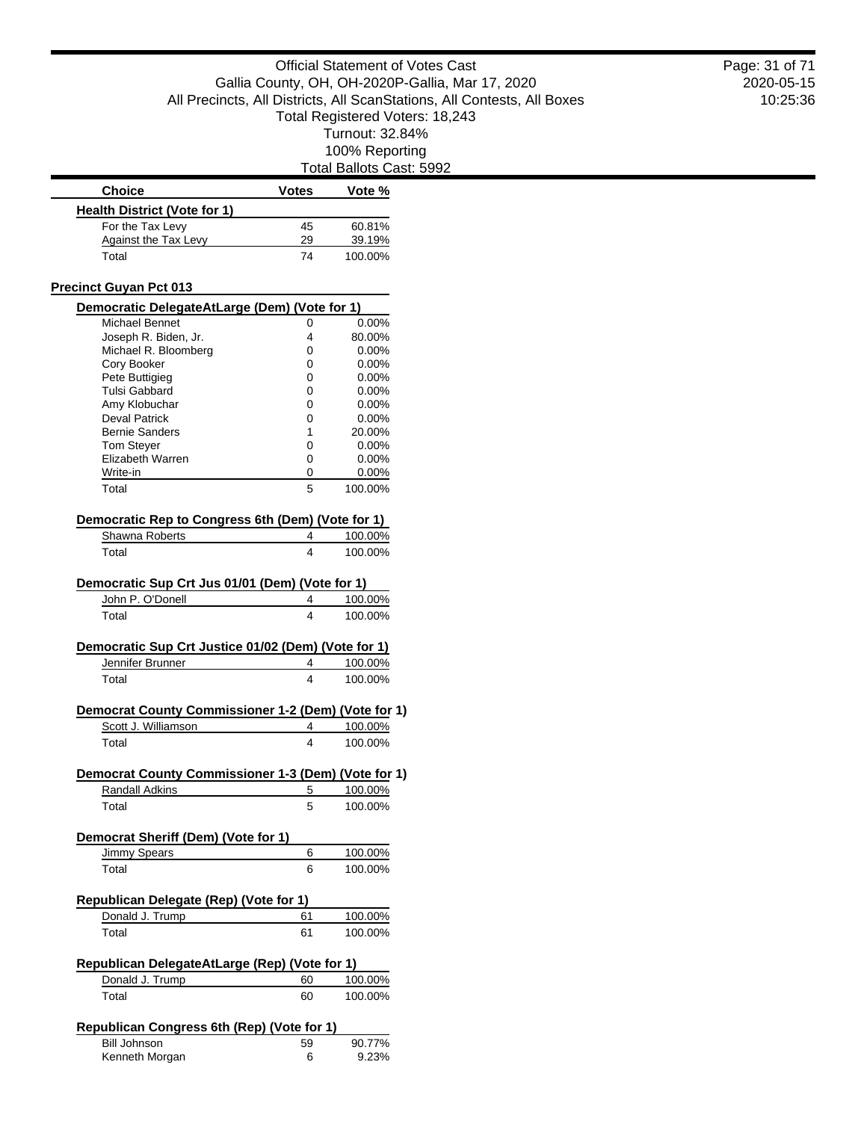ast: 5992

|                                                                         |              | Total Ballots Cas |
|-------------------------------------------------------------------------|--------------|-------------------|
| <b>Choice</b>                                                           | <b>Votes</b> | Vote %            |
| <b>Health District (Vote for 1)</b>                                     |              |                   |
| For the Tax Levy                                                        | 45           | 60.81%            |
| <b>Against the Tax Levy</b>                                             | 29           | 39.19%            |
| Total                                                                   | 74           | 100.00%           |
| <b>Precinct Guyan Pct 013</b>                                           |              |                   |
| Democratic DelegateAtLarge (Dem) (Vote for 1)                           |              |                   |
| <b>Michael Bennet</b>                                                   | 0            | 0.00%             |
| Joseph R. Biden, Jr.                                                    | 4            | 80.00%            |
| Michael R. Bloomberg                                                    | 0            | 0.00%             |
| Cory Booker                                                             | 0            | 0.00%             |
| Pete Buttigieg                                                          | 0            | $0.00\%$          |
| <b>Tulsi Gabbard</b>                                                    | 0            | $0.00\%$          |
| Amy Klobuchar                                                           | 0            | $0.00\%$          |
| <b>Deval Patrick</b>                                                    | 0            | 0.00%             |
| <b>Bernie Sanders</b>                                                   | 1            | 20.00%            |
| <b>Tom Stever</b>                                                       | 0            | $0.00\%$          |
| Elizabeth Warren                                                        | 0            | 0.00%             |
| Write-in                                                                | 0            | $0.00\%$          |
| Total                                                                   | 5            | 100.00%           |
| Democratic Rep to Congress 6th (Dem) (Vote for 1)                       |              |                   |
| Shawna Roberts                                                          | 4            | 100.00%           |
| Total                                                                   | 4            | 100.00%           |
| Democratic Sup Crt Jus 01/01 (Dem) (Vote for 1)                         |              |                   |
| John P. O'Donell                                                        | 4            | 100.00%           |
| Total                                                                   | 4            | 100.00%           |
| Democratic Sup Crt Justice 01/02 (Dem) (Vote for 1)<br>Jennifer Brunner | 4            | 100.00%           |
| Total                                                                   | 4            | 100.00%           |
| Democrat County Commissioner 1-2 (Dem) (Vote for 1)                     |              |                   |
| Scott J. Williamson                                                     | 4            | 100.00%           |
| Total                                                                   | 4            | 100.00%           |
| Democrat County Commissioner 1-3 (Dem) (Vote for 1)                     |              |                   |
| <b>Randall Adkins</b>                                                   | 5            | 100.00%           |
| Total                                                                   | 5            | 100.00%           |
| Democrat Sheriff (Dem) (Vote for 1)                                     |              |                   |
| Jimmy Spears                                                            | 6            | 100.00%           |
| Total                                                                   | 6            | 100.00%           |
|                                                                         |              |                   |
| Republican Delegate (Rep) (Vote for 1)                                  |              |                   |
| Donald J. Trump                                                         | 61           | 100.00%           |
| Total                                                                   | 61           | 100.00%           |
| Republican DelegateAtLarge (Rep) (Vote for 1)                           |              |                   |
| Donald J. Trump                                                         | 60           | 100.00%           |
| Total                                                                   | 60           | 100.00%           |
| Republican Congress 6th (Rep) (Vote for 1)                              |              |                   |
| <b>Bill Johnson</b>                                                     | 59           | 90.77%            |
| Kenneth Morgan                                                          | 6            | 9.23%             |

2020-05-15 10:25:36 Page: 31 of 71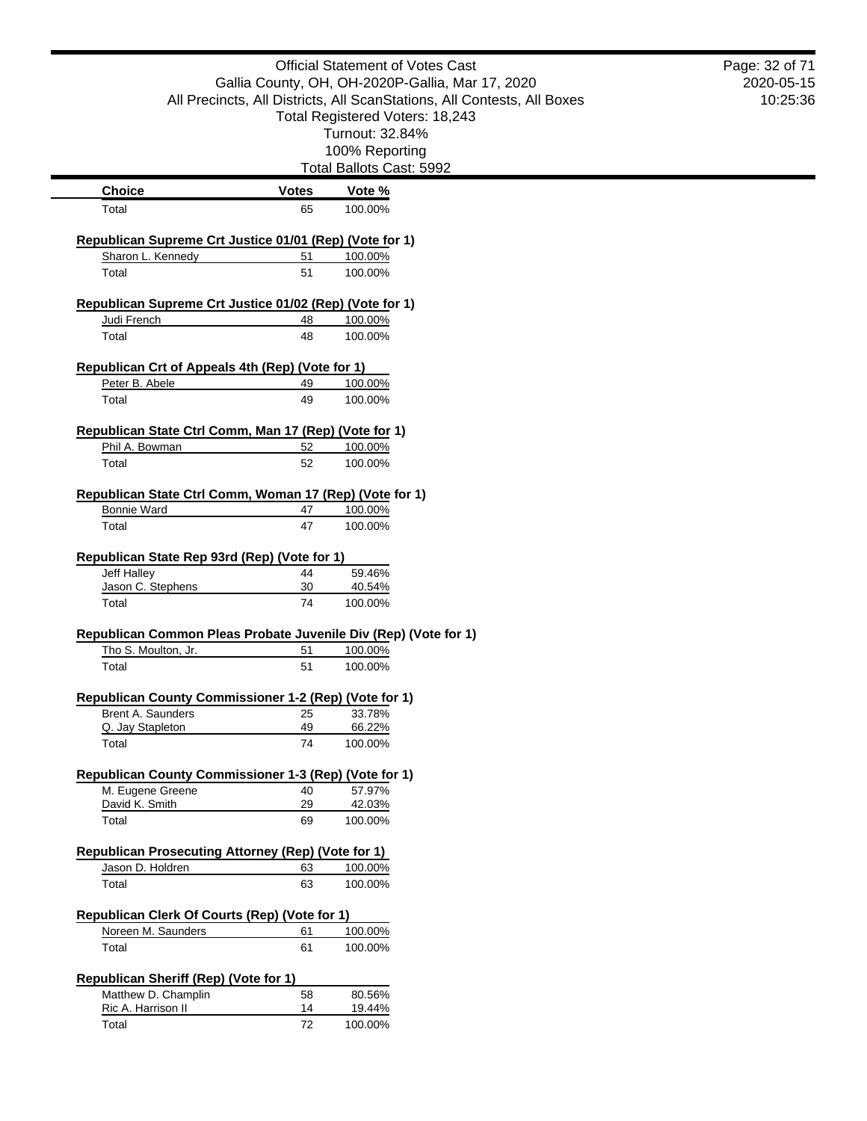|                                                                                        |              | <b>Official Statement of Votes Cast</b>                                 | Page: 32 of 71 |
|----------------------------------------------------------------------------------------|--------------|-------------------------------------------------------------------------|----------------|
|                                                                                        |              | Gallia County, OH, OH-2020P-Gallia, Mar 17, 2020                        | 2020-05-15     |
|                                                                                        |              | All Precincts, All Districts, All ScanStations, All Contests, All Boxes | 10:25:36       |
|                                                                                        |              | Total Registered Voters: 18,243                                         |                |
|                                                                                        |              | Turnout: 32.84%                                                         |                |
|                                                                                        |              | 100% Reporting<br>Total Ballots Cast: 5992                              |                |
| <b>Choice</b>                                                                          | <b>Votes</b> | Vote %                                                                  |                |
| Total                                                                                  | 65           | 100.00%                                                                 |                |
|                                                                                        |              |                                                                         |                |
| Republican Supreme Crt Justice 01/01 (Rep) (Vote for 1)                                |              |                                                                         |                |
| Sharon L. Kennedy<br>Total                                                             | 51<br>51     | 100.00%<br>100.00%                                                      |                |
|                                                                                        |              |                                                                         |                |
| Republican Supreme Crt Justice 01/02 (Rep) (Vote for 1)                                |              |                                                                         |                |
| Judi French                                                                            | 48           | 100.00%                                                                 |                |
| Total                                                                                  | 48           | 100.00%                                                                 |                |
| Republican Crt of Appeals 4th (Rep) (Vote for 1)                                       |              |                                                                         |                |
| Peter B. Abele                                                                         | 49           | 100.00%                                                                 |                |
| Total                                                                                  | 49           | 100.00%                                                                 |                |
|                                                                                        |              |                                                                         |                |
| Republican State Ctrl Comm, Man 17 (Rep) (Vote for 1)                                  |              |                                                                         |                |
| Phil A. Bowman                                                                         | 52           | 100.00%                                                                 |                |
| Total                                                                                  | 52           | 100.00%                                                                 |                |
| Republican State Ctrl Comm, Woman 17 (Rep) (Vote for 1)                                |              |                                                                         |                |
| <b>Bonnie Ward</b>                                                                     | 47           | 100.00%                                                                 |                |
| Total                                                                                  | 47           | 100.00%                                                                 |                |
|                                                                                        |              |                                                                         |                |
| Republican State Rep 93rd (Rep) (Vote for 1)<br>Jeff Halley                            | 44           | 59.46%                                                                  |                |
| Jason C. Stephens                                                                      | 30           | 40.54%                                                                  |                |
| Total                                                                                  | 74           | 100.00%                                                                 |                |
|                                                                                        |              |                                                                         |                |
| Republican Common Pleas Probate Juvenile Div (Rep) (Vote for 1)<br>Tho S. Moulton, Jr. | 51           | 100.00%                                                                 |                |
| Total                                                                                  | 51           | 100.00%                                                                 |                |
|                                                                                        |              |                                                                         |                |
| Republican County Commissioner 1-2 (Rep) (Vote for 1)                                  |              |                                                                         |                |
| Brent A. Saunders                                                                      | 25           | 33.78%                                                                  |                |
| Q. Jay Stapleton<br>Total                                                              | 49           | 66.22%                                                                  |                |
|                                                                                        | 74           | 100.00%                                                                 |                |
| Republican County Commissioner 1-3 (Rep) (Vote for 1)                                  |              |                                                                         |                |
| M. Eugene Greene                                                                       | 40           | 57.97%                                                                  |                |
| David K. Smith                                                                         | 29           | 42.03%                                                                  |                |
| Total                                                                                  | 69           | 100.00%                                                                 |                |
| Republican Prosecuting Attorney (Rep) (Vote for 1)                                     |              |                                                                         |                |
| Jason D. Holdren                                                                       | 63           | 100.00%                                                                 |                |
| Total                                                                                  | 63           | 100.00%                                                                 |                |
|                                                                                        |              |                                                                         |                |
| Republican Clerk Of Courts (Rep) (Vote for 1)<br>Noreen M. Saunders                    | 61           | 100.00%                                                                 |                |
| Total                                                                                  | 61           | 100.00%                                                                 |                |
|                                                                                        |              |                                                                         |                |
| <b>Republican Sheriff (Rep) (Vote for 1)</b>                                           |              |                                                                         |                |
| Matthew D. Champlin                                                                    | 58           | 80.56%                                                                  |                |
| Ric A. Harrison II                                                                     | 14           | 19.44%                                                                  |                |
| Total                                                                                  | 72           | 100.00%                                                                 |                |
|                                                                                        |              |                                                                         |                |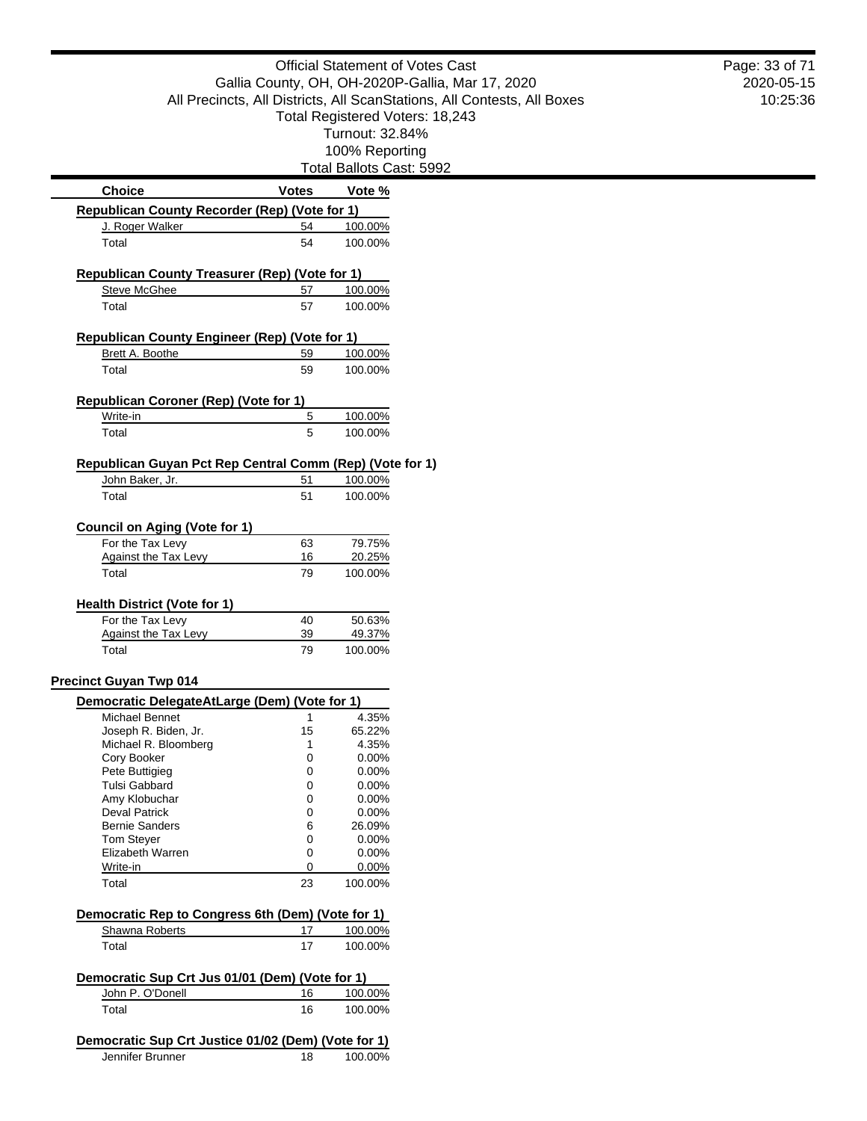|                                                                         | <b>Official Statement of Votes Cast</b> |                                 | Page: 33 of 71 |
|-------------------------------------------------------------------------|-----------------------------------------|---------------------------------|----------------|
| Gallia County, OH, OH-2020P-Gallia, Mar 17, 2020                        |                                         |                                 | 2020-05-15     |
| All Precincts, All Districts, All ScanStations, All Contests, All Boxes |                                         | 10:25:36                        |                |
|                                                                         |                                         | Total Registered Voters: 18,243 |                |
|                                                                         |                                         | Turnout: 32.84%                 |                |
|                                                                         |                                         |                                 |                |
|                                                                         |                                         | 100% Reporting                  |                |
|                                                                         |                                         | Total Ballots Cast: 5992        |                |
| <b>Choice</b>                                                           | <b>Votes</b>                            | Vote %                          |                |
| Republican County Recorder (Rep) (Vote for 1)                           |                                         |                                 |                |
| J. Roger Walker                                                         | 54                                      | 100.00%                         |                |
| Total                                                                   | 54                                      | 100.00%                         |                |
| Republican County Treasurer (Rep) (Vote for 1)                          |                                         |                                 |                |
| <b>Steve McGhee</b>                                                     | 57                                      | 100.00%                         |                |
| Total                                                                   | 57                                      | 100.00%                         |                |
|                                                                         |                                         |                                 |                |
| <b>Republican County Engineer (Rep) (Vote for 1)</b>                    |                                         |                                 |                |
| Brett A. Boothe                                                         | 59                                      | 100.00%                         |                |
| Total                                                                   | 59                                      | 100.00%                         |                |
|                                                                         |                                         |                                 |                |
| Republican Coroner (Rep) (Vote for 1)                                   |                                         |                                 |                |
| Write-in                                                                | 5                                       | 100.00%                         |                |
| Total                                                                   | 5                                       | 100.00%                         |                |
| Republican Guyan Pct Rep Central Comm (Rep) (Vote for 1)                |                                         |                                 |                |
| John Baker, Jr.                                                         | 51                                      | 100.00%                         |                |
| Total                                                                   | 51                                      | 100.00%                         |                |
|                                                                         |                                         |                                 |                |
| <b>Council on Aging (Vote for 1)</b>                                    |                                         |                                 |                |
| For the Tax Levy                                                        | 63                                      | 79.75%                          |                |
| <b>Against the Tax Levy</b>                                             | 16                                      | 20.25%                          |                |
| Total                                                                   | 79                                      | 100.00%                         |                |
|                                                                         |                                         |                                 |                |
| <b>Health District (Vote for 1)</b>                                     |                                         |                                 |                |
| For the Tax Levy                                                        | 40                                      | 50.63%                          |                |
| <b>Against the Tax Levy</b>                                             | 39                                      | 49.37%                          |                |
| Total                                                                   | 79                                      | 100.00%                         |                |
| <b>Precinct Guyan Twp 014</b>                                           |                                         |                                 |                |
| Democratic DelegateAtLarge (Dem) (Vote for 1)                           |                                         |                                 |                |
| Michael Bennet                                                          | $\mathbf{1}$                            | 4.35%                           |                |
| Joseph R. Biden, Jr.                                                    | 15                                      | 65.22%                          |                |
| Michael R. Bloomberg                                                    | 1                                       | 4.35%                           |                |
| Cory Booker                                                             | 0                                       | 0.00%                           |                |
| Pete Buttigieg                                                          | 0                                       | 0.00%                           |                |
| Tulsi Gabbard                                                           | 0                                       | 0.00%                           |                |
| Amy Klobuchar                                                           | 0                                       | 0.00%                           |                |
| <b>Deval Patrick</b>                                                    | 0                                       | 0.00%                           |                |
| <b>Bernie Sanders</b>                                                   | 6                                       | 26.09%                          |                |
| <b>Tom Steyer</b>                                                       | 0                                       | 0.00%                           |                |
| Elizabeth Warren                                                        | 0                                       | 0.00%                           |                |
| Write-in                                                                | 0                                       | 0.00%                           |                |
| Total                                                                   | 23                                      | 100.00%                         |                |
| Democratic Rep to Congress 6th (Dem) (Vote for 1)                       |                                         |                                 |                |
| Shawna Roberts                                                          | 17                                      | 100.00%                         |                |
| Total                                                                   | 17                                      | 100.00%                         |                |
|                                                                         |                                         |                                 |                |
| Democratic Sup Crt Jus 01/01 (Dem) (Vote for 1)                         |                                         |                                 |                |
| John P. O'Donell                                                        | 16                                      | 100.00%                         |                |
| Total                                                                   | 16                                      | 100.00%                         |                |
|                                                                         |                                         |                                 |                |
| Democratic Sup Crt Justice 01/02 (Dem) (Vote for 1)<br>Jennifer Brunner | 18                                      | 100.00%                         |                |
|                                                                         |                                         |                                 |                |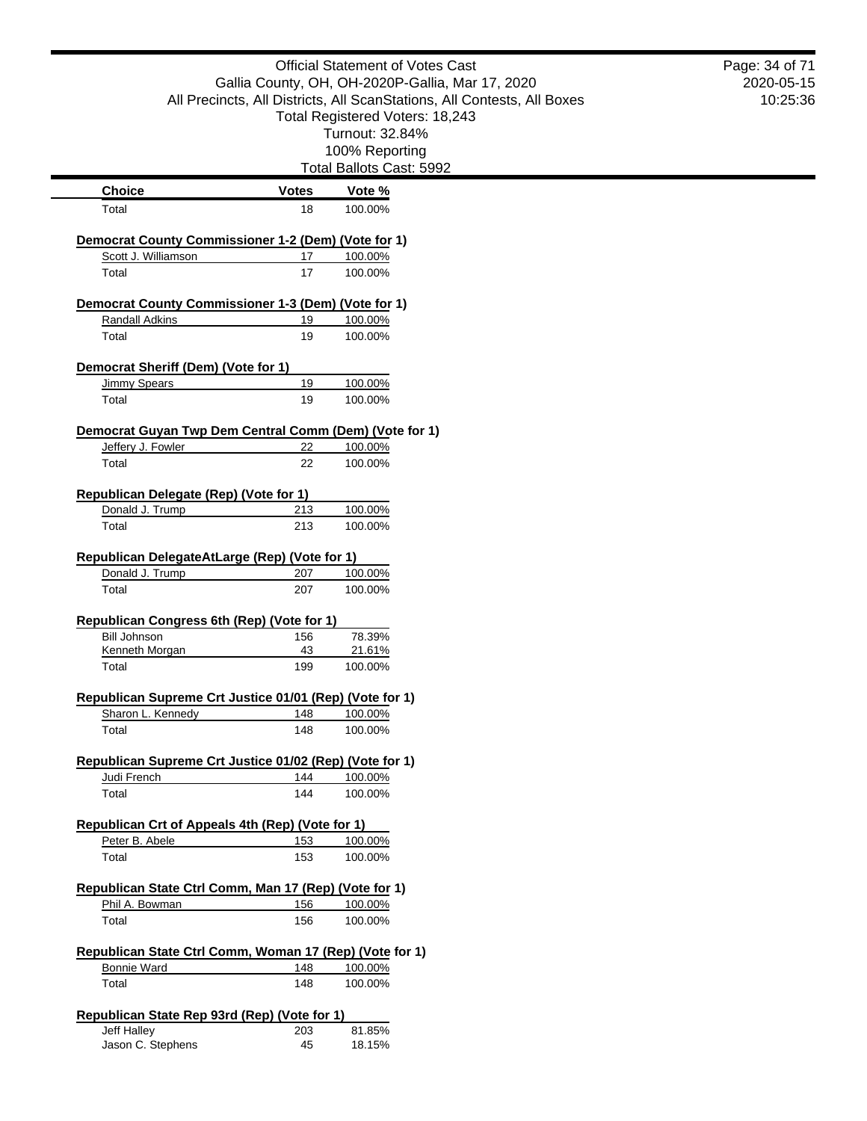|                                                                    |              | <b>Official Statement of Votes Cast</b><br>Gallia County, OH, OH-2020P-Gallia, Mar 17, 2020 | Page: 34 of 71<br>2020-05-15 |
|--------------------------------------------------------------------|--------------|---------------------------------------------------------------------------------------------|------------------------------|
|                                                                    |              | All Precincts, All Districts, All ScanStations, All Contests, All Boxes                     | 10:25:36                     |
|                                                                    |              | Total Registered Voters: 18,243                                                             |                              |
|                                                                    |              | Turnout: 32.84%                                                                             |                              |
|                                                                    |              | 100% Reporting                                                                              |                              |
|                                                                    |              | Total Ballots Cast: 5992                                                                    |                              |
| <b>Choice</b>                                                      | <b>Votes</b> | Vote %                                                                                      |                              |
| Total                                                              | 18           | 100.00%                                                                                     |                              |
| <b>Democrat County Commissioner 1-2 (Dem) (Vote for 1)</b>         |              |                                                                                             |                              |
| Scott J. Williamson                                                | 17           | 100.00%                                                                                     |                              |
| Total                                                              | 17           | 100.00%                                                                                     |                              |
| Democrat County Commissioner 1-3 (Dem) (Vote for 1)                |              |                                                                                             |                              |
| Randall Adkins                                                     | 19           | 100.00%                                                                                     |                              |
| Total                                                              | 19           | 100.00%                                                                                     |                              |
|                                                                    |              |                                                                                             |                              |
| Democrat Sheriff (Dem) (Vote for 1)<br><b>Jimmy Spears</b>         | 19           | 100.00%                                                                                     |                              |
| Total                                                              | 19           | 100.00%                                                                                     |                              |
|                                                                    |              |                                                                                             |                              |
| Democrat Guyan Twp Dem Central Comm (Dem) (Vote for 1)             |              |                                                                                             |                              |
| Jeffery J. Fowler                                                  | 22           | 100.00%                                                                                     |                              |
| Total                                                              | 22           | 100.00%                                                                                     |                              |
| Republican Delegate (Rep) (Vote for 1)                             |              |                                                                                             |                              |
| Donald J. Trump                                                    | 213          | 100.00%                                                                                     |                              |
| Total                                                              | 213          | 100.00%                                                                                     |                              |
|                                                                    |              |                                                                                             |                              |
| Republican DelegateAtLarge (Rep) (Vote for 1)                      |              |                                                                                             |                              |
| Donald J. Trump<br>Total                                           | 207<br>207   | 100.00%<br>100.00%                                                                          |                              |
|                                                                    |              |                                                                                             |                              |
| Republican Congress 6th (Rep) (Vote for 1)                         |              |                                                                                             |                              |
| <b>Bill Johnson</b>                                                | 156          | 78.39%                                                                                      |                              |
| Kenneth Morgan                                                     | 43           | 21.61%                                                                                      |                              |
| Total                                                              | 199          | 100.00%                                                                                     |                              |
| Republican Supreme Crt Justice 01/01 (Rep) (Vote for 1)            |              |                                                                                             |                              |
| Sharon L. Kennedy                                                  | 148          | 100.00%                                                                                     |                              |
| Total                                                              | 148          | 100.00%                                                                                     |                              |
| Republican Supreme Crt Justice 01/02 (Rep) (Vote for 1)            |              |                                                                                             |                              |
| Judi French                                                        | 144          | 100.00%                                                                                     |                              |
| Total                                                              | 144          | 100.00%                                                                                     |                              |
|                                                                    |              |                                                                                             |                              |
| Republican Crt of Appeals 4th (Rep) (Vote for 1)<br>Peter B. Abele | 153          | 100.00%                                                                                     |                              |
| Total                                                              | 153          | 100.00%                                                                                     |                              |
|                                                                    |              |                                                                                             |                              |
| Republican State Ctrl Comm, Man 17 (Rep) (Vote for 1)              |              |                                                                                             |                              |
| Phil A. Bowman                                                     | 156          | 100.00%                                                                                     |                              |
| Total                                                              | 156          | 100.00%                                                                                     |                              |
| Republican State Ctrl Comm, Woman 17 (Rep) (Vote for 1)            |              |                                                                                             |                              |
| <b>Bonnie Ward</b>                                                 | 148          | 100.00%                                                                                     |                              |
| Total                                                              | 148          | 100.00%                                                                                     |                              |
|                                                                    |              |                                                                                             |                              |
| Republican State Rep 93rd (Rep) (Vote for 1)                       |              |                                                                                             |                              |
| Jeff Halley<br>Jason C. Stephens                                   | 203<br>45    | 81.85%<br>18.15%                                                                            |                              |
|                                                                    |              |                                                                                             |                              |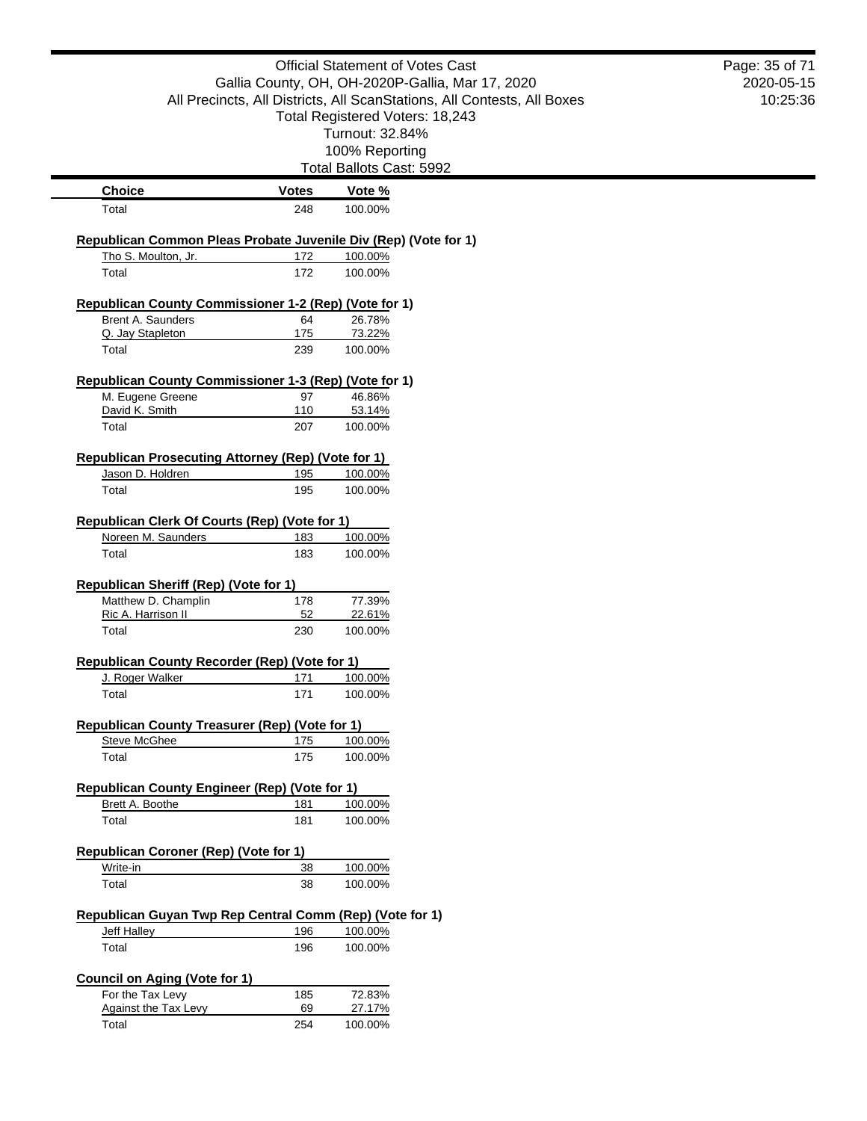|                                                                                        |              | <b>Official Statement of Votes Cast</b>                                 | Page: 35 of 71 |
|----------------------------------------------------------------------------------------|--------------|-------------------------------------------------------------------------|----------------|
|                                                                                        |              | Gallia County, OH, OH-2020P-Gallia, Mar 17, 2020                        | 2020-05-15     |
|                                                                                        |              | All Precincts, All Districts, All ScanStations, All Contests, All Boxes | 10:25:36       |
|                                                                                        |              | Total Registered Voters: 18,243                                         |                |
|                                                                                        |              | Turnout: 32.84%                                                         |                |
|                                                                                        |              | 100% Reporting<br>Total Ballots Cast: 5992                              |                |
| <b>Choice</b>                                                                          | <b>Votes</b> | Vote %                                                                  |                |
| Total                                                                                  | 248          | 100.00%                                                                 |                |
|                                                                                        |              |                                                                         |                |
| Republican Common Pleas Probate Juvenile Div (Rep) (Vote for 1)<br>Tho S. Moulton, Jr. | 172          | 100.00%                                                                 |                |
| Total                                                                                  | 172          | 100.00%                                                                 |                |
| Republican County Commissioner 1-2 (Rep) (Vote for 1)                                  |              |                                                                         |                |
| Brent A. Saunders                                                                      | 64           | 26.78%                                                                  |                |
| Q. Jay Stapleton                                                                       | 175          | 73.22%                                                                  |                |
| Total                                                                                  | 239          | 100.00%                                                                 |                |
| Republican County Commissioner 1-3 (Rep) (Vote for 1)                                  |              |                                                                         |                |
| M. Eugene Greene                                                                       | 97           | 46.86%                                                                  |                |
| David K. Smith                                                                         | 110          | 53.14%                                                                  |                |
| Total                                                                                  | 207          | 100.00%                                                                 |                |
| Republican Prosecuting Attorney (Rep) (Vote for 1)                                     |              |                                                                         |                |
| Jason D. Holdren                                                                       | 195          | 100.00%                                                                 |                |
| Total                                                                                  | 195          | 100.00%                                                                 |                |
| Republican Clerk Of Courts (Rep) (Vote for 1)                                          |              |                                                                         |                |
| Noreen M. Saunders                                                                     | 183          | 100.00%                                                                 |                |
| Total                                                                                  | 183          | 100.00%                                                                 |                |
| <b>Republican Sheriff (Rep) (Vote for 1)</b>                                           |              |                                                                         |                |
| Matthew D. Champlin                                                                    | 178          | 77.39%                                                                  |                |
| Ric A. Harrison II                                                                     | 52           | 22.61%                                                                  |                |
| Total                                                                                  | 230          | 100.00%                                                                 |                |
| Republican County Recorder (Rep) (Vote for 1)                                          |              |                                                                         |                |
| J. Roger Walker                                                                        | 171          | 100.00%                                                                 |                |
| Total                                                                                  | 171          | 100.00%                                                                 |                |
| Republican County Treasurer (Rep) (Vote for 1)                                         |              |                                                                         |                |
| <b>Steve McGhee</b>                                                                    | 175          | 100.00%                                                                 |                |
| Total                                                                                  | 175          | 100.00%                                                                 |                |
| <b>Republican County Engineer (Rep) (Vote for 1)</b>                                   |              |                                                                         |                |
| Brett A. Boothe                                                                        | 181          | 100.00%                                                                 |                |
| Total                                                                                  | 181          | 100.00%                                                                 |                |
| <b>Republican Coroner (Rep) (Vote for 1)</b>                                           |              |                                                                         |                |
| Write-in                                                                               | 38           | 100.00%                                                                 |                |
| Total                                                                                  | 38           | 100.00%                                                                 |                |
|                                                                                        |              |                                                                         |                |
| Republican Guyan Twp Rep Central Comm (Rep) (Vote for 1)<br><b>Jeff Halley</b>         | 196          | 100.00%                                                                 |                |
| Total                                                                                  | 196          | 100.00%                                                                 |                |
|                                                                                        |              |                                                                         |                |
| <b>Council on Aging (Vote for 1)</b>                                                   |              |                                                                         |                |
| For the Tax Levy<br><b>Against the Tax Levy</b>                                        | 185<br>69    | 72.83%<br>27.17%                                                        |                |
| Total                                                                                  | 254          | 100.00%                                                                 |                |
|                                                                                        |              |                                                                         |                |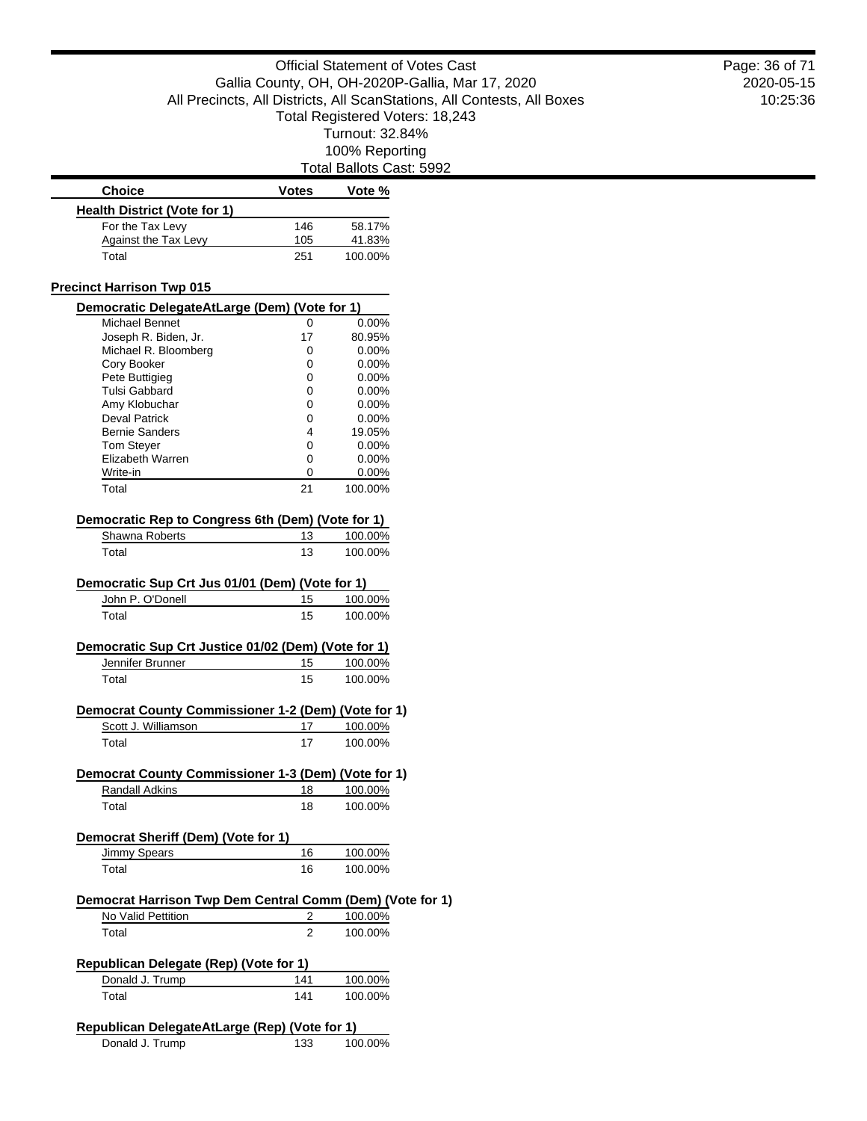st: 5992

|                                                                  |              | Total Ballots Cast: 5992 |  |
|------------------------------------------------------------------|--------------|--------------------------|--|
| <b>Choice</b>                                                    | <b>Votes</b> | Vote %                   |  |
| <b>Health District (Vote for 1)</b>                              |              |                          |  |
| For the Tax Levy                                                 | 146          | 58.17%                   |  |
| Against the Tax Levy                                             | 105          | 41.83%                   |  |
| Total                                                            | 251          | 100.00%                  |  |
| <b>Precinct Harrison Twp 015</b>                                 |              |                          |  |
| Democratic DelegateAtLarge (Dem) (Vote for 1)                    |              |                          |  |
| <b>Michael Bennet</b>                                            | 0            | 0.00%                    |  |
| Joseph R. Biden, Jr.                                             | 17           | 80.95%                   |  |
| Michael R. Bloomberg                                             | 0            | $0.00\%$                 |  |
| Cory Booker<br>Pete Buttigieg                                    | 0<br>0       | $0.00\%$<br>$0.00\%$     |  |
| <b>Tulsi Gabbard</b>                                             | 0            | $0.00\%$                 |  |
| Amy Klobuchar                                                    | 0            | $0.00\%$                 |  |
| <b>Deval Patrick</b>                                             | 0            | $0.00\%$                 |  |
| <b>Bernie Sanders</b>                                            | 4            | 19.05%                   |  |
| Tom Steyer                                                       | 0            | $0.00\%$                 |  |
| Elizabeth Warren                                                 | 0            | 0.00%                    |  |
| Write-in                                                         | 0            | $0.00\%$                 |  |
| Total                                                            | 21           | 100.00%                  |  |
| Democratic Rep to Congress 6th (Dem) (Vote for 1)                |              |                          |  |
| Shawna Roberts                                                   | 13           | 100.00%                  |  |
| Total                                                            | 13           | 100.00%                  |  |
| Democratic Sup Crt Jus 01/01 (Dem) (Vote for 1)                  |              |                          |  |
| John P. O'Donell                                                 | 15           | 100.00%                  |  |
| Total                                                            | 15           | 100.00%                  |  |
|                                                                  |              |                          |  |
| Democratic Sup Crt Justice 01/02 (Dem) (Vote for 1)              |              |                          |  |
| Jennifer Brunner<br>Total                                        | 15<br>15     | 100.00%<br>100.00%       |  |
|                                                                  |              |                          |  |
| Democrat County Commissioner 1-2 (Dem) (Vote for 1)              |              |                          |  |
| Scott J. Williamson                                              | 17           | 100.00%                  |  |
| Total                                                            | 17           | 100.00%                  |  |
| Democrat County Commissioner 1-3 (Dem) (Vote for 1)              |              |                          |  |
| Randall Adkins                                                   | 18           | 100.00%                  |  |
| Total                                                            | 18           | 100.00%                  |  |
| Democrat Sheriff (Dem) (Vote for 1)                              |              |                          |  |
| Jimmy Spears                                                     | 16           | 100.00%                  |  |
| Total                                                            | 16           | 100.00%                  |  |
|                                                                  |              |                          |  |
| Democrat Harrison Twp Dem Central Comm (Dem) (Vote for 1)        |              |                          |  |
| No Valid Pettition                                               | 2            | 100.00%                  |  |
| Total                                                            | 2            | 100.00%                  |  |
| <b>Republican Delegate (Rep) (Vote for 1)</b>                    |              |                          |  |
| Donald J. Trump                                                  | 141          | 100.00%                  |  |
| Total                                                            | 141          | 100.00%                  |  |
|                                                                  |              |                          |  |
| Republican DelegateAtLarge (Rep) (Vote for 1)<br>Donald J. Trump | 133          | 100.00%                  |  |
|                                                                  |              |                          |  |

2020-05-15 10:25:36 Page: 36 of 71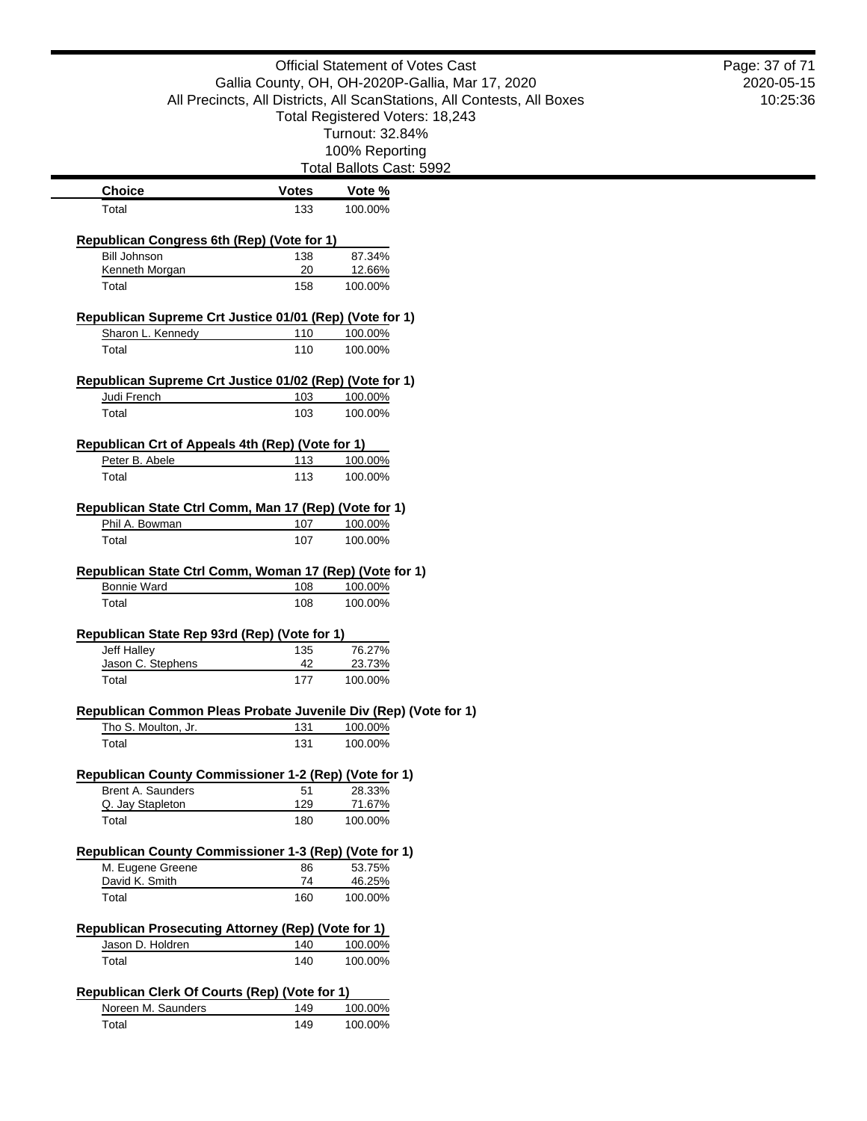| 10:25:36<br>All Precincts, All Districts, All ScanStations, All Contests, All Boxes<br>Total Registered Voters: 18,243<br>Turnout: 32.84%<br>100% Reporting<br>Total Ballots Cast: 5992<br><b>Choice</b><br><b>Votes</b><br>Vote %<br>133<br>100.00%<br>Total<br>Republican Congress 6th (Rep) (Vote for 1)<br><b>Bill Johnson</b><br>87.34%<br>138<br>Kenneth Morgan<br>20<br>12.66%<br>158<br>100.00%<br>Total<br>Republican Supreme Crt Justice 01/01 (Rep) (Vote for 1)<br>Sharon L. Kennedy<br>110<br>100.00%<br>Total<br>110<br>100.00%<br>Republican Supreme Crt Justice 01/02 (Rep) (Vote for 1)<br>Judi French<br>103<br>100.00%<br>Total<br>103<br>100.00%<br>Republican Crt of Appeals 4th (Rep) (Vote for 1)<br>Peter B. Abele<br>100.00%<br>113<br>113<br>100.00%<br>Total<br>Republican State Ctrl Comm, Man 17 (Rep) (Vote for 1)<br>Phil A. Bowman<br>107<br>100.00%<br>Total<br>100.00%<br>107<br>Republican State Ctrl Comm, Woman 17 (Rep) (Vote for 1)<br><b>Bonnie Ward</b><br>100.00%<br>108<br>Total<br>108<br>100.00%<br>Republican State Rep 93rd (Rep) (Vote for 1)<br>76.27%<br>Jeff Halley<br>135<br>Jason C. Stephens<br>42<br>23.73%<br>177<br>100.00%<br>Total<br>Republican Common Pleas Probate Juvenile Div (Rep) (Vote for 1)<br>Tho S. Moulton, Jr.<br>131<br>100.00%<br>Total<br>131<br>100.00%<br>Republican County Commissioner 1-2 (Rep) (Vote for 1)<br>Brent A. Saunders<br>28.33%<br>51<br>Q. Jay Stapleton<br>129<br>71.67%<br>100.00%<br>Total<br>180<br>Republican County Commissioner 1-3 (Rep) (Vote for 1)<br>M. Eugene Greene<br>53.75%<br>86<br>David K. Smith<br>74<br>46.25%<br>160<br>Total<br>100.00%<br>Republican Prosecuting Attorney (Rep) (Vote for 1)<br>Jason D. Holdren<br>140<br>100.00%<br>Total<br>140<br>100.00%<br>Republican Clerk Of Courts (Rep) (Vote for 1)<br>Noreen M. Saunders<br>100.00%<br>149<br>Total<br>100.00%<br>149 | <b>Official Statement of Votes Cast</b>          |  | Page: 37 of 71 |            |
|---------------------------------------------------------------------------------------------------------------------------------------------------------------------------------------------------------------------------------------------------------------------------------------------------------------------------------------------------------------------------------------------------------------------------------------------------------------------------------------------------------------------------------------------------------------------------------------------------------------------------------------------------------------------------------------------------------------------------------------------------------------------------------------------------------------------------------------------------------------------------------------------------------------------------------------------------------------------------------------------------------------------------------------------------------------------------------------------------------------------------------------------------------------------------------------------------------------------------------------------------------------------------------------------------------------------------------------------------------------------------------------------------------------------------------------------------------------------------------------------------------------------------------------------------------------------------------------------------------------------------------------------------------------------------------------------------------------------------------------------------------------------------------------------------------------------------------------------------------------------------------------------------------|--------------------------------------------------|--|----------------|------------|
|                                                                                                                                                                                                                                                                                                                                                                                                                                                                                                                                                                                                                                                                                                                                                                                                                                                                                                                                                                                                                                                                                                                                                                                                                                                                                                                                                                                                                                                                                                                                                                                                                                                                                                                                                                                                                                                                                                         | Gallia County, OH, OH-2020P-Gallia, Mar 17, 2020 |  |                | 2020-05-15 |
|                                                                                                                                                                                                                                                                                                                                                                                                                                                                                                                                                                                                                                                                                                                                                                                                                                                                                                                                                                                                                                                                                                                                                                                                                                                                                                                                                                                                                                                                                                                                                                                                                                                                                                                                                                                                                                                                                                         |                                                  |  |                |            |
|                                                                                                                                                                                                                                                                                                                                                                                                                                                                                                                                                                                                                                                                                                                                                                                                                                                                                                                                                                                                                                                                                                                                                                                                                                                                                                                                                                                                                                                                                                                                                                                                                                                                                                                                                                                                                                                                                                         |                                                  |  |                |            |
|                                                                                                                                                                                                                                                                                                                                                                                                                                                                                                                                                                                                                                                                                                                                                                                                                                                                                                                                                                                                                                                                                                                                                                                                                                                                                                                                                                                                                                                                                                                                                                                                                                                                                                                                                                                                                                                                                                         |                                                  |  |                |            |
|                                                                                                                                                                                                                                                                                                                                                                                                                                                                                                                                                                                                                                                                                                                                                                                                                                                                                                                                                                                                                                                                                                                                                                                                                                                                                                                                                                                                                                                                                                                                                                                                                                                                                                                                                                                                                                                                                                         |                                                  |  |                |            |
|                                                                                                                                                                                                                                                                                                                                                                                                                                                                                                                                                                                                                                                                                                                                                                                                                                                                                                                                                                                                                                                                                                                                                                                                                                                                                                                                                                                                                                                                                                                                                                                                                                                                                                                                                                                                                                                                                                         |                                                  |  |                |            |
|                                                                                                                                                                                                                                                                                                                                                                                                                                                                                                                                                                                                                                                                                                                                                                                                                                                                                                                                                                                                                                                                                                                                                                                                                                                                                                                                                                                                                                                                                                                                                                                                                                                                                                                                                                                                                                                                                                         |                                                  |  |                |            |
|                                                                                                                                                                                                                                                                                                                                                                                                                                                                                                                                                                                                                                                                                                                                                                                                                                                                                                                                                                                                                                                                                                                                                                                                                                                                                                                                                                                                                                                                                                                                                                                                                                                                                                                                                                                                                                                                                                         |                                                  |  |                |            |
|                                                                                                                                                                                                                                                                                                                                                                                                                                                                                                                                                                                                                                                                                                                                                                                                                                                                                                                                                                                                                                                                                                                                                                                                                                                                                                                                                                                                                                                                                                                                                                                                                                                                                                                                                                                                                                                                                                         |                                                  |  |                |            |
|                                                                                                                                                                                                                                                                                                                                                                                                                                                                                                                                                                                                                                                                                                                                                                                                                                                                                                                                                                                                                                                                                                                                                                                                                                                                                                                                                                                                                                                                                                                                                                                                                                                                                                                                                                                                                                                                                                         |                                                  |  |                |            |
|                                                                                                                                                                                                                                                                                                                                                                                                                                                                                                                                                                                                                                                                                                                                                                                                                                                                                                                                                                                                                                                                                                                                                                                                                                                                                                                                                                                                                                                                                                                                                                                                                                                                                                                                                                                                                                                                                                         |                                                  |  |                |            |
|                                                                                                                                                                                                                                                                                                                                                                                                                                                                                                                                                                                                                                                                                                                                                                                                                                                                                                                                                                                                                                                                                                                                                                                                                                                                                                                                                                                                                                                                                                                                                                                                                                                                                                                                                                                                                                                                                                         |                                                  |  |                |            |
|                                                                                                                                                                                                                                                                                                                                                                                                                                                                                                                                                                                                                                                                                                                                                                                                                                                                                                                                                                                                                                                                                                                                                                                                                                                                                                                                                                                                                                                                                                                                                                                                                                                                                                                                                                                                                                                                                                         |                                                  |  |                |            |
|                                                                                                                                                                                                                                                                                                                                                                                                                                                                                                                                                                                                                                                                                                                                                                                                                                                                                                                                                                                                                                                                                                                                                                                                                                                                                                                                                                                                                                                                                                                                                                                                                                                                                                                                                                                                                                                                                                         |                                                  |  |                |            |
|                                                                                                                                                                                                                                                                                                                                                                                                                                                                                                                                                                                                                                                                                                                                                                                                                                                                                                                                                                                                                                                                                                                                                                                                                                                                                                                                                                                                                                                                                                                                                                                                                                                                                                                                                                                                                                                                                                         |                                                  |  |                |            |
|                                                                                                                                                                                                                                                                                                                                                                                                                                                                                                                                                                                                                                                                                                                                                                                                                                                                                                                                                                                                                                                                                                                                                                                                                                                                                                                                                                                                                                                                                                                                                                                                                                                                                                                                                                                                                                                                                                         |                                                  |  |                |            |
|                                                                                                                                                                                                                                                                                                                                                                                                                                                                                                                                                                                                                                                                                                                                                                                                                                                                                                                                                                                                                                                                                                                                                                                                                                                                                                                                                                                                                                                                                                                                                                                                                                                                                                                                                                                                                                                                                                         |                                                  |  |                |            |
|                                                                                                                                                                                                                                                                                                                                                                                                                                                                                                                                                                                                                                                                                                                                                                                                                                                                                                                                                                                                                                                                                                                                                                                                                                                                                                                                                                                                                                                                                                                                                                                                                                                                                                                                                                                                                                                                                                         |                                                  |  |                |            |
|                                                                                                                                                                                                                                                                                                                                                                                                                                                                                                                                                                                                                                                                                                                                                                                                                                                                                                                                                                                                                                                                                                                                                                                                                                                                                                                                                                                                                                                                                                                                                                                                                                                                                                                                                                                                                                                                                                         |                                                  |  |                |            |
|                                                                                                                                                                                                                                                                                                                                                                                                                                                                                                                                                                                                                                                                                                                                                                                                                                                                                                                                                                                                                                                                                                                                                                                                                                                                                                                                                                                                                                                                                                                                                                                                                                                                                                                                                                                                                                                                                                         |                                                  |  |                |            |
|                                                                                                                                                                                                                                                                                                                                                                                                                                                                                                                                                                                                                                                                                                                                                                                                                                                                                                                                                                                                                                                                                                                                                                                                                                                                                                                                                                                                                                                                                                                                                                                                                                                                                                                                                                                                                                                                                                         |                                                  |  |                |            |
|                                                                                                                                                                                                                                                                                                                                                                                                                                                                                                                                                                                                                                                                                                                                                                                                                                                                                                                                                                                                                                                                                                                                                                                                                                                                                                                                                                                                                                                                                                                                                                                                                                                                                                                                                                                                                                                                                                         |                                                  |  |                |            |
|                                                                                                                                                                                                                                                                                                                                                                                                                                                                                                                                                                                                                                                                                                                                                                                                                                                                                                                                                                                                                                                                                                                                                                                                                                                                                                                                                                                                                                                                                                                                                                                                                                                                                                                                                                                                                                                                                                         |                                                  |  |                |            |
|                                                                                                                                                                                                                                                                                                                                                                                                                                                                                                                                                                                                                                                                                                                                                                                                                                                                                                                                                                                                                                                                                                                                                                                                                                                                                                                                                                                                                                                                                                                                                                                                                                                                                                                                                                                                                                                                                                         |                                                  |  |                |            |
|                                                                                                                                                                                                                                                                                                                                                                                                                                                                                                                                                                                                                                                                                                                                                                                                                                                                                                                                                                                                                                                                                                                                                                                                                                                                                                                                                                                                                                                                                                                                                                                                                                                                                                                                                                                                                                                                                                         |                                                  |  |                |            |
|                                                                                                                                                                                                                                                                                                                                                                                                                                                                                                                                                                                                                                                                                                                                                                                                                                                                                                                                                                                                                                                                                                                                                                                                                                                                                                                                                                                                                                                                                                                                                                                                                                                                                                                                                                                                                                                                                                         |                                                  |  |                |            |
|                                                                                                                                                                                                                                                                                                                                                                                                                                                                                                                                                                                                                                                                                                                                                                                                                                                                                                                                                                                                                                                                                                                                                                                                                                                                                                                                                                                                                                                                                                                                                                                                                                                                                                                                                                                                                                                                                                         |                                                  |  |                |            |
|                                                                                                                                                                                                                                                                                                                                                                                                                                                                                                                                                                                                                                                                                                                                                                                                                                                                                                                                                                                                                                                                                                                                                                                                                                                                                                                                                                                                                                                                                                                                                                                                                                                                                                                                                                                                                                                                                                         |                                                  |  |                |            |
|                                                                                                                                                                                                                                                                                                                                                                                                                                                                                                                                                                                                                                                                                                                                                                                                                                                                                                                                                                                                                                                                                                                                                                                                                                                                                                                                                                                                                                                                                                                                                                                                                                                                                                                                                                                                                                                                                                         |                                                  |  |                |            |
|                                                                                                                                                                                                                                                                                                                                                                                                                                                                                                                                                                                                                                                                                                                                                                                                                                                                                                                                                                                                                                                                                                                                                                                                                                                                                                                                                                                                                                                                                                                                                                                                                                                                                                                                                                                                                                                                                                         |                                                  |  |                |            |
|                                                                                                                                                                                                                                                                                                                                                                                                                                                                                                                                                                                                                                                                                                                                                                                                                                                                                                                                                                                                                                                                                                                                                                                                                                                                                                                                                                                                                                                                                                                                                                                                                                                                                                                                                                                                                                                                                                         |                                                  |  |                |            |
|                                                                                                                                                                                                                                                                                                                                                                                                                                                                                                                                                                                                                                                                                                                                                                                                                                                                                                                                                                                                                                                                                                                                                                                                                                                                                                                                                                                                                                                                                                                                                                                                                                                                                                                                                                                                                                                                                                         |                                                  |  |                |            |
|                                                                                                                                                                                                                                                                                                                                                                                                                                                                                                                                                                                                                                                                                                                                                                                                                                                                                                                                                                                                                                                                                                                                                                                                                                                                                                                                                                                                                                                                                                                                                                                                                                                                                                                                                                                                                                                                                                         |                                                  |  |                |            |
|                                                                                                                                                                                                                                                                                                                                                                                                                                                                                                                                                                                                                                                                                                                                                                                                                                                                                                                                                                                                                                                                                                                                                                                                                                                                                                                                                                                                                                                                                                                                                                                                                                                                                                                                                                                                                                                                                                         |                                                  |  |                |            |
|                                                                                                                                                                                                                                                                                                                                                                                                                                                                                                                                                                                                                                                                                                                                                                                                                                                                                                                                                                                                                                                                                                                                                                                                                                                                                                                                                                                                                                                                                                                                                                                                                                                                                                                                                                                                                                                                                                         |                                                  |  |                |            |
|                                                                                                                                                                                                                                                                                                                                                                                                                                                                                                                                                                                                                                                                                                                                                                                                                                                                                                                                                                                                                                                                                                                                                                                                                                                                                                                                                                                                                                                                                                                                                                                                                                                                                                                                                                                                                                                                                                         |                                                  |  |                |            |
|                                                                                                                                                                                                                                                                                                                                                                                                                                                                                                                                                                                                                                                                                                                                                                                                                                                                                                                                                                                                                                                                                                                                                                                                                                                                                                                                                                                                                                                                                                                                                                                                                                                                                                                                                                                                                                                                                                         |                                                  |  |                |            |
|                                                                                                                                                                                                                                                                                                                                                                                                                                                                                                                                                                                                                                                                                                                                                                                                                                                                                                                                                                                                                                                                                                                                                                                                                                                                                                                                                                                                                                                                                                                                                                                                                                                                                                                                                                                                                                                                                                         |                                                  |  |                |            |
|                                                                                                                                                                                                                                                                                                                                                                                                                                                                                                                                                                                                                                                                                                                                                                                                                                                                                                                                                                                                                                                                                                                                                                                                                                                                                                                                                                                                                                                                                                                                                                                                                                                                                                                                                                                                                                                                                                         |                                                  |  |                |            |
|                                                                                                                                                                                                                                                                                                                                                                                                                                                                                                                                                                                                                                                                                                                                                                                                                                                                                                                                                                                                                                                                                                                                                                                                                                                                                                                                                                                                                                                                                                                                                                                                                                                                                                                                                                                                                                                                                                         |                                                  |  |                |            |
|                                                                                                                                                                                                                                                                                                                                                                                                                                                                                                                                                                                                                                                                                                                                                                                                                                                                                                                                                                                                                                                                                                                                                                                                                                                                                                                                                                                                                                                                                                                                                                                                                                                                                                                                                                                                                                                                                                         |                                                  |  |                |            |
|                                                                                                                                                                                                                                                                                                                                                                                                                                                                                                                                                                                                                                                                                                                                                                                                                                                                                                                                                                                                                                                                                                                                                                                                                                                                                                                                                                                                                                                                                                                                                                                                                                                                                                                                                                                                                                                                                                         |                                                  |  |                |            |
|                                                                                                                                                                                                                                                                                                                                                                                                                                                                                                                                                                                                                                                                                                                                                                                                                                                                                                                                                                                                                                                                                                                                                                                                                                                                                                                                                                                                                                                                                                                                                                                                                                                                                                                                                                                                                                                                                                         |                                                  |  |                |            |
|                                                                                                                                                                                                                                                                                                                                                                                                                                                                                                                                                                                                                                                                                                                                                                                                                                                                                                                                                                                                                                                                                                                                                                                                                                                                                                                                                                                                                                                                                                                                                                                                                                                                                                                                                                                                                                                                                                         |                                                  |  |                |            |
|                                                                                                                                                                                                                                                                                                                                                                                                                                                                                                                                                                                                                                                                                                                                                                                                                                                                                                                                                                                                                                                                                                                                                                                                                                                                                                                                                                                                                                                                                                                                                                                                                                                                                                                                                                                                                                                                                                         |                                                  |  |                |            |
|                                                                                                                                                                                                                                                                                                                                                                                                                                                                                                                                                                                                                                                                                                                                                                                                                                                                                                                                                                                                                                                                                                                                                                                                                                                                                                                                                                                                                                                                                                                                                                                                                                                                                                                                                                                                                                                                                                         |                                                  |  |                |            |
|                                                                                                                                                                                                                                                                                                                                                                                                                                                                                                                                                                                                                                                                                                                                                                                                                                                                                                                                                                                                                                                                                                                                                                                                                                                                                                                                                                                                                                                                                                                                                                                                                                                                                                                                                                                                                                                                                                         |                                                  |  |                |            |

 $\blacksquare$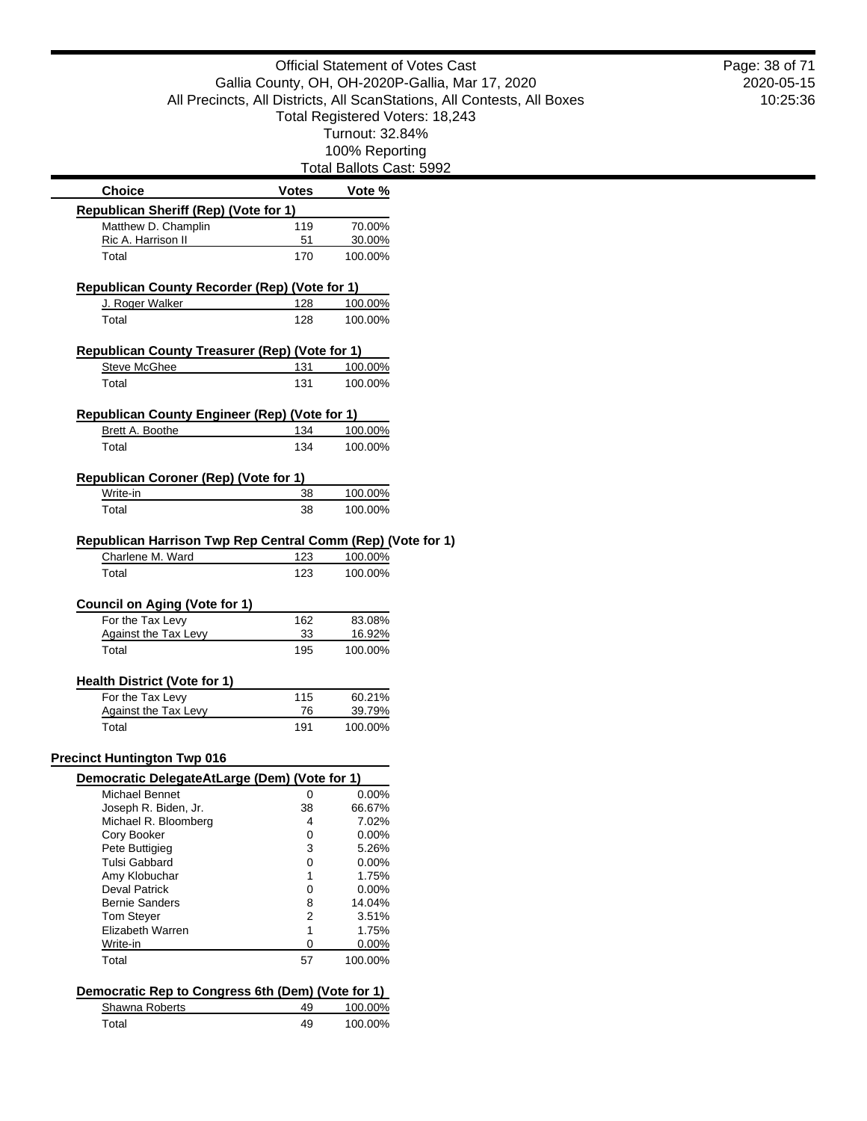Total Ballots Cast: 5992

| <b>Choice</b>                                               | Votes     | Vote %        |  |
|-------------------------------------------------------------|-----------|---------------|--|
| Republican Sheriff (Rep) (Vote for 1)                       |           |               |  |
| Matthew D. Champlin                                         | 119       | 70.00%        |  |
| Ric A. Harrison II                                          | 51        | 30.00%        |  |
| Total                                                       | 170       | 100.00%       |  |
| Republican County Recorder (Rep) (Vote for 1)               |           |               |  |
| J. Roger Walker                                             | 128       | 100.00%       |  |
| Total                                                       | 128       | 100.00%       |  |
| Republican County Treasurer (Rep) (Vote for 1)              |           |               |  |
| <b>Steve McGhee</b>                                         | 131       | 100.00%       |  |
| Total                                                       | 131       | 100.00%       |  |
| <b>Republican County Engineer (Rep) (Vote for 1)</b>        |           |               |  |
| Brett A. Boothe                                             | 134       | 100.00%       |  |
| Total                                                       | 134       | 100.00%       |  |
| Republican Coroner (Rep) (Vote for 1)                       |           |               |  |
| Write-in                                                    | <u>38</u> | 100.00%       |  |
| Total                                                       | 38        | 100.00%       |  |
| Republican Harrison Twp Rep Central Comm (Rep) (Vote for 1) |           |               |  |
| Charlene M. Ward                                            | 123       | 100.00%       |  |
| Total                                                       | 123       | 100.00%       |  |
| <b>Council on Aging (Vote for 1)</b>                        |           |               |  |
| For the Tax Levy                                            | 162       | 83.08%        |  |
| Against the Tax Levy                                        | 33        | <u>16.92%</u> |  |
| Total                                                       | 195       | 100.00%       |  |
| <b>Health District (Vote for 1)</b>                         |           |               |  |
| For the Tax Levy                                            | 115       | 60.21%        |  |
| <b>Against the Tax Levy</b>                                 | 76        | 39.79%        |  |
| Total                                                       | 191       | 100.00%       |  |
| <b>Precinct Huntington Twp 016</b>                          |           |               |  |
| Democratic DelegateAtLarge (Dem) (Vote for 1)               |           |               |  |
| Michael Bennet                                              | 0         | 0.00%         |  |
| Joseph R. Biden, Jr.                                        | 38        | 66.67%        |  |
| Michael R. Bloomberg                                        | 4         | 7.02%         |  |
| Cory Booker                                                 | 0         | 0.00%         |  |
| Pete Buttigieg                                              | 3         | 5.26%         |  |
| Tulsi Gabbard                                               | 0         | $0.00\%$      |  |
| Amy Klobuchar                                               | 1         | 1.75%         |  |
| Deval Patrick                                               | 0         | $0.00\%$      |  |
| <b>Bernie Sanders</b>                                       | 8         | 14.04%        |  |
| <b>Tom Steyer</b>                                           | 2         | 3.51%         |  |
| Elizabeth Warren                                            | 1         | 1.75%         |  |
| Write-in                                                    | 0         | 0.00%         |  |
| Total                                                       | 57        | 100.00%       |  |
| Democratic Rep to Congress 6th (Dem) (Vote for 1)           |           |               |  |
| Shawna Roberts                                              | 49        | 100.00%       |  |
| Total                                                       | 49        | 100.00%       |  |
|                                                             |           |               |  |

2020-05-15 10:25:36 Page: 38 of 71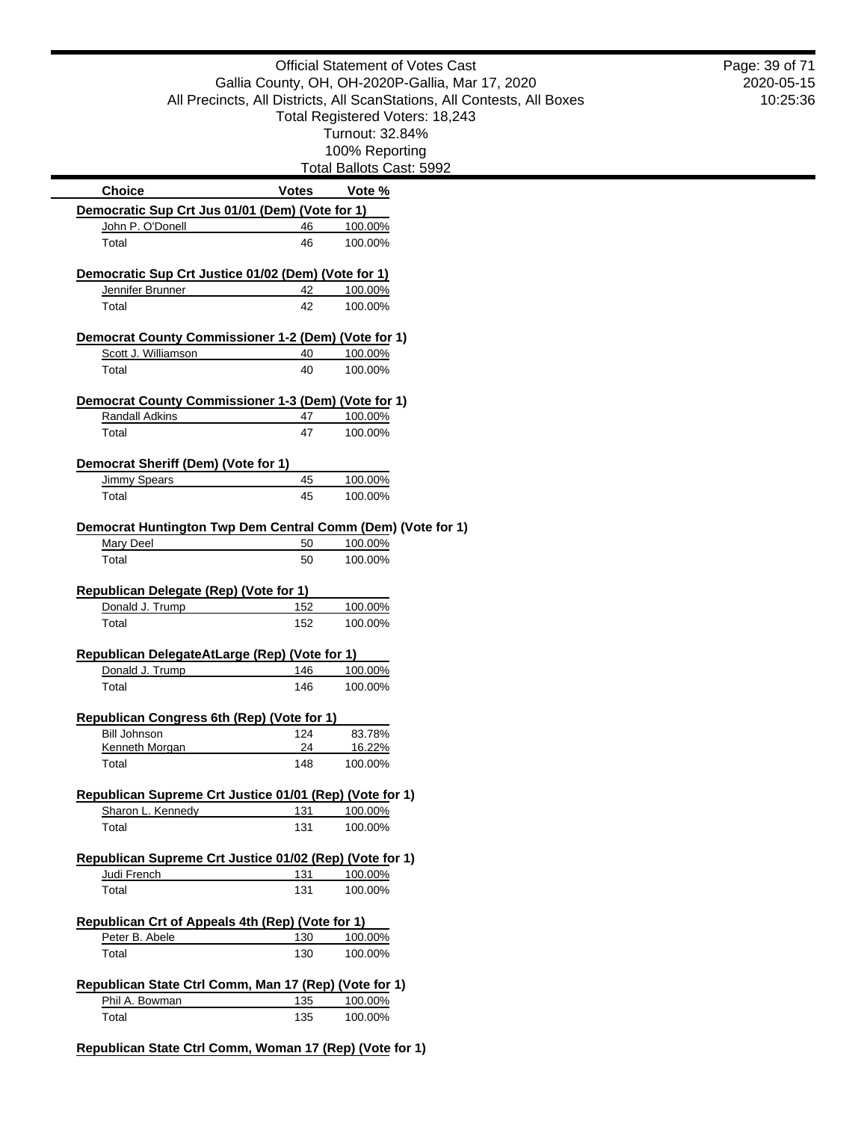|                                                                         |              | <b>Official Statement of Votes Cast</b>                                 | Page: 39 of 71 |
|-------------------------------------------------------------------------|--------------|-------------------------------------------------------------------------|----------------|
| Gallia County, OH, OH-2020P-Gallia, Mar 17, 2020                        |              | 2020-05-15                                                              |                |
|                                                                         |              | All Precincts, All Districts, All ScanStations, All Contests, All Boxes | 10:25:36       |
|                                                                         |              | Total Registered Voters: 18,243                                         |                |
|                                                                         |              | Turnout: 32.84%                                                         |                |
|                                                                         |              | 100% Reporting                                                          |                |
|                                                                         |              | Total Ballots Cast: 5992                                                |                |
| <b>Choice</b>                                                           | <b>Votes</b> | Vote %                                                                  |                |
| Democratic Sup Crt Jus 01/01 (Dem) (Vote for 1)<br>John P. O'Donell     | 46           | 100.00%                                                                 |                |
| Total                                                                   | 46           | 100.00%                                                                 |                |
| Democratic Sup Crt Justice 01/02 (Dem) (Vote for 1)                     |              |                                                                         |                |
| Jennifer Brunner                                                        | 42           | 100.00%                                                                 |                |
| Total                                                                   | 42           | 100.00%                                                                 |                |
| Democrat County Commissioner 1-2 (Dem) (Vote for 1)                     |              |                                                                         |                |
| Scott J. Williamson                                                     | 40           | 100.00%                                                                 |                |
| Total                                                                   | 40           | 100.00%                                                                 |                |
| Democrat County Commissioner 1-3 (Dem) (Vote for 1)                     |              |                                                                         |                |
| <b>Randall Adkins</b>                                                   | 47           | 100.00%                                                                 |                |
| Total                                                                   | 47           | 100.00%                                                                 |                |
| Democrat Sheriff (Dem) (Vote for 1)                                     |              |                                                                         |                |
| <b>Jimmy Spears</b>                                                     | 45           | 100.00%                                                                 |                |
| Total                                                                   | 45           | 100.00%                                                                 |                |
| Democrat Huntington Twp Dem Central Comm (Dem) (Vote for 1)             |              |                                                                         |                |
| <b>Mary Deel</b>                                                        | 50           | 100.00%                                                                 |                |
| Total                                                                   | 50           | 100.00%                                                                 |                |
| Republican Delegate (Rep) (Vote for 1)                                  |              |                                                                         |                |
| Donald J. Trump                                                         | 152          | 100.00%                                                                 |                |
| Total                                                                   | 152          | 100.00%                                                                 |                |
| Republican DelegateAtLarge (Rep) (Vote for 1)                           |              |                                                                         |                |
| Donald J. Trump                                                         | 146          | 100.00%                                                                 |                |
| Total                                                                   | 146          | 100.00%                                                                 |                |
|                                                                         |              |                                                                         |                |
|                                                                         |              |                                                                         |                |
| Republican Congress 6th (Rep) (Vote for 1)<br><b>Bill Johnson</b>       | 124          | 83.78%                                                                  |                |
| Kenneth Morgan                                                          | 24           | 16.22%                                                                  |                |
| Total                                                                   | 148          | 100.00%                                                                 |                |
| Republican Supreme Crt Justice 01/01 (Rep) (Vote for 1)                 |              |                                                                         |                |
| Sharon L. Kennedy<br>Total                                              | 131<br>131   | 100.00%<br>100.00%                                                      |                |
|                                                                         |              |                                                                         |                |
| Republican Supreme Crt Justice 01/02 (Rep) (Vote for 1)                 |              |                                                                         |                |
| Judi French<br>Total                                                    | 131<br>131   | 100.00%<br>100.00%                                                      |                |
|                                                                         |              |                                                                         |                |
|                                                                         |              |                                                                         |                |
| Peter B. Abele<br>Total                                                 | 130<br>130   | 100.00%<br>100.00%                                                      |                |
| Republican Crt of Appeals 4th (Rep) (Vote for 1)                        |              |                                                                         |                |
| Republican State Ctrl Comm, Man 17 (Rep) (Vote for 1)<br>Phil A. Bowman | 135          | 100.00%                                                                 |                |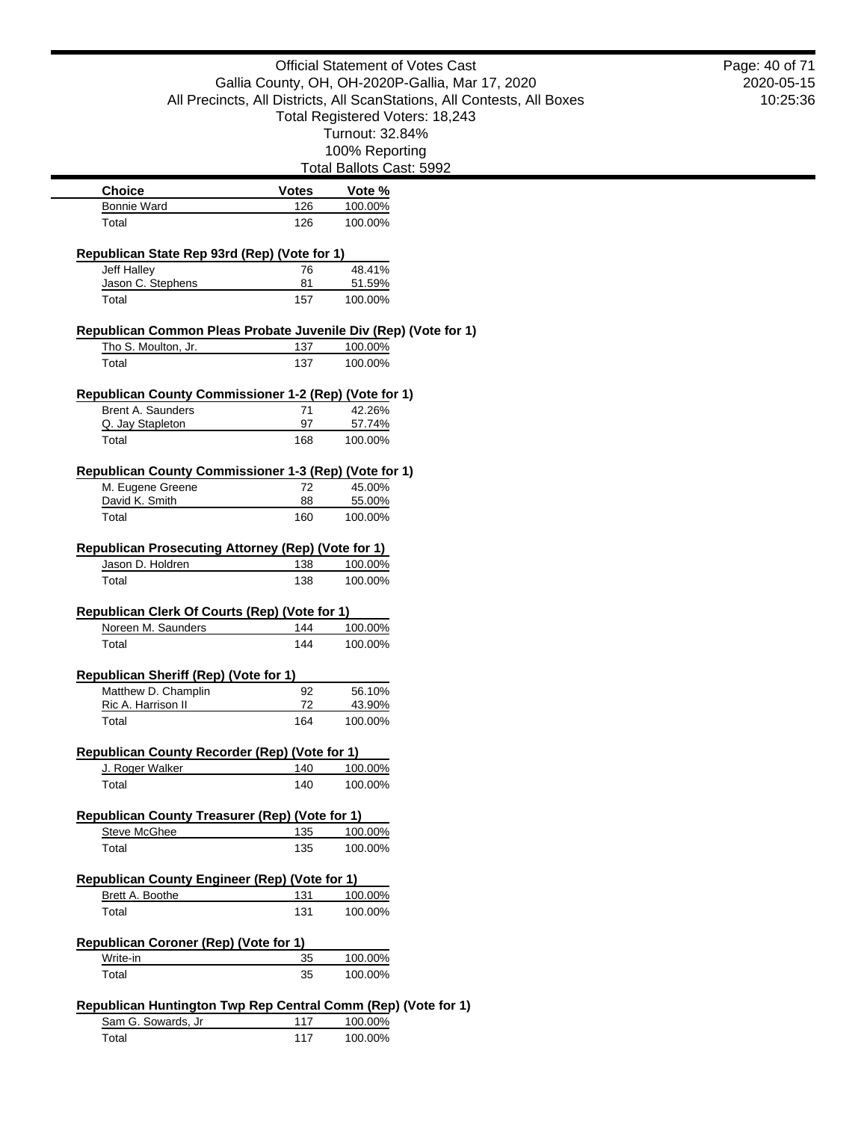| <b>Official Statement of Votes Cast</b>                                                                                                                        |                 | Page: 40 of 71           |            |
|----------------------------------------------------------------------------------------------------------------------------------------------------------------|-----------------|--------------------------|------------|
| Gallia County, OH, OH-2020P-Gallia, Mar 17, 2020<br>All Precincts, All Districts, All ScanStations, All Contests, All Boxes<br>Total Registered Voters: 18,243 |                 |                          | 2020-05-15 |
|                                                                                                                                                                |                 |                          | 10:25:36   |
|                                                                                                                                                                |                 |                          |            |
|                                                                                                                                                                | Turnout: 32.84% |                          |            |
|                                                                                                                                                                |                 | 100% Reporting           |            |
|                                                                                                                                                                |                 | Total Ballots Cast: 5992 |            |
| <b>Choice</b>                                                                                                                                                  | <b>Votes</b>    | Vote %                   |            |
| <b>Bonnie Ward</b>                                                                                                                                             | 126             | 100.00%                  |            |
| Total                                                                                                                                                          | 126             | 100.00%                  |            |
| Republican State Rep 93rd (Rep) (Vote for 1)                                                                                                                   |                 |                          |            |
| Jeff Halley                                                                                                                                                    | 76              | 48.41%                   |            |
| Jason C. Stephens                                                                                                                                              | 81              | 51.59%                   |            |
| Total                                                                                                                                                          | 157             | 100.00%                  |            |
| Republican Common Pleas Probate Juvenile Div (Rep) (Vote for 1)                                                                                                |                 |                          |            |
| Tho S. Moulton, Jr.                                                                                                                                            | 137             | 100.00%                  |            |
| Total                                                                                                                                                          | 137             | 100.00%                  |            |
| Republican County Commissioner 1-2 (Rep) (Vote for 1)                                                                                                          |                 |                          |            |
| Brent A. Saunders                                                                                                                                              | 71              | 42.26%                   |            |
| Q. Jay Stapleton                                                                                                                                               | 97              | 57.74%                   |            |
| Total                                                                                                                                                          | 168             | 100.00%                  |            |
| Republican County Commissioner 1-3 (Rep) (Vote for 1)                                                                                                          |                 |                          |            |
| M. Eugene Greene                                                                                                                                               | 72              | 45.00%                   |            |
| David K. Smith                                                                                                                                                 | 88              | 55.00%                   |            |
| Total                                                                                                                                                          | 160             | 100.00%                  |            |
| <b>Republican Prosecuting Attorney (Rep) (Vote for 1)</b>                                                                                                      |                 |                          |            |
| Jason D. Holdren                                                                                                                                               | 138             | 100.00%                  |            |
| Total                                                                                                                                                          | 138             | 100.00%                  |            |
| Republican Clerk Of Courts (Rep) (Vote for 1)                                                                                                                  |                 |                          |            |
| Noreen M. Saunders                                                                                                                                             | 144             | 100.00%                  |            |
| Total                                                                                                                                                          | 144             | 100.00%                  |            |
| Republican Sheriff (Rep) (Vote for 1)                                                                                                                          |                 |                          |            |
| Matthew D. Champlin                                                                                                                                            | 92              | 56.10%                   |            |
| Ric A. Harrison II                                                                                                                                             | 72              | 43.90%                   |            |
| Total                                                                                                                                                          | 164             | 100.00%                  |            |
| <b>Republican County Recorder (Rep) (Vote for 1)</b>                                                                                                           |                 |                          |            |
| J. Roger Walker                                                                                                                                                | 140             | 100.00%                  |            |
| Total                                                                                                                                                          | 140             | 100.00%                  |            |
|                                                                                                                                                                |                 |                          |            |
| <b>Republican County Treasurer (Rep) (Vote for 1)</b><br><b>Steve McGhee</b>                                                                                   | 135             | 100.00%                  |            |
| Total                                                                                                                                                          | 135             | 100.00%                  |            |
|                                                                                                                                                                |                 |                          |            |
| <b>Republican County Engineer (Rep) (Vote for 1)</b>                                                                                                           |                 |                          |            |
| Brett A. Boothe                                                                                                                                                | 131             | 100.00%                  |            |
| Total                                                                                                                                                          | 131             | 100.00%                  |            |
| Republican Coroner (Rep) (Vote for 1)                                                                                                                          |                 |                          |            |
| Write-in                                                                                                                                                       | 35              | 100.00%                  |            |
| Total                                                                                                                                                          | 35              | 100.00%                  |            |
| Republican Huntington Twp Rep Central Comm (Rep) (Vote for 1)                                                                                                  |                 |                          |            |
| Sam G. Sowards, Jr                                                                                                                                             | 117             | 100.00%                  |            |
| Total                                                                                                                                                          | 117             | 100.00%                  |            |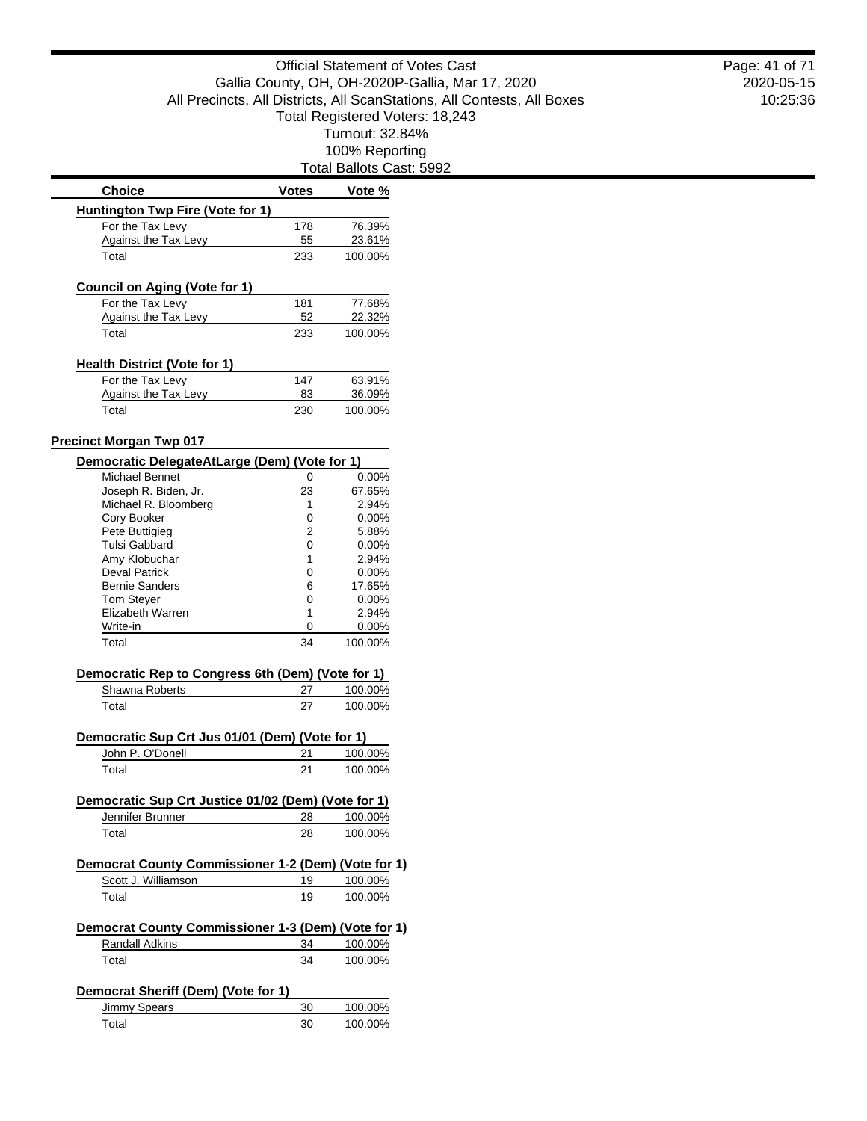| <b>Choice</b>                                                                   | <b>Votes</b> | Vote %                        |
|---------------------------------------------------------------------------------|--------------|-------------------------------|
| Huntington Twp Fire (Vote for 1)                                                |              |                               |
| For the Tax Levy                                                                | 178          | 76.39%                        |
| <b>Against the Tax Levy</b>                                                     | 55           | 23.61%                        |
| Total                                                                           | 233          | 100.00%                       |
| <b>Council on Aging (Vote for 1)</b>                                            |              |                               |
| For the Tax Levy                                                                | 181          | 77.68%                        |
| <b>Against the Tax Levy</b>                                                     | 52           | 22.32%                        |
| Total                                                                           | 233          | 100.00%                       |
| <b>Health District (Vote for 1)</b>                                             |              |                               |
| For the Tax Levy                                                                | 147          | 63.91%                        |
| <b>Against the Tax Levy</b>                                                     | 83           | 36.09%                        |
| Total                                                                           | 230          | 100.00%                       |
|                                                                                 |              |                               |
| <b>Precinct Morgan Twp 017</b><br>Democratic DelegateAtLarge (Dem) (Vote for 1) |              |                               |
| Michael Bennet                                                                  | 0            | $0.00\%$                      |
| Joseph R. Biden, Jr.                                                            | 23           | 67.65%                        |
| Michael R. Bloomberg                                                            | 1            | 2.94%                         |
| Cory Booker                                                                     | 0            | $0.00\%$                      |
| Pete Buttigieg                                                                  | 2            | 5.88%                         |
| <b>Tulsi Gabbard</b>                                                            | 0            | $0.00\%$                      |
| Amy Klobuchar                                                                   | 1            | 2.94%                         |
| <b>Deval Patrick</b>                                                            | 0            | $0.00\%$                      |
| <b>Bernie Sanders</b>                                                           | 6            | 17.65%                        |
| <b>Tom Steyer</b>                                                               | 0            | $0.00\%$                      |
| Elizabeth Warren                                                                | 1            | 2.94%                         |
| Write-in                                                                        | 0            | $0.00\%$                      |
| Total                                                                           | 34           | 100.00%                       |
|                                                                                 |              |                               |
| Democratic Rep to Congress 6th (Dem) (Vote for 1)<br>Shawna Roberts             | 27           | 100.00%                       |
|                                                                                 |              |                               |
| Total                                                                           | 27           | 100.00%                       |
| Democratic Sup Crt Jus 01/01 (Dem) (Vote for 1)                                 |              |                               |
| John P. O'Donell                                                                | 21           | 100.00%                       |
| Total                                                                           | 21           | 100.00%                       |
| Democratic Sup Crt Justice 01/02 (Dem) (Vote for 1)                             |              |                               |
| Jennifer Brunner                                                                | 28           | 100.00%                       |
| Total                                                                           | 28           | 100.00%                       |
| Democrat County Commissioner 1-2 (Dem) (Vote for 1)                             |              |                               |
| Scott J. Williamson                                                             | 19           | 100.00%                       |
| Total                                                                           | 19           | 100.00%                       |
|                                                                                 |              |                               |
|                                                                                 |              |                               |
| Democrat County Commissioner 1-3 (Dem) (Vote for 1)                             |              |                               |
| Randall Adkins                                                                  | 34           |                               |
| Total                                                                           | 34           |                               |
| Democrat Sheriff (Dem) (Vote for 1)                                             |              |                               |
| Jimmy Spears                                                                    | 30           | 100.00%<br>100.00%<br>100.00% |

2020-05-15 10:25:36 Page: 41 of 71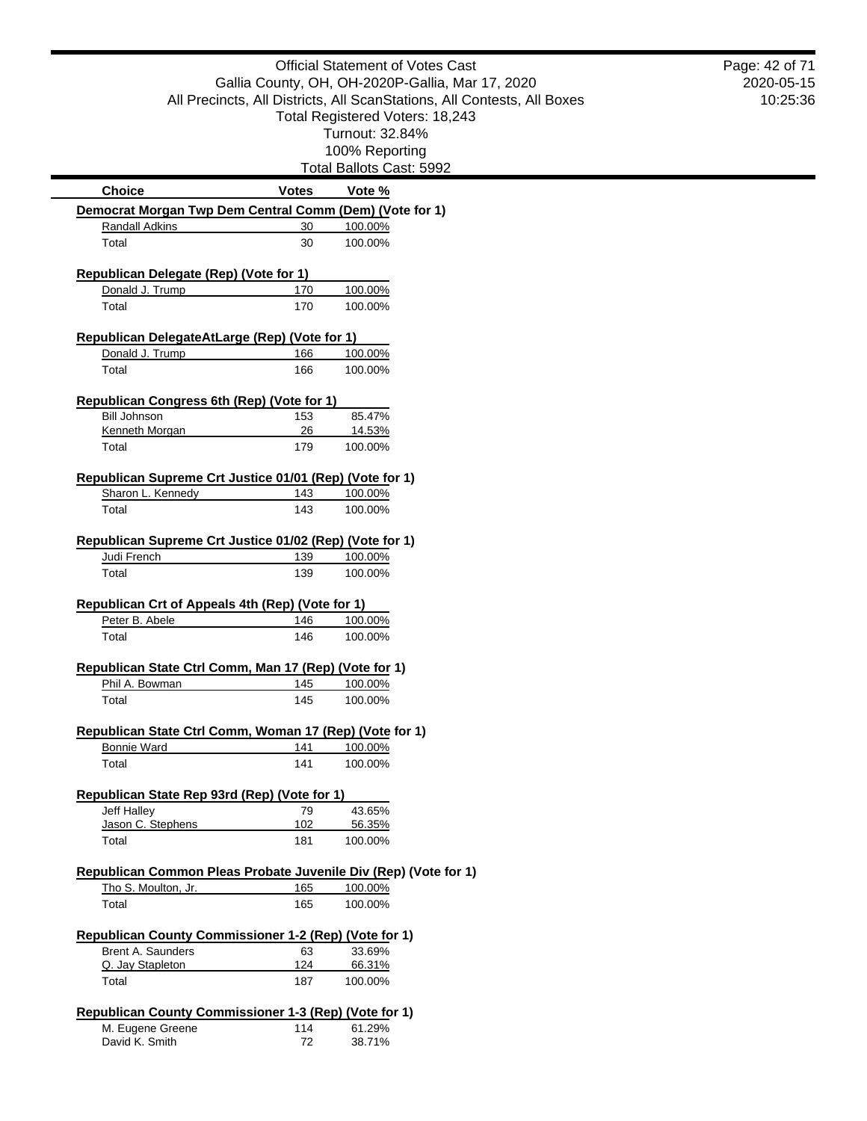|                                                                                                                                                                | <b>Official Statement of Votes Cast</b> |                          |                        |
|----------------------------------------------------------------------------------------------------------------------------------------------------------------|-----------------------------------------|--------------------------|------------------------|
| Gallia County, OH, OH-2020P-Gallia, Mar 17, 2020<br>All Precincts, All Districts, All ScanStations, All Contests, All Boxes<br>Total Registered Voters: 18,243 |                                         |                          | 2020-05-15<br>10:25:36 |
|                                                                                                                                                                |                                         |                          |                        |
|                                                                                                                                                                |                                         | Turnout: 32.84%          |                        |
|                                                                                                                                                                |                                         | 100% Reporting           |                        |
|                                                                                                                                                                |                                         | Total Ballots Cast: 5992 |                        |
| <b>Choice</b>                                                                                                                                                  | <b>Votes</b>                            | Vote %                   |                        |
| Democrat Morgan Twp Dem Central Comm (Dem) (Vote for 1)                                                                                                        |                                         |                          |                        |
| Randall Adkins                                                                                                                                                 | 30                                      | 100.00%                  |                        |
| Total                                                                                                                                                          | 30                                      | 100.00%                  |                        |
| Republican Delegate (Rep) (Vote for 1)                                                                                                                         |                                         |                          |                        |
| Donald J. Trump                                                                                                                                                | 170                                     | 100.00%                  |                        |
| Total                                                                                                                                                          | 170                                     | 100.00%                  |                        |
| Republican DelegateAtLarge (Rep) (Vote for 1)                                                                                                                  |                                         |                          |                        |
| Donald J. Trump                                                                                                                                                | 166                                     | 100.00%                  |                        |
| Total                                                                                                                                                          | 166                                     | 100.00%                  |                        |
| Republican Congress 6th (Rep) (Vote for 1)                                                                                                                     |                                         |                          |                        |
| <b>Bill Johnson</b>                                                                                                                                            | 153                                     | 85.47%                   |                        |
| Kenneth Morgan                                                                                                                                                 | 26                                      | 14.53%                   |                        |
| Total                                                                                                                                                          | 179                                     | 100.00%                  |                        |
| Republican Supreme Crt Justice 01/01 (Rep) (Vote for 1)                                                                                                        |                                         |                          |                        |
| Sharon L. Kennedy                                                                                                                                              | 143                                     | 100.00%                  |                        |
| Total                                                                                                                                                          | 143                                     | 100.00%                  |                        |
| Judi French<br>Total                                                                                                                                           | 139<br>139                              | 100.00%<br>100.00%       |                        |
| Republican Crt of Appeals 4th (Rep) (Vote for 1)                                                                                                               |                                         |                          |                        |
| Peter B. Abele                                                                                                                                                 | 146                                     | 100.00%                  |                        |
| Total                                                                                                                                                          | 146                                     | 100.00%                  |                        |
| Republican State Ctrl Comm, Man 17 (Rep) (Vote for 1)                                                                                                          |                                         |                          |                        |
| Phil A. Bowman                                                                                                                                                 | 145                                     | 100.00%                  |                        |
| Total                                                                                                                                                          | 145                                     | 100.00%                  |                        |
| Republican State Ctrl Comm, Woman 17 (Rep) (Vote for 1)                                                                                                        |                                         |                          |                        |
| <b>Bonnie Ward</b>                                                                                                                                             | 141                                     | 100.00%                  |                        |
| Total                                                                                                                                                          | 141                                     | 100.00%                  |                        |
| Republican State Rep 93rd (Rep) (Vote for 1)                                                                                                                   |                                         |                          |                        |
| Jeff Halley                                                                                                                                                    | 79                                      | 43.65%                   |                        |
| Jason C. Stephens                                                                                                                                              | 102                                     | 56.35%                   |                        |
| Total                                                                                                                                                          | 181                                     | 100.00%                  |                        |
| Republican Common Pleas Probate Juvenile Div (Rep) (Vote for 1)                                                                                                |                                         |                          |                        |
| Tho S. Moulton, Jr.                                                                                                                                            | 165                                     | 100.00%                  |                        |
| Total                                                                                                                                                          | 165                                     | 100.00%                  |                        |
| Republican County Commissioner 1-2 (Rep) (Vote for 1)                                                                                                          |                                         |                          |                        |
| Brent A. Saunders                                                                                                                                              | 63                                      | 33.69%                   |                        |
| Q. Jay Stapleton                                                                                                                                               | 124                                     | 66.31%                   |                        |
| Total                                                                                                                                                          | 187                                     | 100.00%                  |                        |
| Republican County Commissioner 1-3 (Rep) (Vote for 1)                                                                                                          |                                         |                          |                        |
| M. Eugene Greene                                                                                                                                               | 114                                     | 61.29%                   |                        |
| David K. Smith                                                                                                                                                 | 72                                      | 38.71%                   |                        |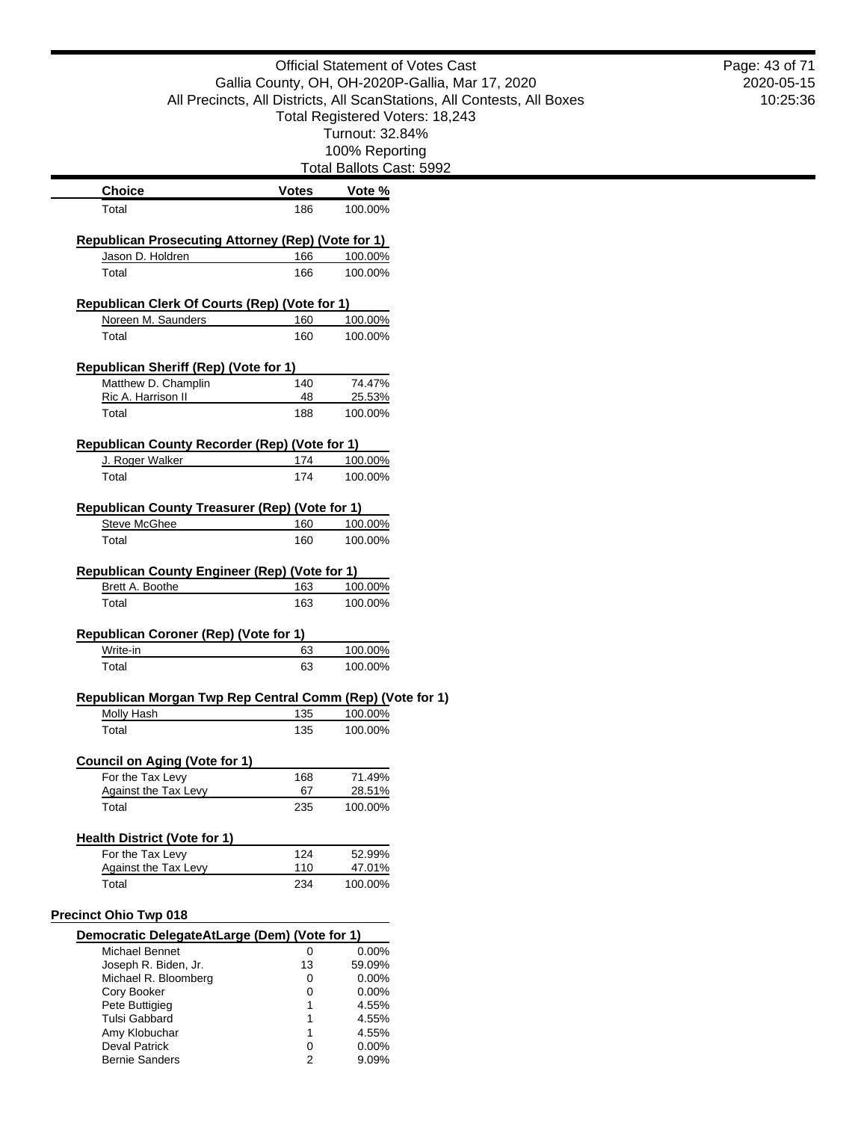|                                                                     | <b>Official Statement of Votes Cast</b>                                                                                     |                                 |  |
|---------------------------------------------------------------------|-----------------------------------------------------------------------------------------------------------------------------|---------------------------------|--|
|                                                                     | Gallia County, OH, OH-2020P-Gallia, Mar 17, 2020<br>All Precincts, All Districts, All ScanStations, All Contests, All Boxes |                                 |  |
|                                                                     |                                                                                                                             |                                 |  |
|                                                                     |                                                                                                                             | Total Registered Voters: 18,243 |  |
|                                                                     |                                                                                                                             | Turnout: 32.84%                 |  |
|                                                                     |                                                                                                                             | 100% Reporting                  |  |
|                                                                     |                                                                                                                             | Total Ballots Cast: 5992        |  |
| <b>Choice</b>                                                       | <b>Votes</b>                                                                                                                | Vote %                          |  |
| Total                                                               | 186                                                                                                                         | 100.00%                         |  |
|                                                                     |                                                                                                                             |                                 |  |
| <b>Republican Prosecuting Attorney (Rep) (Vote for 1)</b>           |                                                                                                                             |                                 |  |
| Jason D. Holdren                                                    | 166                                                                                                                         | 100.00%                         |  |
| Total                                                               | 166                                                                                                                         | 100.00%                         |  |
| <b>Republican Clerk Of Courts (Rep) (Vote for 1)</b>                |                                                                                                                             |                                 |  |
| Noreen M. Saunders                                                  | 160                                                                                                                         | 100.00%                         |  |
| Total                                                               | 160                                                                                                                         | 100.00%                         |  |
|                                                                     |                                                                                                                             |                                 |  |
| <b>Republican Sheriff (Rep) (Vote for 1)</b><br>Matthew D. Champlin | 140                                                                                                                         | 74.47%                          |  |
| Ric A. Harrison II                                                  | 48                                                                                                                          | 25.53%                          |  |
| Total                                                               | 188                                                                                                                         | 100.00%                         |  |
|                                                                     |                                                                                                                             |                                 |  |
| <b>Republican County Recorder (Rep) (Vote for 1)</b>                |                                                                                                                             |                                 |  |
| J. Roger Walker                                                     | 174                                                                                                                         | 100.00%                         |  |
| Total                                                               | 174                                                                                                                         | 100.00%                         |  |
| Republican County Treasurer (Rep) (Vote for 1)                      |                                                                                                                             |                                 |  |
| <b>Steve McGhee</b>                                                 | 160                                                                                                                         | 100.00%                         |  |
| Total                                                               | 160                                                                                                                         | 100.00%                         |  |
|                                                                     |                                                                                                                             |                                 |  |
| <b>Republican County Engineer (Rep) (Vote for 1)</b>                |                                                                                                                             |                                 |  |
| Brett A. Boothe                                                     | 163                                                                                                                         | 100.00%                         |  |
| Total                                                               | 163                                                                                                                         | 100.00%                         |  |
| <b>Republican Coroner (Rep) (Vote for 1)</b>                        |                                                                                                                             |                                 |  |
| Write-in                                                            | 63                                                                                                                          | 100.00%                         |  |
| Total                                                               | 63                                                                                                                          | 100.00%                         |  |
|                                                                     |                                                                                                                             |                                 |  |
| Republican Morgan Twp Rep Central Comm (Rep) (Vote for 1)           | 135                                                                                                                         |                                 |  |
| Molly Hash<br>Total                                                 | 135                                                                                                                         | 100.00%<br>100.00%              |  |
|                                                                     |                                                                                                                             |                                 |  |
| <b>Council on Aging (Vote for 1)</b>                                |                                                                                                                             |                                 |  |
| For the Tax Levy                                                    | 168                                                                                                                         | 71.49%                          |  |
| Against the Tax Levy                                                | 67                                                                                                                          | 28.51%                          |  |
| Total                                                               | 235                                                                                                                         | 100.00%                         |  |
| <b>Health District (Vote for 1)</b>                                 |                                                                                                                             |                                 |  |
| For the Tax Levy                                                    | 124                                                                                                                         | 52.99%                          |  |
| Against the Tax Levy                                                | <u>110</u>                                                                                                                  | 47.01%                          |  |
| Total                                                               | 234                                                                                                                         | 100.00%                         |  |
|                                                                     |                                                                                                                             |                                 |  |
| <b>Precinct Ohio Twp 018</b>                                        |                                                                                                                             |                                 |  |
| Democratic DelegateAtLarge (Dem) (Vote for 1)                       |                                                                                                                             |                                 |  |
| Michael Bennet                                                      | 0                                                                                                                           | 0.00%                           |  |
| Joseph R. Biden, Jr.<br>Michael R. Bloomberg                        | 13<br>0                                                                                                                     | 59.09%<br>0.00%                 |  |
| Cory Booker                                                         | 0                                                                                                                           | 0.00%                           |  |
| Pete Buttigieg                                                      | 1                                                                                                                           | 4.55%                           |  |
| <b>Tulsi Gabbard</b>                                                |                                                                                                                             | 4.55%                           |  |
| Amy Klobuchar                                                       | 1                                                                                                                           | 4.55%                           |  |
| <b>Deval Patrick</b>                                                | 0                                                                                                                           | 0.00%                           |  |
| <b>Bernie Sanders</b>                                               | $\overline{2}$                                                                                                              | 9.09%                           |  |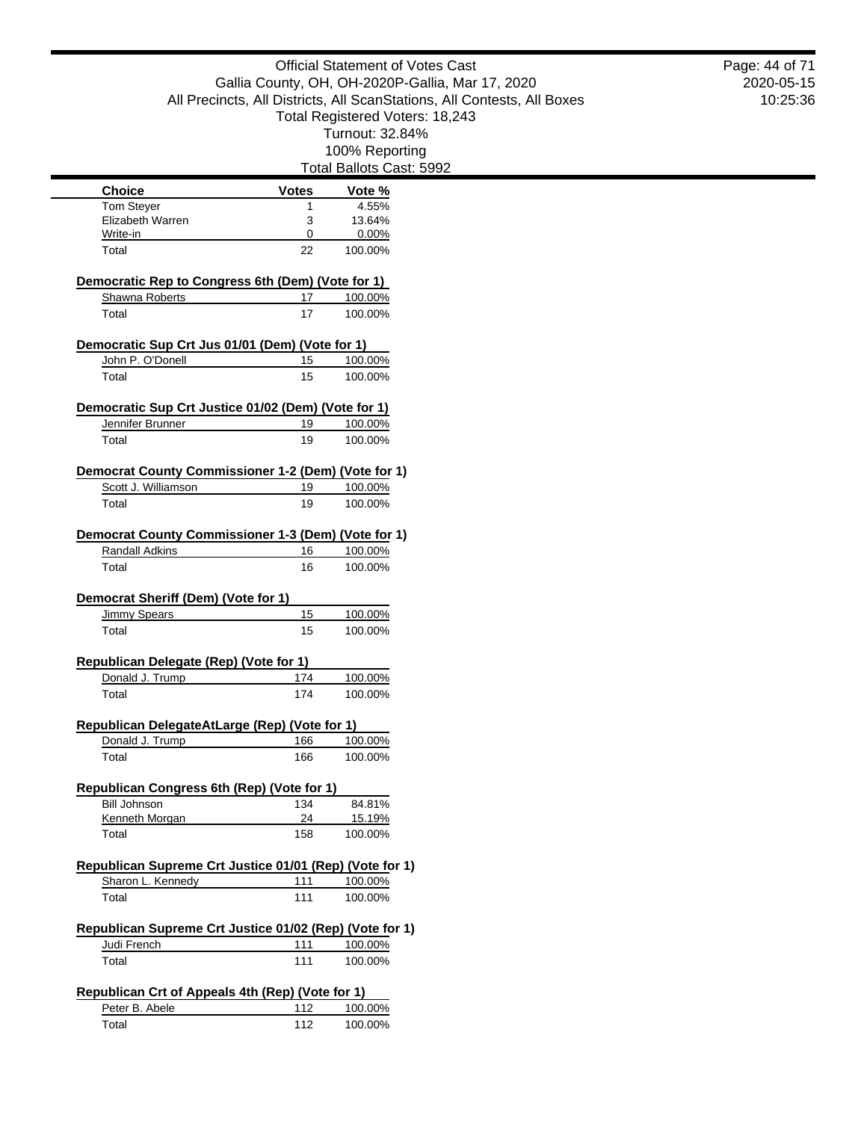Total Ballots Cast: 5992 **Choice Votes Votes Vote** % Tom Stever 1 4.55% Elizabeth Warren 3 13.64% Write-in 0 0.00% Total 22 100.00% **Democratic Rep to Congress 6th (Dem) (Vote for 1)** Shawna Roberts 17 100.00% Total 17 100.00% **Democratic Sup Crt Jus 01/01 (Dem) (Vote for 1)** John P. O'Donell 15 100.00% Total 15 100.00% **Democratic Sup Crt Justice 01/02 (Dem) (Vote for 1)** Jennifer Brunner 19 100.00% Total 19 100.00% **Democrat County Commissioner 1-2 (Dem) (Vote for 1)** Scott J. Williamson 19 100.00% Total 19 100.00% **Democrat County Commissioner 1-3 (Dem) (Vote for 1)** Randall Adkins 16 100.00% Total 100.00% **Democrat Sheriff (Dem) (Vote for 1)** Jimmy Spears 15 100.00% Total 15 100.00% **Republican Delegate (Rep) (Vote for 1)** Donald J. Trump 174 100.00% Total 174 100.00% **Republican DelegateAtLarge (Rep) (Vote for 1)** Donald J. Trump 166 100.00% Total 166 100.00% **Republican Congress 6th (Rep) (Vote for 1)** Bill Johnson 134 84.81% Kenneth Morgan 24 15.19% Total 158 100.00% **Republican Supreme Crt Justice 01/01 (Rep) (Vote for 1)** Sharon L. Kennedy 111 100.00% Total 100.00% **Republican Supreme Crt Justice 01/02 (Rep) (Vote for 1)** Judi French 111 100.00% Total 100.00% **Republican Crt of Appeals 4th (Rep) (Vote for 1)** Peter B. Abele 112 100.00% Total 112 100.00%

2020-05-15 10:25:36 Page: 44 of 71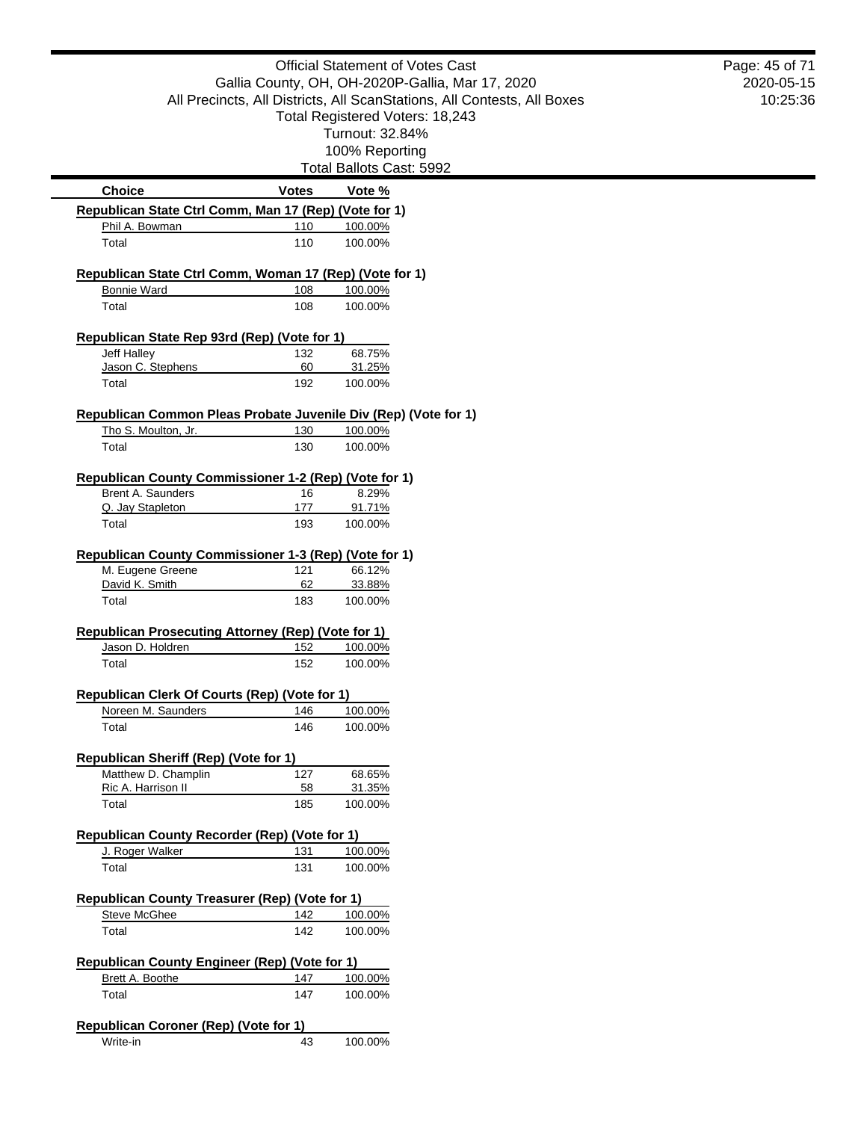|                                                                               |                                                  | <b>Official Statement of Votes Cast</b>                                 | Page: 45 of 71<br>2020-05-15 |
|-------------------------------------------------------------------------------|--------------------------------------------------|-------------------------------------------------------------------------|------------------------------|
|                                                                               | Gallia County, OH, OH-2020P-Gallia, Mar 17, 2020 |                                                                         |                              |
|                                                                               |                                                  | All Precincts, All Districts, All ScanStations, All Contests, All Boxes | 10:25:36                     |
|                                                                               |                                                  | Total Registered Voters: 18,243                                         |                              |
|                                                                               |                                                  | Turnout: 32.84%                                                         |                              |
|                                                                               |                                                  | 100% Reporting                                                          |                              |
|                                                                               |                                                  | Total Ballots Cast: 5992                                                |                              |
| <b>Choice</b>                                                                 | <b>Votes</b>                                     | Vote %                                                                  |                              |
| Republican State Ctrl Comm, Man 17 (Rep) (Vote for 1)<br>Phil A. Bowman       | 110                                              | 100.00%                                                                 |                              |
| Total                                                                         | 110                                              | 100.00%                                                                 |                              |
|                                                                               |                                                  |                                                                         |                              |
| Republican State Ctrl Comm, Woman 17 (Rep) (Vote for 1)<br><b>Bonnie Ward</b> | 108                                              | 100.00%                                                                 |                              |
| Total                                                                         | 108                                              | 100.00%                                                                 |                              |
|                                                                               |                                                  |                                                                         |                              |
| Republican State Rep 93rd (Rep) (Vote for 1)                                  |                                                  |                                                                         |                              |
| Jeff Halley                                                                   | 132                                              | 68.75%                                                                  |                              |
| Jason C. Stephens                                                             | 60                                               | 31.25%                                                                  |                              |
| Total                                                                         | 192                                              | 100.00%                                                                 |                              |
| Republican Common Pleas Probate Juvenile Div (Rep) (Vote for 1)               |                                                  |                                                                         |                              |
| Tho S. Moulton, Jr.                                                           | 130                                              | 100.00%                                                                 |                              |
| Total                                                                         | 130                                              | 100.00%                                                                 |                              |
| Republican County Commissioner 1-2 (Rep) (Vote for 1)                         |                                                  |                                                                         |                              |
| Brent A. Saunders                                                             | 16                                               | 8.29%                                                                   |                              |
| Q. Jay Stapleton                                                              | 177                                              | 91.71%                                                                  |                              |
| Total                                                                         | 193                                              | 100.00%                                                                 |                              |
| Republican County Commissioner 1-3 (Rep) (Vote for 1)                         |                                                  |                                                                         |                              |
| M. Eugene Greene                                                              | 121                                              | 66.12%                                                                  |                              |
| David K. Smith                                                                | 62                                               | 33.88%                                                                  |                              |
| Total                                                                         | 183                                              | 100.00%                                                                 |                              |
| <b>Republican Prosecuting Attorney (Rep) (Vote for 1)</b>                     |                                                  |                                                                         |                              |
| Jason D. Holdren                                                              | 152                                              | 100.00%                                                                 |                              |
| Total                                                                         | 152                                              | 100.00%                                                                 |                              |
|                                                                               |                                                  |                                                                         |                              |
| Republican Clerk Of Courts (Rep) (Vote for 1)                                 |                                                  |                                                                         |                              |
| Noreen M. Saunders                                                            | 146                                              | 100.00%                                                                 |                              |
| Total                                                                         | 146                                              | 100.00%                                                                 |                              |
| Republican Sheriff (Rep) (Vote for 1)                                         |                                                  |                                                                         |                              |
| Matthew D. Champlin                                                           | 127                                              | 68.65%                                                                  |                              |
| Ric A. Harrison II                                                            | 58                                               | 31.35%                                                                  |                              |
| Total                                                                         | 185                                              | 100.00%                                                                 |                              |
| Republican County Recorder (Rep) (Vote for 1)                                 |                                                  |                                                                         |                              |
| J. Roger Walker                                                               | 131                                              | 100.00%                                                                 |                              |
| Total                                                                         | 131                                              | 100.00%                                                                 |                              |
| Republican County Treasurer (Rep) (Vote for 1)                                |                                                  |                                                                         |                              |
| <b>Steve McGhee</b>                                                           | 142                                              | 100.00%                                                                 |                              |
| Total                                                                         | 142                                              | 100.00%                                                                 |                              |
| Republican County Engineer (Rep) (Vote for 1)                                 |                                                  |                                                                         |                              |
| Brett A. Boothe                                                               | 147                                              | 100.00%                                                                 |                              |
| Total                                                                         | 147                                              | 100.00%                                                                 |                              |
|                                                                               |                                                  |                                                                         |                              |
| <b>Republican Coroner (Rep) (Vote for 1)</b>                                  |                                                  |                                                                         |                              |
| Write-in                                                                      | 43                                               | 100.00%                                                                 |                              |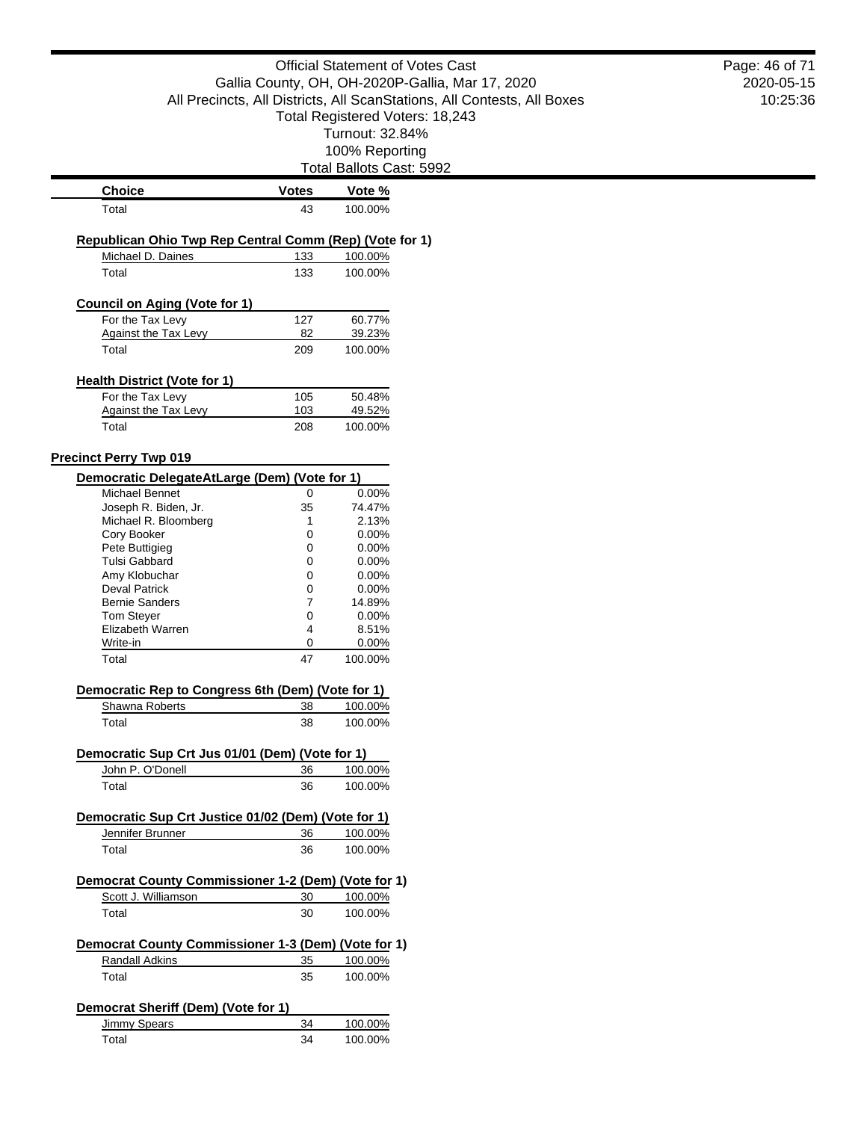| <b>Official Statement of Votes Cast</b>                                                                                     |              |                          | Page: 46 of 71 |
|-----------------------------------------------------------------------------------------------------------------------------|--------------|--------------------------|----------------|
| Gallia County, OH, OH-2020P-Gallia, Mar 17, 2020<br>All Precincts, All Districts, All ScanStations, All Contests, All Boxes |              |                          | 2020-05-15     |
|                                                                                                                             | 10:25:36     |                          |                |
| Total Registered Voters: 18,243<br>Turnout: 32.84%                                                                          |              |                          |                |
|                                                                                                                             |              |                          |                |
|                                                                                                                             |              | 100% Reporting           |                |
|                                                                                                                             |              | Total Ballots Cast: 5992 |                |
| <b>Choice</b>                                                                                                               | <b>Votes</b> | Vote %                   |                |
| Total                                                                                                                       | 43           | 100.00%                  |                |
| Republican Ohio Twp Rep Central Comm (Rep) (Vote for 1)                                                                     |              |                          |                |
| Michael D. Daines                                                                                                           | 133          | 100.00%                  |                |
| Total                                                                                                                       | 133          | 100.00%                  |                |
|                                                                                                                             |              |                          |                |
| <b>Council on Aging (Vote for 1)</b><br>For the Tax Levy                                                                    | 127          | 60.77%                   |                |
| <b>Against the Tax Levy</b>                                                                                                 | 82           | 39.23%                   |                |
| Total                                                                                                                       | 209          | 100.00%                  |                |
|                                                                                                                             |              |                          |                |
| <b>Health District (Vote for 1)</b>                                                                                         |              |                          |                |
| For the Tax Levy<br><b>Against the Tax Levy</b>                                                                             | 105<br>103   | 50.48%<br>49.52%         |                |
| Total                                                                                                                       | 208          | 100.00%                  |                |
|                                                                                                                             |              |                          |                |
| <b>Precinct Perry Twp 019</b>                                                                                               |              |                          |                |
| Democratic DelegateAtLarge (Dem) (Vote for 1)                                                                               |              |                          |                |
| Michael Bennet                                                                                                              | 0            | 0.00%                    |                |
| Joseph R. Biden, Jr.<br>Michael R. Bloomberg                                                                                | 35<br>1      | 74.47%<br>2.13%          |                |
| Cory Booker                                                                                                                 | 0            | 0.00%                    |                |
| Pete Buttigieg                                                                                                              | 0            | 0.00%                    |                |
| <b>Tulsi Gabbard</b>                                                                                                        | 0            | 0.00%                    |                |
| Amy Klobuchar                                                                                                               | 0            | 0.00%                    |                |
| <b>Deval Patrick</b>                                                                                                        | 0            | 0.00%                    |                |
| <b>Bernie Sanders</b>                                                                                                       | 7            | 14.89%                   |                |
| Tom Steyer                                                                                                                  | 0            | 0.00%                    |                |
| Elizabeth Warren                                                                                                            | 4            | 8.51%                    |                |
| Write-in<br>Total                                                                                                           | 0<br>47      | 0.00%<br>100.00%         |                |
|                                                                                                                             |              |                          |                |
| Democratic Rep to Congress 6th (Dem) (Vote for 1)                                                                           |              |                          |                |
| Shawna Roberts                                                                                                              | 38           | 100.00%                  |                |
| Total                                                                                                                       | 38           | 100.00%                  |                |
| Democratic Sup Crt Jus 01/01 (Dem) (Vote for 1)                                                                             |              |                          |                |
| John P. O'Donell                                                                                                            | 36           | 100.00%                  |                |
| Total                                                                                                                       | 36           | 100.00%                  |                |
|                                                                                                                             |              |                          |                |
| Democratic Sup Crt Justice 01/02 (Dem) (Vote for 1)                                                                         |              |                          |                |
| Jennifer Brunner                                                                                                            | 36           | 100.00%                  |                |
| Total                                                                                                                       | 36           | 100.00%                  |                |
| Democrat County Commissioner 1-2 (Dem) (Vote for 1)                                                                         |              |                          |                |
| Scott J. Williamson                                                                                                         | 30           | 100.00%                  |                |
| Total                                                                                                                       | 30           | 100.00%                  |                |
|                                                                                                                             |              |                          |                |
| Democrat County Commissioner 1-3 (Dem) (Vote for 1)<br><b>Randall Adkins</b>                                                | 35           | 100.00%                  |                |
| Total                                                                                                                       | 35           | 100.00%                  |                |
|                                                                                                                             |              |                          |                |
| Democrat Sheriff (Dem) (Vote for 1)                                                                                         |              |                          |                |
| <b>Jimmy Spears</b>                                                                                                         | 34           | 100.00%                  |                |
| Total                                                                                                                       | 34           | 100.00%                  |                |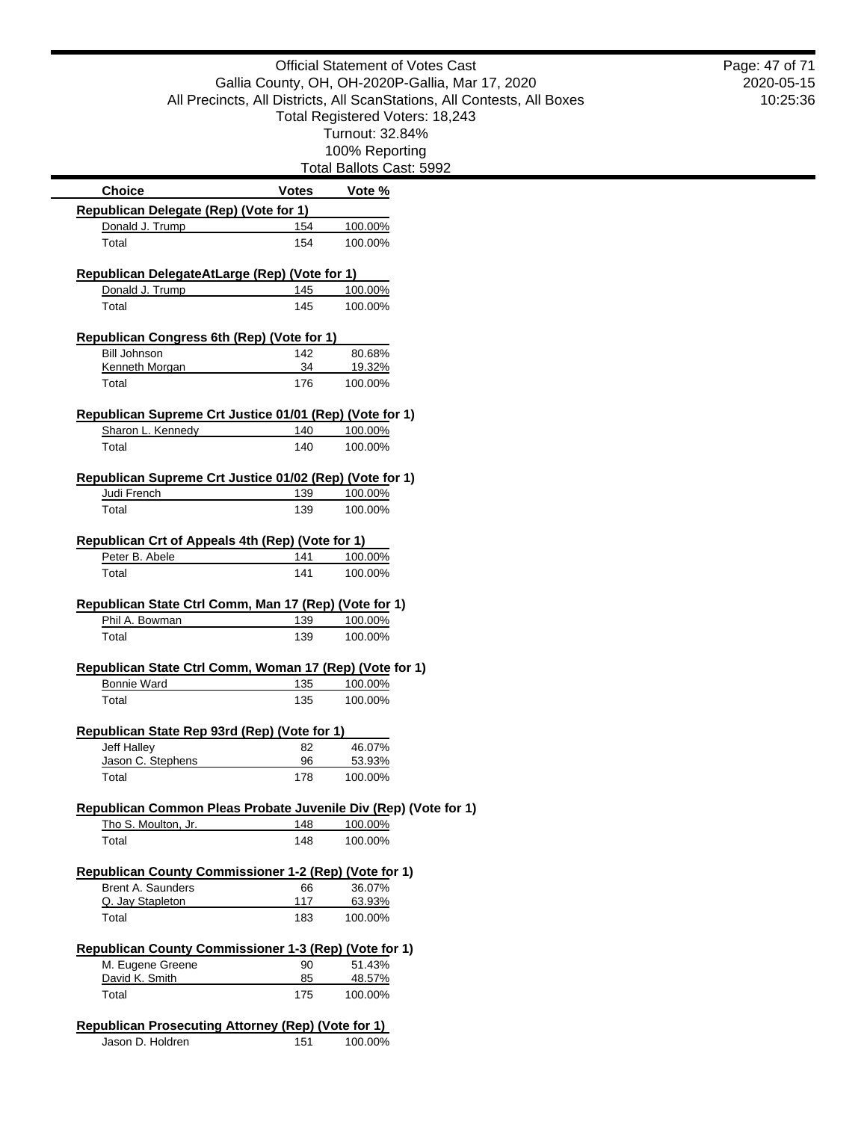| <b>Official Statement of Votes Cast</b>                                                                                                                        |                |                          | Page: 47 of 71 |
|----------------------------------------------------------------------------------------------------------------------------------------------------------------|----------------|--------------------------|----------------|
| Gallia County, OH, OH-2020P-Gallia, Mar 17, 2020<br>All Precincts, All Districts, All ScanStations, All Contests, All Boxes<br>Total Registered Voters: 18,243 |                |                          | 2020-05-15     |
|                                                                                                                                                                |                |                          | 10:25:36       |
|                                                                                                                                                                |                |                          |                |
|                                                                                                                                                                |                | Turnout: 32.84%          |                |
|                                                                                                                                                                | 100% Reporting |                          |                |
|                                                                                                                                                                |                | Total Ballots Cast: 5992 |                |
| <b>Choice</b>                                                                                                                                                  | <b>Votes</b>   | Vote %                   |                |
| Republican Delegate (Rep) (Vote for 1)                                                                                                                         |                |                          |                |
| Donald J. Trump                                                                                                                                                | 154            | 100.00%                  |                |
| Total                                                                                                                                                          | 154            | 100.00%                  |                |
| Republican DelegateAtLarge (Rep) (Vote for 1)                                                                                                                  |                |                          |                |
| Donald J. Trump                                                                                                                                                | 145            | 100.00%                  |                |
| Total                                                                                                                                                          | 145            | 100.00%                  |                |
| Republican Congress 6th (Rep) (Vote for 1)                                                                                                                     |                |                          |                |
| <b>Bill Johnson</b>                                                                                                                                            | 142            | 80.68%                   |                |
| Kenneth Morgan                                                                                                                                                 | 34             | 19.32%                   |                |
| Total                                                                                                                                                          | 176            | 100.00%                  |                |
| Republican Supreme Crt Justice 01/01 (Rep) (Vote for 1)                                                                                                        |                |                          |                |
| Sharon L. Kennedy                                                                                                                                              | 140            | 100.00%                  |                |
| Total                                                                                                                                                          | 140            | 100.00%                  |                |
|                                                                                                                                                                |                |                          |                |
| Republican Supreme Crt Justice 01/02 (Rep) (Vote for 1)<br>Judi French                                                                                         | 139            | 100.00%                  |                |
| Total                                                                                                                                                          | 139            | 100.00%                  |                |
|                                                                                                                                                                |                |                          |                |
| Republican Crt of Appeals 4th (Rep) (Vote for 1)                                                                                                               |                |                          |                |
| Peter B. Abele                                                                                                                                                 | 141            | 100.00%                  |                |
| Total                                                                                                                                                          | 141            | 100.00%                  |                |
| Republican State Ctrl Comm, Man 17 (Rep) (Vote for 1)                                                                                                          |                |                          |                |
| Phil A. Bowman                                                                                                                                                 | 139            | 100.00%                  |                |
| Total                                                                                                                                                          | 139            | 100.00%                  |                |
| Republican State Ctrl Comm, Woman 17 (Rep) (Vote for 1)                                                                                                        |                |                          |                |
| <b>Bonnie Ward</b>                                                                                                                                             | 135            | 100.00%                  |                |
| Total                                                                                                                                                          | 135            | 100.00%                  |                |
|                                                                                                                                                                |                |                          |                |
| Republican State Rep 93rd (Rep) (Vote for 1)                                                                                                                   |                |                          |                |
| Jeff Halley<br>Jason C. Stephens                                                                                                                               | 82<br>96       | 46.07%<br>53.93%         |                |
| Total                                                                                                                                                          | 178            | 100.00%                  |                |
|                                                                                                                                                                |                |                          |                |
| Republican Common Pleas Probate Juvenile Div (Rep) (Vote for 1)<br>Tho S. Moulton, Jr.                                                                         | 148            | 100.00%                  |                |
| Total                                                                                                                                                          | 148            | 100.00%                  |                |
|                                                                                                                                                                |                |                          |                |
| Republican County Commissioner 1-2 (Rep) (Vote for 1)                                                                                                          |                |                          |                |
| Brent A. Saunders                                                                                                                                              | 66             | 36.07%                   |                |
| Q. Jay Stapleton<br>Total                                                                                                                                      | 117<br>183     | 63.93%<br>100.00%        |                |
|                                                                                                                                                                |                |                          |                |
| Republican County Commissioner 1-3 (Rep) (Vote for 1)                                                                                                          |                |                          |                |
| M. Eugene Greene                                                                                                                                               | 90             | 51.43%                   |                |
| David K. Smith                                                                                                                                                 | 85             | 48.57%                   |                |
| Total                                                                                                                                                          | 175            | 100.00%                  |                |
| <b>Republican Prosecuting Attorney (Rep) (Vote for 1)</b>                                                                                                      |                |                          |                |
| Jason D. Holdren                                                                                                                                               | 151            | 100.00%                  |                |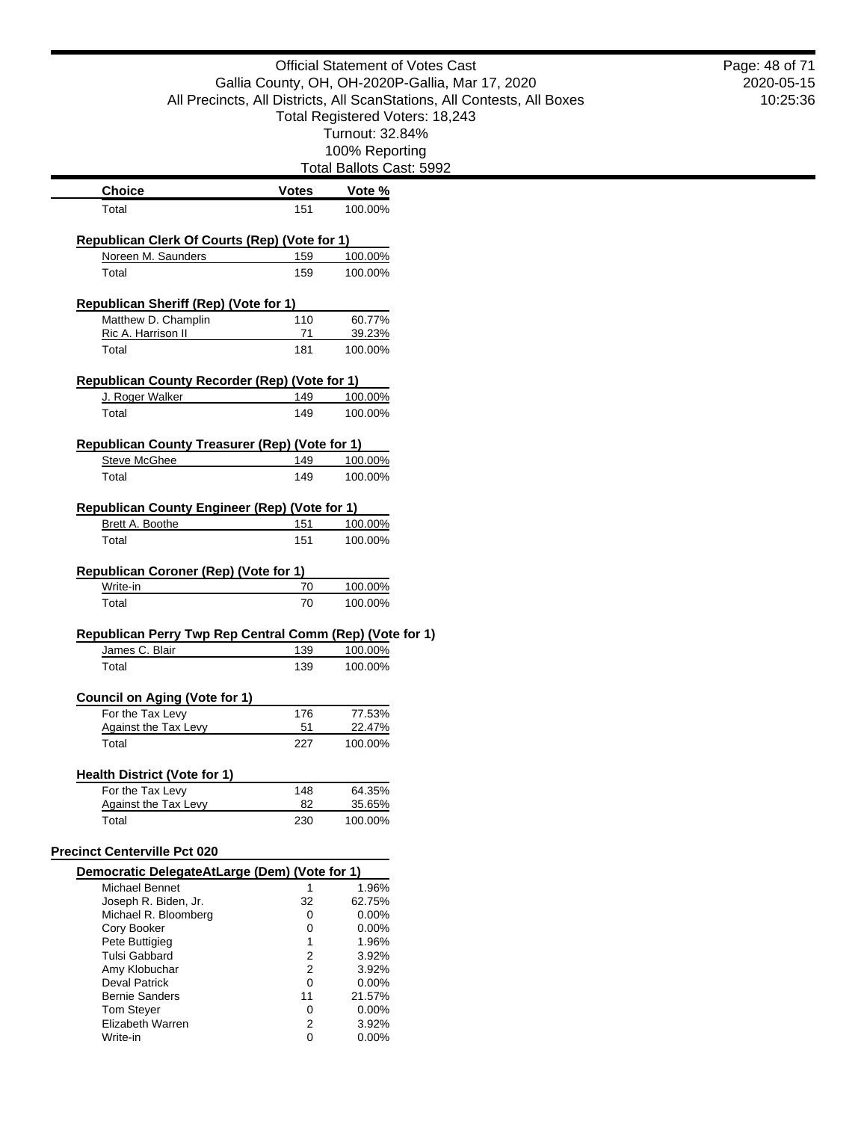|                                                          |                                                                         | <b>Official Statement of Votes Cast</b>          | Page: 48 of 71         |  |  |
|----------------------------------------------------------|-------------------------------------------------------------------------|--------------------------------------------------|------------------------|--|--|
|                                                          |                                                                         | Gallia County, OH, OH-2020P-Gallia, Mar 17, 2020 | 2020-05-15<br>10:25:36 |  |  |
|                                                          | All Precincts, All Districts, All ScanStations, All Contests, All Boxes |                                                  |                        |  |  |
|                                                          |                                                                         | Total Registered Voters: 18,243                  |                        |  |  |
|                                                          |                                                                         | Turnout: 32.84%                                  |                        |  |  |
|                                                          |                                                                         | 100% Reporting                                   |                        |  |  |
|                                                          |                                                                         | Total Ballots Cast: 5992                         |                        |  |  |
| <b>Choice</b>                                            | <b>Votes</b>                                                            | Vote %                                           |                        |  |  |
| Total                                                    | 151                                                                     | 100.00%                                          |                        |  |  |
|                                                          |                                                                         |                                                  |                        |  |  |
| Republican Clerk Of Courts (Rep) (Vote for 1)            |                                                                         |                                                  |                        |  |  |
| Noreen M. Saunders                                       | 159                                                                     | 100.00%                                          |                        |  |  |
| Total                                                    | 159                                                                     | 100.00%                                          |                        |  |  |
| <b>Republican Sheriff (Rep) (Vote for 1)</b>             |                                                                         |                                                  |                        |  |  |
| Matthew D. Champlin                                      | 110                                                                     | 60.77%                                           |                        |  |  |
| Ric A. Harrison II                                       | 71                                                                      | 39.23%                                           |                        |  |  |
| Total                                                    | 181                                                                     | 100.00%                                          |                        |  |  |
|                                                          |                                                                         |                                                  |                        |  |  |
| <b>Republican County Recorder (Rep) (Vote for 1)</b>     |                                                                         |                                                  |                        |  |  |
| J. Roger Walker                                          | 149                                                                     | 100.00%                                          |                        |  |  |
| Total                                                    | 149                                                                     | 100.00%                                          |                        |  |  |
| Republican County Treasurer (Rep) (Vote for 1)           |                                                                         |                                                  |                        |  |  |
| <b>Steve McGhee</b>                                      | 149                                                                     | 100.00%                                          |                        |  |  |
| Total                                                    | 149                                                                     | 100.00%                                          |                        |  |  |
|                                                          |                                                                         |                                                  |                        |  |  |
| <b>Republican County Engineer (Rep) (Vote for 1)</b>     |                                                                         |                                                  |                        |  |  |
| Brett A. Boothe                                          | 151                                                                     | 100.00%                                          |                        |  |  |
| Total                                                    | 151                                                                     | 100.00%                                          |                        |  |  |
|                                                          |                                                                         |                                                  |                        |  |  |
| Republican Coroner (Rep) (Vote for 1)                    |                                                                         |                                                  |                        |  |  |
| Write-in<br>Total                                        | 70<br>70                                                                | 100.00%                                          |                        |  |  |
|                                                          |                                                                         | 100.00%                                          |                        |  |  |
| Republican Perry Twp Rep Central Comm (Rep) (Vote for 1) |                                                                         |                                                  |                        |  |  |
| James C. Blair                                           | 139                                                                     | 100.00%                                          |                        |  |  |
| Total                                                    | 139                                                                     | 100.00%                                          |                        |  |  |
|                                                          |                                                                         |                                                  |                        |  |  |
| <b>Council on Aging (Vote for 1)</b>                     |                                                                         |                                                  |                        |  |  |
| For the Tax Levy<br><b>Against the Tax Levy</b>          | 176<br>51                                                               | 77.53%<br>22.47%                                 |                        |  |  |
| Total                                                    | 227                                                                     | 100.00%                                          |                        |  |  |
|                                                          |                                                                         |                                                  |                        |  |  |
| <b>Health District (Vote for 1)</b>                      |                                                                         |                                                  |                        |  |  |
| For the Tax Levy                                         | 148                                                                     | 64.35%                                           |                        |  |  |
| <b>Against the Tax Levy</b>                              | 82                                                                      | 35.65%                                           |                        |  |  |
| Total                                                    | 230                                                                     | 100.00%                                          |                        |  |  |
| <b>Precinct Centerville Pct 020</b>                      |                                                                         |                                                  |                        |  |  |
|                                                          |                                                                         |                                                  |                        |  |  |
| Democratic DelegateAtLarge (Dem) (Vote for 1)            |                                                                         |                                                  |                        |  |  |
| Michael Bennet<br>Joseph R. Biden, Jr.                   | 1<br>32                                                                 | 1.96%<br>62.75%                                  |                        |  |  |
| Michael R. Bloomberg                                     | 0                                                                       | 0.00%                                            |                        |  |  |
| Cory Booker                                              | 0                                                                       | 0.00%                                            |                        |  |  |
| Pete Buttigieg                                           | 1                                                                       | 1.96%                                            |                        |  |  |
| Tulsi Gabbard                                            | 2                                                                       | 3.92%                                            |                        |  |  |
| Amy Klobuchar<br><b>Deval Patrick</b>                    | $\overline{2}$<br>0                                                     | 3.92%<br>0.00%                                   |                        |  |  |
| <b>Bernie Sanders</b>                                    | 11                                                                      | 21.57%                                           |                        |  |  |
| <b>Tom Steyer</b>                                        | 0                                                                       | 0.00%                                            |                        |  |  |
| Elizabeth Warren                                         | 2                                                                       | 3.92%                                            |                        |  |  |
| Write-in                                                 | 0                                                                       | 0.00%                                            |                        |  |  |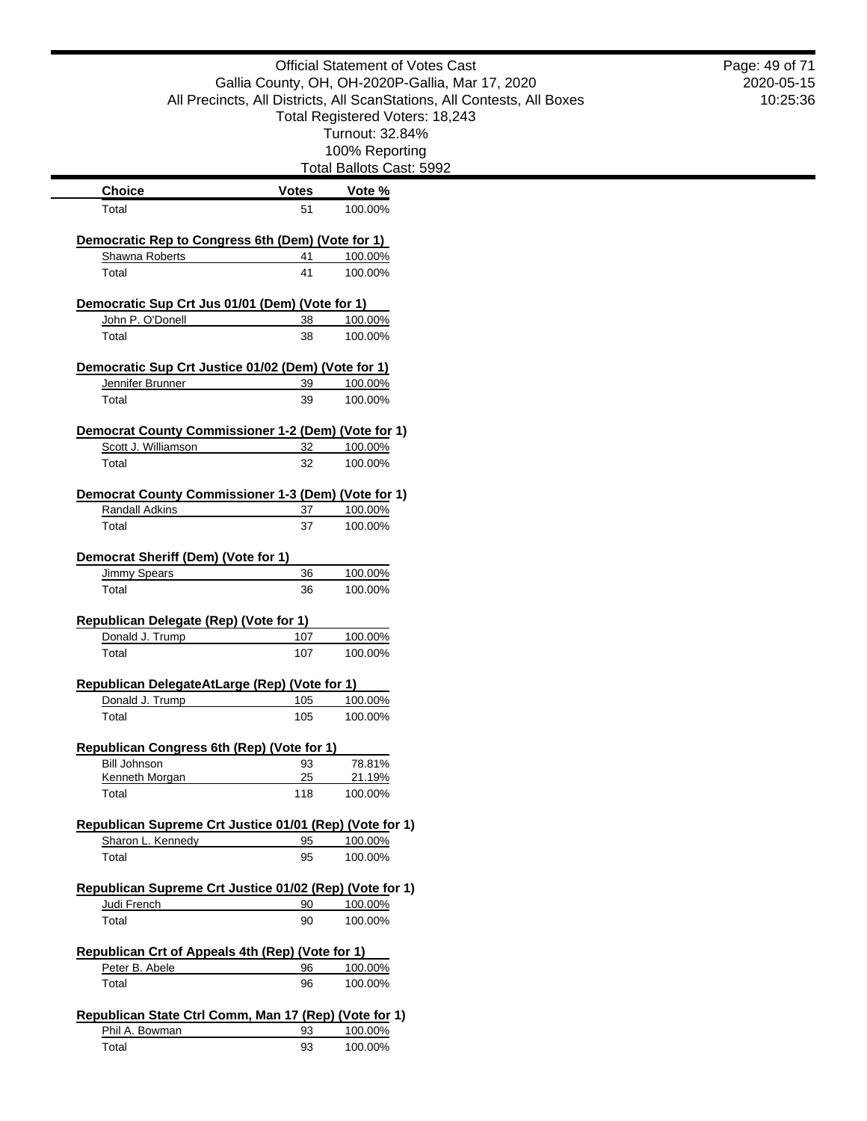|                                                                        |              | <b>Official Statement of Votes Cast</b>                                                                    | Page: 49 of 71 |
|------------------------------------------------------------------------|--------------|------------------------------------------------------------------------------------------------------------|----------------|
|                                                                        |              | Gallia County, OH, OH-2020P-Gallia, Mar 17, 2020                                                           | 2020-05-15     |
|                                                                        |              | All Precincts, All Districts, All ScanStations, All Contests, All Boxes<br>Total Registered Voters: 18,243 | 10:25:36       |
|                                                                        |              | Turnout: 32.84%                                                                                            |                |
|                                                                        |              | 100% Reporting                                                                                             |                |
|                                                                        |              | Total Ballots Cast: 5992                                                                                   |                |
| <b>Choice</b>                                                          | <b>Votes</b> | Vote %                                                                                                     |                |
| Total                                                                  | 51           | 100.00%                                                                                                    |                |
| Democratic Rep to Congress 6th (Dem) (Vote for 1)                      |              |                                                                                                            |                |
| Shawna Roberts                                                         | 41           | 100.00%                                                                                                    |                |
| Total                                                                  | 41           | 100.00%                                                                                                    |                |
| Democratic Sup Crt Jus 01/01 (Dem) (Vote for 1)                        |              |                                                                                                            |                |
| John P. O'Donell                                                       | 38           | 100.00%                                                                                                    |                |
| Total                                                                  | 38           | 100.00%                                                                                                    |                |
| Democratic Sup Crt Justice 01/02 (Dem) (Vote for 1)                    |              |                                                                                                            |                |
| Jennifer Brunner                                                       | 39           | 100.00%                                                                                                    |                |
| Total                                                                  | 39           | 100.00%                                                                                                    |                |
| Democrat County Commissioner 1-2 (Dem) (Vote for 1)                    |              |                                                                                                            |                |
| Scott J. Williamson                                                    | 32           | 100.00%                                                                                                    |                |
| Total                                                                  | 32           | 100.00%                                                                                                    |                |
| <b>Democrat County Commissioner 1-3 (Dem) (Vote for 1)</b>             |              |                                                                                                            |                |
| <b>Randall Adkins</b>                                                  | 37           | 100.00%                                                                                                    |                |
| Total                                                                  | 37           | 100.00%                                                                                                    |                |
|                                                                        |              |                                                                                                            |                |
| Democrat Sheriff (Dem) (Vote for 1)                                    | 36           |                                                                                                            |                |
| <b>Jimmy Spears</b><br>Total                                           | 36           | 100.00%<br>100.00%                                                                                         |                |
|                                                                        |              |                                                                                                            |                |
| Republican Delegate (Rep) (Vote for 1)<br>Donald J. Trump              | 107          | 100.00%                                                                                                    |                |
| Total                                                                  | 107          | 100.00%                                                                                                    |                |
| Republican DelegateAtLarge (Rep) (Vote for 1)                          |              |                                                                                                            |                |
| Donald J. Trump                                                        | 105          | 100.00%                                                                                                    |                |
| Total                                                                  | 105          | 100.00%                                                                                                    |                |
| Republican Congress 6th (Rep) (Vote for 1)                             |              |                                                                                                            |                |
| <b>Bill Johnson</b>                                                    | 93           | 78.81%                                                                                                     |                |
| Kenneth Morgan                                                         | 25           | 21.19%                                                                                                     |                |
| Total                                                                  | 118          | 100.00%                                                                                                    |                |
| Republican Supreme Crt Justice 01/01 (Rep) (Vote for 1)                |              |                                                                                                            |                |
| Sharon L. Kennedy                                                      | 95           | 100.00%                                                                                                    |                |
| Total                                                                  | 95           | 100.00%                                                                                                    |                |
|                                                                        |              |                                                                                                            |                |
| Republican Supreme Crt Justice 01/02 (Rep) (Vote for 1)<br>Judi French | 90           | 100.00%                                                                                                    |                |
| Total                                                                  | 90           | 100.00%                                                                                                    |                |
|                                                                        |              |                                                                                                            |                |
| Republican Crt of Appeals 4th (Rep) (Vote for 1)<br>Peter B. Abele     | 96           | 100.00%                                                                                                    |                |
| Total                                                                  | 96           | 100.00%                                                                                                    |                |
| Republican State Ctrl Comm, Man 17 (Rep) (Vote for 1)                  |              |                                                                                                            |                |
| Phil A. Bowman                                                         | 93           | 100.00%                                                                                                    |                |
| Total                                                                  | 93           | 100.00%                                                                                                    |                |
|                                                                        |              |                                                                                                            |                |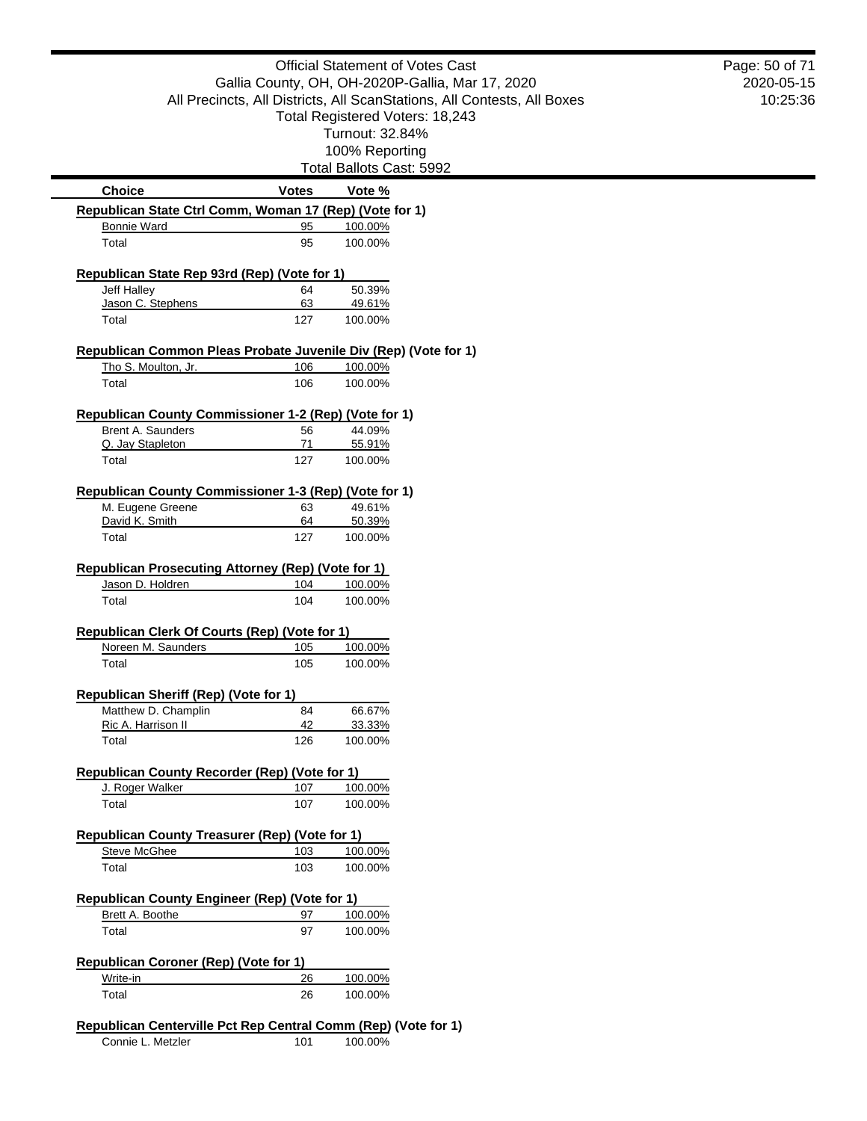|                                                                 |              | <b>Official Statement of Votes Cast</b>                                 | Page: 5 |
|-----------------------------------------------------------------|--------------|-------------------------------------------------------------------------|---------|
|                                                                 |              | Gallia County, OH, OH-2020P-Gallia, Mar 17, 2020                        | 202     |
|                                                                 |              | All Precincts, All Districts, All ScanStations, All Contests, All Boxes | 1       |
|                                                                 |              | Total Registered Voters: 18,243                                         |         |
|                                                                 |              | Turnout: 32.84%                                                         |         |
|                                                                 |              | 100% Reporting<br>Total Ballots Cast: 5992                              |         |
| <b>Choice</b>                                                   | <b>Votes</b> | Vote %                                                                  |         |
| Republican State Ctrl Comm, Woman 17 (Rep) (Vote for 1)         |              |                                                                         |         |
| <b>Bonnie Ward</b>                                              | 95           | 100.00%                                                                 |         |
| Total                                                           | 95           | 100.00%                                                                 |         |
| Republican State Rep 93rd (Rep) (Vote for 1)                    |              |                                                                         |         |
| Jeff Halley                                                     | 64           | 50.39%                                                                  |         |
| Jason C. Stephens                                               | 63           | 49.61%                                                                  |         |
| Total                                                           | 127          | 100.00%                                                                 |         |
| Republican Common Pleas Probate Juvenile Div (Rep) (Vote for 1) |              |                                                                         |         |
| Tho S. Moulton, Jr.                                             | 106          | 100.00%                                                                 |         |
| Total                                                           | 106          | 100.00%                                                                 |         |
| Republican County Commissioner 1-2 (Rep) (Vote for 1)           |              |                                                                         |         |
| <b>Brent A. Saunders</b>                                        | 56           | 44.09%                                                                  |         |
| Q. Jay Stapleton                                                | 71           | 55.91%                                                                  |         |
| Total                                                           | 127          | 100.00%                                                                 |         |
|                                                                 |              |                                                                         |         |
|                                                                 |              |                                                                         |         |
| Republican County Commissioner 1-3 (Rep) (Vote for 1)           |              |                                                                         |         |
| M. Eugene Greene<br>David K. Smith                              | 63<br>64     | 49.61%<br>50.39%                                                        |         |
| Total                                                           | 127          | 100.00%                                                                 |         |
| <b>Republican Prosecuting Attorney (Rep) (Vote for 1)</b>       |              |                                                                         |         |
| Jason D. Holdren                                                | 104          | 100.00%                                                                 |         |
| Total                                                           | 104          | 100.00%                                                                 |         |
|                                                                 |              |                                                                         |         |
| Republican Clerk Of Courts (Rep) (Vote for 1)                   |              |                                                                         |         |
| Noreen M. Saunders<br>Total                                     | 105<br>105   | 100.00%<br>100.00%                                                      |         |
|                                                                 |              |                                                                         |         |
| Republican Sheriff (Rep) (Vote for 1)                           |              |                                                                         |         |
| Matthew D. Champlin                                             | 84           | 66.67%                                                                  |         |
| Ric A. Harrison II<br>Total                                     | 42<br>126    | 33.33%<br>100.00%                                                       |         |
|                                                                 |              |                                                                         |         |
| <b>Republican County Recorder (Rep) (Vote for 1)</b>            |              |                                                                         |         |
| J. Roger Walker<br>Total                                        | 107<br>107   | 100.00%<br>100.00%                                                      |         |
|                                                                 |              |                                                                         |         |
| Republican County Treasurer (Rep) (Vote for 1)                  |              |                                                                         |         |
| <b>Steve McGhee</b><br>Total                                    | 103<br>103   | 100.00%<br>100.00%                                                      |         |
|                                                                 |              |                                                                         |         |
| <b>Republican County Engineer (Rep) (Vote for 1)</b>            |              |                                                                         |         |
| Brett A. Boothe<br>Total                                        | 97<br>97     | 100.00%<br>100.00%                                                      |         |
|                                                                 |              |                                                                         |         |
| Republican Coroner (Rep) (Vote for 1)                           |              |                                                                         |         |
| Write-in<br>Total                                               | 26<br>26     | 100.00%<br>100.00%                                                      |         |

Connie L. Metzler 101 100.00%

0-05-15 0:25:36 50 of 71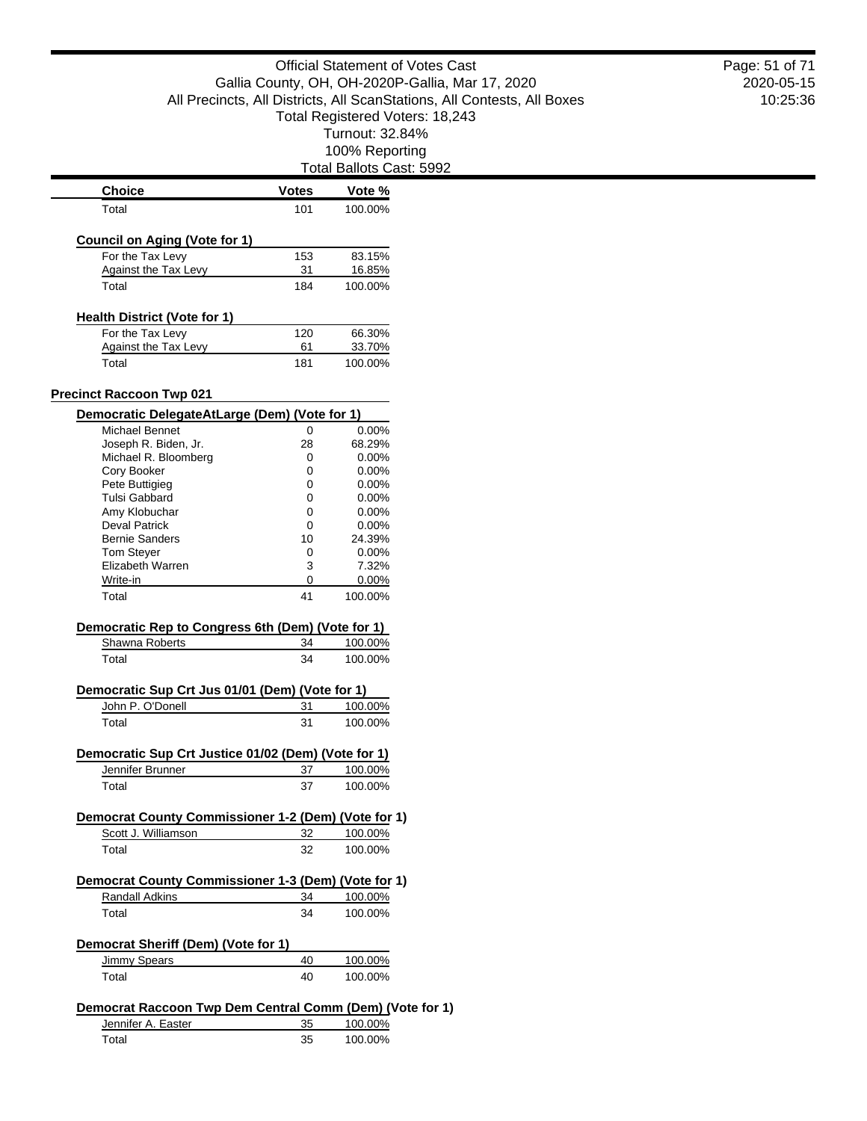Total Ballots Cast: 5992

| <b>Choice</b>                                                   | <b>Votes</b> | Vote %           |  |
|-----------------------------------------------------------------|--------------|------------------|--|
| Total                                                           | 101          | 100.00%          |  |
| <b>Council on Aging (Vote for 1)</b>                            |              |                  |  |
| For the Tax Levy                                                | 153          | 83.15%           |  |
| Against the Tax Levy                                            | 31           | 16.85%           |  |
| Total                                                           | 184          | 100.00%          |  |
|                                                                 |              |                  |  |
| <b>Health District (Vote for 1)</b>                             |              |                  |  |
| For the Tax Levy<br>Against the Tax Levy                        | 120<br>61    | 66.30%<br>33.70% |  |
| Total                                                           | 181          | 100.00%          |  |
|                                                                 |              |                  |  |
| <b>Precinct Raccoon Twp 021</b>                                 |              |                  |  |
| Democratic DelegateAtLarge (Dem) (Vote for 1)<br>Michael Bennet | 0            | 0.00%            |  |
| Joseph R. Biden, Jr.                                            | 28           | 68.29%           |  |
| Michael R. Bloomberg                                            | 0            | $0.00\%$         |  |
| Cory Booker                                                     | 0            | $0.00\%$         |  |
| Pete Buttigieg                                                  | 0            | $0.00\%$         |  |
| Tulsi Gabbard                                                   | 0            | $0.00\%$         |  |
| Amy Klobuchar                                                   | 0            | $0.00\%$         |  |
| <b>Deval Patrick</b>                                            | 0            | $0.00\%$         |  |
| <b>Bernie Sanders</b>                                           | 10           | 24.39%           |  |
| <b>Tom Stever</b>                                               | 0            | $0.00\%$         |  |
| Elizabeth Warren                                                | 3            | 7.32%            |  |
| Write-in                                                        | 0            | 0.00%            |  |
| Total                                                           | 41           | 100.00%          |  |
|                                                                 |              |                  |  |
| Democratic Rep to Congress 6th (Dem) (Vote for 1)               |              |                  |  |
| Shawna Roberts                                                  | 34           | 100.00%          |  |
| Total                                                           | 34           | 100.00%          |  |
|                                                                 |              |                  |  |
| Democratic Sup Crt Jus 01/01 (Dem) (Vote for 1)                 |              |                  |  |
| John P. O'Donell                                                | 31           | 100.00%          |  |
| Total                                                           | 31           | 100.00%          |  |
| Democratic Sup Crt Justice 01/02 (Dem) (Vote for 1)             |              |                  |  |
| Jennifer Brunner                                                | 37           | 100.00%          |  |
| Total                                                           | 37           | 100.00%          |  |
|                                                                 |              |                  |  |
| Democrat County Commissioner 1-2 (Dem) (Vote for 1)             |              |                  |  |
| Scott J. Williamson                                             | 32           | 100.00%          |  |
| Total                                                           | 32           | 100.00%          |  |
| Democrat County Commissioner 1-3 (Dem) (Vote for 1)             |              |                  |  |
| <b>Randall Adkins</b>                                           | 34           | 100.00%          |  |
|                                                                 |              |                  |  |
| Total                                                           | 34           | 100.00%          |  |
| Democrat Sheriff (Dem) (Vote for 1)                             |              |                  |  |
| Jimmy Spears                                                    | 40           | 100.00%          |  |
| Total                                                           | 40           | 100.00%          |  |
| Democrat Raccoon Twp Dem Central Comm (Dem) (Vote for 1)        |              |                  |  |
|                                                                 |              |                  |  |
| Jennifer A. Easter                                              | 35           | 100.00%          |  |
| Total                                                           | 35           | 100.00%          |  |

2020-05-15 10:25:36 Page: 51 of 71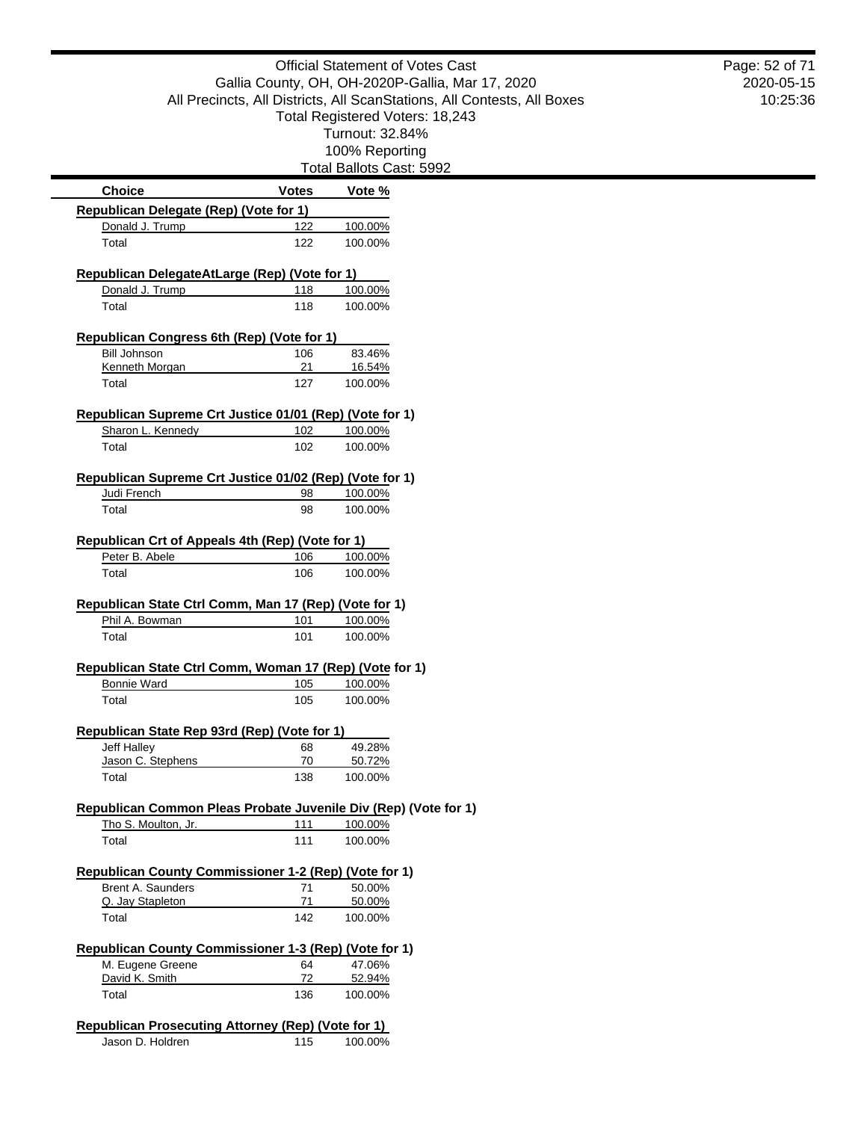|                                                                               |              | <b>Official Statement of Votes Cast</b>                                 | Page: 52 of 71 |
|-------------------------------------------------------------------------------|--------------|-------------------------------------------------------------------------|----------------|
|                                                                               |              | Gallia County, OH, OH-2020P-Gallia, Mar 17, 2020                        | 2020-05-15     |
|                                                                               |              | All Precincts, All Districts, All ScanStations, All Contests, All Boxes | 10:25:36       |
|                                                                               |              | Total Registered Voters: 18,243                                         |                |
|                                                                               |              | Turnout: 32.84%                                                         |                |
|                                                                               |              | 100% Reporting                                                          |                |
|                                                                               |              | Total Ballots Cast: 5992                                                |                |
| <b>Choice</b>                                                                 | <b>Votes</b> | Vote %                                                                  |                |
| Republican Delegate (Rep) (Vote for 1)                                        |              |                                                                         |                |
| Donald J. Trump                                                               | 122          | 100.00%                                                                 |                |
| Total                                                                         | 122          | 100.00%                                                                 |                |
| Republican DelegateAtLarge (Rep) (Vote for 1)                                 |              |                                                                         |                |
| Donald J. Trump                                                               | 118          | 100.00%                                                                 |                |
| Total                                                                         | 118          | 100.00%                                                                 |                |
|                                                                               |              |                                                                         |                |
| Republican Congress 6th (Rep) (Vote for 1)                                    |              |                                                                         |                |
| <b>Bill Johnson</b>                                                           | 106          | 83.46%                                                                  |                |
| <b>Kenneth Morgan</b>                                                         | 21           | 16.54%                                                                  |                |
| Total                                                                         | 127          | 100.00%                                                                 |                |
| Republican Supreme Crt Justice 01/01 (Rep) (Vote for 1)                       |              |                                                                         |                |
| Sharon L. Kennedy                                                             | 102          | 100.00%                                                                 |                |
| Total                                                                         | 102          | 100.00%                                                                 |                |
|                                                                               |              |                                                                         |                |
| Republican Supreme Crt Justice 01/02 (Rep) (Vote for 1)                       |              |                                                                         |                |
| Judi French                                                                   | 98           | 100.00%                                                                 |                |
| Total                                                                         | 98           | 100.00%                                                                 |                |
| Republican Crt of Appeals 4th (Rep) (Vote for 1)                              |              |                                                                         |                |
| Peter B. Abele                                                                | 106          | 100.00%                                                                 |                |
| Total                                                                         | 106          | 100.00%                                                                 |                |
|                                                                               |              |                                                                         |                |
| Republican State Ctrl Comm, Man 17 (Rep) (Vote for 1)                         |              |                                                                         |                |
| Phil A. Bowman                                                                | 101          | 100.00%                                                                 |                |
| Total                                                                         | 101          | 100.00%                                                                 |                |
| Republican State Ctrl Comm, Woman 17 (Rep) (Vote for 1)                       |              |                                                                         |                |
| <b>Bonnie Ward</b>                                                            | 105          | 100.00%                                                                 |                |
| Total                                                                         | 105          | 100.00%                                                                 |                |
|                                                                               |              |                                                                         |                |
| Republican State Rep 93rd (Rep) (Vote for 1)                                  |              |                                                                         |                |
| Jeff Halley                                                                   | 68           | 49.28%                                                                  |                |
| Jason C. Stephens                                                             | 70           | 50.72%                                                                  |                |
| Total                                                                         | 138          | 100.00%                                                                 |                |
| Republican Common Pleas Probate Juvenile Div (Rep) (Vote for 1)               |              |                                                                         |                |
| Tho S. Moulton, Jr.                                                           | 111          | 100.00%                                                                 |                |
| Total                                                                         | 111          | 100.00%                                                                 |                |
|                                                                               |              |                                                                         |                |
| Republican County Commissioner 1-2 (Rep) (Vote for 1)                         |              |                                                                         |                |
| Brent A. Saunders                                                             | 71           | 50.00%                                                                  |                |
| Q. Jay Stapleton                                                              | 71           | 50.00%                                                                  |                |
| Total                                                                         | 142          | 100.00%                                                                 |                |
| Republican County Commissioner 1-3 (Rep) (Vote for 1)                         |              |                                                                         |                |
| M. Eugene Greene                                                              | 64           | 47.06%                                                                  |                |
| David K. Smith                                                                | 72           | 52.94%                                                                  |                |
| Total                                                                         | 136          | 100.00%                                                                 |                |
|                                                                               |              |                                                                         |                |
| <b>Republican Prosecuting Attorney (Rep) (Vote for 1)</b><br>Jason D. Holdren | 115          | 100.00%                                                                 |                |
|                                                                               |              |                                                                         |                |

 $\overline{a}$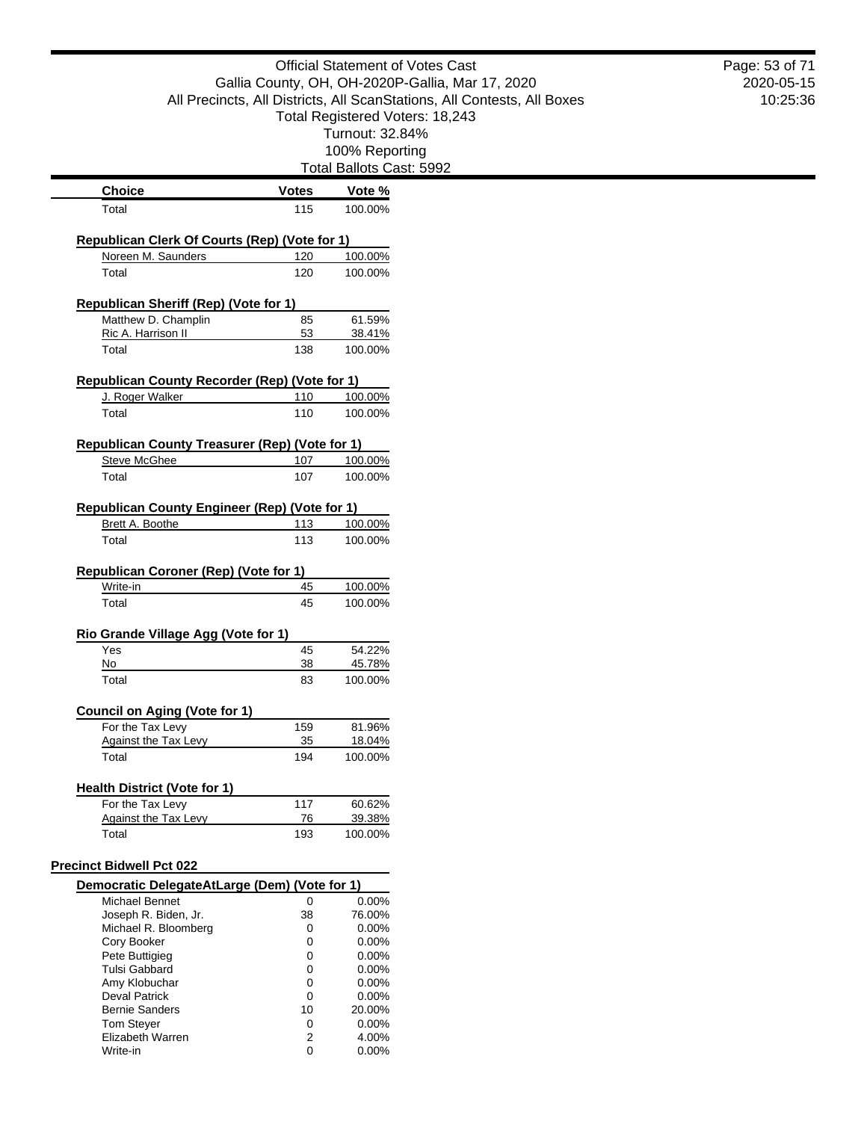|                                                      | <b>Official Statement of Votes Cast</b><br>Gallia County, OH, OH-2020P-Gallia, Mar 17, 2020<br>All Precincts, All Districts, All ScanStations, All Contests, All Boxes<br>Total Registered Voters: 18,243<br>Turnout: 32.84%<br>100% Reporting<br><b>Total Ballots Cast: 5992</b> |                    | Page: 53 of 71<br>2020-05-15<br>10:25:36 |  |
|------------------------------------------------------|-----------------------------------------------------------------------------------------------------------------------------------------------------------------------------------------------------------------------------------------------------------------------------------|--------------------|------------------------------------------|--|
|                                                      |                                                                                                                                                                                                                                                                                   |                    |                                          |  |
| <b>Choice</b><br>Total                               | <b>Votes</b><br>115                                                                                                                                                                                                                                                               | Vote %<br>100.00%  |                                          |  |
|                                                      |                                                                                                                                                                                                                                                                                   |                    |                                          |  |
| <b>Republican Clerk Of Courts (Rep) (Vote for 1)</b> |                                                                                                                                                                                                                                                                                   |                    |                                          |  |
| Noreen M. Saunders<br>Total                          | 120<br>120                                                                                                                                                                                                                                                                        | 100.00%<br>100.00% |                                          |  |
|                                                      |                                                                                                                                                                                                                                                                                   |                    |                                          |  |
| <b>Republican Sheriff (Rep) (Vote for 1)</b>         |                                                                                                                                                                                                                                                                                   |                    |                                          |  |
| Matthew D. Champlin<br>Ric A. Harrison II            | 85<br>53                                                                                                                                                                                                                                                                          | 61.59%<br>38.41%   |                                          |  |
| Total                                                | 138                                                                                                                                                                                                                                                                               | 100.00%            |                                          |  |
|                                                      |                                                                                                                                                                                                                                                                                   |                    |                                          |  |
| Republican County Recorder (Rep) (Vote for 1)        |                                                                                                                                                                                                                                                                                   |                    |                                          |  |
| J. Roger Walker<br>Total                             | 110<br>110                                                                                                                                                                                                                                                                        | 100.00%<br>100.00% |                                          |  |
|                                                      |                                                                                                                                                                                                                                                                                   |                    |                                          |  |
| Republican County Treasurer (Rep) (Vote for 1)       |                                                                                                                                                                                                                                                                                   |                    |                                          |  |
| <b>Steve McGhee</b>                                  | 107                                                                                                                                                                                                                                                                               | 100.00%            |                                          |  |
| Total                                                | 107                                                                                                                                                                                                                                                                               | 100.00%            |                                          |  |
| Republican County Engineer (Rep) (Vote for 1)        |                                                                                                                                                                                                                                                                                   |                    |                                          |  |
| Brett A. Boothe                                      | 113                                                                                                                                                                                                                                                                               | 100.00%            |                                          |  |
| Total                                                | 113                                                                                                                                                                                                                                                                               | 100.00%            |                                          |  |
| <b>Republican Coroner (Rep) (Vote for 1)</b>         |                                                                                                                                                                                                                                                                                   |                    |                                          |  |
| Write-in                                             | 45                                                                                                                                                                                                                                                                                | 100.00%            |                                          |  |
| Total                                                | 45                                                                                                                                                                                                                                                                                | 100.00%            |                                          |  |
|                                                      |                                                                                                                                                                                                                                                                                   |                    |                                          |  |
| Rio Grande Village Agg (Vote for 1)<br>Yes           | 45                                                                                                                                                                                                                                                                                | 54.22%             |                                          |  |
| No                                                   | 38                                                                                                                                                                                                                                                                                | 45.78%             |                                          |  |
| Total                                                | 83                                                                                                                                                                                                                                                                                | 100.00%            |                                          |  |
| <b>Council on Aging (Vote for 1)</b>                 |                                                                                                                                                                                                                                                                                   |                    |                                          |  |
| For the Tax Levy                                     | 159                                                                                                                                                                                                                                                                               | 81.96%             |                                          |  |
| Against the Tax Levy                                 | 35                                                                                                                                                                                                                                                                                | 18.04%             |                                          |  |
| Total                                                | 194                                                                                                                                                                                                                                                                               | 100.00%            |                                          |  |
| <b>Health District (Vote for 1)</b>                  |                                                                                                                                                                                                                                                                                   |                    |                                          |  |
| For the Tax Levy                                     | 117                                                                                                                                                                                                                                                                               | 60.62%             |                                          |  |
| <b>Against the Tax Levy</b>                          | 76                                                                                                                                                                                                                                                                                | 39.38%             |                                          |  |
| Total                                                | 193                                                                                                                                                                                                                                                                               | 100.00%            |                                          |  |
| <b>Precinct Bidwell Pct 022</b>                      |                                                                                                                                                                                                                                                                                   |                    |                                          |  |
| Democratic DelegateAtLarge (Dem) (Vote for 1)        |                                                                                                                                                                                                                                                                                   |                    |                                          |  |
| Michael Bennet                                       | 0                                                                                                                                                                                                                                                                                 | 0.00%              |                                          |  |
| Joseph R. Biden, Jr.                                 | 38                                                                                                                                                                                                                                                                                | 76.00%             |                                          |  |
| Michael R. Bloomberg                                 | 0                                                                                                                                                                                                                                                                                 | 0.00%              |                                          |  |
| Cory Booker                                          | 0<br>0                                                                                                                                                                                                                                                                            | 0.00%<br>0.00%     |                                          |  |
| Pete Buttigieg<br><b>Tulsi Gabbard</b>               | 0                                                                                                                                                                                                                                                                                 | 0.00%              |                                          |  |
| Amy Klobuchar                                        | 0                                                                                                                                                                                                                                                                                 | 0.00%              |                                          |  |
| <b>Deval Patrick</b>                                 | 0                                                                                                                                                                                                                                                                                 | 0.00%              |                                          |  |
| <b>Bernie Sanders</b>                                | 10                                                                                                                                                                                                                                                                                | 20.00%             |                                          |  |
| <b>Tom Steyer</b>                                    | 0                                                                                                                                                                                                                                                                                 | 0.00%              |                                          |  |
| Elizabeth Warren                                     | 2                                                                                                                                                                                                                                                                                 | 4.00%              |                                          |  |
| Write-in                                             | 0                                                                                                                                                                                                                                                                                 | 0.00%              |                                          |  |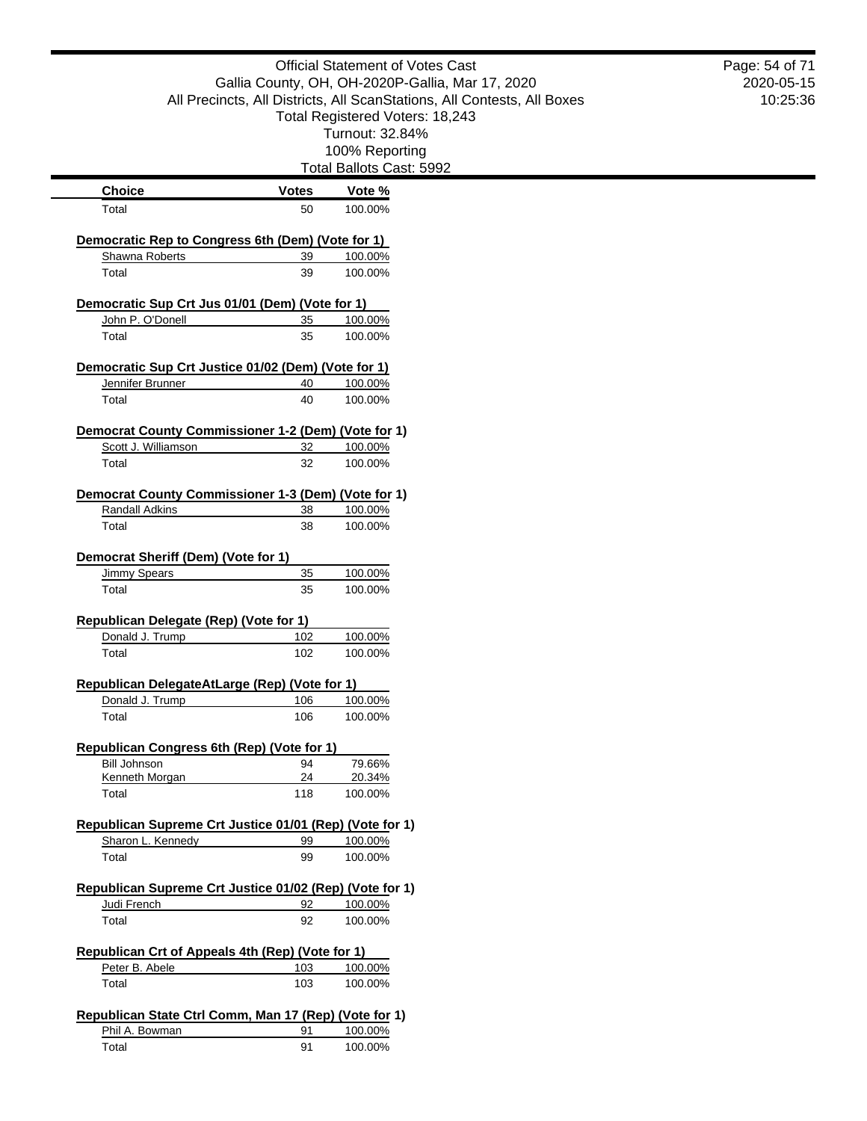|                                                                            |              | <b>Official Statement of Votes Cast</b>                                 | Page: 54 of 71 |
|----------------------------------------------------------------------------|--------------|-------------------------------------------------------------------------|----------------|
|                                                                            |              | Gallia County, OH, OH-2020P-Gallia, Mar 17, 2020                        | 2020-05-15     |
|                                                                            |              | All Precincts, All Districts, All ScanStations, All Contests, All Boxes | 10:25:36       |
|                                                                            |              | Total Registered Voters: 18,243                                         |                |
|                                                                            |              | Turnout: 32.84%                                                         |                |
|                                                                            |              | 100% Reporting                                                          |                |
|                                                                            |              | Total Ballots Cast: 5992                                                |                |
| <b>Choice</b>                                                              | <b>Votes</b> | Vote %                                                                  |                |
| Total                                                                      | 50           | 100.00%                                                                 |                |
| Democratic Rep to Congress 6th (Dem) (Vote for 1)                          |              |                                                                         |                |
| Shawna Roberts                                                             | 39           | 100.00%                                                                 |                |
| Total                                                                      | 39           | 100.00%                                                                 |                |
|                                                                            |              |                                                                         |                |
| Democratic Sup Crt Jus 01/01 (Dem) (Vote for 1)                            |              |                                                                         |                |
| John P. O'Donell                                                           | 35           | 100.00%                                                                 |                |
| Total                                                                      | 35           | 100.00%                                                                 |                |
| Democratic Sup Crt Justice 01/02 (Dem) (Vote for 1)                        |              |                                                                         |                |
| Jennifer Brunner                                                           | 40           | 100.00%                                                                 |                |
| Total                                                                      | 40           | 100.00%                                                                 |                |
|                                                                            |              |                                                                         |                |
| Democrat County Commissioner 1-2 (Dem) (Vote for 1)<br>Scott J. Williamson | 32           | 100.00%                                                                 |                |
| Total                                                                      | 32           | 100.00%                                                                 |                |
|                                                                            |              |                                                                         |                |
| Democrat County Commissioner 1-3 (Dem) (Vote for 1)                        |              |                                                                         |                |
| <b>Randall Adkins</b>                                                      | 38           | 100.00%                                                                 |                |
| Total                                                                      | 38           | 100.00%                                                                 |                |
| Democrat Sheriff (Dem) (Vote for 1)                                        |              |                                                                         |                |
| <b>Jimmy Spears</b>                                                        | 35           | 100.00%                                                                 |                |
| Total                                                                      | 35           | 100.00%                                                                 |                |
|                                                                            |              |                                                                         |                |
| Republican Delegate (Rep) (Vote for 1)                                     |              |                                                                         |                |
| Donald J. Trump                                                            | 102          | 100.00%                                                                 |                |
| Total                                                                      | 102          | 100.00%                                                                 |                |
| Republican DelegateAtLarge (Rep) (Vote for 1)                              |              |                                                                         |                |
| Donald J. Trump                                                            | 106          | 100.00%                                                                 |                |
| Total                                                                      | 106          | 100.00%                                                                 |                |
| Republican Congress 6th (Rep) (Vote for 1)                                 |              |                                                                         |                |
| <b>Bill Johnson</b>                                                        | 94           | 79.66%                                                                  |                |
| Kenneth Morgan                                                             | 24           | 20.34%                                                                  |                |
| Total                                                                      | 118          | 100.00%                                                                 |                |
|                                                                            |              |                                                                         |                |
| Republican Supreme Crt Justice 01/01 (Rep) (Vote for 1)                    | 99           |                                                                         |                |
| Sharon L. Kennedy<br>Total                                                 | 99           | 100.00%                                                                 |                |
|                                                                            |              | 100.00%                                                                 |                |
| Republican Supreme Crt Justice 01/02 (Rep) (Vote for 1)                    |              |                                                                         |                |
| Judi French                                                                | 92           | 100.00%                                                                 |                |
| Total                                                                      | 92           | 100.00%                                                                 |                |
|                                                                            |              |                                                                         |                |
| Republican Crt of Appeals 4th (Rep) (Vote for 1)<br>Peter B. Abele         | 103          | 100.00%                                                                 |                |
| Total                                                                      | 103          | 100.00%                                                                 |                |
|                                                                            |              |                                                                         |                |
| Republican State Ctrl Comm, Man 17 (Rep) (Vote for 1)                      |              |                                                                         |                |
| Phil A. Bowman                                                             | 91           | 100.00%                                                                 |                |
| Total                                                                      | 91           | 100.00%                                                                 |                |
|                                                                            |              |                                                                         |                |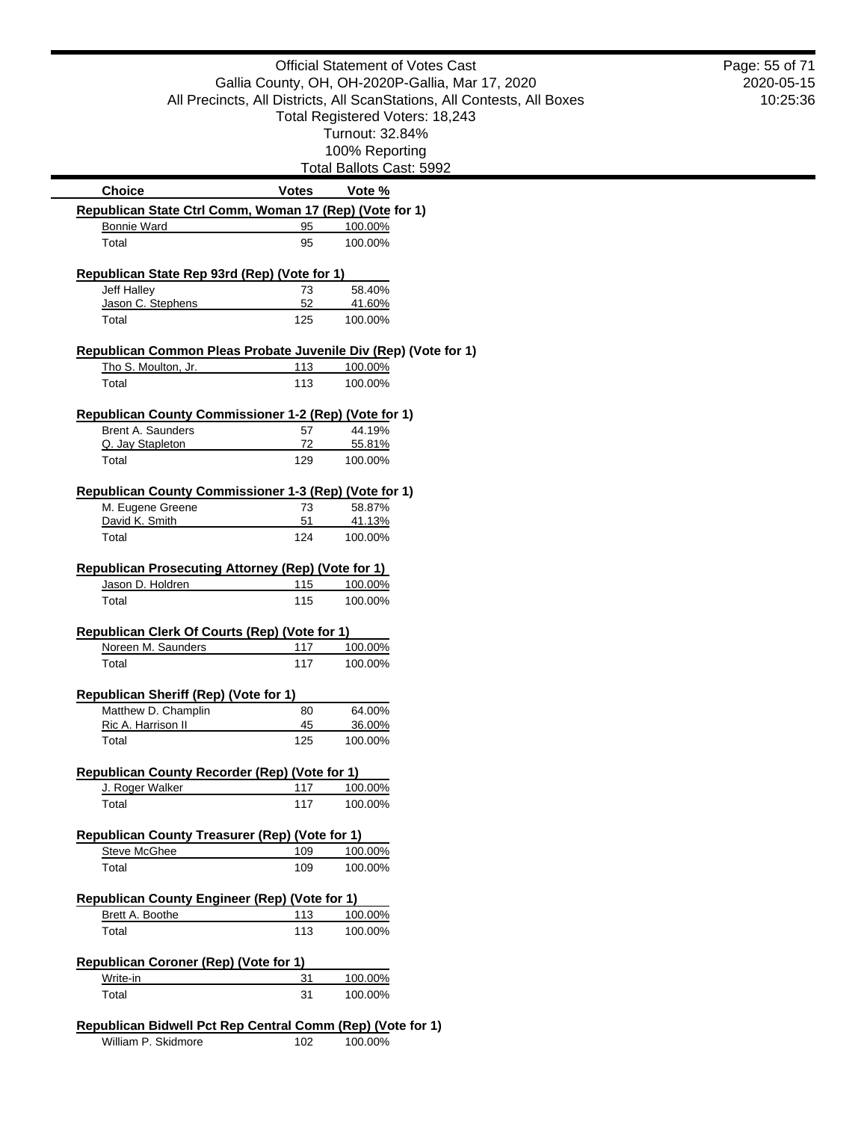|                                                                 |              | <b>Official Statement of Votes Cast</b>                                 | Page: 55 of 71 |
|-----------------------------------------------------------------|--------------|-------------------------------------------------------------------------|----------------|
|                                                                 |              | Gallia County, OH, OH-2020P-Gallia, Mar 17, 2020                        | 2020-05-15     |
|                                                                 |              | All Precincts, All Districts, All ScanStations, All Contests, All Boxes | 10:25:36       |
|                                                                 |              | Total Registered Voters: 18,243                                         |                |
|                                                                 |              | Turnout: 32.84%                                                         |                |
|                                                                 |              | 100% Reporting                                                          |                |
|                                                                 |              | Total Ballots Cast: 5992                                                |                |
| <b>Choice</b>                                                   | <b>Votes</b> | Vote %                                                                  |                |
| Republican State Ctrl Comm, Woman 17 (Rep) (Vote for 1)         |              |                                                                         |                |
| <b>Bonnie Ward</b>                                              | 95           | 100.00%                                                                 |                |
| Total                                                           | 95           | 100.00%                                                                 |                |
| Republican State Rep 93rd (Rep) (Vote for 1)                    |              |                                                                         |                |
| Jeff Halley                                                     | 73           | 58.40%                                                                  |                |
| Jason C. Stephens                                               | 52           | 41.60%                                                                  |                |
| Total                                                           | 125          | 100.00%                                                                 |                |
| Republican Common Pleas Probate Juvenile Div (Rep) (Vote for 1) |              |                                                                         |                |
| Tho S. Moulton, Jr.                                             | 113          | 100.00%                                                                 |                |
| Total                                                           | 113          | 100.00%                                                                 |                |
| Republican County Commissioner 1-2 (Rep) (Vote for 1)           |              |                                                                         |                |
| Brent A. Saunders                                               | 57           | 44.19%                                                                  |                |
| Q. Jay Stapleton                                                | 72           | 55.81%                                                                  |                |
| Total                                                           | 129          | 100.00%                                                                 |                |
|                                                                 |              |                                                                         |                |
|                                                                 |              |                                                                         |                |
| Republican County Commissioner 1-3 (Rep) (Vote for 1)           | 73           |                                                                         |                |
| M. Eugene Greene<br>David K. Smith                              | 51           | 58.87%<br>41.13%                                                        |                |
| Total                                                           | 124          | 100.00%                                                                 |                |
|                                                                 |              |                                                                         |                |
| <b>Republican Prosecuting Attorney (Rep) (Vote for 1)</b>       |              |                                                                         |                |
| Jason D. Holdren<br>Total                                       | 115<br>115   | 100.00%<br>100.00%                                                      |                |
|                                                                 |              |                                                                         |                |
| Republican Clerk Of Courts (Rep) (Vote for 1)                   |              |                                                                         |                |
| Noreen M. Saunders                                              | 117          | 100.00%                                                                 |                |
| Total                                                           | 117          | 100.00%                                                                 |                |
| Republican Sheriff (Rep) (Vote for 1)                           |              |                                                                         |                |
| Matthew D. Champlin                                             | 80           | 64.00%                                                                  |                |
| Ric A. Harrison II                                              | 45           | 36.00%                                                                  |                |
| Total                                                           | 125          | 100.00%                                                                 |                |
| <b>Republican County Recorder (Rep) (Vote for 1)</b>            |              |                                                                         |                |
| J. Roger Walker                                                 | 117          | 100.00%                                                                 |                |
| Total                                                           | 117          | 100.00%                                                                 |                |
|                                                                 |              |                                                                         |                |
| Republican County Treasurer (Rep) (Vote for 1)                  |              |                                                                         |                |
| <b>Steve McGhee</b><br>Total                                    | 109<br>109   | 100.00%<br>100.00%                                                      |                |
|                                                                 |              |                                                                         |                |
| <b>Republican County Engineer (Rep) (Vote for 1)</b>            |              |                                                                         |                |
| Brett A. Boothe                                                 | 113          | 100.00%                                                                 |                |
| Total                                                           | 113          | 100.00%                                                                 |                |
| Republican Coroner (Rep) (Vote for 1)                           |              |                                                                         |                |
| Write-in<br>Total                                               | 31<br>31     | 100.00%<br>100.00%                                                      |                |

William P. Skidmore 102 100.00%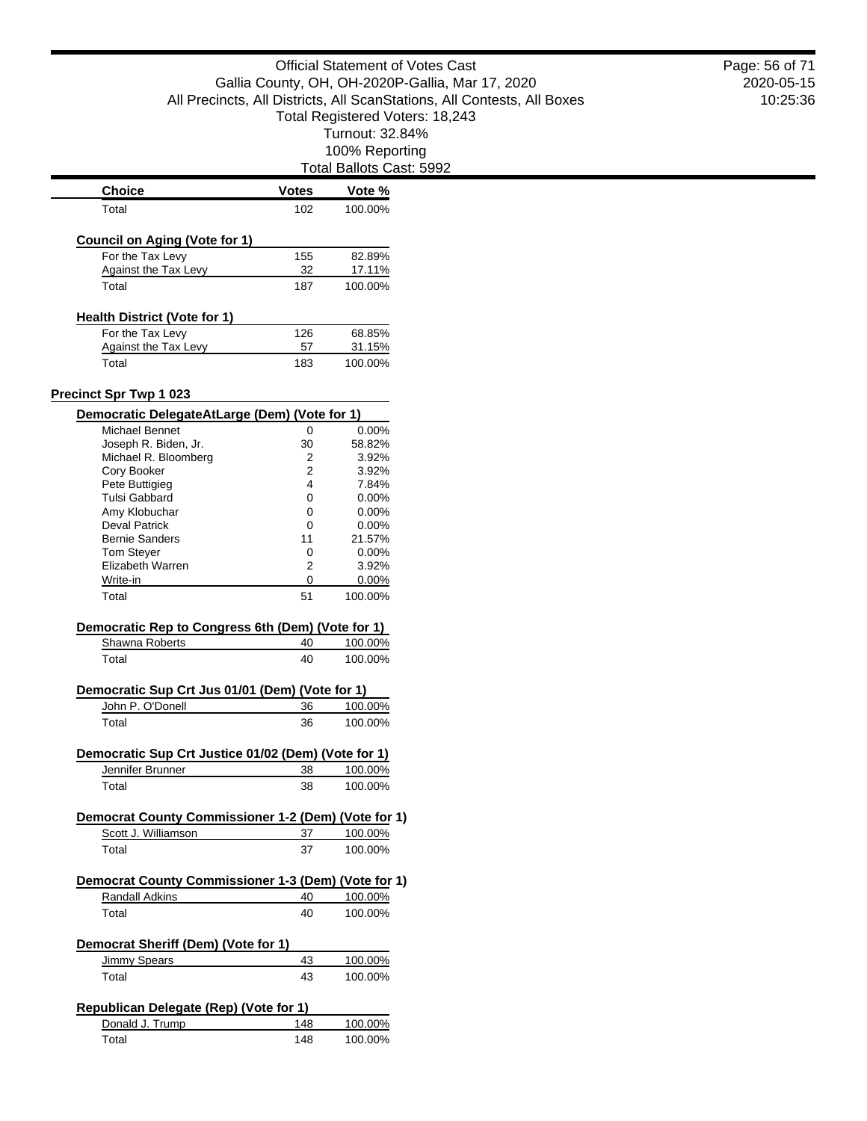Total Ballots Cast: 5992

|                                                                                | <b>Votes</b> | Vote %             |
|--------------------------------------------------------------------------------|--------------|--------------------|
| Total                                                                          | 102          | 100.00%            |
| Council on Aging (Vote for 1)                                                  |              |                    |
| For the Tax Levy                                                               | 155          | 82.89%             |
| Against the Tax Levy                                                           | 32           | 17.11%             |
| Total                                                                          | 187          | 100.00%            |
|                                                                                |              |                    |
| <b>Health District (Vote for 1)</b>                                            |              |                    |
| For the Tax Levy<br>Against the Tax Levy                                       | 126<br>57    | 68.85%<br>31.15%   |
| Total                                                                          | 183          | 100.00%            |
|                                                                                |              |                    |
| <b>Precinct Spr Twp 1 023</b><br>Democratic DelegateAtLarge (Dem) (Vote for 1) |              |                    |
| Michael Bennet                                                                 | 0            | 0.00%              |
| Joseph R. Biden, Jr.                                                           | 30           | 58.82%             |
| Michael R. Bloomberg                                                           | 2            | 3.92%              |
| Cory Booker                                                                    |              |                    |
|                                                                                | 2            | 3.92%              |
| Pete Buttigieg                                                                 | 4            | 7.84%              |
| Tulsi Gabbard                                                                  | 0            | $0.00\%$           |
| Amy Klobuchar                                                                  | 0            | $0.00\%$           |
| <b>Deval Patrick</b>                                                           | 0            | $0.00\%$           |
| <b>Bernie Sanders</b>                                                          | 11           | 21.57%             |
| <b>Tom Stever</b>                                                              | 0            | $0.00\%$           |
| Elizabeth Warren                                                               | 2            | 3.92%              |
|                                                                                |              |                    |
| Write-in                                                                       | 0            | 0.00%              |
| Total                                                                          | 51           | 100.00%            |
| Democratic Rep to Congress 6th (Dem) (Vote for 1)                              |              |                    |
| Shawna Roberts                                                                 | 40           | 100.00%            |
| Total                                                                          | 40           | 100.00%            |
| Democratic Sup Crt Jus 01/01 (Dem) (Vote for 1)                                |              |                    |
|                                                                                |              |                    |
|                                                                                |              |                    |
| John P. O'Donell                                                               | 36           | 100.00%            |
| Total                                                                          | 36           | 100.00%            |
| Democratic Sup Crt Justice 01/02 (Dem) (Vote for 1)                            |              |                    |
|                                                                                |              |                    |
| Jennifer Brunner<br>Total                                                      | 38<br>38     | 100.00%<br>100.00% |
|                                                                                |              |                    |
| Democrat County Commissioner 1-2 (Dem) (Vote for 1)                            |              |                    |
| Scott J. Williamson                                                            | 37           | 100.00%            |
| Total                                                                          | 37           | 100.00%            |
| Democrat County Commissioner 1-3 (Dem) (Vote for 1)                            |              |                    |
|                                                                                |              |                    |
| Randall Adkins<br>Total                                                        | 40<br>40     | 100.00%<br>100.00% |
|                                                                                |              |                    |
| Democrat Sheriff (Dem) (Vote for 1)                                            |              |                    |
| Jimmy Spears                                                                   | 43           | 100.00%            |
| Total                                                                          | 43           | 100.00%            |
|                                                                                |              |                    |
| <b>Republican Delegate (Rep) (Vote for 1)</b>                                  |              |                    |
| Donald J. Trump<br>Total                                                       | 148<br>148   | 100.00%<br>100.00% |

2020-05-15 10:25:36 Page: 56 of 71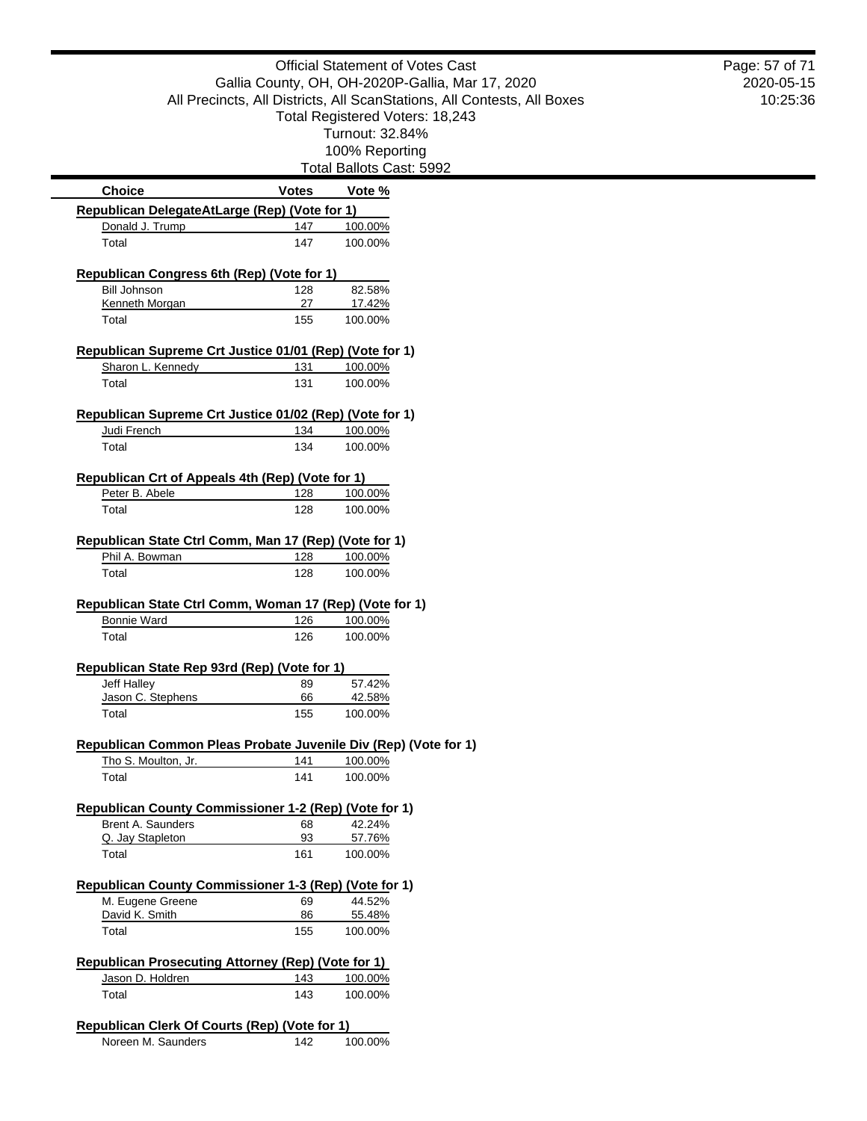|                                                                            |              | <b>Official Statement of Votes Cast</b>                                 | Page: 57 of 71 |
|----------------------------------------------------------------------------|--------------|-------------------------------------------------------------------------|----------------|
|                                                                            |              | Gallia County, OH, OH-2020P-Gallia, Mar 17, 2020                        | 2020-05-15     |
|                                                                            |              | All Precincts, All Districts, All ScanStations, All Contests, All Boxes | 10:25:36       |
|                                                                            |              | Total Registered Voters: 18,243                                         |                |
|                                                                            |              | Turnout: 32.84%                                                         |                |
|                                                                            |              | 100% Reporting                                                          |                |
|                                                                            |              | Total Ballots Cast: 5992                                                |                |
| <b>Choice</b>                                                              | <b>Votes</b> | Vote %                                                                  |                |
| Republican DelegateAtLarge (Rep) (Vote for 1)                              |              |                                                                         |                |
| Donald J. Trump                                                            | 147          | 100.00%                                                                 |                |
| Total                                                                      | 147          | 100.00%                                                                 |                |
| Republican Congress 6th (Rep) (Vote for 1)                                 |              |                                                                         |                |
| <b>Bill Johnson</b>                                                        | 128          | 82.58%                                                                  |                |
| Kenneth Morgan                                                             | 27           | 17.42%                                                                  |                |
| Total                                                                      | 155          | 100.00%                                                                 |                |
| Republican Supreme Crt Justice 01/01 (Rep) (Vote for 1)                    |              |                                                                         |                |
| Sharon L. Kennedy                                                          | 131          | 100.00%                                                                 |                |
| Total                                                                      | 131          | 100.00%                                                                 |                |
| Republican Supreme Crt Justice 01/02 (Rep) (Vote for 1)                    |              |                                                                         |                |
| Judi French                                                                | 134          | 100.00%                                                                 |                |
| Total                                                                      | 134          | 100.00%                                                                 |                |
|                                                                            |              |                                                                         |                |
| Republican Crt of Appeals 4th (Rep) (Vote for 1)<br>Peter B. Abele         | 128          | 100.00%                                                                 |                |
| Total                                                                      | 128          | 100.00%                                                                 |                |
|                                                                            |              |                                                                         |                |
| Republican State Ctrl Comm, Man 17 (Rep) (Vote for 1)                      |              |                                                                         |                |
| Phil A. Bowman                                                             | 128          | 100.00%                                                                 |                |
| Total                                                                      | 128          | 100.00%                                                                 |                |
| Republican State Ctrl Comm, Woman 17 (Rep) (Vote for 1)                    |              |                                                                         |                |
| <b>Bonnie Ward</b>                                                         | 126          | 100.00%                                                                 |                |
| Total                                                                      | 126          | 100.00%                                                                 |                |
| Republican State Rep 93rd (Rep) (Vote for 1)                               |              |                                                                         |                |
| <b>Jeff Halley</b>                                                         | 89           | 57.42%                                                                  |                |
| Jason C. Stephens                                                          | 66           | 42.58%                                                                  |                |
| Total                                                                      | 155          | 100.00%                                                                 |                |
| Republican Common Pleas Probate Juvenile Div (Rep) (Vote for 1)            |              |                                                                         |                |
| Tho S. Moulton, Jr.                                                        | 141          | 100.00%                                                                 |                |
| Total                                                                      | 141          | 100.00%                                                                 |                |
|                                                                            |              |                                                                         |                |
| Republican County Commissioner 1-2 (Rep) (Vote for 1)<br>Brent A. Saunders | 68           | 42.24%                                                                  |                |
| Q. Jay Stapleton                                                           | 93           | 57.76%                                                                  |                |
| Total                                                                      | 161          | 100.00%                                                                 |                |
|                                                                            |              |                                                                         |                |
| Republican County Commissioner 1-3 (Rep) (Vote for 1)                      |              |                                                                         |                |
| M. Eugene Greene<br>David K. Smith                                         | 69<br>86     | 44.52%<br>55.48%                                                        |                |
| Total                                                                      | 155          | 100.00%                                                                 |                |
|                                                                            |              |                                                                         |                |
| Republican Prosecuting Attorney (Rep) (Vote for 1)                         |              |                                                                         |                |
| Jason D. Holdren                                                           | 143          | 100.00%                                                                 |                |
| Total                                                                      | 143          | 100.00%                                                                 |                |
| <b>Republican Clerk Of Courts (Rep) (Vote for 1)</b>                       |              |                                                                         |                |
| Noreen M. Saunders                                                         | 142          | 100.00%                                                                 |                |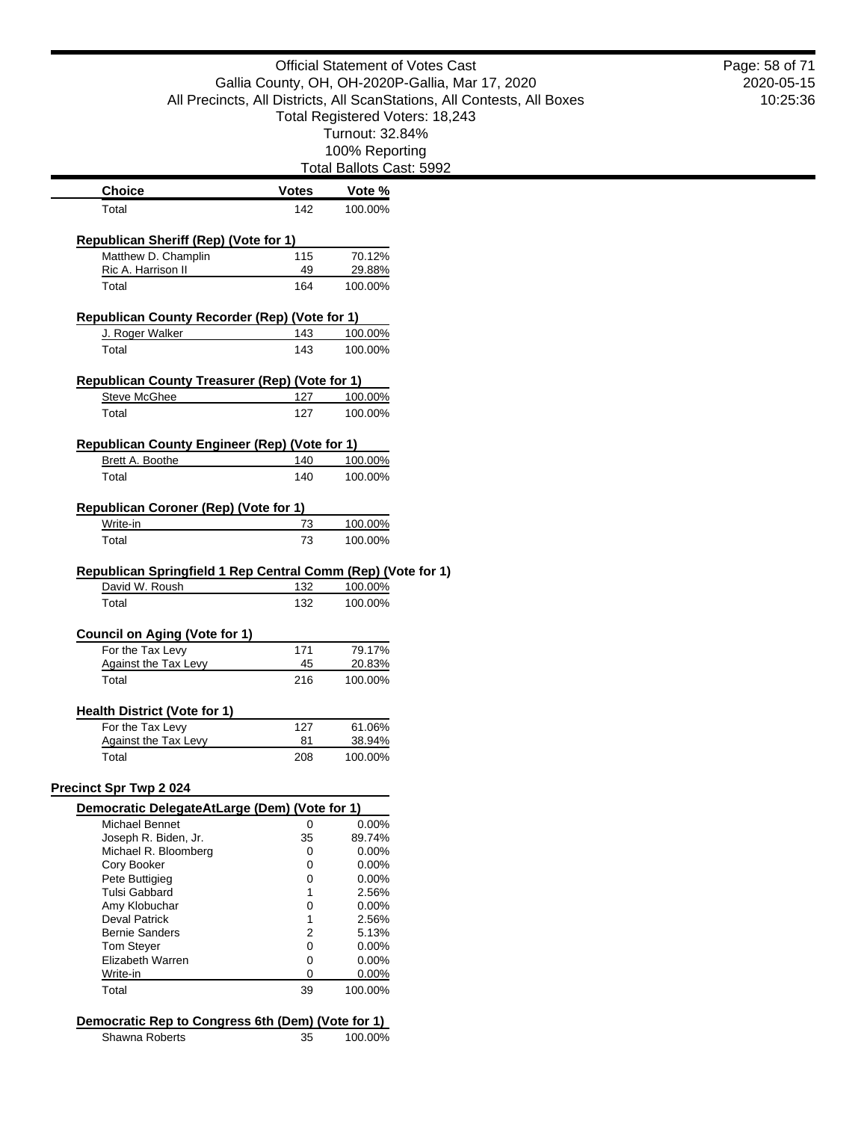Official Statement of Votes Cast Gallia County, OH, OH-2020P-Gallia, Mar 17, 2020 All Precincts, All Districts, All ScanStations, All Contests, All Boxes Total Registered Voters: 18,243 Turnout: 32.84% 100% Reporting Total Ballots Cast: 5992 **Choice Votes Votes Vote** % Total 142 100.00% **Republican Sheriff (Rep) (Vote for 1)** Matthew D. Champlin 115 70.12% Ric A. Harrison II 49 29.88% Total 164 100.00% **Republican County Recorder (Rep) (Vote for 1)** J. Roger Walker 143 100.00% Total 143 100.00% **Republican County Treasurer (Rep) (Vote for 1)** Steve McGhee 127 100.00% Total 127 100.00% **Republican County Engineer (Rep) (Vote for 1)** Brett A. Boothe 140 100.00% Total 140 100.00% **Republican Coroner (Rep) (Vote for 1)** Write-in 23 100.00% Total 73 100.00% **Republican Springfield 1 Rep Central Comm (Rep) (Vote for 1)** David W. Roush 132 100.00% Total 132 100.00% **Council on Aging (Vote for 1)** For the Tax Levy 171 79.17% Against the Tax Levy 45 20.83% Total 216 100.00% **Health District (Vote for 1)** For the Tax Levy 127 61.06% Against the Tax Levy 81 38.94% Total 208 100.00% **Precinct Spr Twp 2 024 Democratic DelegateAtLarge (Dem) (Vote for 1)** Michael Bennet 0 0.00% Joseph R. Biden, Jr. 35 Michael R. Bloomberg 0 0.00% Cory Booker 0 0.00% Pete Buttigieg 0.000 0.000 0.000 0.000 0.000 0.000 0.000 0.000 0.000 0.000 0.000 0.000 0.000 0.000 0.000 0.000 0.000 0.000 0.000 0.000 0.000 0.000 0.000 0.000 0.000 0.000 0.000 0.000 0.000 0.000 0.000 0.000 0.000 0.000 0.0 Tulsi Gabbard<br>
Amy Klobuchar<br>
2.56% 0 0.00% Amy Klobuchar  $0$  0.00%<br>Deval Patrick 1 2.56% Deval Patrick Bernie Sanders 2 5.13% Tom Stever 0 0 0.00% Elizabeth Warren 0 0.00% Write-in 0 0.00%

### **Democratic Rep to Congress 6th (Dem) (Vote for 1)**

Total 39 100.00%

Shawna Roberts 35 100.00%

2020-05-15 10:25:36 Page: 58 of 71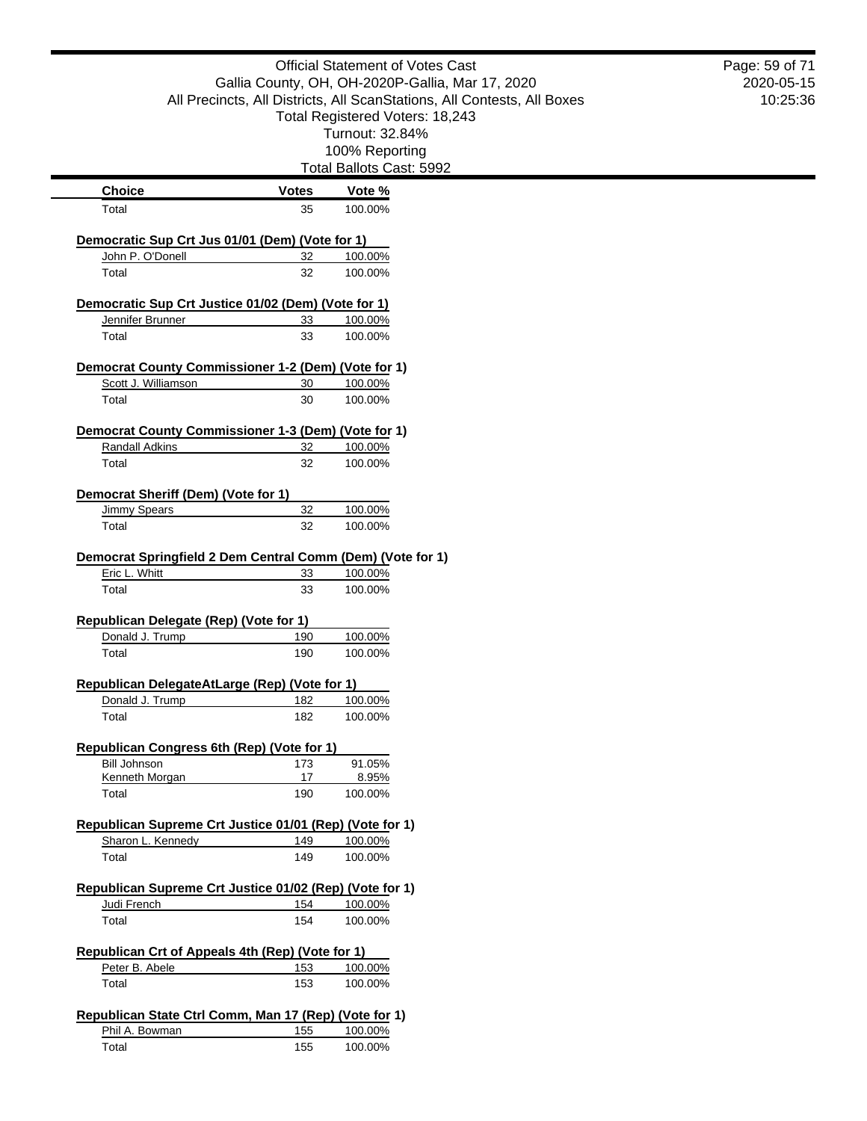|                                                                         |              | <b>Official Statement of Votes Cast</b><br>Gallia County, OH, OH-2020P-Gallia, Mar 17, 2020 | Page: 59 of 71<br>2020-05-15 |
|-------------------------------------------------------------------------|--------------|---------------------------------------------------------------------------------------------|------------------------------|
|                                                                         |              | All Precincts, All Districts, All ScanStations, All Contests, All Boxes                     | 10:25:36                     |
|                                                                         |              | Total Registered Voters: 18,243                                                             |                              |
|                                                                         |              | Turnout: 32.84%                                                                             |                              |
|                                                                         |              | 100% Reporting                                                                              |                              |
|                                                                         |              | Total Ballots Cast: 5992                                                                    |                              |
| <b>Choice</b>                                                           | <b>Votes</b> | Vote %                                                                                      |                              |
| Total                                                                   | 35           | 100.00%                                                                                     |                              |
| Democratic Sup Crt Jus 01/01 (Dem) (Vote for 1)                         |              |                                                                                             |                              |
| John P. O'Donell                                                        | 32           | 100.00%                                                                                     |                              |
| Total                                                                   | 32           | 100.00%                                                                                     |                              |
| Democratic Sup Crt Justice 01/02 (Dem) (Vote for 1)                     |              |                                                                                             |                              |
| Jennifer Brunner                                                        | 33           | 100.00%                                                                                     |                              |
| Total                                                                   | 33           | 100.00%                                                                                     |                              |
| Democrat County Commissioner 1-2 (Dem) (Vote for 1)                     |              |                                                                                             |                              |
| Scott J. Williamson                                                     | 30           | 100.00%                                                                                     |                              |
| Total                                                                   | 30           | 100.00%                                                                                     |                              |
|                                                                         |              |                                                                                             |                              |
| Democrat County Commissioner 1-3 (Dem) (Vote for 1)<br>Randall Adkins   | 32           | 100.00%                                                                                     |                              |
| Total                                                                   | 32           | 100.00%                                                                                     |                              |
|                                                                         |              |                                                                                             |                              |
| Democrat Sheriff (Dem) (Vote for 1)                                     |              |                                                                                             |                              |
| <b>Jimmy Spears</b>                                                     | 32           | 100.00%                                                                                     |                              |
| Total                                                                   | 32           | 100.00%                                                                                     |                              |
| Democrat Springfield 2 Dem Central Comm (Dem) (Vote for 1)              |              |                                                                                             |                              |
| Eric L. Whitt                                                           | 33           | 100.00%                                                                                     |                              |
| Total                                                                   | 33           | 100.00%                                                                                     |                              |
| Republican Delegate (Rep) (Vote for 1)                                  |              |                                                                                             |                              |
| Donald J. Trump                                                         | 190          | 100.00%                                                                                     |                              |
| Total                                                                   | 190          | 100.00%                                                                                     |                              |
|                                                                         |              |                                                                                             |                              |
| Republican DelegateAtLarge (Rep) (Vote for 1)<br>Donald J. Trump        | 182          | 100.00%                                                                                     |                              |
| Total                                                                   | 182          | 100.00%                                                                                     |                              |
|                                                                         |              |                                                                                             |                              |
| Republican Congress 6th (Rep) (Vote for 1)<br><b>Bill Johnson</b>       | 173          | 91.05%                                                                                      |                              |
| Kenneth Morgan                                                          | 17           | 8.95%                                                                                       |                              |
| Total                                                                   | 190          | 100.00%                                                                                     |                              |
|                                                                         |              |                                                                                             |                              |
| Republican Supreme Crt Justice 01/01 (Rep) (Vote for 1)                 |              |                                                                                             |                              |
| Sharon L. Kennedy<br>Total                                              | 149<br>149   | 100.00%                                                                                     |                              |
|                                                                         |              | 100.00%                                                                                     |                              |
| Republican Supreme Crt Justice 01/02 (Rep) (Vote for 1)                 |              |                                                                                             |                              |
| Judi French                                                             | 154          | 100.00%                                                                                     |                              |
| Total                                                                   | 154          | 100.00%                                                                                     |                              |
| Republican Crt of Appeals 4th (Rep) (Vote for 1)                        |              |                                                                                             |                              |
| Peter B. Abele                                                          | 153          | 100.00%                                                                                     |                              |
| Total                                                                   | 153          | 100.00%                                                                                     |                              |
|                                                                         |              |                                                                                             |                              |
| Republican State Ctrl Comm, Man 17 (Rep) (Vote for 1)<br>Phil A. Bowman | 155          | 100.00%                                                                                     |                              |
| Total                                                                   | 155          | 100.00%                                                                                     |                              |
|                                                                         |              |                                                                                             |                              |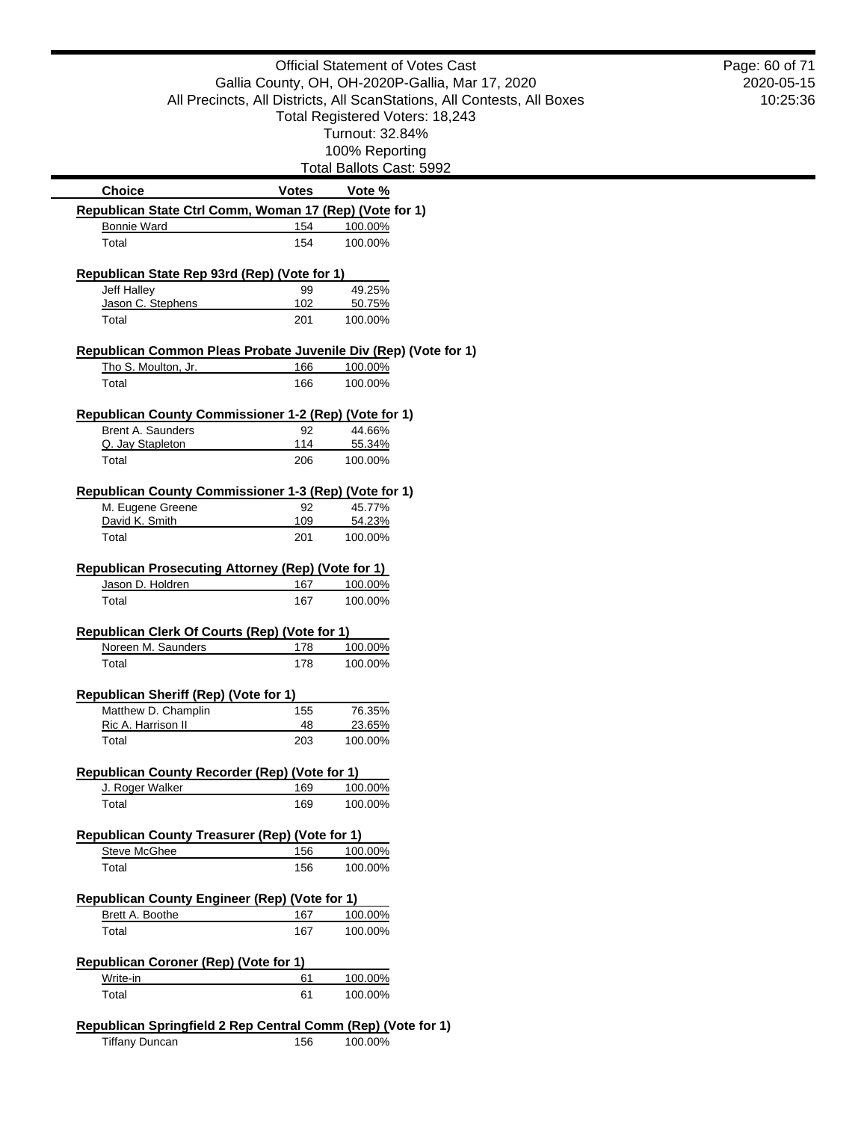|                                                                                                                                              | <b>Official Statement of Votes Cast</b>          |                                                                         | Page: 60 of 71<br>2020-05-15 |
|----------------------------------------------------------------------------------------------------------------------------------------------|--------------------------------------------------|-------------------------------------------------------------------------|------------------------------|
|                                                                                                                                              | Gallia County, OH, OH-2020P-Gallia, Mar 17, 2020 |                                                                         |                              |
|                                                                                                                                              |                                                  | All Precincts, All Districts, All ScanStations, All Contests, All Boxes | 10:25:36                     |
|                                                                                                                                              |                                                  | Total Registered Voters: 18,243                                         |                              |
|                                                                                                                                              |                                                  | Turnout: 32.84%                                                         |                              |
|                                                                                                                                              |                                                  | 100% Reporting                                                          |                              |
|                                                                                                                                              |                                                  | Total Ballots Cast: 5992                                                |                              |
| <b>Choice</b>                                                                                                                                | <b>Votes</b>                                     | Vote %                                                                  |                              |
| Republican State Ctrl Comm, Woman 17 (Rep) (Vote for 1)                                                                                      |                                                  |                                                                         |                              |
| <b>Bonnie Ward</b>                                                                                                                           | 154                                              | 100.00%                                                                 |                              |
| Total                                                                                                                                        | 154                                              | 100.00%                                                                 |                              |
| Republican State Rep 93rd (Rep) (Vote for 1)                                                                                                 |                                                  |                                                                         |                              |
| Jeff Halley                                                                                                                                  | 99                                               | 49.25%                                                                  |                              |
| Jason C. Stephens                                                                                                                            | 102                                              | 50.75%                                                                  |                              |
| Total                                                                                                                                        | 201                                              | 100.00%                                                                 |                              |
| Republican Common Pleas Probate Juvenile Div (Rep) (Vote for 1)                                                                              |                                                  |                                                                         |                              |
| Tho S. Moulton, Jr.                                                                                                                          | 166                                              | 100.00%                                                                 |                              |
| Total                                                                                                                                        | 166                                              | 100.00%                                                                 |                              |
| Republican County Commissioner 1-2 (Rep) (Vote for 1)                                                                                        |                                                  |                                                                         |                              |
| Brent A. Saunders                                                                                                                            | 92                                               | 44.66%                                                                  |                              |
| Q. Jay Stapleton                                                                                                                             | 114                                              | 55.34%                                                                  |                              |
| Total                                                                                                                                        | 206                                              | 100.00%                                                                 |                              |
|                                                                                                                                              |                                                  |                                                                         |                              |
|                                                                                                                                              |                                                  |                                                                         |                              |
|                                                                                                                                              |                                                  |                                                                         |                              |
| Republican County Commissioner 1-3 (Rep) (Vote for 1)<br>M. Eugene Greene                                                                    | 92                                               | 45.77%                                                                  |                              |
| David K. Smith<br>Total                                                                                                                      | 109<br>201                                       | 54.23%<br>100.00%                                                       |                              |
| Jason D. Holdren                                                                                                                             | 167                                              | 100.00%                                                                 |                              |
| Total                                                                                                                                        | 167                                              | 100.00%                                                                 |                              |
|                                                                                                                                              |                                                  |                                                                         |                              |
| Noreen M. Saunders                                                                                                                           | 178                                              | 100.00%                                                                 |                              |
| Total                                                                                                                                        | 178                                              | 100.00%                                                                 |                              |
|                                                                                                                                              |                                                  |                                                                         |                              |
| Matthew D. Champlin                                                                                                                          | 155                                              | 76.35%                                                                  |                              |
| Ric A. Harrison II                                                                                                                           | 48                                               | 23.65%                                                                  |                              |
| Total                                                                                                                                        | 203                                              | 100.00%                                                                 |                              |
| Republican Prosecuting Attorney (Rep) (Vote for 1)<br>Republican Clerk Of Courts (Rep) (Vote for 1)<br>Republican Sheriff (Rep) (Vote for 1) |                                                  |                                                                         |                              |
| Republican County Recorder (Rep) (Vote for 1)                                                                                                |                                                  |                                                                         |                              |
| J. Roger Walker<br>Total                                                                                                                     | 169<br>169                                       | 100.00%<br>100.00%                                                      |                              |
|                                                                                                                                              |                                                  |                                                                         |                              |
|                                                                                                                                              |                                                  |                                                                         |                              |
| <b>Steve McGhee</b><br>Total                                                                                                                 | 156<br>156                                       | 100.00%<br>100.00%                                                      |                              |
|                                                                                                                                              |                                                  |                                                                         |                              |
| Republican County Treasurer (Rep) (Vote for 1)<br><b>Republican County Engineer (Rep) (Vote for 1)</b>                                       |                                                  |                                                                         |                              |
| Brett A. Boothe                                                                                                                              | 167                                              | 100.00%                                                                 |                              |
| Total                                                                                                                                        | 167                                              | 100.00%                                                                 |                              |
| Republican Coroner (Rep) (Vote for 1)                                                                                                        |                                                  |                                                                         |                              |
| Write-in                                                                                                                                     | 61                                               | 100.00%                                                                 |                              |

Tiffany Duncan **156** 100.00%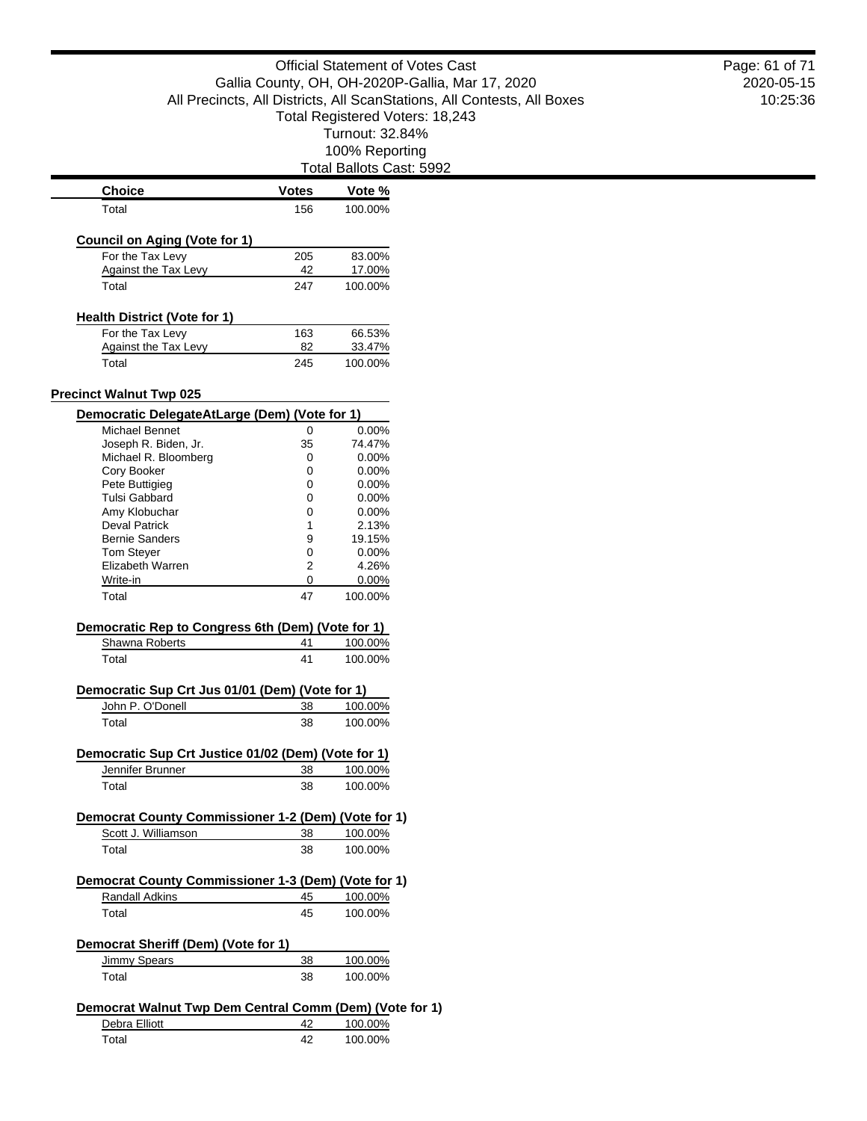Total Ballots Cast: 5992

| <b>Choice</b>                                                       | <b>Votes</b> | Vote %              |
|---------------------------------------------------------------------|--------------|---------------------|
| Total                                                               | 156          | 100.00%             |
| <b>Council on Aging (Vote for 1)</b>                                |              |                     |
| For the Tax Levy                                                    | 205          | 83.00%              |
| <b>Against the Tax Levy</b>                                         | 42           | 17.00%              |
| Total                                                               | 247          | 100.00%             |
| <b>Health District (Vote for 1)</b>                                 |              |                     |
| For the Tax Levy                                                    | 163          | 66.53%              |
| Against the Tax Levy                                                | 82           | 33.47%              |
| Total                                                               | 245          | 100.00%             |
| <b>Precinct Walnut Twp 025</b>                                      |              |                     |
| Democratic DelegateAtLarge (Dem) (Vote for 1)                       |              |                     |
| Michael Bennet                                                      | 0            | $0.00\%$            |
| Joseph R. Biden, Jr.                                                | 35           | 74.47%              |
| Michael R. Bloomberg                                                | 0            | $0.00\%$            |
| Cory Booker                                                         | 0            | 0.00%               |
| Pete Buttigieg                                                      | 0            | $0.00\%$            |
| <b>Tulsi Gabbard</b>                                                | 0            | $0.00\%$            |
| Amy Klobuchar                                                       | 0            | $0.00\%$            |
| <b>Deval Patrick</b>                                                | 1            | 2.13%               |
| <b>Bernie Sanders</b>                                               | 9            | 19.15%              |
| <b>Tom Stever</b>                                                   | 0            | $0.00\%$            |
| Elizabeth Warren                                                    | 2            | 4.26%               |
| Write-in<br>Total                                                   | 0<br>47      | $0.00\%$<br>100.00% |
| Democratic Rep to Congress 6th (Dem) (Vote for 1)<br>Shawna Roberts | 41           | 100.00%             |
| Total                                                               | 41           | 100.00%             |
| Democratic Sup Crt Jus 01/01 (Dem) (Vote for 1)                     |              |                     |
| John P. O'Donell                                                    | 38           | 100.00%             |
| Total                                                               | 38           | 100.00%             |
| Democratic Sup Crt Justice 01/02 (Dem) (Vote for 1)                 |              |                     |
| Jennifer Brunner                                                    | 38           | 100.00%             |
| Total                                                               | 38           | 100.00%             |
| Democrat County Commissioner 1-2 (Dem) (Vote for 1)                 |              |                     |
| Scott J. Williamson                                                 | 38           | 100.00%             |
| Total                                                               | 38           | 100.00%             |
| Democrat County Commissioner 1-3 (Dem) (Vote for 1)                 |              |                     |
| Randall Adkins                                                      | 45           | 100.00%             |
| Total                                                               |              |                     |
|                                                                     | 45           | 100.00%             |
| Democrat Sheriff (Dem) (Vote for 1)                                 |              |                     |
| <b>Jimmy Spears</b>                                                 | 38           | 100.00%             |
| Total                                                               | 38           | 100.00%             |
| Democrat Walnut Twp Dem Central Comm (Dem) (Vote for 1)             |              |                     |
| Debra Elliott                                                       | 42           | 100.00%             |
| Total                                                               | 42           | 100.00%             |

2020-05-15 10:25:36 Page: 61 of 71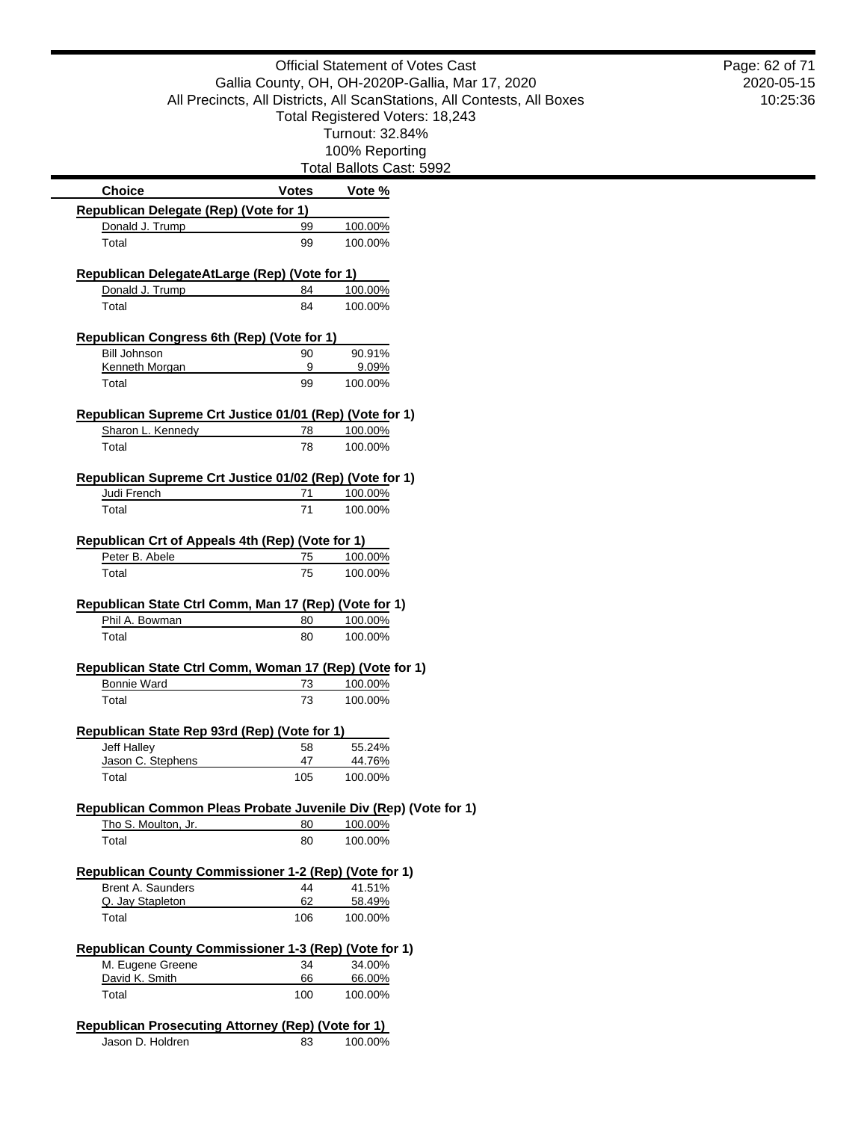|                                                                         | <b>Official Statement of Votes Cast</b> |                                                                         | Page: 62 of 71 |
|-------------------------------------------------------------------------|-----------------------------------------|-------------------------------------------------------------------------|----------------|
|                                                                         |                                         | Gallia County, OH, OH-2020P-Gallia, Mar 17, 2020                        | 2020-05-15     |
|                                                                         |                                         | All Precincts, All Districts, All ScanStations, All Contests, All Boxes | 10:25:36       |
|                                                                         |                                         | Total Registered Voters: 18,243                                         |                |
|                                                                         |                                         | Turnout: 32.84%                                                         |                |
|                                                                         |                                         | 100% Reporting                                                          |                |
|                                                                         |                                         | Total Ballots Cast: 5992                                                |                |
| <b>Choice</b>                                                           | <b>Votes</b>                            | Vote %                                                                  |                |
| Republican Delegate (Rep) (Vote for 1)                                  |                                         |                                                                         |                |
| Donald J. Trump                                                         | 99                                      | 100.00%                                                                 |                |
| Total                                                                   | 99                                      | 100.00%                                                                 |                |
| Republican DelegateAtLarge (Rep) (Vote for 1)                           |                                         |                                                                         |                |
| Donald J. Trump                                                         | 84                                      | 100.00%                                                                 |                |
| Total                                                                   | 84                                      | 100.00%                                                                 |                |
|                                                                         |                                         |                                                                         |                |
| Republican Congress 6th (Rep) (Vote for 1)                              |                                         |                                                                         |                |
| <b>Bill Johnson</b>                                                     | 90                                      | 90.91%                                                                  |                |
| Kenneth Morgan<br>Total                                                 | 9<br>99                                 | 9.09%<br>100.00%                                                        |                |
|                                                                         |                                         |                                                                         |                |
| Republican Supreme Crt Justice 01/01 (Rep) (Vote for 1)                 |                                         |                                                                         |                |
| Sharon L. Kennedy                                                       | 78                                      | 100.00%                                                                 |                |
| Total                                                                   | 78                                      | 100.00%                                                                 |                |
|                                                                         |                                         |                                                                         |                |
| Republican Supreme Crt Justice 01/02 (Rep) (Vote for 1)                 | 71                                      | 100.00%                                                                 |                |
| Judi French<br>Total                                                    | 71                                      | 100.00%                                                                 |                |
|                                                                         |                                         |                                                                         |                |
| Republican Crt of Appeals 4th (Rep) (Vote for 1)                        |                                         |                                                                         |                |
| Peter B. Abele                                                          | 75                                      | 100.00%                                                                 |                |
| Total                                                                   | 75                                      | 100.00%                                                                 |                |
|                                                                         |                                         |                                                                         |                |
| Republican State Ctrl Comm, Man 17 (Rep) (Vote for 1)<br>Phil A. Bowman | 80                                      | 100.00%                                                                 |                |
| Total                                                                   | 80                                      | 100.00%                                                                 |                |
|                                                                         |                                         |                                                                         |                |
| Republican State Ctrl Comm, Woman 17 (Rep) (Vote for 1)                 |                                         |                                                                         |                |
| <b>Bonnie Ward</b>                                                      | 73                                      | 100.00%                                                                 |                |
| Total                                                                   | 73                                      | 100.00%                                                                 |                |
|                                                                         |                                         |                                                                         |                |
| Republican State Rep 93rd (Rep) (Vote for 1)                            |                                         |                                                                         |                |
| Jeff Halley<br>Jason C. Stephens                                        | 58<br>47                                | 55.24%<br>44.76%                                                        |                |
| Total                                                                   | 105                                     | 100.00%                                                                 |                |
|                                                                         |                                         |                                                                         |                |
| Republican Common Pleas Probate Juvenile Div (Rep) (Vote for 1)         |                                         |                                                                         |                |
| Tho S. Moulton, Jr.                                                     | 80                                      | 100.00%                                                                 |                |
| Total                                                                   | 80                                      | 100.00%                                                                 |                |
| Republican County Commissioner 1-2 (Rep) (Vote for 1)                   |                                         |                                                                         |                |
| Brent A. Saunders                                                       | 44                                      | 41.51%                                                                  |                |
| Q. Jay Stapleton                                                        | 62                                      | 58.49%                                                                  |                |
| Total                                                                   | 106                                     | 100.00%                                                                 |                |
|                                                                         |                                         |                                                                         |                |
| Republican County Commissioner 1-3 (Rep) (Vote for 1)                   |                                         |                                                                         |                |
| M. Eugene Greene                                                        | 34                                      | 34.00%                                                                  |                |
| David K. Smith<br>Total                                                 | 66<br>100                               | 66.00%<br>100.00%                                                       |                |
|                                                                         |                                         |                                                                         |                |
| Republican Prosecuting Attorney (Rep) (Vote for 1)                      |                                         |                                                                         |                |
| Jason D. Holdren                                                        | 83                                      | 100.00%                                                                 |                |

۰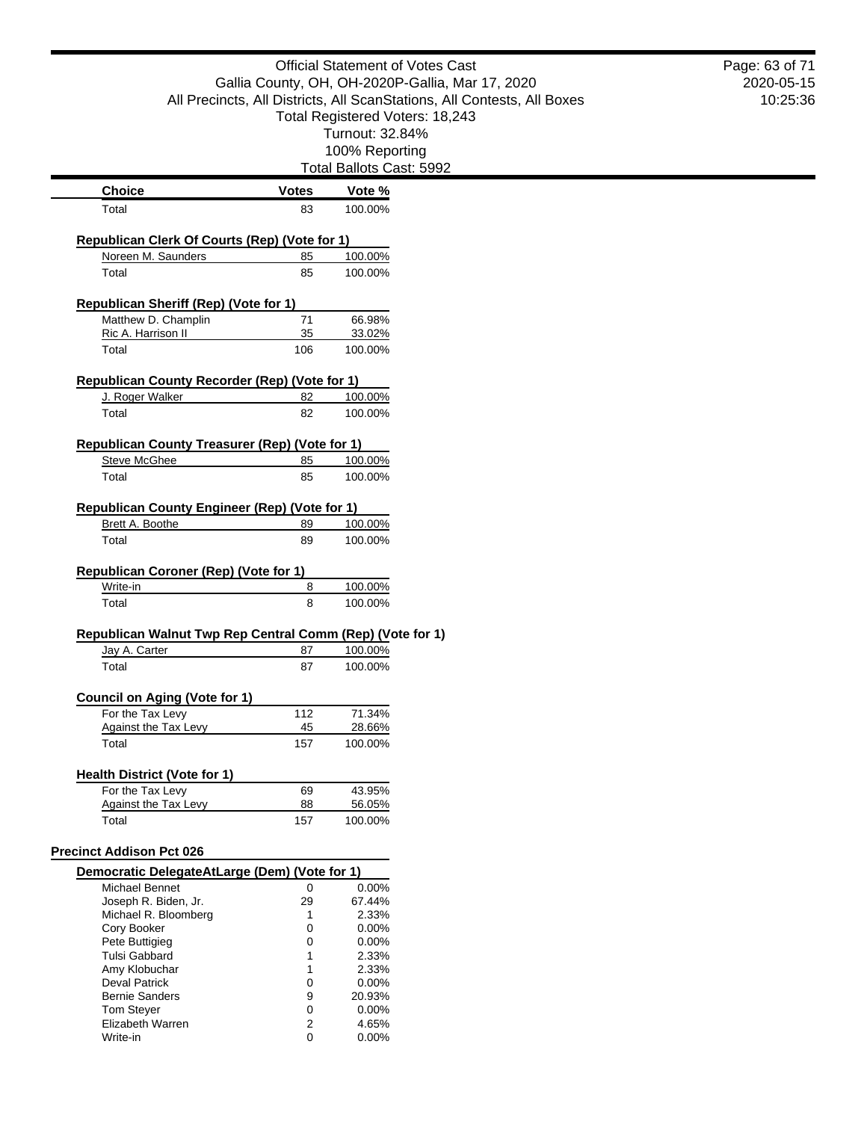|                                                           |                                                                                                                             | <b>Official Statement of Votes Cast</b> |  | Page: 63 of 71 |
|-----------------------------------------------------------|-----------------------------------------------------------------------------------------------------------------------------|-----------------------------------------|--|----------------|
|                                                           | Gallia County, OH, OH-2020P-Gallia, Mar 17, 2020<br>All Precincts, All Districts, All ScanStations, All Contests, All Boxes |                                         |  | 2020-05-15     |
|                                                           |                                                                                                                             |                                         |  | 10:25:36       |
|                                                           |                                                                                                                             | Total Registered Voters: 18,243         |  |                |
|                                                           |                                                                                                                             | Turnout: 32.84%                         |  |                |
|                                                           |                                                                                                                             | 100% Reporting                          |  |                |
|                                                           |                                                                                                                             | Total Ballots Cast: 5992                |  |                |
| <b>Choice</b>                                             | <b>Votes</b>                                                                                                                | Vote %                                  |  |                |
| Total                                                     | 83                                                                                                                          | 100.00%                                 |  |                |
|                                                           |                                                                                                                             |                                         |  |                |
| Republican Clerk Of Courts (Rep) (Vote for 1)             |                                                                                                                             |                                         |  |                |
| Noreen M. Saunders                                        | 85                                                                                                                          | 100.00%                                 |  |                |
| Total                                                     | 85                                                                                                                          | 100.00%                                 |  |                |
|                                                           |                                                                                                                             |                                         |  |                |
| <b>Republican Sheriff (Rep) (Vote for 1)</b>              |                                                                                                                             |                                         |  |                |
| Matthew D. Champlin                                       | 71                                                                                                                          | 66.98%                                  |  |                |
| Ric A. Harrison II                                        | 35                                                                                                                          | 33.02%                                  |  |                |
| Total                                                     | 106                                                                                                                         | 100.00%                                 |  |                |
| Republican County Recorder (Rep) (Vote for 1)             |                                                                                                                             |                                         |  |                |
| J. Roger Walker                                           | 82                                                                                                                          | 100.00%                                 |  |                |
| Total                                                     | 82                                                                                                                          | 100.00%                                 |  |                |
|                                                           |                                                                                                                             |                                         |  |                |
| Republican County Treasurer (Rep) (Vote for 1)            |                                                                                                                             |                                         |  |                |
| <b>Steve McGhee</b>                                       | 85                                                                                                                          | 100.00%                                 |  |                |
| Total                                                     | 85                                                                                                                          | 100.00%                                 |  |                |
|                                                           |                                                                                                                             |                                         |  |                |
| <b>Republican County Engineer (Rep) (Vote for 1)</b>      |                                                                                                                             |                                         |  |                |
| Brett A. Boothe                                           | 89                                                                                                                          | 100.00%                                 |  |                |
| Total                                                     | 89                                                                                                                          | 100.00%                                 |  |                |
|                                                           |                                                                                                                             |                                         |  |                |
| Republican Coroner (Rep) (Vote for 1)                     |                                                                                                                             |                                         |  |                |
| Write-in                                                  | 8                                                                                                                           | 100.00%                                 |  |                |
| Total                                                     | 8                                                                                                                           | 100.00%                                 |  |                |
|                                                           |                                                                                                                             |                                         |  |                |
| Republican Walnut Twp Rep Central Comm (Rep) (Vote for 1) |                                                                                                                             |                                         |  |                |
| Jay A. Carter                                             | 87                                                                                                                          | 100.00%                                 |  |                |
| Total                                                     | 87                                                                                                                          | 100.00%                                 |  |                |
|                                                           |                                                                                                                             |                                         |  |                |
| <b>Council on Aging (Vote for 1)</b>                      |                                                                                                                             |                                         |  |                |
| For the Tax Levy                                          | 112                                                                                                                         | 71.34%                                  |  |                |
| Against the Tax Levy<br>Total                             | 45<br>157                                                                                                                   | 28.66%<br>100.00%                       |  |                |
|                                                           |                                                                                                                             |                                         |  |                |
| <b>Health District (Vote for 1)</b>                       |                                                                                                                             |                                         |  |                |
| For the Tax Levy                                          | 69                                                                                                                          | 43.95%                                  |  |                |
| Against the Tax Levy                                      | 88                                                                                                                          | 56.05%                                  |  |                |
| Total                                                     | 157                                                                                                                         | 100.00%                                 |  |                |
|                                                           |                                                                                                                             |                                         |  |                |
| <b>Precinct Addison Pct 026</b>                           |                                                                                                                             |                                         |  |                |
| Democratic DelegateAtLarge (Dem) (Vote for 1)             |                                                                                                                             |                                         |  |                |
| Michael Bennet                                            | 0                                                                                                                           | 0.00%                                   |  |                |
| Joseph R. Biden, Jr.                                      | 29                                                                                                                          | 67.44%                                  |  |                |
| Michael R. Bloomberg                                      | 1                                                                                                                           | 2.33%                                   |  |                |
| Cory Booker                                               | 0                                                                                                                           | 0.00%                                   |  |                |
| Pete Buttigieg<br><b>Tulsi Gabbard</b>                    | 0<br>1                                                                                                                      | 0.00%                                   |  |                |
| Amy Klobuchar                                             | 1                                                                                                                           | 2.33%<br>2.33%                          |  |                |
| <b>Deval Patrick</b>                                      | 0                                                                                                                           | 0.00%                                   |  |                |
| <b>Bernie Sanders</b>                                     | 9                                                                                                                           | 20.93%                                  |  |                |
| <b>Tom Steyer</b>                                         | 0                                                                                                                           | 0.00%                                   |  |                |
| Elizabeth Warren                                          | 2                                                                                                                           | 4.65%                                   |  |                |
| Write-in                                                  | 0                                                                                                                           | 0.00%                                   |  |                |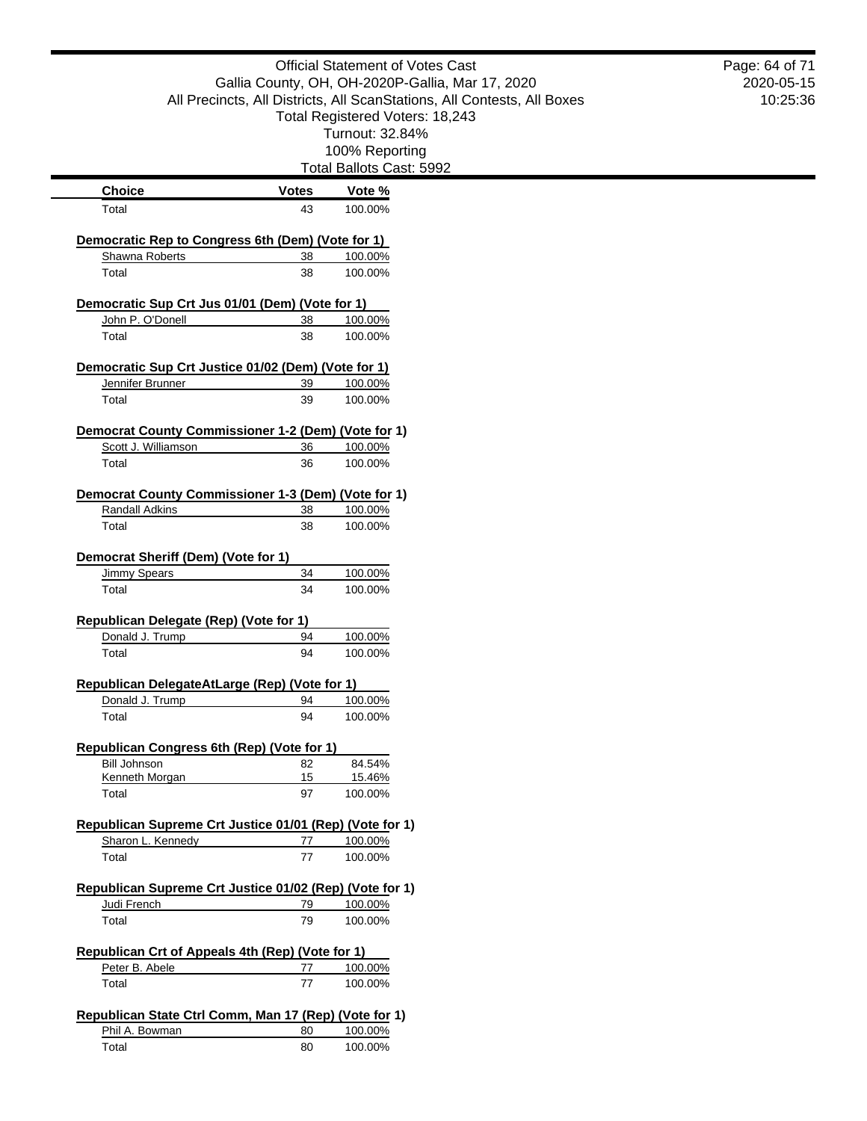|                                                                            |              | <b>Official Statement of Votes Cast</b>                                 | Page: 64 of 71 |
|----------------------------------------------------------------------------|--------------|-------------------------------------------------------------------------|----------------|
|                                                                            |              | Gallia County, OH, OH-2020P-Gallia, Mar 17, 2020                        | 2020-05-15     |
|                                                                            |              | All Precincts, All Districts, All ScanStations, All Contests, All Boxes | 10:25:36       |
|                                                                            |              | Total Registered Voters: 18,243                                         |                |
|                                                                            |              | Turnout: 32.84%                                                         |                |
|                                                                            |              | 100% Reporting                                                          |                |
|                                                                            |              | Total Ballots Cast: 5992                                                |                |
| <b>Choice</b>                                                              | <b>Votes</b> | Vote %                                                                  |                |
| Total                                                                      | 43           | 100.00%                                                                 |                |
| Democratic Rep to Congress 6th (Dem) (Vote for 1)                          |              |                                                                         |                |
| Shawna Roberts                                                             | 38           | 100.00%                                                                 |                |
| Total                                                                      | 38           | 100.00%                                                                 |                |
|                                                                            |              |                                                                         |                |
| Democratic Sup Crt Jus 01/01 (Dem) (Vote for 1)                            |              |                                                                         |                |
| John P. O'Donell                                                           | 38           | 100.00%                                                                 |                |
| Total                                                                      | 38           | 100.00%                                                                 |                |
| Democratic Sup Crt Justice 01/02 (Dem) (Vote for 1)                        |              |                                                                         |                |
| Jennifer Brunner                                                           | 39           | 100.00%                                                                 |                |
| Total                                                                      | 39           | 100.00%                                                                 |                |
|                                                                            |              |                                                                         |                |
| Democrat County Commissioner 1-2 (Dem) (Vote for 1)<br>Scott J. Williamson | 36           | 100.00%                                                                 |                |
| Total                                                                      | 36           | 100.00%                                                                 |                |
|                                                                            |              |                                                                         |                |
| Democrat County Commissioner 1-3 (Dem) (Vote for 1)                        |              |                                                                         |                |
| <b>Randall Adkins</b>                                                      | 38           | 100.00%                                                                 |                |
| Total                                                                      | 38           | 100.00%                                                                 |                |
| Democrat Sheriff (Dem) (Vote for 1)                                        |              |                                                                         |                |
| Jimmy Spears                                                               | 34           | 100.00%                                                                 |                |
| Total                                                                      | 34           | 100.00%                                                                 |                |
|                                                                            |              |                                                                         |                |
| <b>Republican Delegate (Rep) (Vote for 1)</b>                              |              |                                                                         |                |
| Donald J. Trump<br>Total                                                   | 94<br>94     | 100.00%<br>100.00%                                                      |                |
|                                                                            |              |                                                                         |                |
| Republican DelegateAtLarge (Rep) (Vote for 1)                              |              |                                                                         |                |
| Donald J. Trump                                                            | 94           | 100.00%                                                                 |                |
| Total                                                                      | 94           | 100.00%                                                                 |                |
| Republican Congress 6th (Rep) (Vote for 1)                                 |              |                                                                         |                |
| <b>Bill Johnson</b>                                                        | 82           | 84.54%                                                                  |                |
| Kenneth Morgan                                                             | 15           | 15.46%                                                                  |                |
| Total                                                                      | 97           | 100.00%                                                                 |                |
| Republican Supreme Crt Justice 01/01 (Rep) (Vote for 1)                    |              |                                                                         |                |
| Sharon L. Kennedy                                                          | 77           | 100.00%                                                                 |                |
| Total                                                                      | 77           | 100.00%                                                                 |                |
|                                                                            |              |                                                                         |                |
| Republican Supreme Crt Justice 01/02 (Rep) (Vote for 1)                    |              |                                                                         |                |
| Judi French                                                                | 79           | 100.00%                                                                 |                |
| Total                                                                      | 79           | 100.00%                                                                 |                |
|                                                                            |              |                                                                         |                |
| Republican Crt of Appeals 4th (Rep) (Vote for 1)<br>Peter B. Abele         | 77           | 100.00%                                                                 |                |
| Total                                                                      | 77           | 100.00%                                                                 |                |
|                                                                            |              |                                                                         |                |
| Republican State Ctrl Comm, Man 17 (Rep) (Vote for 1)                      |              |                                                                         |                |
| Phil A. Bowman                                                             | 80           | 100.00%                                                                 |                |
| Total                                                                      | 80           | 100.00%                                                                 |                |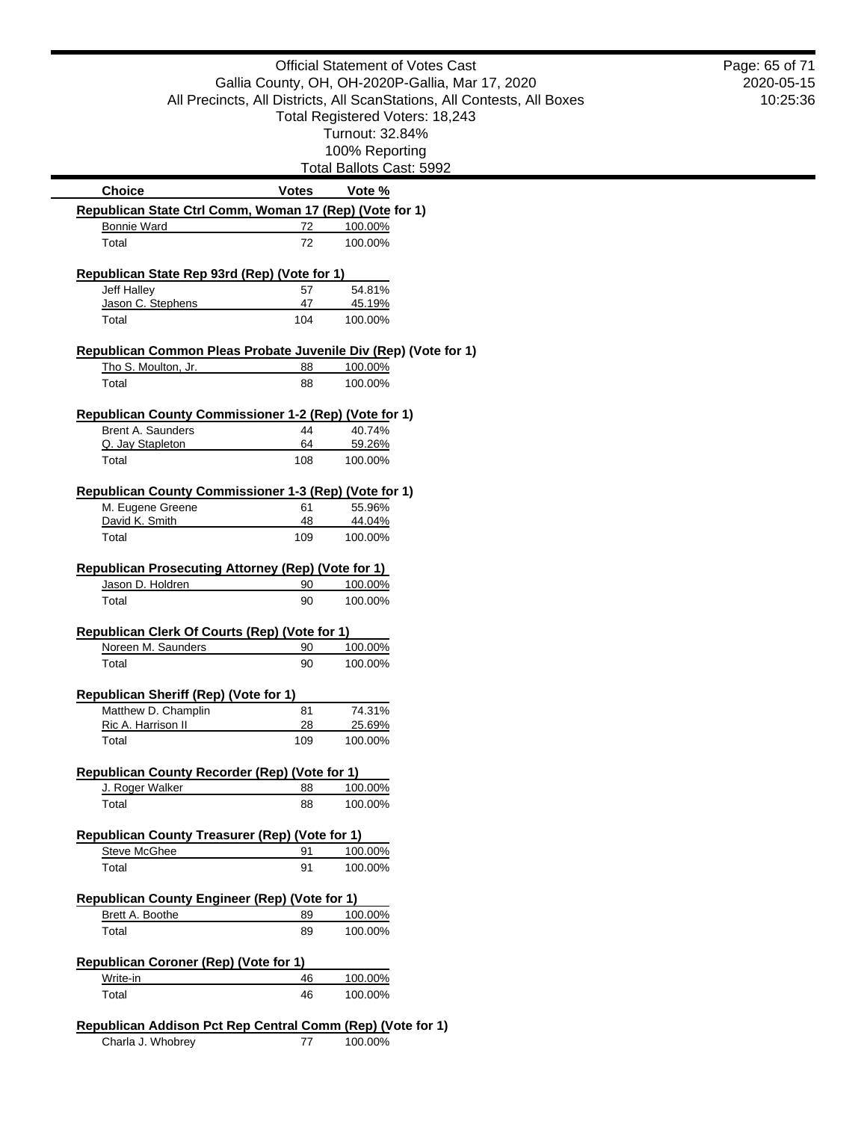|                                                                                        |              | <b>Official Statement of Votes Cast</b>                                 | Page: 65 o |
|----------------------------------------------------------------------------------------|--------------|-------------------------------------------------------------------------|------------|
|                                                                                        |              | Gallia County, OH, OH-2020P-Gallia, Mar 17, 2020                        | 2020-0     |
|                                                                                        |              | All Precincts, All Districts, All ScanStations, All Contests, All Boxes | 10:2       |
|                                                                                        |              | Total Registered Voters: 18,243                                         |            |
|                                                                                        |              | Turnout: 32.84%                                                         |            |
|                                                                                        |              | 100% Reporting<br>Total Ballots Cast: 5992                              |            |
| <b>Choice</b>                                                                          | <b>Votes</b> | Vote %                                                                  |            |
| Republican State Ctrl Comm, Woman 17 (Rep) (Vote for 1)                                |              |                                                                         |            |
| <b>Bonnie Ward</b>                                                                     | 72           | 100.00%                                                                 |            |
| Total                                                                                  | 72           | 100.00%                                                                 |            |
| Republican State Rep 93rd (Rep) (Vote for 1)                                           |              |                                                                         |            |
| Jeff Halley                                                                            | 57           | 54.81%                                                                  |            |
| Jason C. Stephens<br>Total                                                             | 47<br>104    | 45.19%<br>100.00%                                                       |            |
|                                                                                        |              |                                                                         |            |
| Republican Common Pleas Probate Juvenile Div (Rep) (Vote for 1)<br>Tho S. Moulton, Jr. | 88           | 100.00%                                                                 |            |
| Total                                                                                  | 88           | 100.00%                                                                 |            |
|                                                                                        |              |                                                                         |            |
| Republican County Commissioner 1-2 (Rep) (Vote for 1)                                  |              |                                                                         |            |
| Brent A. Saunders                                                                      | 44<br>64     | 40.74%                                                                  |            |
| Q. Jay Stapleton<br>Total                                                              | 108          | 59.26%<br>100.00%                                                       |            |
|                                                                                        |              |                                                                         |            |
| Republican County Commissioner 1-3 (Rep) (Vote for 1)                                  |              |                                                                         |            |
| M. Eugene Greene<br>David K. Smith                                                     | 61<br>48     | 55.96%<br>44.04%                                                        |            |
| Total                                                                                  | 109          | 100.00%                                                                 |            |
|                                                                                        |              |                                                                         |            |
| <b>Republican Prosecuting Attorney (Rep) (Vote for 1)</b><br>Jason D. Holdren          | 90           | 100.00%                                                                 |            |
| Total                                                                                  | 90           | 100.00%                                                                 |            |
|                                                                                        |              |                                                                         |            |
| Republican Clerk Of Courts (Rep) (Vote for 1)                                          |              |                                                                         |            |
| Noreen M. Saunders                                                                     | 90<br>90     | 100.00%                                                                 |            |
| Total                                                                                  |              | 100.00%                                                                 |            |
| <b>Republican Sheriff (Rep) (Vote for 1)</b>                                           |              |                                                                         |            |
| Matthew D. Champlin                                                                    | 81           | 74.31%                                                                  |            |
| Ric A. Harrison II<br>Total                                                            | 28<br>109    | 25.69%<br>100.00%                                                       |            |
|                                                                                        |              |                                                                         |            |
| Republican County Recorder (Rep) (Vote for 1)                                          |              |                                                                         |            |
| J. Roger Walker                                                                        | 88           | 100.00%                                                                 |            |
| Total                                                                                  | 88           | 100.00%                                                                 |            |
| <b>Republican County Treasurer (Rep) (Vote for 1)</b>                                  |              |                                                                         |            |
| <b>Steve McGhee</b>                                                                    | 91           | 100.00%                                                                 |            |
| Total                                                                                  | 91           | 100.00%                                                                 |            |
| <b>Republican County Engineer (Rep) (Vote for 1)</b>                                   |              |                                                                         |            |
| Brett A. Boothe                                                                        | 89           | 100.00%                                                                 |            |
| Total                                                                                  | 89           | 100.00%                                                                 |            |
| <b>Republican Coroner (Rep) (Vote for 1)</b>                                           |              |                                                                         |            |
| Write-in                                                                               | 46           | 100.00%                                                                 |            |
| Total                                                                                  | 46           | 100.00%                                                                 |            |
|                                                                                        |              |                                                                         |            |
| Republican Addison Pct Rep Central Comm (Rep) (Vote for 1)                             |              |                                                                         |            |

Charla J. Whobrey 77 100.00%

# $-15$ 10:25:36 of 71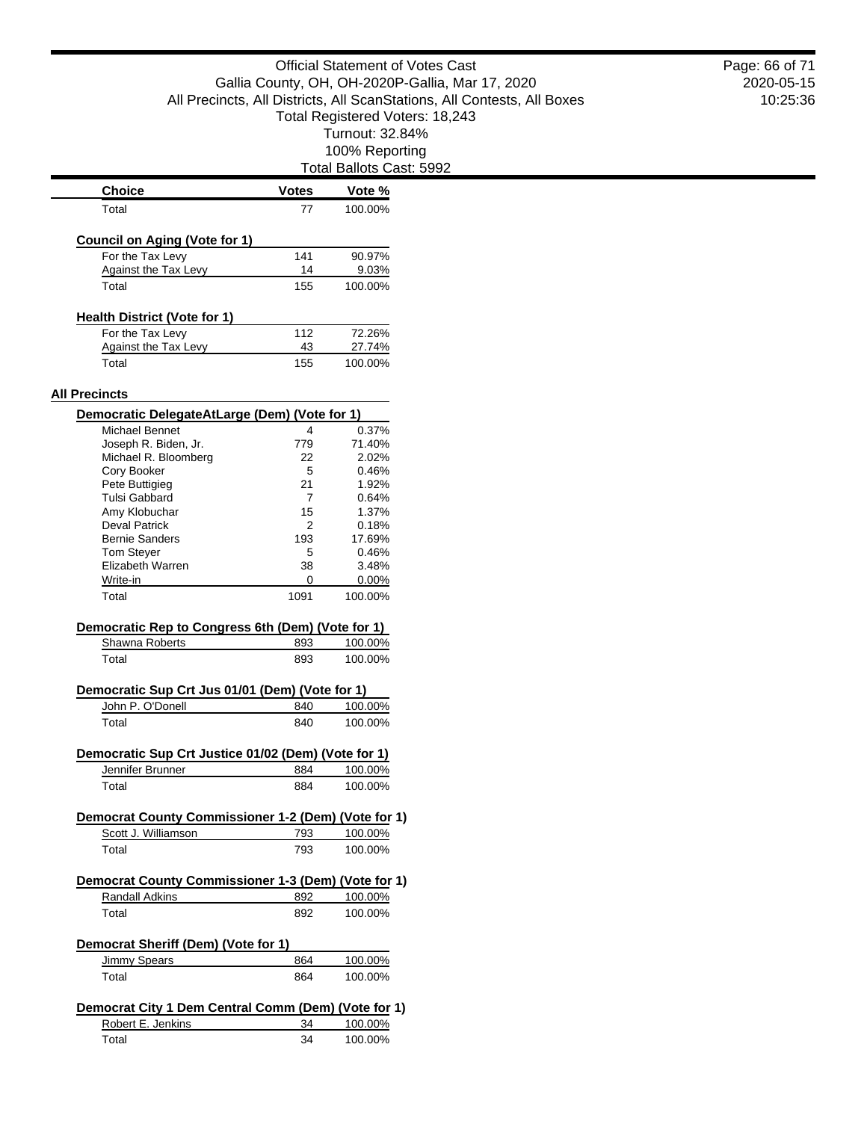Total Ballots Cast: 5992

| Choice                                              | <b>Votes</b> | Vote %                                                         |
|-----------------------------------------------------|--------------|----------------------------------------------------------------|
| Total                                               | 77           | 100.00%                                                        |
| <b>Council on Aging (Vote for 1)</b>                |              |                                                                |
| For the Tax Levv                                    | 141          | 90.97%                                                         |
| Against the Tax Levy                                | 14           | 9.03%                                                          |
| Total                                               | 155          | 100.00%                                                        |
| <b>Health District (Vote for 1)</b>                 |              |                                                                |
| For the Tax Levy                                    | 112          | 72.26%                                                         |
| Against the Tax Levy                                | 43           | 27.74%                                                         |
| Total                                               | 155          | 100.00%                                                        |
| <b>All Precincts</b>                                |              |                                                                |
| Democratic DelegateAtLarge (Dem) (Vote for 1)       |              |                                                                |
| <b>Michael Bennet</b>                               | 4            | 0.37%                                                          |
| Joseph R. Biden, Jr.                                | 779          | 71.40%                                                         |
| Michael R. Bloomberg                                | 22           | 2.02%                                                          |
| Cory Booker                                         | 5            | 0.46%                                                          |
| Pete Buttigieg                                      | 21           | 1.92%                                                          |
| Tulsi Gabbard                                       | 7            | 0.64%                                                          |
| Amy Klobuchar                                       | 15           | 1.37%                                                          |
| Deval Patrick                                       | 2            | 0.18%                                                          |
| <b>Bernie Sanders</b>                               | 193          | 17.69%                                                         |
| Tom Steyer                                          | 5            | 0.46%                                                          |
| Elizabeth Warren                                    | 38           | 3.48%                                                          |
|                                                     |              |                                                                |
| Write-in                                            | 0            | $0.00\%$                                                       |
| Total                                               | 1091         | 100.00%                                                        |
| Democratic Rep to Congress 6th (Dem) (Vote for 1)   |              |                                                                |
| Shawna Roberts                                      | 893          | 100.00%                                                        |
| Total                                               | 893          | 100.00%                                                        |
|                                                     |              |                                                                |
|                                                     |              |                                                                |
| Democratic Sup Crt Jus 01/01 (Dem) (Vote for 1)     | 840          |                                                                |
| John P. O'Donell<br>Total                           | 840          |                                                                |
|                                                     |              |                                                                |
| Democratic Sup Crt Justice 01/02 (Dem) (Vote for 1) |              |                                                                |
| Jennifer Brunner<br>Total                           | 884<br>884   |                                                                |
|                                                     |              |                                                                |
| Democrat County Commissioner 1-2 (Dem) (Vote for 1) |              |                                                                |
| Scott J. Williamson<br>Total                        | 793<br>793   | 100.00%<br>100.00%<br>100.00%<br>100.00%<br>100.00%<br>100.00% |
|                                                     |              |                                                                |
| Democrat County Commissioner 1-3 (Dem) (Vote for 1) |              |                                                                |
| Randall Adkins                                      | 892          |                                                                |
| Total                                               | 892          | 100.00%<br>100.00%                                             |
| Democrat Sheriff (Dem) (Vote for 1)                 |              |                                                                |
| <b>Jimmy Spears</b>                                 | 864          |                                                                |
| Total                                               | 864          |                                                                |
|                                                     |              |                                                                |
| Democrat City 1 Dem Central Comm (Dem) (Vote for 1) |              |                                                                |
| Robert E. Jenkins<br>Total                          | 34<br>34     | 100.00%<br>100.00%<br>100.00%<br>100.00%                       |

2020-05-15 10:25:36 Page: 66 of 71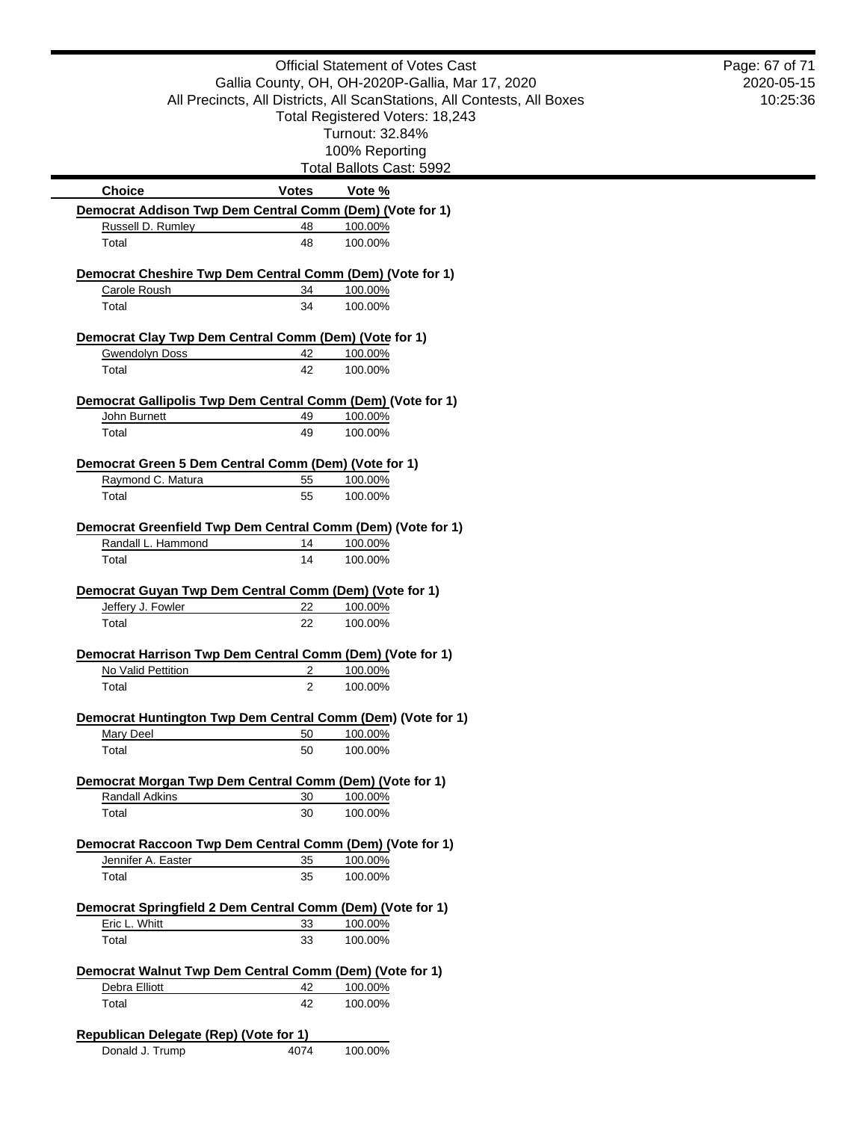|                                                             |                                                  | <b>Official Statement of Votes Cast</b>                                 | Page: 67 of 71<br>2020-05-15 |
|-------------------------------------------------------------|--------------------------------------------------|-------------------------------------------------------------------------|------------------------------|
|                                                             | Gallia County, OH, OH-2020P-Gallia, Mar 17, 2020 |                                                                         |                              |
|                                                             |                                                  | All Precincts, All Districts, All ScanStations, All Contests, All Boxes | 10:25:36                     |
|                                                             |                                                  | Total Registered Voters: 18,243                                         |                              |
|                                                             |                                                  | Turnout: 32.84%                                                         |                              |
|                                                             |                                                  | 100% Reporting<br>Total Ballots Cast: 5992                              |                              |
| <b>Choice</b>                                               | <b>Votes</b>                                     | Vote %                                                                  |                              |
| Democrat Addison Twp Dem Central Comm (Dem) (Vote for 1)    |                                                  |                                                                         |                              |
| Russell D. Rumley                                           | 48                                               | 100.00%                                                                 |                              |
| Total                                                       | 48                                               | 100.00%                                                                 |                              |
| Democrat Cheshire Twp Dem Central Comm (Dem) (Vote for 1)   |                                                  |                                                                         |                              |
| Carole Roush                                                | 34                                               | 100.00%                                                                 |                              |
| Total                                                       | 34                                               | 100.00%                                                                 |                              |
| Democrat Clay Twp Dem Central Comm (Dem) (Vote for 1)       |                                                  |                                                                         |                              |
| <b>Gwendolyn Doss</b>                                       | 42                                               | 100.00%                                                                 |                              |
| Total                                                       | 42                                               | 100.00%                                                                 |                              |
|                                                             |                                                  |                                                                         |                              |
| Democrat Gallipolis Twp Dem Central Comm (Dem) (Vote for 1) |                                                  |                                                                         |                              |
| John Burnett                                                | 49                                               | 100.00%                                                                 |                              |
| Total                                                       | 49                                               | 100.00%                                                                 |                              |
| Democrat Green 5 Dem Central Comm (Dem) (Vote for 1)        |                                                  |                                                                         |                              |
| Raymond C. Matura                                           | 55                                               | 100.00%                                                                 |                              |
| Total                                                       | 55                                               | 100.00%                                                                 |                              |
| Democrat Greenfield Twp Dem Central Comm (Dem) (Vote for 1) |                                                  |                                                                         |                              |
| Randall L. Hammond                                          | 14                                               | 100.00%                                                                 |                              |
| Total                                                       | 14                                               | 100.00%                                                                 |                              |
| Democrat Guyan Twp Dem Central Comm (Dem) (Vote for 1)      |                                                  |                                                                         |                              |
| Jeffery J. Fowler                                           | 22                                               | 100.00%                                                                 |                              |
| Total                                                       | 22                                               | 100.00%                                                                 |                              |
|                                                             |                                                  |                                                                         |                              |
| Democrat Harrison Twp Dem Central Comm (Dem) (Vote for 1)   |                                                  |                                                                         |                              |
| No Valid Pettition<br>Total                                 | 2<br>$\overline{2}$                              | 100.00%<br>100.00%                                                      |                              |
|                                                             |                                                  |                                                                         |                              |
| Democrat Huntington Twp Dem Central Comm (Dem) (Vote for 1) |                                                  |                                                                         |                              |
| Mary Deel                                                   | 50                                               | 100.00%                                                                 |                              |
| Total                                                       | 50                                               | 100.00%                                                                 |                              |
| Democrat Morgan Twp Dem Central Comm (Dem) (Vote for 1)     |                                                  |                                                                         |                              |
| Randall Adkins                                              | 30                                               | 100.00%                                                                 |                              |
| Total                                                       | 30                                               | 100.00%                                                                 |                              |
| Democrat Raccoon Twp Dem Central Comm (Dem) (Vote for 1)    |                                                  |                                                                         |                              |
| Jennifer A. Easter                                          | 35                                               | 100.00%                                                                 |                              |
| Total                                                       | 35                                               | 100.00%                                                                 |                              |
| Democrat Springfield 2 Dem Central Comm (Dem) (Vote for 1)  |                                                  |                                                                         |                              |
| Eric L. Whitt                                               | 33                                               | 100.00%                                                                 |                              |
| Total                                                       | 33                                               | 100.00%                                                                 |                              |
| Democrat Walnut Twp Dem Central Comm (Dem) (Vote for 1)     |                                                  |                                                                         |                              |
| Debra Elliott                                               | 42                                               | 100.00%                                                                 |                              |
| Total                                                       | 42                                               | 100.00%                                                                 |                              |
|                                                             |                                                  |                                                                         |                              |
| Republican Delegate (Rep) (Vote for 1)                      |                                                  |                                                                         |                              |
| Donald J. Trump                                             | 4074                                             | 100.00%                                                                 |                              |
|                                                             |                                                  |                                                                         |                              |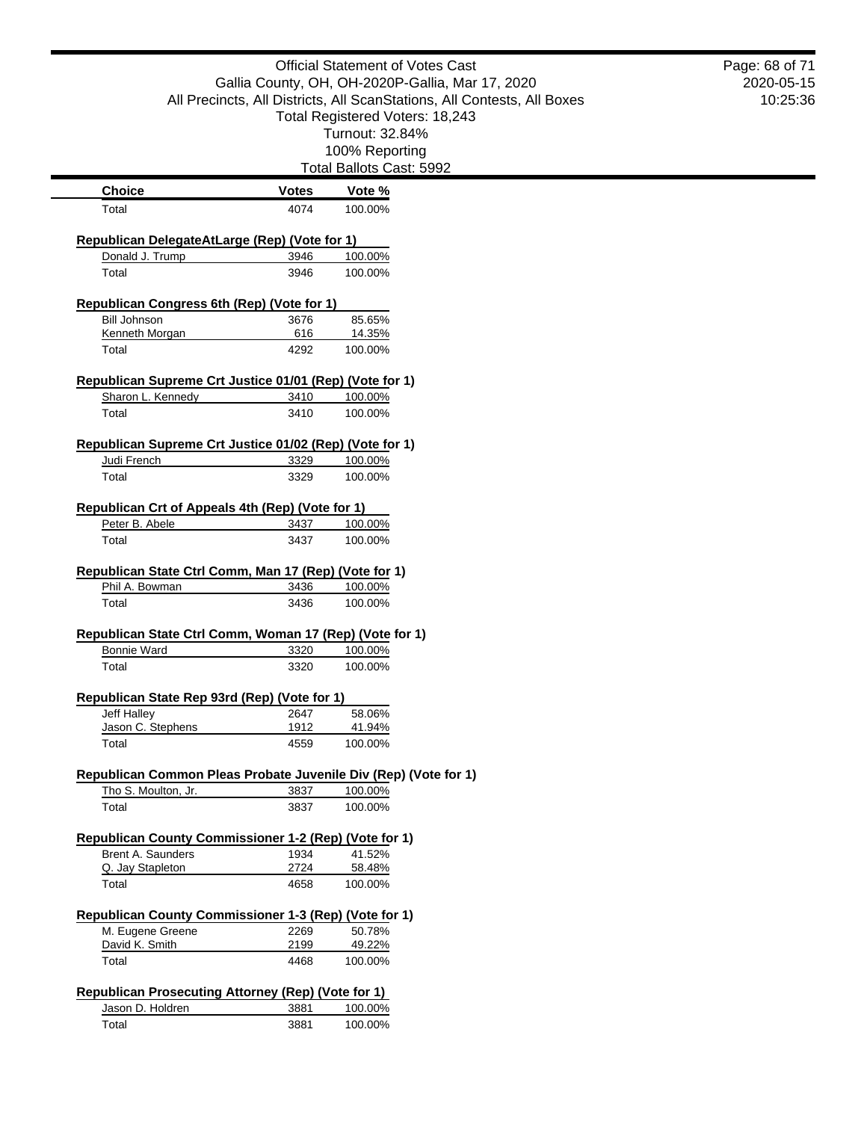|                                                                                        |              | <b>Official Statement of Votes Cast</b>                                 | Page: 68 of 71 |
|----------------------------------------------------------------------------------------|--------------|-------------------------------------------------------------------------|----------------|
|                                                                                        |              | Gallia County, OH, OH-2020P-Gallia, Mar 17, 2020                        | 2020-05-15     |
|                                                                                        |              | All Precincts, All Districts, All ScanStations, All Contests, All Boxes | 10:25:36       |
|                                                                                        |              | Total Registered Voters: 18,243                                         |                |
|                                                                                        |              | Turnout: 32.84%                                                         |                |
|                                                                                        |              | 100% Reporting                                                          |                |
|                                                                                        |              | Total Ballots Cast: 5992                                                |                |
| <b>Choice</b>                                                                          | <b>Votes</b> | Vote %                                                                  |                |
| Total                                                                                  | 4074         | 100.00%                                                                 |                |
| Republican DelegateAtLarge (Rep) (Vote for 1)                                          |              |                                                                         |                |
| Donald J. Trump                                                                        | 3946         | 100.00%                                                                 |                |
| Total                                                                                  | 3946         | 100.00%                                                                 |                |
|                                                                                        |              |                                                                         |                |
| Republican Congress 6th (Rep) (Vote for 1)<br><b>Bill Johnson</b>                      | 3676         | 85.65%                                                                  |                |
| Kenneth Morgan                                                                         | 616          | 14.35%                                                                  |                |
| Total                                                                                  | 4292         | 100.00%                                                                 |                |
| Republican Supreme Crt Justice 01/01 (Rep) (Vote for 1)                                |              |                                                                         |                |
| Sharon L. Kennedy                                                                      | 3410         | 100.00%                                                                 |                |
| Total                                                                                  | 3410         | 100.00%                                                                 |                |
|                                                                                        |              |                                                                         |                |
| Republican Supreme Crt Justice 01/02 (Rep) (Vote for 1)                                |              |                                                                         |                |
| Judi French                                                                            | 3329         | 100.00%                                                                 |                |
| Total                                                                                  | 3329         | 100.00%                                                                 |                |
| Republican Crt of Appeals 4th (Rep) (Vote for 1)                                       |              |                                                                         |                |
| Peter B. Abele                                                                         | 3437         | 100.00%                                                                 |                |
| Total                                                                                  | 3437         | 100.00%                                                                 |                |
|                                                                                        |              |                                                                         |                |
| Republican State Ctrl Comm, Man 17 (Rep) (Vote for 1)<br>Phil A. Bowman                |              |                                                                         |                |
| Total                                                                                  | 3436         | 100.00%<br>100.00%                                                      |                |
|                                                                                        | 3436         |                                                                         |                |
| Republican State Ctrl Comm, Woman 17 (Rep) (Vote for 1)                                |              |                                                                         |                |
| <b>Bonnie Ward</b>                                                                     | 3320         | 100.00%                                                                 |                |
| Total                                                                                  | 3320         | 100.00%                                                                 |                |
| Republican State Rep 93rd (Rep) (Vote for 1)                                           |              |                                                                         |                |
| Jeff Halley                                                                            | 2647         | 58.06%                                                                  |                |
| Jason C. Stephens                                                                      | 1912         | 41.94%                                                                  |                |
| Total                                                                                  | 4559         | 100.00%                                                                 |                |
|                                                                                        |              |                                                                         |                |
| Republican Common Pleas Probate Juvenile Div (Rep) (Vote for 1)<br>Tho S. Moulton, Jr. | 3837         | 100.00%                                                                 |                |
| Total                                                                                  | 3837         | 100.00%                                                                 |                |
|                                                                                        |              |                                                                         |                |
| Republican County Commissioner 1-2 (Rep) (Vote for 1)                                  |              |                                                                         |                |
| <b>Brent A. Saunders</b><br>Q. Jay Stapleton                                           | 1934<br>2724 | 41.52%<br>58.48%                                                        |                |
| Total                                                                                  | 4658         | 100.00%                                                                 |                |
|                                                                                        |              |                                                                         |                |
| Republican County Commissioner 1-3 (Rep) (Vote for 1)                                  |              |                                                                         |                |
| M. Eugene Greene                                                                       | 2269         | 50.78%                                                                  |                |
| David K. Smith<br>Total                                                                | 2199<br>4468 | 49.22%<br>100.00%                                                       |                |
|                                                                                        |              |                                                                         |                |
| <b>Republican Prosecuting Attorney (Rep) (Vote for 1)</b>                              |              |                                                                         |                |
| Jason D. Holdren                                                                       | 3881         | 100.00%                                                                 |                |
| Total                                                                                  | 3881         | 100.00%                                                                 |                |
|                                                                                        |              |                                                                         |                |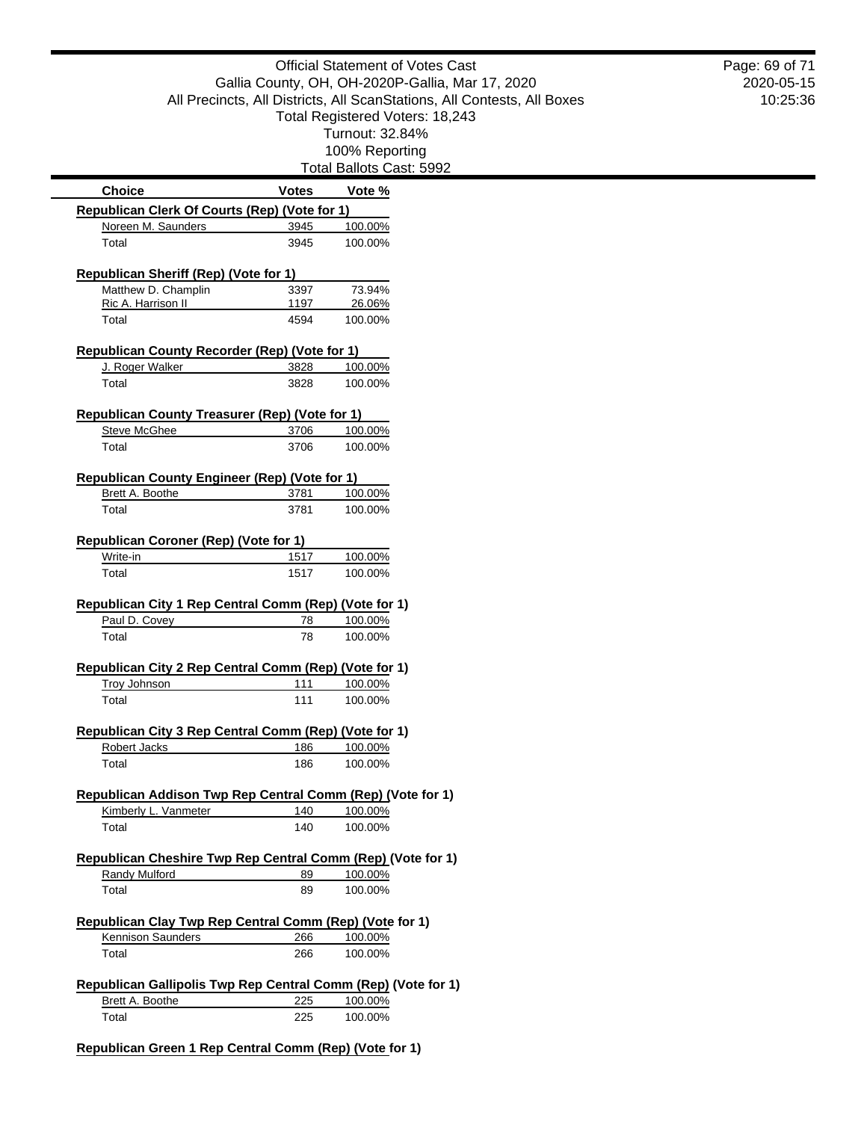Official Statement of Votes Cast Gallia County, OH, OH-2020P-Gallia, Mar 17, 2020 All Precincts, All Districts, All ScanStations, All Contests, All Boxes Total Registered Voters: 18,243 Turnout: 32.84% 100% Reporting Total Ballots Cast: 5992 **Choice Votes Votes Vote** % **Republican Clerk Of Courts (Rep) (Vote for 1)** Noreen M. Saunders 3945 100.00% Total 3945 100.00% **Republican Sheriff (Rep) (Vote for 1)** Matthew D. Champlin 3397 73.94% Ric A. Harrison II 1197 26.06% Total 4594 100.00% **Republican County Recorder (Rep) (Vote for 1)** J. Roger Walker 3828 100.00% Total 3828 100.00% **Republican County Treasurer (Rep) (Vote for 1)** Steve McGhee 3706 100.00% Total 3706 100.00% **Republican County Engineer (Rep) (Vote for 1)** Brett A. Boothe 3781 100.00% Total 3781 100.00% **Republican Coroner (Rep) (Vote for 1)** Write-in 1517 100.00% Total 1517 100.00% **Republican City 1 Rep Central Comm (Rep) (Vote for 1)** Paul D. Covey 78 100.00% Total 78 100.00% **Republican City 2 Rep Central Comm (Rep) (Vote for 1)** Troy Johnson 111 100.00% Total 100.00% **Republican City 3 Rep Central Comm (Rep) (Vote for 1)** Robert Jacks 186 100.00% Total 186 100.00% **Republican Addison Twp Rep Central Comm (Rep) (Vote for 1)** Kimberly L. Vanmeter 140 100.00% Total 140 100.00% **Republican Cheshire Twp Rep Central Comm (Rep) (Vote for 1)** Randy Mulford 89 100.00% Total 89 100.00% **Republican Clay Twp Rep Central Comm (Rep) (Vote for 1)** Kennison Saunders 266 100.00% Total 266 100.00% **Republican Gallipolis Twp Rep Central Comm (Rep) (Vote for 1)**

2020-05-15 10:25:36

Page: 69 of 71

Brett A. Boothe 225 100.00% Total 225 100.00%

**Republican Green 1 Rep Central Comm (Rep) (Vote for 1)**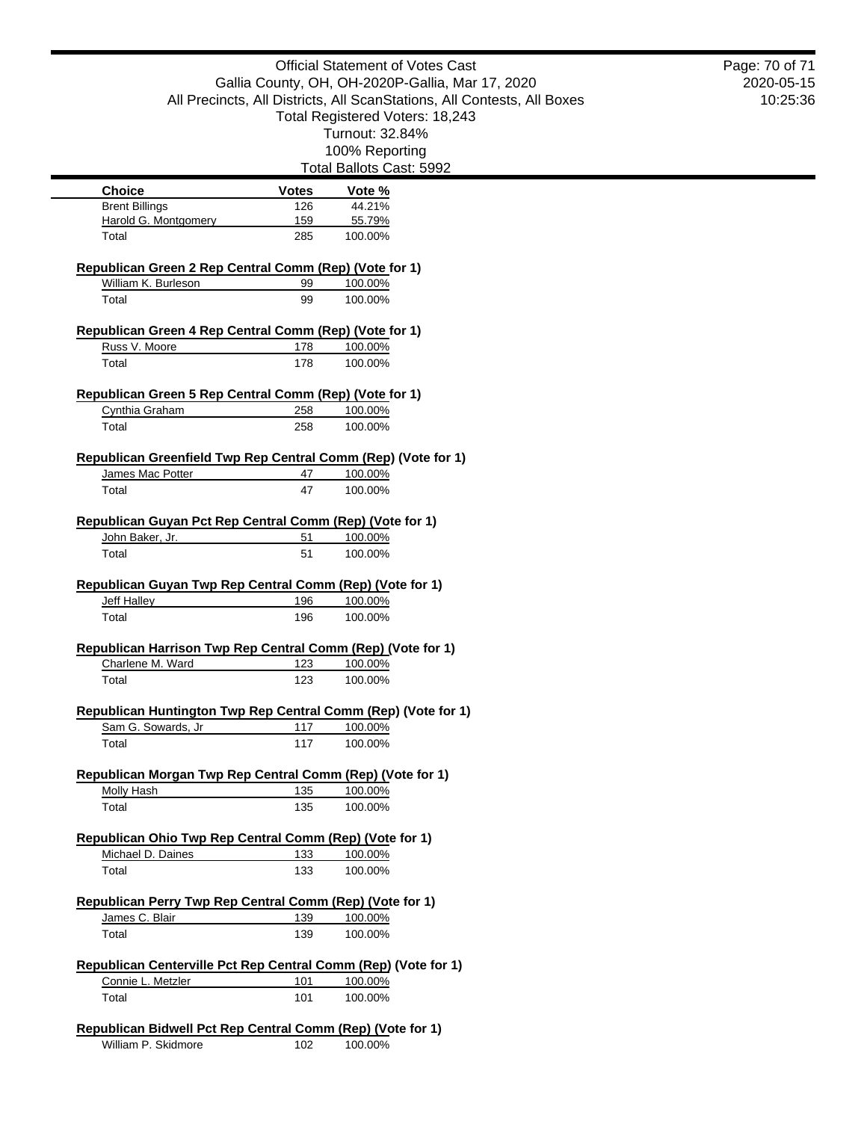|                                                                                     |              | <b>Official Statement of Votes Cast</b>                                 |  |
|-------------------------------------------------------------------------------------|--------------|-------------------------------------------------------------------------|--|
|                                                                                     |              | Gallia County, OH, OH-2020P-Gallia, Mar 17, 2020                        |  |
|                                                                                     |              | All Precincts, All Districts, All ScanStations, All Contests, All Boxes |  |
|                                                                                     |              | Total Registered Voters: 18,243                                         |  |
|                                                                                     |              | Turnout: 32.84%                                                         |  |
|                                                                                     |              | 100% Reporting                                                          |  |
|                                                                                     |              | Total Ballots Cast: 5992                                                |  |
| <b>Choice</b>                                                                       | <b>Votes</b> | Vote %                                                                  |  |
| <b>Brent Billings</b>                                                               | 126          | 44.21%                                                                  |  |
| Harold G. Montgomery                                                                | 159          | 55.79%                                                                  |  |
| Total                                                                               | 285          | 100.00%                                                                 |  |
| Republican Green 2 Rep Central Comm (Rep) (Vote for 1)                              |              |                                                                         |  |
| William K. Burleson                                                                 | 99           | 100.00%                                                                 |  |
| Total                                                                               | 99           | 100.00%                                                                 |  |
| Republican Green 4 Rep Central Comm (Rep) (Vote for 1)                              |              |                                                                         |  |
| Russ V. Moore                                                                       | 178          | 100.00%                                                                 |  |
| Total                                                                               | 178          | 100.00%                                                                 |  |
|                                                                                     |              |                                                                         |  |
| Republican Green 5 Rep Central Comm (Rep) (Vote for 1)                              |              |                                                                         |  |
| Cynthia Graham                                                                      | 258          | 100.00%                                                                 |  |
| Total                                                                               | 258          | 100.00%                                                                 |  |
| Republican Greenfield Twp Rep Central Comm (Rep) (Vote for 1)                       |              |                                                                         |  |
| James Mac Potter                                                                    | 47           | 100.00%                                                                 |  |
| Total                                                                               | 47           | 100.00%                                                                 |  |
|                                                                                     |              |                                                                         |  |
| Republican Guyan Pct Rep Central Comm (Rep) (Vote for 1)                            |              |                                                                         |  |
| John Baker, Jr.                                                                     | 51           | 100.00%                                                                 |  |
| Total                                                                               | 51           | 100.00%                                                                 |  |
|                                                                                     |              |                                                                         |  |
| Republican Guyan Twp Rep Central Comm (Rep) (Vote for 1)<br><b>Jeff Halley</b>      | 196          | 100.00%                                                                 |  |
| Total                                                                               | 196          | 100.00%                                                                 |  |
|                                                                                     |              |                                                                         |  |
| Republican Harrison Twp Rep Central Comm (Rep) (Vote for 1)                         |              |                                                                         |  |
| Charlene M. Ward                                                                    | 123          | 100.00%                                                                 |  |
| Total                                                                               | 123          | 100.00%                                                                 |  |
|                                                                                     |              |                                                                         |  |
| Republican Huntington Twp Rep Central Comm (Rep) (Vote for 1)<br>Sam G. Sowards, Jr | 117          | 100.00%                                                                 |  |
| Total                                                                               | 117          | 100.00%                                                                 |  |
|                                                                                     |              |                                                                         |  |
| Republican Morgan Twp Rep Central Comm (Rep) (Vote for 1)                           |              |                                                                         |  |
| Molly Hash                                                                          | 135          | 100.00%                                                                 |  |
| Total                                                                               | 135          | 100.00%                                                                 |  |
| Republican Ohio Twp Rep Central Comm (Rep) (Vote for 1)                             |              |                                                                         |  |
| Michael D. Daines                                                                   | 133          | 100.00%                                                                 |  |
| Total                                                                               | 133          | 100.00%                                                                 |  |
|                                                                                     |              |                                                                         |  |
| Republican Perry Twp Rep Central Comm (Rep) (Vote for 1)                            |              |                                                                         |  |
| James C. Blair                                                                      | 139          | 100.00%                                                                 |  |
| Total                                                                               | 139          | 100.00%                                                                 |  |
| Republican Centerville Pct Rep Central Comm (Rep) (Vote for 1)                      |              |                                                                         |  |
| Connie L. Metzler                                                                   | 101          | 100.00%                                                                 |  |
| Total                                                                               | 101          | 100.00%                                                                 |  |
|                                                                                     |              |                                                                         |  |
| Republican Bidwell Pct Rep Central Comm (Rep) (Vote for 1)                          |              |                                                                         |  |
| William P. Skidmore                                                                 | 102          | 100.00%                                                                 |  |

2020-05-15 10:25:36 Page: 70 of 71